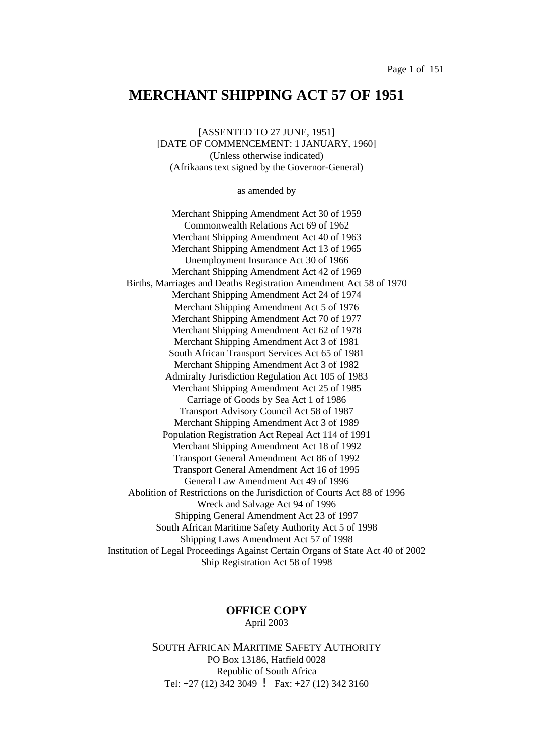# **MERCHANT SHIPPING ACT 57 OF 1951**

[ASSENTED TO 27 JUNE, 1951] [DATE OF COMMENCEMENT: 1 JANUARY, 1960] (Unless otherwise indicated) (Afrikaans text signed by the Governor-General)

as amended by

Merchant Shipping Amendment Act 30 of 1959 Commonwealth Relations Act 69 of 1962 Merchant Shipping Amendment Act 40 of 1963 Merchant Shipping Amendment Act 13 of 1965 Unemployment Insurance Act 30 of 1966 Merchant Shipping Amendment Act 42 of 1969 Births, Marriages and Deaths Registration Amendment Act 58 of 1970 Merchant Shipping Amendment Act 24 of 1974 Merchant Shipping Amendment Act 5 of 1976 Merchant Shipping Amendment Act 70 of 1977 Merchant Shipping Amendment Act 62 of 1978 Merchant Shipping Amendment Act 3 of 1981 South African Transport Services Act 65 of 1981 Merchant Shipping Amendment Act 3 of 1982 Admiralty Jurisdiction Regulation Act 105 of 1983 Merchant Shipping Amendment Act 25 of 1985 Carriage of Goods by Sea Act 1 of 1986 Transport Advisory Council Act 58 of 1987 Merchant Shipping Amendment Act 3 of 1989 Population Registration Act Repeal Act 114 of 1991 Merchant Shipping Amendment Act 18 of 1992 Transport General Amendment Act 86 of 1992 Transport General Amendment Act 16 of 1995 General Law Amendment Act 49 of 1996 Abolition of Restrictions on the Jurisdiction of Courts Act 88 of 1996 Wreck and Salvage Act 94 of 1996 Shipping General Amendment Act 23 of 1997 South African Maritime Safety Authority Act 5 of 1998 Shipping Laws Amendment Act 57 of 1998 Institution of Legal Proceedings Against Certain Organs of State Act 40 of 2002 Ship Registration Act 58 of 1998

## **OFFICE COPY** April 2003

SOUTH AFRICAN MARITIME SAFETY AUTHORITY PO Box 13186, Hatfield 0028 Republic of South Africa Tel: +27 (12) 342 3049 ! Fax: +27 (12) 342 3160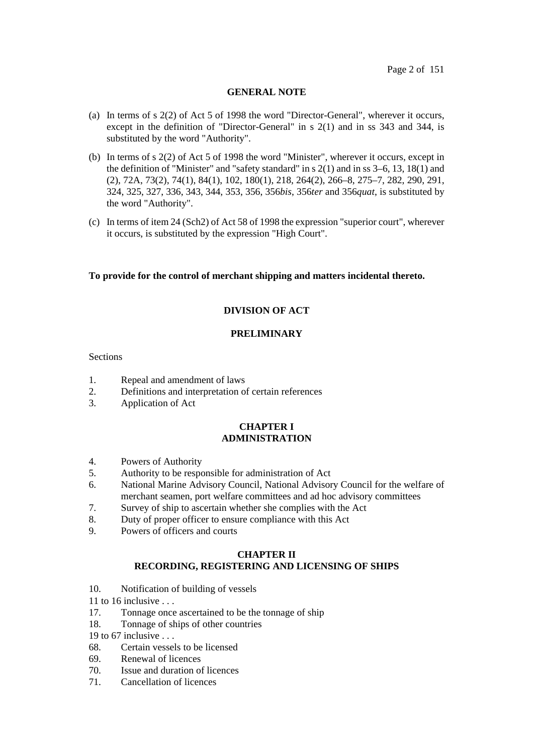## **GENERAL NOTE**

- (a) In terms of s 2(2) of Act 5 of 1998 the word "Director-General", wherever it occurs, except in the definition of "Director-General" in s 2(1) and in ss 343 and 344, is substituted by the word "Authority".
- (b) In terms of s 2(2) of Act 5 of 1998 the word "Minister", wherever it occurs, except in the definition of "Minister" and "safety standard" in  $s$  2(1) and in ss 3–6, 13, 18(1) and (2), 72A, 73(2), 74(1), 84(1), 102, 180(1), 218, 264(2), 266–8, 275–7, 282, 290, 291, 324, 325, 327, 336, 343, 344, 353, 356, 356*bis*, 356*ter* and 356*quat*, is substituted by the word "Authority".
- (c) In terms of item 24 (Sch2) of Act 58 of 1998 the expression "superior court", wherever it occurs, is substituted by the expression "High Court".

## **To provide for the control of merchant shipping and matters incidental thereto.**

## **DIVISION OF ACT**

## **PRELIMINARY**

## **Sections**

- 1. Repeal and amendment of laws
- 2. Definitions and interpretation of certain references
- 3. Application of Act

## **CHAPTER I ADMINISTRATION**

- 4. Powers of Authority
- 5. Authority to be responsible for administration of Act
- 6. National Marine Advisory Council, National Advisory Council for the welfare of merchant seamen, port welfare committees and ad hoc advisory committees
- 7. Survey of ship to ascertain whether she complies with the Act
- 8. Duty of proper officer to ensure compliance with this Act
- 9. Powers of officers and courts

## **CHAPTER II RECORDING, REGISTERING AND LICENSING OF SHIPS**

10. Notification of building of vessels

11 to 16 inclusive  $\dots$ 

- 17. Tonnage once ascertained to be the tonnage of ship
- 18. Tonnage of ships of other countries

19 to 67 inclusive . . .

- 68. Certain vessels to be licensed
- 69. Renewal of licences
- 70. Issue and duration of licences
- 71. Cancellation of licences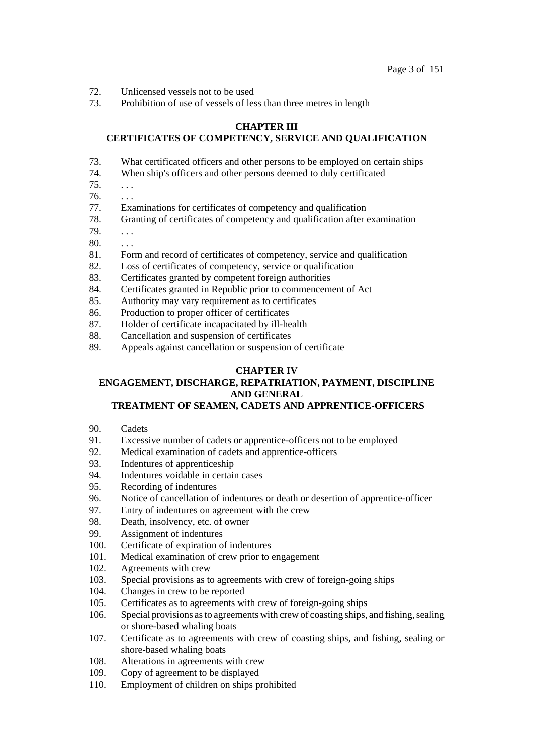- 72. Unlicensed vessels not to be used
- 73. Prohibition of use of vessels of less than three metres in length

## **CHAPTER III**

## **CERTIFICATES OF COMPETENCY, SERVICE AND QUALIFICATION**

- 73. What certificated officers and other persons to be employed on certain ships
- 74. When ship's officers and other persons deemed to duly certificated
- $75. \t...$
- $76. \ldots$
- 77. Examinations for certificates of competency and qualification
- 78. Granting of certificates of competency and qualification after examination
- 79. . . .
- 80. . . .
- 81. Form and record of certificates of competency, service and qualification
- 82. Loss of certificates of competency, service or qualification
- 83. Certificates granted by competent foreign authorities
- 84. Certificates granted in Republic prior to commencement of Act
- 85. Authority may vary requirement as to certificates
- 86. Production to proper officer of certificates
- 87. Holder of certificate incapacitated by ill-health
- 88. Cancellation and suspension of certificates
- 89. Appeals against cancellation or suspension of certificate

## **CHAPTER IV**

# **ENGAGEMENT, DISCHARGE, REPATRIATION, PAYMENT, DISCIPLINE AND GENERAL**

## **TREATMENT OF SEAMEN, CADETS AND APPRENTICE-OFFICERS**

- 90. Cadets
- 91. Excessive number of cadets or apprentice-officers not to be employed
- 92. Medical examination of cadets and apprentice-officers
- 93. Indentures of apprenticeship
- 94. Indentures voidable in certain cases
- 95. Recording of indentures
- 96. Notice of cancellation of indentures or death or desertion of apprentice-officer
- 97. Entry of indentures on agreement with the crew
- 98. Death, insolvency, etc. of owner
- 99. Assignment of indentures
- 100. Certificate of expiration of indentures
- 101. Medical examination of crew prior to engagement
- 102. Agreements with crew
- 103. Special provisions as to agreements with crew of foreign-going ships
- 104. Changes in crew to be reported
- 105. Certificates as to agreements with crew of foreign-going ships
- 106. Special provisions as to agreements with crew of coasting ships, and fishing, sealing or shore-based whaling boats
- 107. Certificate as to agreements with crew of coasting ships, and fishing, sealing or shore-based whaling boats
- 108. Alterations in agreements with crew
- 109. Copy of agreement to be displayed
- 110. Employment of children on ships prohibited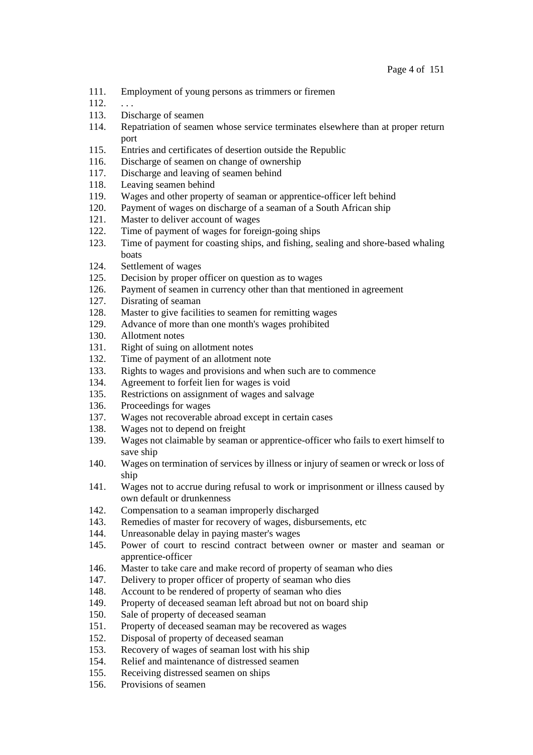- 111. Employment of young persons as trimmers or firemen
- $112. \ldots$
- 113. Discharge of seamen
- 114. Repatriation of seamen whose service terminates elsewhere than at proper return port
- 115. Entries and certificates of desertion outside the Republic
- 116. Discharge of seamen on change of ownership
- 117. Discharge and leaving of seamen behind
- 118. Leaving seamen behind
- 119. Wages and other property of seaman or apprentice-officer left behind
- 120. Payment of wages on discharge of a seaman of a South African ship
- 121. Master to deliver account of wages
- 122. Time of payment of wages for foreign-going ships
- 123. Time of payment for coasting ships, and fishing, sealing and shore-based whaling boats
- 124. Settlement of wages
- 125. Decision by proper officer on question as to wages
- 126. Payment of seamen in currency other than that mentioned in agreement
- 127. Disrating of seaman
- 128. Master to give facilities to seamen for remitting wages
- 129. Advance of more than one month's wages prohibited
- 130. Allotment notes
- 131. Right of suing on allotment notes
- 132. Time of payment of an allotment note
- 133. Rights to wages and provisions and when such are to commence
- 134. Agreement to forfeit lien for wages is void
- 135. Restrictions on assignment of wages and salvage
- 136. Proceedings for wages
- 137. Wages not recoverable abroad except in certain cases
- 138. Wages not to depend on freight
- 139. Wages not claimable by seaman or apprentice-officer who fails to exert himself to save ship
- 140. Wages on termination of services by illness or injury of seamen or wreck or loss of ship
- 141. Wages not to accrue during refusal to work or imprisonment or illness caused by own default or drunkenness
- 142. Compensation to a seaman improperly discharged
- 143. Remedies of master for recovery of wages, disbursements, etc
- 144. Unreasonable delay in paying master's wages
- 145. Power of court to rescind contract between owner or master and seaman or apprentice-officer
- 146. Master to take care and make record of property of seaman who dies
- 147. Delivery to proper officer of property of seaman who dies
- 148. Account to be rendered of property of seaman who dies
- 149. Property of deceased seaman left abroad but not on board ship
- 150. Sale of property of deceased seaman
- 151. Property of deceased seaman may be recovered as wages
- 152. Disposal of property of deceased seaman
- 153. Recovery of wages of seaman lost with his ship
- 154. Relief and maintenance of distressed seamen
- 155. Receiving distressed seamen on ships
- 156. Provisions of seamen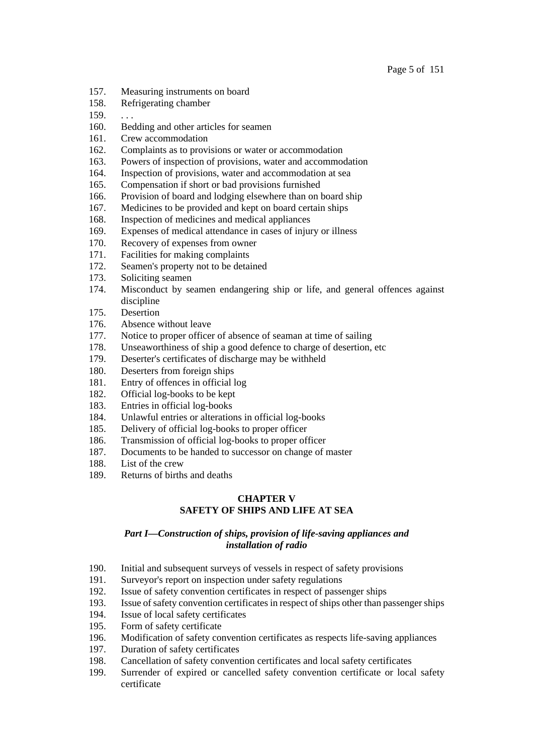- 157. Measuring instruments on board
- 158. Refrigerating chamber
- $159. \ldots$
- 160. Bedding and other articles for seamen
- 161. Crew accommodation
- 162. Complaints as to provisions or water or accommodation
- 163. Powers of inspection of provisions, water and accommodation
- 164. Inspection of provisions, water and accommodation at sea
- 165. Compensation if short or bad provisions furnished
- 166. Provision of board and lodging elsewhere than on board ship
- 167. Medicines to be provided and kept on board certain ships
- 168. Inspection of medicines and medical appliances
- 169. Expenses of medical attendance in cases of injury or illness
- 170. Recovery of expenses from owner
- 171. Facilities for making complaints
- 172. Seamen's property not to be detained
- 173. Soliciting seamen
- 174. Misconduct by seamen endangering ship or life, and general offences against discipline
- 175. Desertion
- 176. Absence without leave
- 177. Notice to proper officer of absence of seaman at time of sailing
- 178. Unseaworthiness of ship a good defence to charge of desertion, etc
- 179. Deserter's certificates of discharge may be withheld
- 180. Deserters from foreign ships
- 181. Entry of offences in official log
- 182. Official log-books to be kept
- 183. Entries in official log-books
- 184. Unlawful entries or alterations in official log-books
- 185. Delivery of official log-books to proper officer
- 186. Transmission of official log-books to proper officer
- 187. Documents to be handed to successor on change of master
- 188. List of the crew
- 189. Returns of births and deaths

## **CHAPTER V SAFETY OF SHIPS AND LIFE AT SEA**

## *Part I—Construction of ships, provision of life-saving appliances and installation of radio*

- 190. Initial and subsequent surveys of vessels in respect of safety provisions
- 191. Surveyor's report on inspection under safety regulations
- 192. Issue of safety convention certificates in respect of passenger ships
- 193. Issue of safety convention certificates in respect of ships other than passenger ships
- 194. Issue of local safety certificates
- 195. Form of safety certificate
- 196. Modification of safety convention certificates as respects life-saving appliances
- 197. Duration of safety certificates
- 198. Cancellation of safety convention certificates and local safety certificates
- 199. Surrender of expired or cancelled safety convention certificate or local safety certificate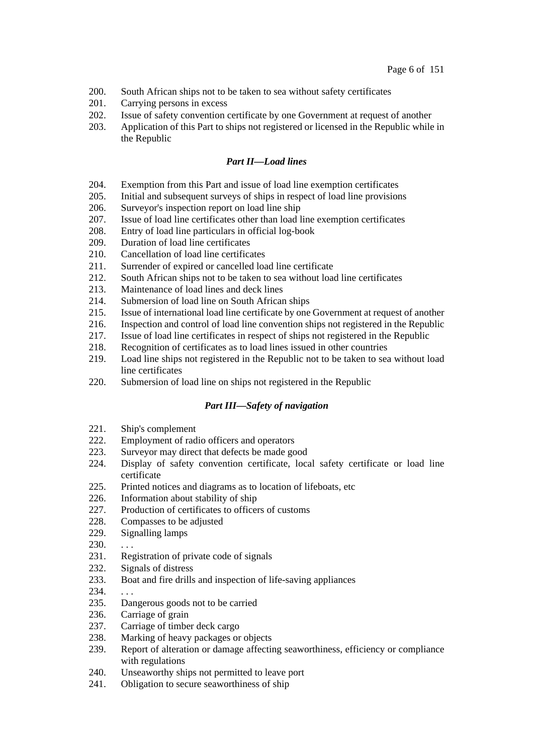- 200. South African ships not to be taken to sea without safety certificates
- 201. Carrying persons in excess
- 202. Issue of safety convention certificate by one Government at request of another
- 203. Application of this Part to ships not registered or licensed in the Republic while in the Republic

## *Part II—Load lines*

- 204. Exemption from this Part and issue of load line exemption certificates
- 205. Initial and subsequent surveys of ships in respect of load line provisions
- 206. Surveyor's inspection report on load line ship
- 207. Issue of load line certificates other than load line exemption certificates
- 208. Entry of load line particulars in official log-book
- 209. Duration of load line certificates
- 210. Cancellation of load line certificates
- 211. Surrender of expired or cancelled load line certificate
- 212. South African ships not to be taken to sea without load line certificates
- 213. Maintenance of load lines and deck lines
- 214. Submersion of load line on South African ships
- 215. Issue of international load line certificate by one Government at request of another
- 216. Inspection and control of load line convention ships not registered in the Republic
- 217. Issue of load line certificates in respect of ships not registered in the Republic
- 218. Recognition of certificates as to load lines issued in other countries
- 219. Load line ships not registered in the Republic not to be taken to sea without load line certificates
- 220. Submersion of load line on ships not registered in the Republic

## *Part III—Safety of navigation*

- 221. Ship's complement
- 222. Employment of radio officers and operators
- 223. Surveyor may direct that defects be made good
- 224. Display of safety convention certificate, local safety certificate or load line certificate
- 225. Printed notices and diagrams as to location of lifeboats, etc
- 226. Information about stability of ship
- 227. Production of certificates to officers of customs
- 228. Compasses to be adjusted
- 229. Signalling lamps
- $230. \ldots$
- 231. Registration of private code of signals
- 232. Signals of distress
- 233. Boat and fire drills and inspection of life-saving appliances
- 234. . . .
- 235. Dangerous goods not to be carried
- 236. Carriage of grain
- 237. Carriage of timber deck cargo
- 238. Marking of heavy packages or objects
- 239. Report of alteration or damage affecting seaworthiness, efficiency or compliance with regulations
- 240. Unseaworthy ships not permitted to leave port
- 241. Obligation to secure seaworthiness of ship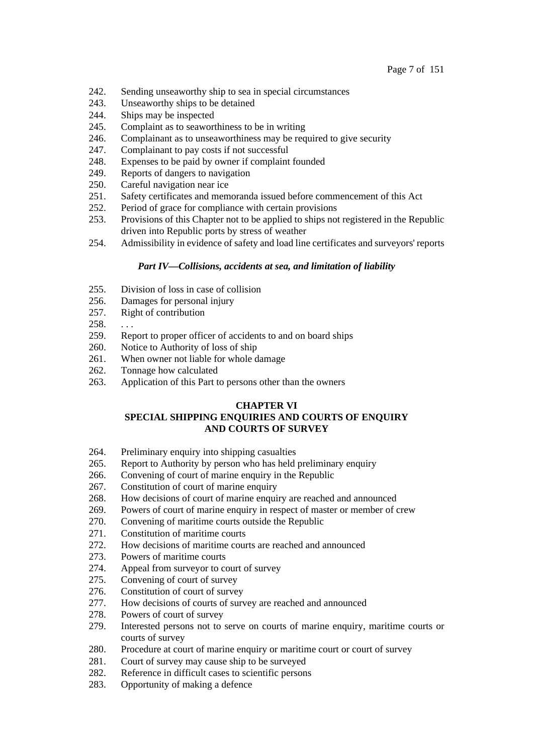- 242. Sending unseaworthy ship to sea in special circumstances
- 243. Unseaworthy ships to be detained
- 244. Ships may be inspected
- 245. Complaint as to seaworthiness to be in writing
- 246. Complainant as to unseaworthiness may be required to give security
- 247. Complainant to pay costs if not successful
- 248. Expenses to be paid by owner if complaint founded
- 249. Reports of dangers to navigation
- 250. Careful navigation near ice
- 251. Safety certificates and memoranda issued before commencement of this Act
- 252. Period of grace for compliance with certain provisions
- 253. Provisions of this Chapter not to be applied to ships not registered in the Republic driven into Republic ports by stress of weather
- 254. Admissibility in evidence of safety and load line certificates and surveyors' reports

## *Part IV—Collisions, accidents at sea, and limitation of liability*

- 255. Division of loss in case of collision
- 256. Damages for personal injury
- 257. Right of contribution
- $258.$  ...
- 259. Report to proper officer of accidents to and on board ships
- 260. Notice to Authority of loss of ship
- 261. When owner not liable for whole damage
- 262. Tonnage how calculated
- 263. Application of this Part to persons other than the owners

## **CHAPTER VI**

## **SPECIAL SHIPPING ENQUIRIES AND COURTS OF ENQUIRY AND COURTS OF SURVEY**

- 264. Preliminary enquiry into shipping casualties
- 265. Report to Authority by person who has held preliminary enquiry
- 266. Convening of court of marine enquiry in the Republic
- 267. Constitution of court of marine enquiry
- 268. How decisions of court of marine enquiry are reached and announced
- 269. Powers of court of marine enquiry in respect of master or member of crew
- 270. Convening of maritime courts outside the Republic
- 271. Constitution of maritime courts
- 272. How decisions of maritime courts are reached and announced
- 273. Powers of maritime courts
- 274. Appeal from surveyor to court of survey
- 275. Convening of court of survey
- 276. Constitution of court of survey
- 277. How decisions of courts of survey are reached and announced
- 278. Powers of court of survey
- 279. Interested persons not to serve on courts of marine enquiry, maritime courts or courts of survey
- 280. Procedure at court of marine enquiry or maritime court or court of survey
- 281. Court of survey may cause ship to be surveyed
- 282. Reference in difficult cases to scientific persons
- 283. Opportunity of making a defence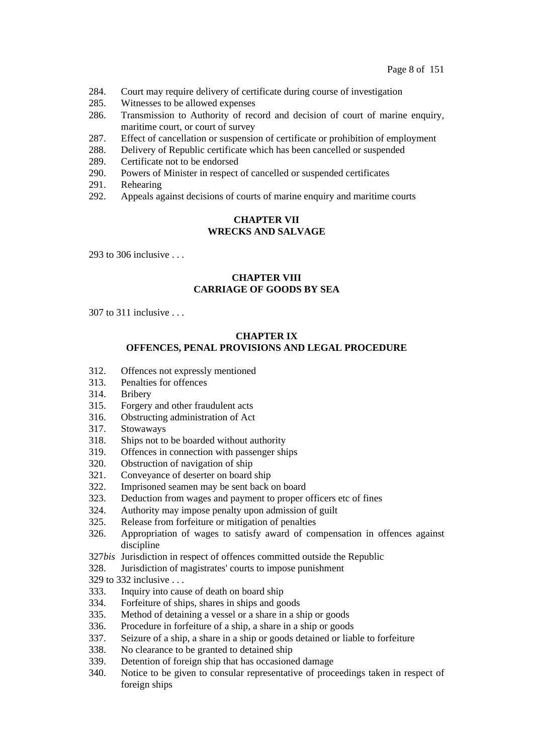- 284. Court may require delivery of certificate during course of investigation
- 285. Witnesses to be allowed expenses
- 286. Transmission to Authority of record and decision of court of marine enquiry, maritime court, or court of survey
- 287. Effect of cancellation or suspension of certificate or prohibition of employment
- 288. Delivery of Republic certificate which has been cancelled or suspended
- 289. Certificate not to be endorsed
- 290. Powers of Minister in respect of cancelled or suspended certificates
- 291. Rehearing
- 292. Appeals against decisions of courts of marine enquiry and maritime courts

## **CHAPTER VII WRECKS AND SALVAGE**

293 to 306 inclusive . . .

## **CHAPTER VIII CARRIAGE OF GOODS BY SEA**

 $307$  to  $311$  inclusive

## **CHAPTER IX OFFENCES, PENAL PROVISIONS AND LEGAL PROCEDURE**

- 312. Offences not expressly mentioned
- 313. Penalties for offences
- 314. Bribery
- 315. Forgery and other fraudulent acts
- 316. Obstructing administration of Act
- 317. Stowaways
- 318. Ships not to be boarded without authority
- 319. Offences in connection with passenger ships
- 320. Obstruction of navigation of ship
- 321. Conveyance of deserter on board ship
- 322. Imprisoned seamen may be sent back on board
- 323. Deduction from wages and payment to proper officers etc of fines
- 324. Authority may impose penalty upon admission of guilt
- 325. Release from forfeiture or mitigation of penalties
- 326. Appropriation of wages to satisfy award of compensation in offences against discipline
- 327*bis* Jurisdiction in respect of offences committed outside the Republic
- 328. Jurisdiction of magistrates' courts to impose punishment
- 329 to 332 inclusive . . .
- 333. Inquiry into cause of death on board ship
- 334. Forfeiture of ships, shares in ships and goods
- 335. Method of detaining a vessel or a share in a ship or goods
- 336. Procedure in forfeiture of a ship, a share in a ship or goods
- 337. Seizure of a ship, a share in a ship or goods detained or liable to forfeiture
- 338. No clearance to be granted to detained ship
- 339. Detention of foreign ship that has occasioned damage
- 340. Notice to be given to consular representative of proceedings taken in respect of foreign ships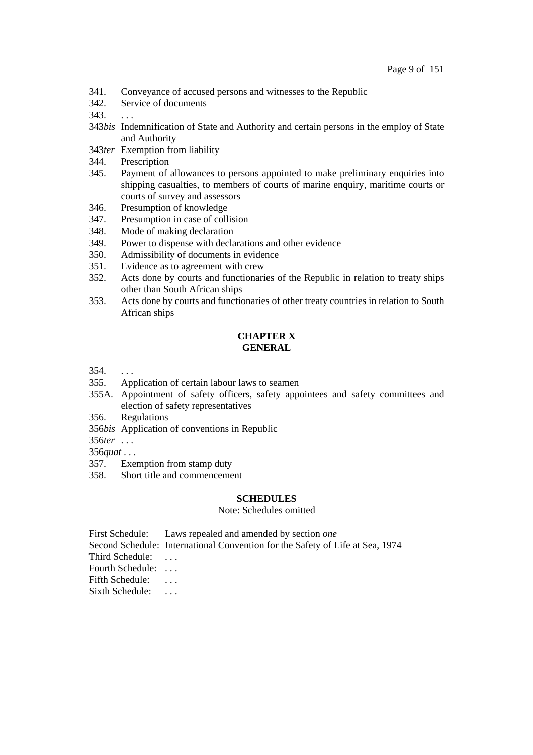- 341. Conveyance of accused persons and witnesses to the Republic
- 342. Service of documents
- 343. . . .
- 343*bis* Indemnification of State and Authority and certain persons in the employ of State and Authority
- 343*ter* Exemption from liability
- 344. Prescription
- 345. Payment of allowances to persons appointed to make preliminary enquiries into shipping casualties, to members of courts of marine enquiry, maritime courts or courts of survey and assessors
- 346. Presumption of knowledge
- 347. Presumption in case of collision
- 348. Mode of making declaration
- 349. Power to dispense with declarations and other evidence
- 350. Admissibility of documents in evidence
- 351. Evidence as to agreement with crew
- 352. Acts done by courts and functionaries of the Republic in relation to treaty ships other than South African ships
- 353. Acts done by courts and functionaries of other treaty countries in relation to South African ships

## **CHAPTER X GENERAL**

- 354. . . .
- 355. Application of certain labour laws to seamen
- 355A. Appointment of safety officers, safety appointees and safety committees and election of safety representatives
- 356. Regulations
- 356*bis* Application of conventions in Republic
- 356*ter* . . .

356*quat* . . .

- 357. Exemption from stamp duty
- 358. Short title and commencement

## **SCHEDULES**

Note: Schedules omitted

- First Schedule: Laws repealed and amended by section *one*
- Second Schedule: International Convention for the Safety of Life at Sea, 1974
- Third Schedule: ...

Fourth Schedule: . . .

Fifth Schedule: ...

Sixth Schedule: ...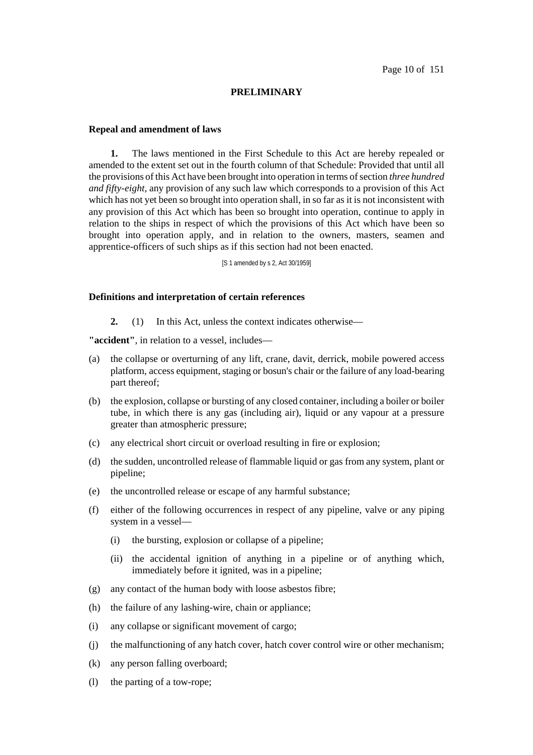## **PRELIMINARY**

### **Repeal and amendment of laws**

**1.** The laws mentioned in the First Schedule to this Act are hereby repealed or amended to the extent set out in the fourth column of that Schedule: Provided that until all the provisions ofthis Act have been brought into operation in terms ofsection *three hundred and fifty-eight*, any provision of any such law which corresponds to a provision of this Act which has not yet been so brought into operation shall, in so far as it is not inconsistent with any provision of this Act which has been so brought into operation, continue to apply in relation to the ships in respect of which the provisions of this Act which have been so brought into operation apply, and in relation to the owners, masters, seamen and apprentice-officers of such ships as if this section had not been enacted.

[S 1 amended by s 2, Act 30/1959]

### **Definitions and interpretation of certain references**

**2.** (1) In this Act, unless the context indicates otherwise—

**"accident"**, in relation to a vessel, includes—

- (a) the collapse or overturning of any lift, crane, davit, derrick, mobile powered access platform, access equipment, staging or bosun's chair or the failure of any load-bearing part thereof;
- (b) the explosion, collapse or bursting of any closed container, including a boiler or boiler tube, in which there is any gas (including air), liquid or any vapour at a pressure greater than atmospheric pressure;
- (c) any electrical short circuit or overload resulting in fire or explosion;
- (d) the sudden, uncontrolled release of flammable liquid or gas from any system, plant or pipeline;
- (e) the uncontrolled release or escape of any harmful substance;
- (f) either of the following occurrences in respect of any pipeline, valve or any piping system in a vessel—
	- (i) the bursting, explosion or collapse of a pipeline;
	- (ii) the accidental ignition of anything in a pipeline or of anything which, immediately before it ignited, was in a pipeline;
- (g) any contact of the human body with loose asbestos fibre;
- (h) the failure of any lashing-wire, chain or appliance;
- (i) any collapse or significant movement of cargo;
- (j) the malfunctioning of any hatch cover, hatch cover control wire or other mechanism;
- (k) any person falling overboard;
- (l) the parting of a tow-rope;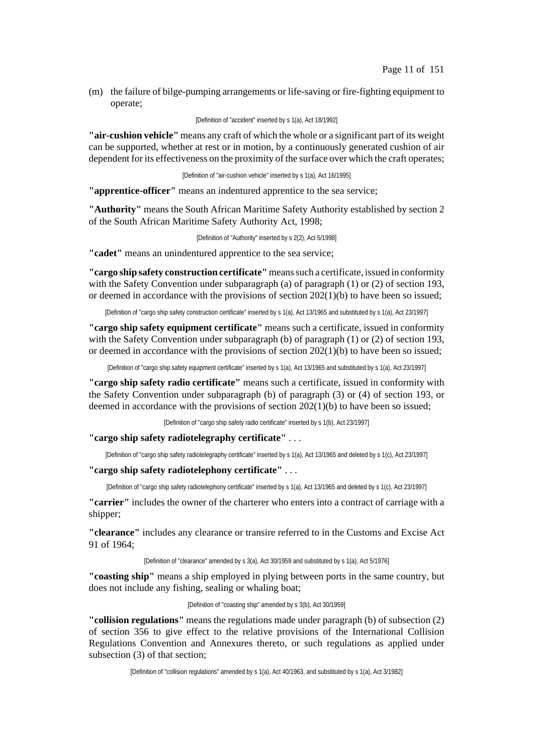(m) the failure of bilge-pumping arrangements or life-saving or fire-fighting equipment to operate;

[Definition of "accident" inserted by s 1(a), Act 18/1992]

**"air-cushion vehicle"** means any craft of which the whole or a significant part of its weight can be supported, whether at rest or in motion, by a continuously generated cushion of air dependent for its effectiveness on the proximity of the surface over which the craft operates;

[Definition of "air-cushion vehicle" inserted by s 1(a), Act 16/1995]

**"apprentice-officer"** means an indentured apprentice to the sea service;

**"Authority"** means the South African Maritime Safety Authority established by section 2 of the South African Maritime Safety Authority Act, 1998;

[Definition of "Authority" inserted by s 2(2), Act 5/1998]

**"cadet"** means an unindentured apprentice to the sea service;

**"cargo ship safety construction certificate"**meanssuch a certificate, issued in conformity with the Safety Convention under subparagraph (a) of paragraph (1) or (2) of section 193, or deemed in accordance with the provisions of section 202(1)(b) to have been so issued;

[Definition of "cargo ship safety construction certificate" inserted by s 1(a), Act 13/1965 and substituted by s 1(a), Act 23/1997]

**"cargo ship safety equipment certificate"** means such a certificate, issued in conformity with the Safety Convention under subparagraph (b) of paragraph (1) or (2) of section 193, or deemed in accordance with the provisions of section 202(1)(b) to have been so issued;

[Definition of "cargo ship safety equipment certificate" inserted by s 1(a), Act 13/1965 and substituted by s 1(a), Act 23/1997]

**"cargo ship safety radio certificate"** means such a certificate, issued in conformity with the Safety Convention under subparagraph (b) of paragraph (3) or (4) of section 193, or deemed in accordance with the provisions of section 202(1)(b) to have been so issued;

[Definition of "cargo ship safety radio certificate" inserted by s 1(b), Act 23/1997]

**"cargo ship safety radiotelegraphy certificate"** . . .

[Definition of "cargo ship safety radiotelegraphy certificate" inserted by s 1(a), Act 13/1965 and deleted by s 1(c), Act 23/1997]

**"cargo ship safety radiotelephony certificate"** . . .

[Definition of "cargo ship safety radiotelephony certificate" inserted by s 1(a), Act 13/1965 and deleted by s 1(c), Act 23/1997]

**"carrier"** includes the owner of the charterer who enters into a contract of carriage with a shipper;

**"clearance"** includes any clearance or transire referred to in the Customs and Excise Act 91 of 1964;

[Definition of "clearance" amended by s 3(a), Act 30/1959 and substituted by s 1(a), Act 5/1976]

**"coasting ship"** means a ship employed in plying between ports in the same country, but does not include any fishing, sealing or whaling boat;

[Definition of "coasting ship" amended by s 3(b), Act 30/1959]

**"collision regulations"** means the regulations made under paragraph (b) of subsection (2) of section 356 to give effect to the relative provisions of the International Collision Regulations Convention and Annexures thereto, or such regulations as applied under subsection (3) of that section;

[Definition of "collision regulations" amended by s 1(a), Act 40/1963, and substituted by s 1(a), Act 3/1982]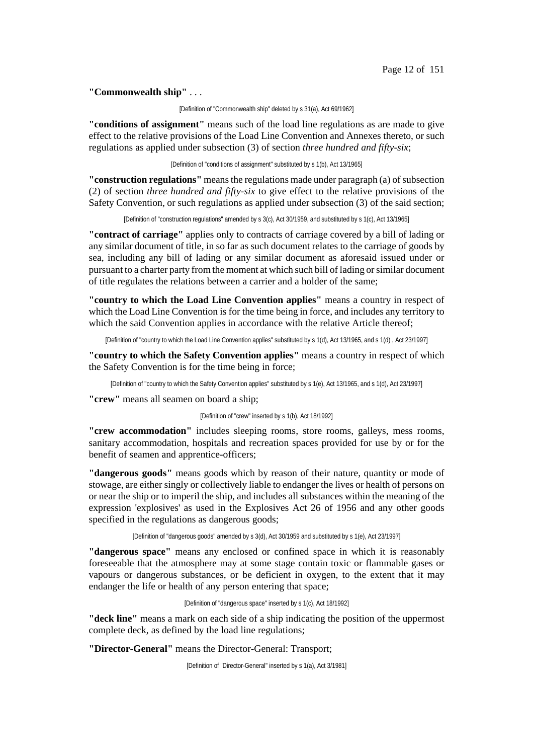**"Commonwealth ship"** . . .

[Definition of "Commonwealth ship" deleted by s 31(a), Act 69/1962]

**"conditions of assignment"** means such of the load line regulations as are made to give effect to the relative provisions of the Load Line Convention and Annexes thereto, or such regulations as applied under subsection (3) of section *three hundred and fifty-six*;

[Definition of "conditions of assignment" substituted by s 1(b), Act 13/1965]

**"construction regulations"** means the regulations made under paragraph (a) of subsection (2) of section *three hundred and fifty-six* to give effect to the relative provisions of the Safety Convention, or such regulations as applied under subsection (3) of the said section;

[Definition of "construction regulations" amended by s 3(c), Act 30/1959, and substituted by s 1(c), Act 13/1965]

**"contract of carriage"** applies only to contracts of carriage covered by a bill of lading or any similar document of title, in so far as such document relates to the carriage of goods by sea, including any bill of lading or any similar document as aforesaid issued under or pursuant to a charter party fromthe moment at which such bill of lading orsimilar document of title regulates the relations between a carrier and a holder of the same;

**"country to which the Load Line Convention applies"** means a country in respect of which the Load Line Convention is for the time being in force, and includes any territory to which the said Convention applies in accordance with the relative Article thereof;

[Definition of "country to which the Load Line Convention applies" substituted by s 1(d), Act 13/1965, and s 1(d) , Act 23/1997]

**"country to which the Safety Convention applies"** means a country in respect of which the Safety Convention is for the time being in force;

[Definition of "country to which the Safety Convention applies" substituted by s 1(e), Act 13/1965, and s 1(d), Act 23/1997]

**"crew"** means all seamen on board a ship;

[Definition of "crew" inserted by s 1(b), Act 18/1992]

**"crew accommodation"** includes sleeping rooms, store rooms, galleys, mess rooms, sanitary accommodation, hospitals and recreation spaces provided for use by or for the benefit of seamen and apprentice-officers;

**"dangerous goods"** means goods which by reason of their nature, quantity or mode of stowage, are either singly or collectively liable to endanger the lives or health of persons on or near the ship or to imperil the ship, and includes all substances within the meaning of the expression 'explosives' as used in the Explosives Act 26 of 1956 and any other goods specified in the regulations as dangerous goods;

[Definition of "dangerous goods" amended by s 3(d), Act 30/1959 and substituted by s 1(e), Act 23/1997]

**"dangerous space"** means any enclosed or confined space in which it is reasonably foreseeable that the atmosphere may at some stage contain toxic or flammable gases or vapours or dangerous substances, or be deficient in oxygen, to the extent that it may endanger the life or health of any person entering that space;

[Definition of "dangerous space" inserted by s 1(c), Act 18/1992]

**"deck line"** means a mark on each side of a ship indicating the position of the uppermost complete deck, as defined by the load line regulations;

**"Director-General"** means the Director-General: Transport;

[Definition of "Director-General" inserted by s 1(a), Act 3/1981]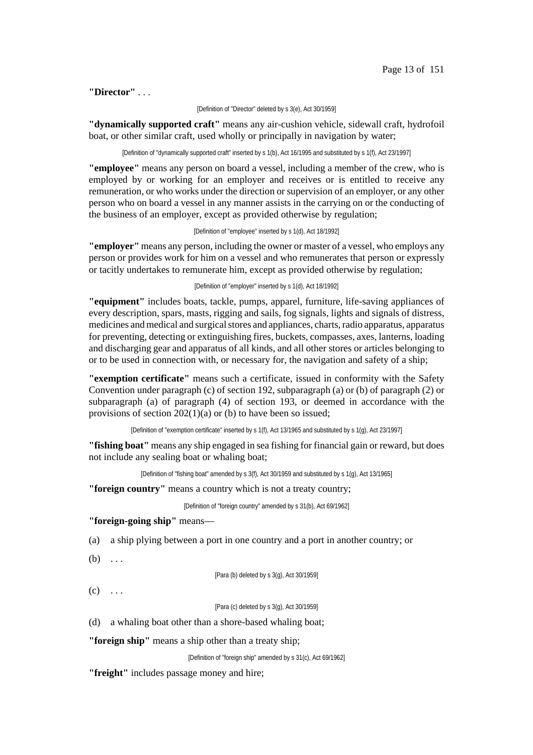### **"Director"** . . .

#### [Definition of "Director" deleted by s 3(e), Act 30/1959]

**"dynamically supported craft"** means any air-cushion vehicle, sidewall craft, hydrofoil boat, or other similar craft, used wholly or principally in navigation by water;

[Definition of "dynamically supported craft" inserted by s 1(b), Act 16/1995 and substituted by s 1(f), Act 23/1997]

**"employee"** means any person on board a vessel, including a member of the crew, who is employed by or working for an employer and receives or is entitled to receive any remuneration, or who works under the direction or supervision of an employer, or any other person who on board a vessel in any manner assists in the carrying on or the conducting of the business of an employer, except as provided otherwise by regulation;

[Definition of "employee" inserted by s 1(d), Act 18/1992]

**"employer"** means any person, including the owner or master of a vessel, who employs any person or provides work for him on a vessel and who remunerates that person or expressly or tacitly undertakes to remunerate him, except as provided otherwise by regulation;

[Definition of "employer" inserted by s 1(d), Act 18/1992]

**"equipment"** includes boats, tackle, pumps, apparel, furniture, life-saving appliances of every description, spars, masts, rigging and sails, fog signals, lights and signals of distress, medicines and medical and surgical stores and appliances, charts, radio apparatus, apparatus for preventing, detecting or extinguishing fires, buckets, compasses, axes, lanterns, loading and discharging gear and apparatus of all kinds, and all other stores or articles belonging to or to be used in connection with, or necessary for, the navigation and safety of a ship;

**"exemption certificate"** means such a certificate, issued in conformity with the Safety Convention under paragraph (c) of section 192, subparagraph (a) or (b) of paragraph (2) or subparagraph (a) of paragraph (4) of section 193, or deemed in accordance with the provisions of section 202(1)(a) or (b) to have been so issued;

[Definition of "exemption certificate" inserted by s 1(f), Act 13/1965 and substituted by s 1(g), Act 23/1997]

**"fishing boat"** means any ship engaged in sea fishing for financial gain or reward, but does not include any sealing boat or whaling boat;

[Definition of "fishing boat" amended by s 3(f), Act 30/1959 and substituted by s 1(g), Act 13/1965]

**"foreign country"** means a country which is not a treaty country;

[Definition of "foreign country" amended by s 31(b), Act 69/1962]

**"foreign-going ship"** means—

(a) a ship plying between a port in one country and a port in another country; or

 $(b) \ldots$ 

[Para (b) deleted by s 3(g), Act 30/1959]

 $(c) \ldots$ 

[Para (c) deleted by s 3(g), Act 30/1959]

(d) a whaling boat other than a shore-based whaling boat;

**"foreign ship"** means a ship other than a treaty ship;

[Definition of "foreign ship" amended by s 31(c), Act 69/1962]

**"freight"** includes passage money and hire;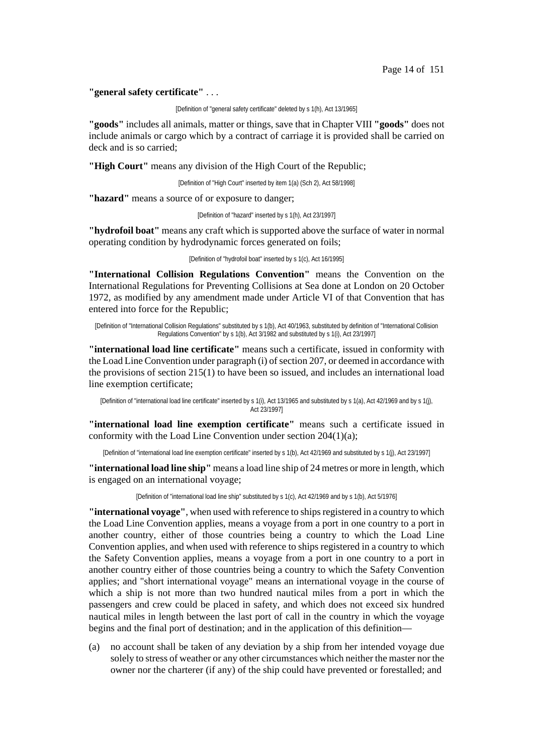#### **"general safety certificate"** . . .

[Definition of "general safety certificate" deleted by s 1(h), Act 13/1965]

**"goods"** includes all animals, matter or things, save that in Chapter VIII **"goods"** does not include animals or cargo which by a contract of carriage it is provided shall be carried on deck and is so carried;

**"High Court"** means any division of the High Court of the Republic;

[Definition of "High Court" inserted by item 1(a) (Sch 2), Act 58/1998]

**"hazard"** means a source of or exposure to danger;

[Definition of "hazard" inserted by s 1(h), Act 23/1997]

**"hydrofoil boat"** means any craft which is supported above the surface of water in normal operating condition by hydrodynamic forces generated on foils;

[Definition of "hydrofoil boat" inserted by s 1(c), Act 16/1995]

**"International Collision Regulations Convention"** means the Convention on the International Regulations for Preventing Collisions at Sea done at London on 20 October 1972, as modified by any amendment made under Article VI of that Convention that has entered into force for the Republic;

[Definition of "International Collision Regulations" substituted by s 1(b), Act 40/1963, substituted by definition of "International Collision Regulations Convention" by s 1(b), Act 3/1982 and substituted by s 1(i), Act 23/1997]

**"international load line certificate"** means such a certificate, issued in conformity with the Load Line Convention under paragraph (i) of section 207, or deemed in accordance with the provisions of section 215(1) to have been so issued, and includes an international load line exemption certificate;

[Definition of "international load line certificate" inserted by s 1(i), Act 13/1965 and substituted by s 1(a), Act 42/1969 and by s 1(j), Act 23/1997]

**"international load line exemption certificate"** means such a certificate issued in conformity with the Load Line Convention under section 204(1)(a);

[Definition of "international load line exemption certificate" inserted by s 1(b), Act 42/1969 and substituted by s 1(j), Act 23/1997]

**"international load line ship"** means a load line ship of 24 metres or more in length, which is engaged on an international voyage;

[Definition of "international load line ship" substituted by s 1(c), Act 42/1969 and by s 1(b), Act 5/1976]

**"international voyage"**, when used with reference to shipsregistered in a country to which the Load Line Convention applies, means a voyage from a port in one country to a port in another country, either of those countries being a country to which the Load Line Convention applies, and when used with reference to ships registered in a country to which the Safety Convention applies, means a voyage from a port in one country to a port in another country either of those countries being a country to which the Safety Convention applies; and "short international voyage" means an international voyage in the course of which a ship is not more than two hundred nautical miles from a port in which the passengers and crew could be placed in safety, and which does not exceed six hundred nautical miles in length between the last port of call in the country in which the voyage begins and the final port of destination; and in the application of this definition—

(a) no account shall be taken of any deviation by a ship from her intended voyage due solely to stress of weather or any other circumstances which neither the master nor the owner nor the charterer (if any) of the ship could have prevented or forestalled; and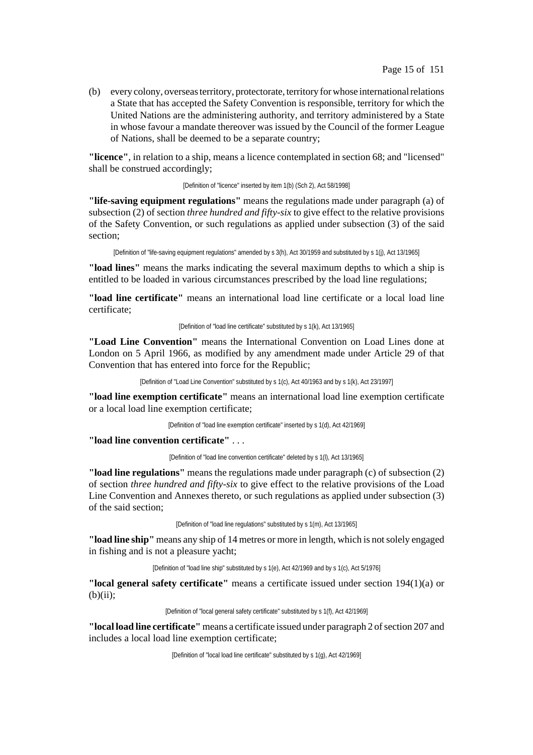(b) every colony, overseas territory, protectorate, territory for whose international relations a State that has accepted the Safety Convention is responsible, territory for which the United Nations are the administering authority, and territory administered by a State in whose favour a mandate thereover was issued by the Council of the former League of Nations, shall be deemed to be a separate country;

**"licence"**, in relation to a ship, means a licence contemplated in section 68; and "licensed" shall be construed accordingly;

[Definition of "licence" inserted by item 1(b) (Sch 2), Act 58/1998]

**"life-saving equipment regulations"** means the regulations made under paragraph (a) of subsection (2) of section *three hundred and fifty-six* to give effect to the relative provisions of the Safety Convention, or such regulations as applied under subsection (3) of the said section;

[Definition of "life-saving equipment regulations" amended by s 3(h), Act 30/1959 and substituted by s 1(j), Act 13/1965]

**"load lines"** means the marks indicating the several maximum depths to which a ship is entitled to be loaded in various circumstances prescribed by the load line regulations;

**"load line certificate"** means an international load line certificate or a local load line certificate;

[Definition of "load line certificate" substituted by s 1(k), Act 13/1965]

**"Load Line Convention"** means the International Convention on Load Lines done at London on 5 April 1966, as modified by any amendment made under Article 29 of that Convention that has entered into force for the Republic;

[Definition of "Load Line Convention" substituted by s 1(c), Act 40/1963 and by s 1(k), Act 23/1997]

**"load line exemption certificate"** means an international load line exemption certificate or a local load line exemption certificate;

[Definition of "load line exemption certificate" inserted by s 1(d), Act 42/1969]

**"load line convention certificate"** . . .

[Definition of "load line convention certificate" deleted by s 1(l), Act 13/1965]

**"load line regulations"** means the regulations made under paragraph (c) of subsection (2) of section *three hundred and fifty-six* to give effect to the relative provisions of the Load Line Convention and Annexes thereto, or such regulations as applied under subsection (3) of the said section;

[Definition of "load line regulations" substituted by s 1(m), Act 13/1965]

**"load line ship"** means any ship of 14 metres or more in length, which is notsolely engaged in fishing and is not a pleasure yacht;

[Definition of "load line ship" substituted by s 1(e), Act 42/1969 and by s 1(c), Act 5/1976]

**"local general safety certificate"** means a certificate issued under section 194(1)(a) or  $(b)(ii)$ :

[Definition of "local general safety certificate" substituted by s 1(f), Act 42/1969]

"local load line certificate" means a certificate issued under paragraph 2 of section 207 and includes a local load line exemption certificate;

[Definition of "local load line certificate" substituted by s 1(g), Act 42/1969]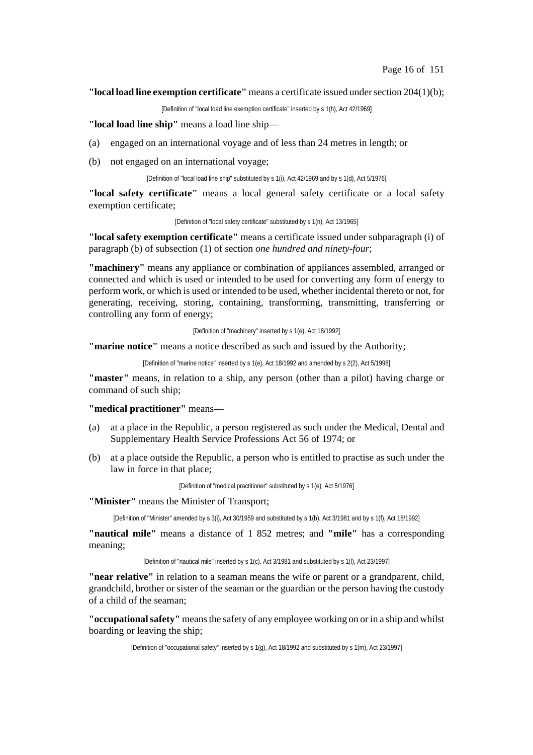#### **"local load line exemption certificate"** means a certificate issued undersection 204(1)(b);

[Definition of "local load line exemption certificate" inserted by s 1(h), Act 42/1969]

## **"local load line ship"** means a load line ship—

- (a) engaged on an international voyage and of less than 24 metres in length; or
- (b) not engaged on an international voyage;

[Definition of "local load line ship" substituted by s 1(i), Act 42/1969 and by s 1(d), Act 5/1976]

**"local safety certificate"** means a local general safety certificate or a local safety exemption certificate;

[Definition of "local safety certificate" substituted by s 1(n), Act 13/1965]

**"local safety exemption certificate"** means a certificate issued under subparagraph (i) of paragraph (b) of subsection (1) of section *one hundred and ninety-four*;

**"machinery"** means any appliance or combination of appliances assembled, arranged or connected and which is used or intended to be used for converting any form of energy to perform work, or which is used or intended to be used, whether incidental thereto or not, for generating, receiving, storing, containing, transforming, transmitting, transferring or controlling any form of energy;

[Definition of "machinery" inserted by s 1(e), Act 18/1992]

**"marine notice"** means a notice described as such and issued by the Authority;

[Definition of "marine notice" inserted by s 1(e), Act 18/1992 and amended by s 2(2), Act 5/1998]

**"master"** means, in relation to a ship, any person (other than a pilot) having charge or command of such ship;

### **"medical practitioner"** means—

- (a) at a place in the Republic, a person registered as such under the Medical, Dental and Supplementary Health Service Professions Act 56 of 1974; or
- (b) at a place outside the Republic, a person who is entitled to practise as such under the law in force in that place;

[Definition of "medical practitioner" substituted by s 1(e), Act 5/1976]

#### **"Minister"** means the Minister of Transport;

[Definition of "Minister" amended by s 3(i), Act 30/1959 and substituted by s 1(b), Act 3/1981 and by s 1(f), Act 18/1992]

**"nautical mile"** means a distance of 1 852 metres; and **"mile"** has a corresponding meaning;

[Definition of "nautical mile" inserted by s 1(c), Act 3/1981 and substituted by s 1(l), Act 23/1997]

**"near relative"** in relation to a seaman means the wife or parent or a grandparent, child, grandchild, brother or sister of the seaman or the guardian or the person having the custody of a child of the seaman;

**"occupationalsafety"** meansthe safety of any employee working on or in a ship and whilst boarding or leaving the ship;

[Definition of "occupational safety" inserted by s 1(g), Act 18/1992 and substituted by s 1(m), Act 23/1997]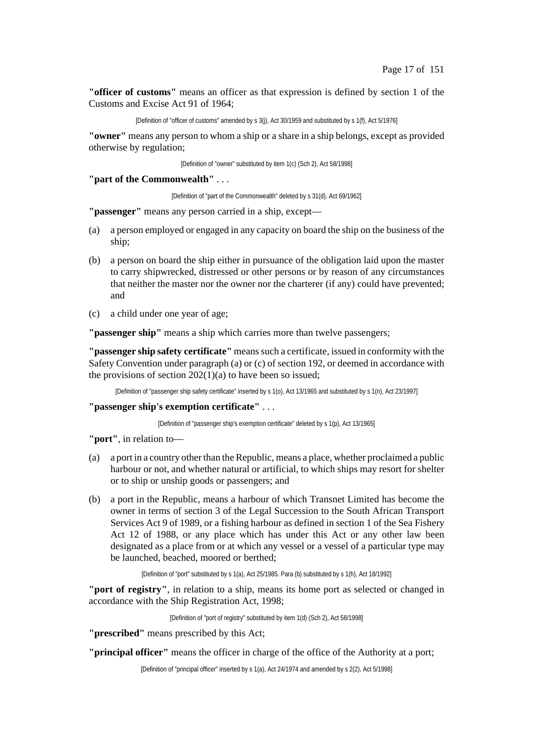**"officer of customs"** means an officer as that expression is defined by section 1 of the Customs and Excise Act 91 of 1964;

[Definition of "officer of customs" amended by s 3(j), Act 30/1959 and substituted by s 1(f), Act 5/1976]

**"owner"** means any person to whom a ship or a share in a ship belongs, except as provided otherwise by regulation;

[Definition of "owner" substituted by item 1(c) (Sch 2), Act 58/1998]

**"part of the Commonwealth"** . . .

[Definition of "part of the Commonwealth" deleted by s 31(d), Act 69/1962]

**"passenger"** means any person carried in a ship, except—

- (a) a person employed or engaged in any capacity on board the ship on the business of the ship;
- (b) a person on board the ship either in pursuance of the obligation laid upon the master to carry shipwrecked, distressed or other persons or by reason of any circumstances that neither the master nor the owner nor the charterer (if any) could have prevented; and
- (c) a child under one year of age;

**"passenger ship"** means a ship which carries more than twelve passengers;

**"passenger ship safety certificate"** meanssuch a certificate, issued in conformity with the Safety Convention under paragraph (a) or (c) of section 192, or deemed in accordance with the provisions of section  $202(1)(a)$  to have been so issued:

[Definition of "passenger ship safety certificate" inserted by s 1(o), Act 13/1965 and substituted by s 1(n), Act 23/1997]

**"passenger ship's exemption certificate"** . . .

[Definition of "passenger ship's exemption certificate" deleted by s 1(p), Act 13/1965]

**"port"**, in relation to—

- (a) a port in a country otherthan the Republic, means a place, whether proclaimed a public harbour or not, and whether natural or artificial, to which ships may resort for shelter or to ship or unship goods or passengers; and
- (b) a port in the Republic, means a harbour of which Transnet Limited has become the owner in terms of section 3 of the Legal Succession to the South African Transport Services Act 9 of 1989, or a fishing harbour as defined in section 1 of the Sea Fishery Act 12 of 1988, or any place which has under this Act or any other law been designated as a place from or at which any vessel or a vessel of a particular type may be launched, beached, moored or berthed;

[Definition of "port" substituted by s 1(a), Act 25/1985. Para (b) substituted by s 1(h), Act 18/1992]

**"port of registry"**, in relation to a ship, means its home port as selected or changed in accordance with the Ship Registration Act, 1998;

[Definition of "port of registry" substituted by item 1(d) (Sch 2), Act 58/1998]

**"prescribed"** means prescribed by this Act;

**"principal officer"** means the officer in charge of the office of the Authority at a port;

[Definition of "principal officer" inserted by s 1(a), Act 24/1974 and amended by s 2(2), Act 5/1998]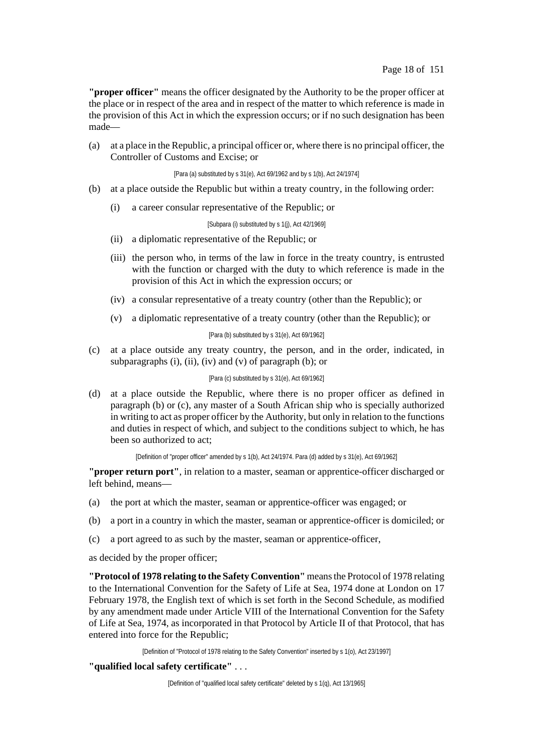**"proper officer"** means the officer designated by the Authority to be the proper officer at the place or in respect of the area and in respect of the matter to which reference is made in the provision of this Act in which the expression occurs; or if no such designation has been made—

(a) at a place in the Republic, a principal officer or, where there is no principal officer, the Controller of Customs and Excise; or

[Para (a) substituted by s 31(e), Act 69/1962 and by s 1(b), Act 24/1974]

- (b) at a place outside the Republic but within a treaty country, in the following order:
	- (i) a career consular representative of the Republic; or

[Subpara (i) substituted by s 1(j), Act 42/1969]

- (ii) a diplomatic representative of the Republic; or
- (iii) the person who, in terms of the law in force in the treaty country, is entrusted with the function or charged with the duty to which reference is made in the provision of this Act in which the expression occurs; or
- (iv) a consular representative of a treaty country (other than the Republic); or
- (v) a diplomatic representative of a treaty country (other than the Republic); or

[Para (b) substituted by s 31(e), Act 69/1962]

(c) at a place outside any treaty country, the person, and in the order, indicated, in subparagraphs (i), (ii), (iv) and (v) of paragraph (b); or

#### [Para (c) substituted by s 31(e), Act 69/1962]

(d) at a place outside the Republic, where there is no proper officer as defined in paragraph (b) or (c), any master of a South African ship who is specially authorized in writing to act as proper officer by the Authority, but only in relation to the functions and duties in respect of which, and subject to the conditions subject to which, he has been so authorized to act;

[Definition of "proper officer" amended by s 1(b), Act 24/1974. Para (d) added by s 31(e), Act 69/1962]

**"proper return port"**, in relation to a master, seaman or apprentice-officer discharged or left behind, means—

- (a) the port at which the master, seaman or apprentice-officer was engaged; or
- (b) a port in a country in which the master, seaman or apprentice-officer is domiciled; or
- (c) a port agreed to as such by the master, seaman or apprentice-officer,

as decided by the proper officer;

**"Protocol of 1978 relating to the Safety Convention"** meansthe Protocol of 1978 relating to the International Convention for the Safety of Life at Sea, 1974 done at London on 17 February 1978, the English text of which is set forth in the Second Schedule, as modified by any amendment made under Article VIII of the International Convention for the Safety of Life at Sea, 1974, as incorporated in that Protocol by Article II of that Protocol, that has entered into force for the Republic;

[Definition of "Protocol of 1978 relating to the Safety Convention" inserted by s 1(o), Act 23/1997]

**"qualified local safety certificate"** . . .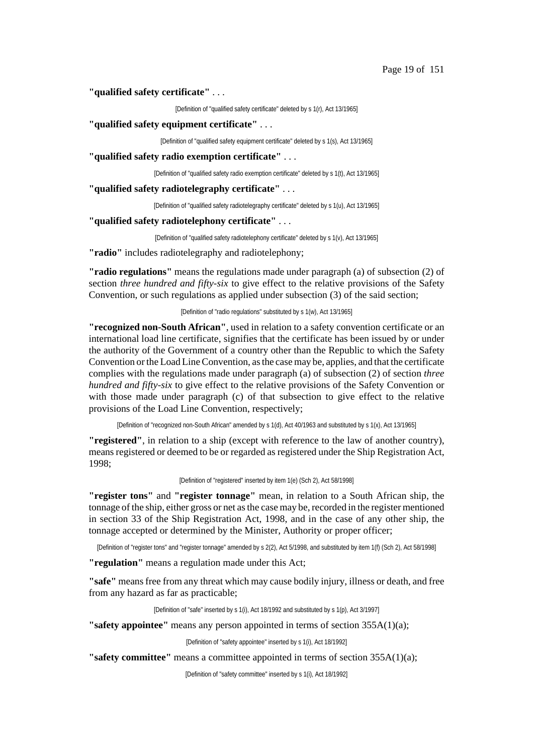### **"qualified safety certificate"** . . .

[Definition of "qualified safety certificate" deleted by s 1(r), Act 13/1965]

**"qualified safety equipment certificate"** . . .

[Definition of "qualified safety equipment certificate" deleted by s 1(s), Act 13/1965]

**"qualified safety radio exemption certificate"** . . .

[Definition of "qualified safety radio exemption certificate" deleted by s 1(t), Act 13/1965]

**"qualified safety radiotelegraphy certificate"** . . .

[Definition of "qualified safety radiotelegraphy certificate" deleted by s 1(u), Act 13/1965]

**"qualified safety radiotelephony certificate"** . . .

[Definition of "qualified safety radiotelephony certificate" deleted by s 1(v), Act 13/1965]

**"radio"** includes radiotelegraphy and radiotelephony;

**"radio regulations"** means the regulations made under paragraph (a) of subsection (2) of section *three hundred and fifty-six* to give effect to the relative provisions of the Safety Convention, or such regulations as applied under subsection (3) of the said section;

[Definition of "radio regulations" substituted by s 1(w), Act 13/1965]

**"recognized non-South African"**, used in relation to a safety convention certificate or an international load line certificate, signifies that the certificate has been issued by or under the authority of the Government of a country other than the Republic to which the Safety Convention orthe Load LineConvention, asthe case may be, applies, and that the certificate complies with the regulations made under paragraph (a) of subsection (2) of section *three hundred and fifty-six* to give effect to the relative provisions of the Safety Convention or with those made under paragraph (c) of that subsection to give effect to the relative provisions of the Load Line Convention, respectively;

[Definition of "recognized non-South African" amended by s 1(d), Act 40/1963 and substituted by s 1(x), Act 13/1965]

**"registered"**, in relation to a ship (except with reference to the law of another country), means registered or deemed to be or regarded as registered under the Ship Registration Act, 1998;

[Definition of "registered" inserted by item 1(e) (Sch 2), Act 58/1998]

**"register tons"** and **"register tonnage"** mean, in relation to a South African ship, the tonnage of the ship, either gross or net asthe case may be, recorded in the register mentioned in section 33 of the Ship Registration Act, 1998, and in the case of any other ship, the tonnage accepted or determined by the Minister, Authority or proper officer;

[Definition of "register tons" and "register tonnage" amended by s 2(2), Act 5/1998, and substituted by item 1(f) (Sch 2), Act 58/1998]

**"regulation"** means a regulation made under this Act;

"safe" means free from any threat which may cause bodily injury, illness or death, and free from any hazard as far as practicable;

[Definition of "safe" inserted by s 1(i), Act 18/1992 and substituted by s 1(p), Act 3/1997]

**"safety appointee"** means any person appointed in terms of section 355A(1)(a);

[Definition of "safety appointee" inserted by s 1(i), Act 18/1992]

**"safety committee"** means a committee appointed in terms of section 355A(1)(a);

[Definition of "safety committee" inserted by s 1(i), Act 18/1992]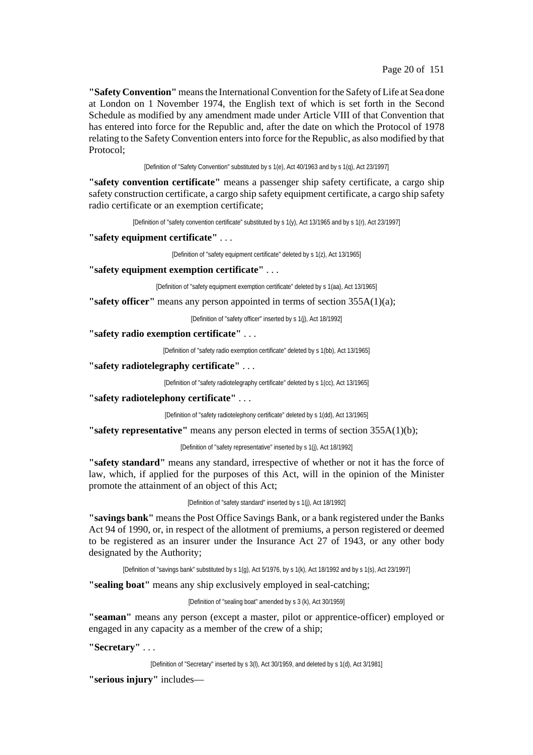**"Safety Convention"** meansthe InternationalConvention forthe Safety of Life at Sea done at London on 1 November 1974, the English text of which is set forth in the Second Schedule as modified by any amendment made under Article VIII of that Convention that has entered into force for the Republic and, after the date on which the Protocol of 1978 relating to the Safety Convention entersinto force for the Republic, as also modified by that Protocol;

[Definition of "Safety Convention" substituted by s 1(e), Act 40/1963 and by s 1(q), Act 23/1997]

**"safety convention certificate"** means a passenger ship safety certificate, a cargo ship safety construction certificate, a cargo ship safety equipment certificate, a cargo ship safety radio certificate or an exemption certificate;

[Definition of "safety convention certificate" substituted by s 1(y), Act 13/1965 and by s 1(r), Act 23/1997]

**"safety equipment certificate"** . . .

[Definition of "safety equipment certificate" deleted by s 1(z), Act 13/1965]

**"safety equipment exemption certificate"** . . .

[Definition of "safety equipment exemption certificate" deleted by s 1(aa), Act 13/1965]

**"safety officer"** means any person appointed in terms of section 355A(1)(a);

[Definition of "safety officer" inserted by s 1(j), Act 18/1992]

**"safety radio exemption certificate"** . . .

[Definition of "safety radio exemption certificate" deleted by s 1(bb), Act 13/1965]

**"safety radiotelegraphy certificate"** . . .

[Definition of "safety radiotelegraphy certificate" deleted by s 1(cc), Act 13/1965]

**"safety radiotelephony certificate"** . . .

[Definition of "safety radiotelephony certificate" deleted by s 1(dd), Act 13/1965]

**"safety representative"** means any person elected in terms of section 355A(1)(b);

[Definition of "safety representative" inserted by s 1(j), Act 18/1992]

**"safety standard"** means any standard, irrespective of whether or not it has the force of law, which, if applied for the purposes of this Act, will in the opinion of the Minister promote the attainment of an object of this Act;

[Definition of "safety standard" inserted by s 1(j), Act 18/1992]

**"savings bank"** meansthe Post Office Savings Bank, or a bank registered under the Banks Act 94 of 1990, or, in respect of the allotment of premiums, a person registered or deemed to be registered as an insurer under the Insurance Act 27 of 1943, or any other body designated by the Authority;

[Definition of "savings bank" substituted by s 1(g), Act 5/1976, by s 1(k), Act 18/1992 and by s 1(s), Act 23/1997]

**"sealing boat"** means any ship exclusively employed in seal-catching;

[Definition of "sealing boat" amended by s 3 (k), Act 30/1959]

**"seaman"** means any person (except a master, pilot or apprentice-officer) employed or engaged in any capacity as a member of the crew of a ship;

**"Secretary"** . . .

[Definition of "Secretary" inserted by s 3(l), Act 30/1959, and deleted by s 1(d), Act 3/1981]

**"serious injury"** includes—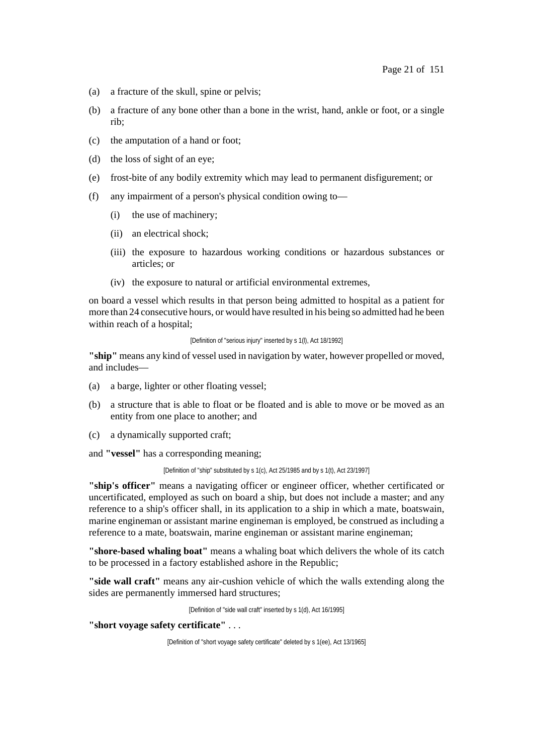- (a) a fracture of the skull, spine or pelvis;
- (b) a fracture of any bone other than a bone in the wrist, hand, ankle or foot, or a single rib;
- (c) the amputation of a hand or foot;
- (d) the loss of sight of an eye;
- (e) frost-bite of any bodily extremity which may lead to permanent disfigurement; or
- (f) any impairment of a person's physical condition owing to—
	- (i) the use of machinery;
	- (ii) an electrical shock;
	- (iii) the exposure to hazardous working conditions or hazardous substances or articles; or
	- (iv) the exposure to natural or artificial environmental extremes,

on board a vessel which results in that person being admitted to hospital as a patient for more than 24 consecutive hours, or would have resulted in his being so admitted had he been within reach of a hospital;

[Definition of "serious injury" inserted by s 1(l), Act 18/1992]

**"ship"** means any kind of vessel used in navigation by water, however propelled or moved, and includes—

- (a) a barge, lighter or other floating vessel;
- (b) a structure that is able to float or be floated and is able to move or be moved as an entity from one place to another; and
- (c) a dynamically supported craft;

and **"vessel"** has a corresponding meaning;

[Definition of "ship" substituted by s 1(c), Act 25/1985 and by s 1(t), Act 23/1997]

**"ship's officer"** means a navigating officer or engineer officer, whether certificated or uncertificated, employed as such on board a ship, but does not include a master; and any reference to a ship's officer shall, in its application to a ship in which a mate, boatswain, marine engineman or assistant marine engineman is employed, be construed as including a reference to a mate, boatswain, marine engineman or assistant marine engineman;

**"shore-based whaling boat"** means a whaling boat which delivers the whole of its catch to be processed in a factory established ashore in the Republic;

**"side wall craft"** means any air-cushion vehicle of which the walls extending along the sides are permanently immersed hard structures;

[Definition of "side wall craft" inserted by s 1(d), Act 16/1995]

## **"short voyage safety certificate"** . . .

<sup>[</sup>Definition of "short voyage safety certificate" deleted by s 1(ee), Act 13/1965]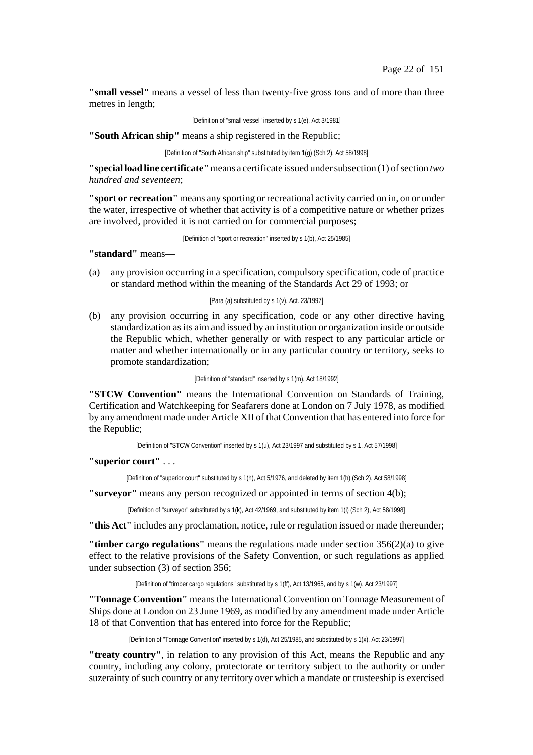**"small vessel"** means a vessel of less than twenty-five gross tons and of more than three metres in length;

[Definition of "small vessel" inserted by s 1(e), Act 3/1981]

**"South African ship"** means a ship registered in the Republic;

[Definition of "South African ship" substituted by item 1(g) (Sch 2), Act 58/1998]

**"special load line certificate"**means a certificate issued undersubsection (1) ofsection *two hundred and seventeen*;

**"sport or recreation"** means any sporting or recreational activity carried on in, on or under the water, irrespective of whether that activity is of a competitive nature or whether prizes are involved, provided it is not carried on for commercial purposes;

[Definition of "sport or recreation" inserted by s 1(b), Act 25/1985]

**"standard"** means—

(a) any provision occurring in a specification, compulsory specification, code of practice or standard method within the meaning of the Standards Act 29 of 1993; or

#### [Para (a) substituted by s 1(v), Act. 23/1997]

(b) any provision occurring in any specification, code or any other directive having standardization asits aim and issued by an institution or organization inside or outside the Republic which, whether generally or with respect to any particular article or matter and whether internationally or in any particular country or territory, seeks to promote standardization;

[Definition of "standard" inserted by s 1(m), Act 18/1992]

**"STCW Convention"** means the International Convention on Standards of Training, Certification and Watchkeeping for Seafarers done at London on 7 July 1978, as modified by any amendment made under Article XII of that Convention that has entered into force for the Republic;

[Definition of "STCW Convention" inserted by s 1(u), Act 23/1997 and substituted by s 1, Act 57/1998]

**"superior court"** . . .

[Definition of "superior court" substituted by s 1(h), Act 5/1976, and deleted by item 1(h) (Sch 2), Act 58/1998]

**"surveyor"** means any person recognized or appointed in terms of section 4(b);

[Definition of "surveyor" substituted by s 1(k), Act 42/1969, and substituted by item 1(i) (Sch 2), Act 58/1998]

**"this Act"** includes any proclamation, notice, rule or regulation issued or made thereunder;

**"timber cargo regulations"** means the regulations made under section 356(2)(a) to give effect to the relative provisions of the Safety Convention, or such regulations as applied under subsection (3) of section 356;

[Definition of "timber cargo regulations" substituted by s 1(ff), Act 13/1965, and by s 1(w), Act 23/1997]

**"Tonnage Convention"** means the International Convention on Tonnage Measurement of Ships done at London on 23 June 1969, as modified by any amendment made under Article 18 of that Convention that has entered into force for the Republic;

[Definition of "Tonnage Convention" inserted by s 1(d), Act 25/1985, and substituted by s 1(x), Act 23/1997]

**"treaty country"**, in relation to any provision of this Act, means the Republic and any country, including any colony, protectorate or territory subject to the authority or under suzerainty of such country or any territory over which a mandate or trusteeship is exercised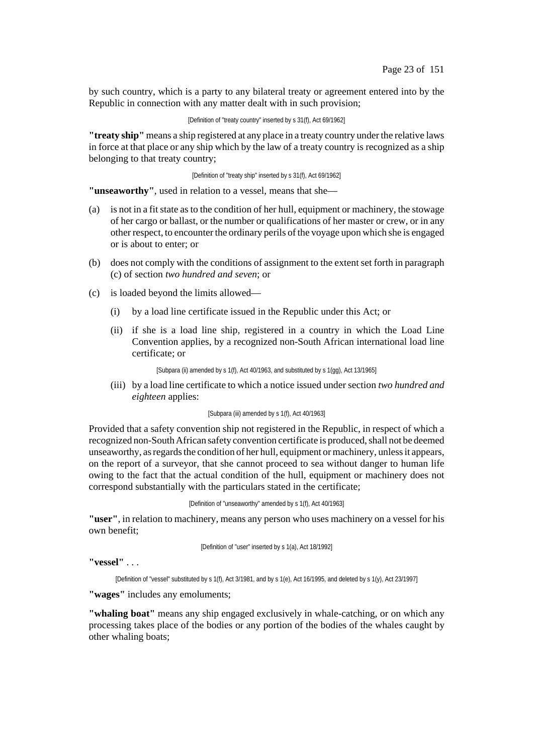by such country, which is a party to any bilateral treaty or agreement entered into by the Republic in connection with any matter dealt with in such provision;

[Definition of "treaty country" inserted by s 31(f), Act 69/1962]

**"treaty ship"** means a ship registered at any place in a treaty country underthe relative laws in force at that place or any ship which by the law of a treaty country is recognized as a ship belonging to that treaty country;

[Definition of "treaty ship" inserted by s 31(f), Act 69/1962]

**"unseaworthy"**, used in relation to a vessel, means that she—

- (a) is not in a fitstate as to the condition of her hull, equipment or machinery, the stowage of her cargo or ballast, or the number or qualifications of her master or crew, or in any other respect, to encounter the ordinary perils of the voyage upon which she is engaged or is about to enter; or
- (b) does not comply with the conditions of assignment to the extent set forth in paragraph (c) of section *two hundred and seven*; or
- (c) is loaded beyond the limits allowed—
	- (i) by a load line certificate issued in the Republic under this Act; or
	- (ii) if she is a load line ship, registered in a country in which the Load Line Convention applies, by a recognized non-South African international load line certificate; or

[Subpara (ii) amended by s 1(f), Act 40/1963, and substituted by s 1(gg), Act 13/1965]

(iii) by a load line certificate to which a notice issued under section *two hundred and eighteen* applies:

#### [Subpara (iii) amended by s 1(f), Act 40/1963]

Provided that a safety convention ship not registered in the Republic, in respect of which a recognized non-South African safety convention certificate is produced, shall not be deemed unseaworthy, as regards the condition of her hull, equipment or machinery, unless it appears, on the report of a surveyor, that she cannot proceed to sea without danger to human life owing to the fact that the actual condition of the hull, equipment or machinery does not correspond substantially with the particulars stated in the certificate;

[Definition of "unseaworthy" amended by s 1(f), Act 40/1963]

**"user"**, in relation to machinery, means any person who uses machinery on a vessel for his own benefit;

[Definition of "user" inserted by s 1(a), Act 18/1992]

**"vessel"** . . .

[Definition of "vessel" substituted by s 1(f), Act 3/1981, and by s 1(e), Act 16/1995, and deleted by s 1(y), Act 23/1997]

**"wages"** includes any emoluments;

**"whaling boat"** means any ship engaged exclusively in whale-catching, or on which any processing takes place of the bodies or any portion of the bodies of the whales caught by other whaling boats;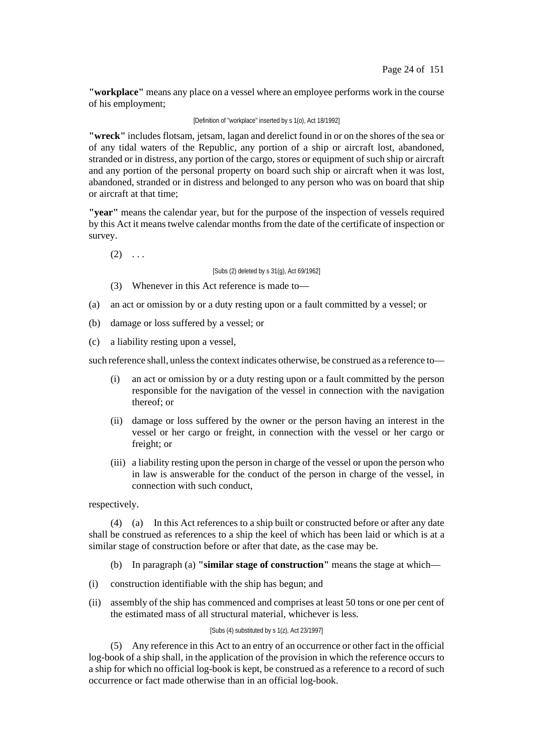**"workplace"** means any place on a vessel where an employee performs work in the course of his employment;

### [Definition of "workplace" inserted by s 1(o), Act 18/1992]

**"wreck"** includes flotsam, jetsam, lagan and derelict found in or on the shores of the sea or of any tidal waters of the Republic, any portion of a ship or aircraft lost, abandoned, stranded or in distress, any portion of the cargo, stores or equipment of such ship or aircraft and any portion of the personal property on board such ship or aircraft when it was lost, abandoned, stranded or in distress and belonged to any person who was on board that ship or aircraft at that time;

**"year"** means the calendar year, but for the purpose of the inspection of vessels required by this Act it means twelve calendar months from the date of the certificate of inspection or survey.

 $(2) \ldots$ 

[Subs (2) deleted by s 31(g), Act 69/1962]

- (3) Whenever in this Act reference is made to—
- (a) an act or omission by or a duty resting upon or a fault committed by a vessel; or
- (b) damage or loss suffered by a vessel; or
- (c) a liability resting upon a vessel,

such reference shall, unless the context indicates otherwise, be construed as a reference to—

- (i) an act or omission by or a duty resting upon or a fault committed by the person responsible for the navigation of the vessel in connection with the navigation thereof; or
- (ii) damage or loss suffered by the owner or the person having an interest in the vessel or her cargo or freight, in connection with the vessel or her cargo or freight; or
- (iii) a liability resting upon the person in charge of the vessel or upon the person who in law is answerable for the conduct of the person in charge of the vessel, in connection with such conduct,

respectively.

(4) (a) In this Act references to a ship built or constructed before or after any date shall be construed as references to a ship the keel of which has been laid or which is at a similar stage of construction before or after that date, as the case may be.

- (b) In paragraph (a) **"similar stage of construction"** means the stage at which—
- (i) construction identifiable with the ship has begun; and
- (ii) assembly of the ship has commenced and comprises at least 50 tons or one per cent of the estimated mass of all structural material, whichever is less.

#### [Subs (4) substituted by s 1(z), Act 23/1997]

(5) Any reference in this Act to an entry of an occurrence or other fact in the official log-book of a ship shall, in the application of the provision in which the reference occurs to a ship for which no official log-book is kept, be construed as a reference to a record of such occurrence or fact made otherwise than in an official log-book.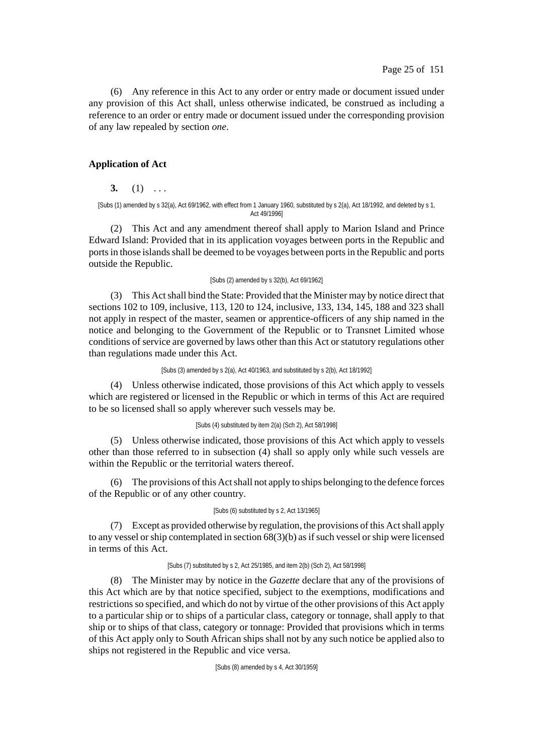(6) Any reference in this Act to any order or entry made or document issued under any provision of this Act shall, unless otherwise indicated, be construed as including a reference to an order or entry made or document issued under the corresponding provision of any law repealed by section *one*.

## **Application of Act**

**3.** (1) . . .

[Subs (1) amended by s 32(a), Act 69/1962, with effect from 1 January 1960, substituted by s 2(a), Act 18/1992, and deleted by s 1, Act 49/1996]

(2) This Act and any amendment thereof shall apply to Marion Island and Prince Edward Island: Provided that in its application voyages between ports in the Republic and ports in those islands shall be deemed to be voyages between ports in the Republic and ports outside the Republic.

#### [Subs (2) amended by s 32(b), Act 69/1962]

(3) This Actshall bind the State: Provided that the Minister may by notice direct that sections 102 to 109, inclusive, 113, 120 to 124, inclusive, 133, 134, 145, 188 and 323 shall not apply in respect of the master, seamen or apprentice-officers of any ship named in the notice and belonging to the Government of the Republic or to Transnet Limited whose conditions of service are governed by laws other than this Act or statutory regulations other than regulations made under this Act.

[Subs (3) amended by s 2(a), Act 40/1963, and substituted by s 2(b), Act 18/1992]

(4) Unless otherwise indicated, those provisions of this Act which apply to vessels which are registered or licensed in the Republic or which in terms of this Act are required to be so licensed shall so apply wherever such vessels may be.

### [Subs (4) substituted by item 2(a) (Sch 2), Act 58/1998]

(5) Unless otherwise indicated, those provisions of this Act which apply to vessels other than those referred to in subsection (4) shall so apply only while such vessels are within the Republic or the territorial waters thereof.

(6) The provisions ofthis Actshall not apply to ships belonging to the defence forces of the Republic or of any other country.

### [Subs (6) substituted by s 2, Act 13/1965]

(7) Except as provided otherwise by regulation, the provisions ofthis Actshall apply to any vessel or ship contemplated in section  $68(3)(b)$  as if such vessel or ship were licensed in terms of this Act.

### [Subs (7) substituted by s 2, Act 25/1985, and item 2(b) (Sch 2), Act 58/1998]

(8) The Minister may by notice in the *Gazette* declare that any of the provisions of this Act which are by that notice specified, subject to the exemptions, modifications and restrictionsso specified, and which do not by virtue of the other provisions of this Act apply to a particular ship or to ships of a particular class, category or tonnage, shall apply to that ship or to ships of that class, category or tonnage: Provided that provisions which in terms of this Act apply only to South African ships shall not by any such notice be applied also to ships not registered in the Republic and vice versa.

[Subs (8) amended by s 4, Act 30/1959]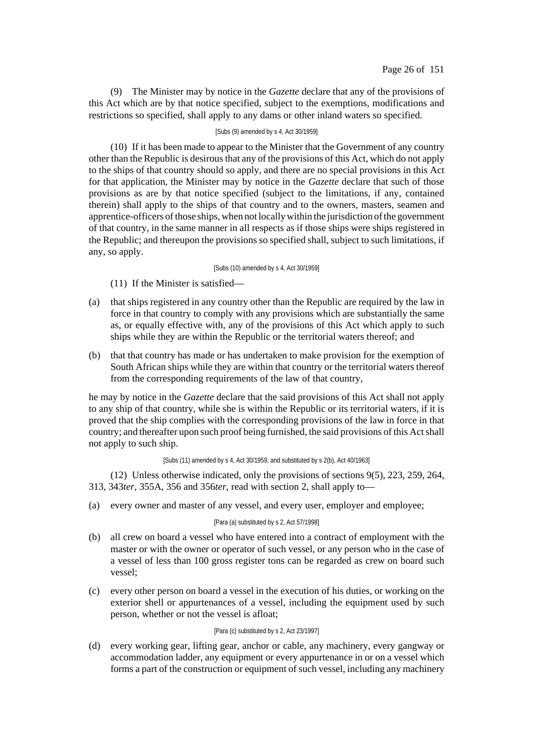(9) The Minister may by notice in the *Gazette* declare that any of the provisions of this Act which are by that notice specified, subject to the exemptions, modifications and restrictions so specified, shall apply to any dams or other inland waters so specified.

### [Subs (9) amended by s 4, Act 30/1959]

(10) If it has been made to appear to the Minister that the Government of any country other than the Republic is desirous that any of the provisions of this Act, which do not apply to the ships of that country should so apply, and there are no special provisions in this Act for that application, the Minister may by notice in the *Gazette* declare that such of those provisions as are by that notice specified (subject to the limitations, if any, contained therein) shall apply to the ships of that country and to the owners, masters, seamen and apprentice-officers of those ships, when not locally within the jurisdiction of the government of that country, in the same manner in all respects as if those ships were ships registered in the Republic; and thereupon the provisions so specified shall, subject to such limitations, if any, so apply.

#### [Subs (10) amended by s 4, Act 30/1959]

(11) If the Minister is satisfied—

- (a) that ships registered in any country other than the Republic are required by the law in force in that country to comply with any provisions which are substantially the same as, or equally effective with, any of the provisions of this Act which apply to such ships while they are within the Republic or the territorial waters thereof; and
- (b) that that country has made or has undertaken to make provision for the exemption of South African ships while they are within that country or the territorial waters thereof from the corresponding requirements of the law of that country,

he may by notice in the *Gazette* declare that the said provisions of this Act shall not apply to any ship of that country, while she is within the Republic or its territorial waters, if it is proved that the ship complies with the corresponding provisions of the law in force in that country; and thereafter upon such proof being furnished, the said provisions of this Actshall not apply to such ship.

#### [Subs (11) amended by s 4, Act 30/1959, and substituted by s 2(b), Act 40/1963]

(12) Unless otherwise indicated, only the provisions of sections 9(5), 223, 259, 264, 313, 343*ter*, 355A, 356 and 356*ter*, read with section 2, shall apply to—

(a) every owner and master of any vessel, and every user, employer and employee;

### [Para (a) substituted by s 2, Act 57/1998]

- (b) all crew on board a vessel who have entered into a contract of employment with the master or with the owner or operator of such vessel, or any person who in the case of a vessel of less than 100 gross register tons can be regarded as crew on board such vessel;
- (c) every other person on board a vessel in the execution of his duties, or working on the exterior shell or appurtenances of a vessel, including the equipment used by such person, whether or not the vessel is afloat;

#### [Para (c) substituted by s 2, Act 23/1997]

(d) every working gear, lifting gear, anchor or cable, any machinery, every gangway or accommodation ladder, any equipment or every appurtenance in or on a vessel which forms a part of the construction or equipment of such vessel, including any machinery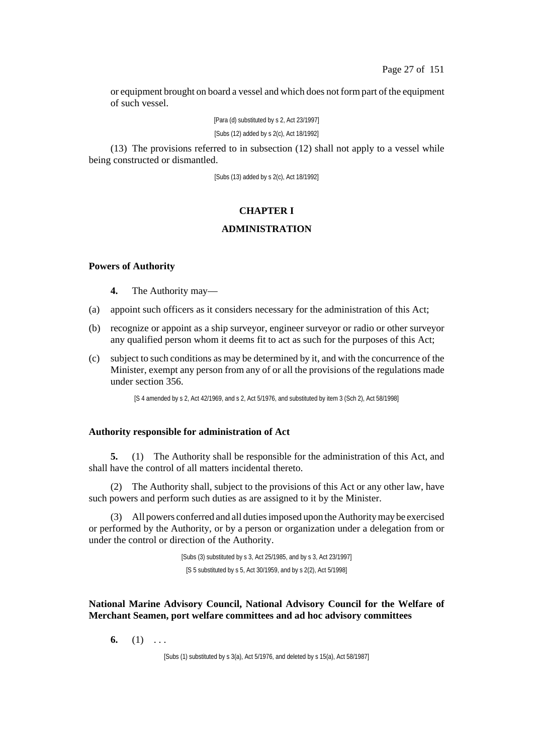or equipment brought on board a vessel and which does not formpart of the equipment of such vessel.

> [Para (d) substituted by s 2, Act 23/1997] [Subs (12) added by s 2(c), Act 18/1992]

(13) The provisions referred to in subsection (12) shall not apply to a vessel while being constructed or dismantled.

[Subs (13) added by s 2(c), Act 18/1992]

## **CHAPTER I**

## **ADMINISTRATION**

### **Powers of Authority**

**4.** The Authority may—

- (a) appoint such officers as it considers necessary for the administration of this Act;
- (b) recognize or appoint as a ship surveyor, engineer surveyor or radio or other surveyor any qualified person whom it deems fit to act as such for the purposes of this Act;
- (c) subject to such conditions as may be determined by it, and with the concurrence of the Minister, exempt any person from any of or all the provisions of the regulations made under section 356.

[S 4 amended by s 2, Act 42/1969, and s 2, Act 5/1976, and substituted by item 3 (Sch 2), Act 58/1998]

### **Authority responsible for administration of Act**

**5.** (1) The Authority shall be responsible for the administration of this Act, and shall have the control of all matters incidental thereto.

(2) The Authority shall, subject to the provisions of this Act or any other law, have such powers and perform such duties as are assigned to it by the Minister.

(3) All powers conferred and all dutiesimposed upon theAuthoritymay be exercised or performed by the Authority, or by a person or organization under a delegation from or under the control or direction of the Authority.

> [Subs (3) substituted by s 3, Act 25/1985, and by s 3, Act 23/1997] [S 5 substituted by s 5, Act 30/1959, and by s 2(2), Act 5/1998]

**National Marine Advisory Council, National Advisory Council for the Welfare of Merchant Seamen, port welfare committees and ad hoc advisory committees**

**6.** (1) ...

[Subs (1) substituted by s 3(a), Act 5/1976, and deleted by s 15(a), Act 58/1987]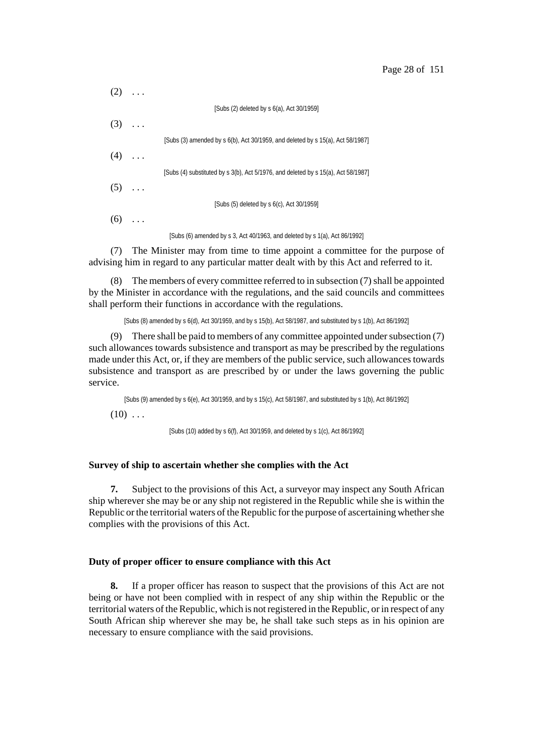| (2)          |          |                                                                                   |
|--------------|----------|-----------------------------------------------------------------------------------|
|              |          | [Subs (2) deleted by s 6(a), Act 30/1959]                                         |
| $(3) \ldots$ |          |                                                                                   |
|              |          | [Subs (3) amended by s 6(b), Act 30/1959, and deleted by s 15(a), Act 58/1987]    |
| (4)          | $\ldots$ |                                                                                   |
|              |          | [Subs (4) substituted by s 3(b), Act 5/1976, and deleted by s 15(a), Act 58/1987] |
| $(5) \ldots$ |          |                                                                                   |
|              |          | [Subs (5) deleted by s 6(c), Act 30/1959]                                         |
| (6)          |          |                                                                                   |
|              |          | [Subs (6) amended by s 3, Act 40/1963, and deleted by s $1(a)$ , Act 86/1992]     |

(7) The Minister may from time to time appoint a committee for the purpose of advising him in regard to any particular matter dealt with by this Act and referred to it.

(8) The members of every committee referred to in subsection  $(7)$  shall be appointed by the Minister in accordance with the regulations, and the said councils and committees shall perform their functions in accordance with the regulations.

[Subs (8) amended by s 6(d), Act 30/1959, and by s 15(b), Act 58/1987, and substituted by s 1(b), Act 86/1992]

(9) There shall be paid to members of any committee appointed under subsection (7) such allowances towards subsistence and transport as may be prescribed by the regulations made under this Act, or, if they are members of the public service, such allowances towards subsistence and transport as are prescribed by or under the laws governing the public service.

[Subs (9) amended by s 6(e), Act 30/1959, and by s 15(c), Act 58/1987, and substituted by s 1(b), Act 86/1992]

 $(10)$  ...

[Subs (10) added by s 6(f), Act 30/1959, and deleted by s 1(c), Act 86/1992]

### **Survey of ship to ascertain whether she complies with the Act**

**7.** Subject to the provisions of this Act, a surveyor may inspect any South African ship wherever she may be or any ship not registered in the Republic while she is within the Republic or the territorial waters of the Republic for the purpose of ascertaining whether she complies with the provisions of this Act.

#### **Duty of proper officer to ensure compliance with this Act**

**8.** If a proper officer has reason to suspect that the provisions of this Act are not being or have not been complied with in respect of any ship within the Republic or the territorial waters of the Republic, which is not registered in the Republic, or in respect of any South African ship wherever she may be, he shall take such steps as in his opinion are necessary to ensure compliance with the said provisions.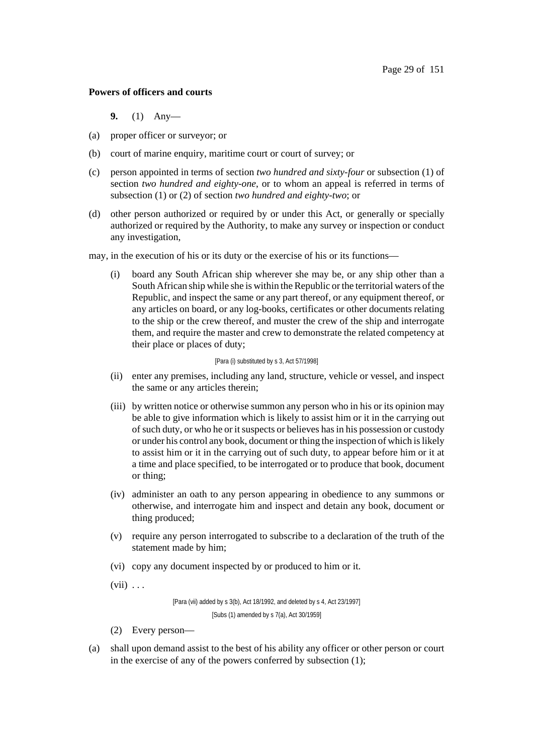### **Powers of officers and courts**

- **9.** (1) Any—
- (a) proper officer or surveyor; or
- (b) court of marine enquiry, maritime court or court of survey; or
- (c) person appointed in terms of section *two hundred and sixty-four* or subsection (1) of section *two hundred and eighty-one*, or to whom an appeal is referred in terms of subsection (1) or (2) of section *two hundred and eighty-two*; or
- (d) other person authorized or required by or under this Act, or generally or specially authorized or required by the Authority, to make any survey or inspection or conduct any investigation,
- may, in the execution of his or its duty or the exercise of his or its functions—
	- (i) board any South African ship wherever she may be, or any ship other than a South African ship while she is within the Republic or the territorial waters of the Republic, and inspect the same or any part thereof, or any equipment thereof, or any articles on board, or any log-books, certificates or other documents relating to the ship or the crew thereof, and muster the crew of the ship and interrogate them, and require the master and crew to demonstrate the related competency at their place or places of duty;

#### [Para (i) substituted by s 3, Act 57/1998]

- (ii) enter any premises, including any land, structure, vehicle or vessel, and inspect the same or any articles therein;
- (iii) by written notice or otherwise summon any person who in his or its opinion may be able to give information which is likely to assist him or it in the carrying out of such duty, or who he or it suspects or believes has in his possession or custody or under his control any book, document or thing the inspection of which is likely to assist him or it in the carrying out of such duty, to appear before him or it at a time and place specified, to be interrogated or to produce that book, document or thing;
- (iv) administer an oath to any person appearing in obedience to any summons or otherwise, and interrogate him and inspect and detain any book, document or thing produced;
- (v) require any person interrogated to subscribe to a declaration of the truth of the statement made by him;
- (vi) copy any document inspected by or produced to him or it.
- $(vii) \ldots$

[Para (vii) added by s 3(b), Act 18/1992, and deleted by s 4, Act 23/1997] [Subs (1) amended by s 7(a), Act 30/1959]

- (2) Every person—
- (a) shall upon demand assist to the best of his ability any officer or other person or court in the exercise of any of the powers conferred by subsection (1);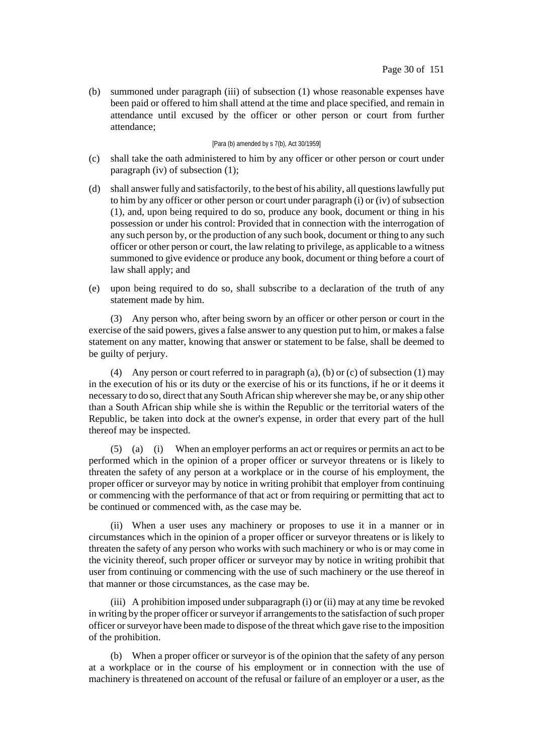(b) summoned under paragraph (iii) of subsection (1) whose reasonable expenses have been paid or offered to him shall attend at the time and place specified, and remain in attendance until excused by the officer or other person or court from further attendance;

### [Para (b) amended by s 7(b), Act 30/1959]

- (c) shall take the oath administered to him by any officer or other person or court under paragraph (iv) of subsection (1);
- (d) shall answer fully and satisfactorily, to the best of his ability, all questionslawfully put to him by any officer or other person or court under paragraph (i) or (iv) of subsection (1), and, upon being required to do so, produce any book, document or thing in his possession or under his control: Provided that in connection with the interrogation of any such person by, or the production of any such book, document or thing to any such officer or other person or court, the law relating to privilege, as applicable to a witness summoned to give evidence or produce any book, document or thing before a court of law shall apply; and
- (e) upon being required to do so, shall subscribe to a declaration of the truth of any statement made by him.

(3) Any person who, after being sworn by an officer or other person or court in the exercise of the said powers, gives a false answer to any question put to him, or makes a false statement on any matter, knowing that answer or statement to be false, shall be deemed to be guilty of perjury.

(4) Any person or court referred to in paragraph (a), (b) or (c) of subsection (1) may in the execution of his or its duty or the exercise of his or its functions, if he or it deems it necessary to do so, direct that any South African ship wherevershe may be, or any ship other than a South African ship while she is within the Republic or the territorial waters of the Republic, be taken into dock at the owner's expense, in order that every part of the hull thereof may be inspected.

(5) (a) (i) When an employer performs an act or requires or permits an act to be performed which in the opinion of a proper officer or surveyor threatens or is likely to threaten the safety of any person at a workplace or in the course of his employment, the proper officer or surveyor may by notice in writing prohibit that employer from continuing or commencing with the performance of that act or from requiring or permitting that act to be continued or commenced with, as the case may be.

(ii) When a user uses any machinery or proposes to use it in a manner or in circumstances which in the opinion of a proper officer or surveyor threatens or is likely to threaten the safety of any person who works with such machinery or who is or may come in the vicinity thereof, such proper officer or surveyor may by notice in writing prohibit that user from continuing or commencing with the use of such machinery or the use thereof in that manner or those circumstances, as the case may be.

(iii) A prohibition imposed under subparagraph (i) or (ii) may at any time be revoked in writing by the proper officer or surveyor if arrangements to the satisfaction of such proper officer orsurveyor have been made to dispose of the threat which gave rise to the imposition of the prohibition.

(b) When a proper officer or surveyor is of the opinion that the safety of any person at a workplace or in the course of his employment or in connection with the use of machinery is threatened on account of the refusal or failure of an employer or a user, as the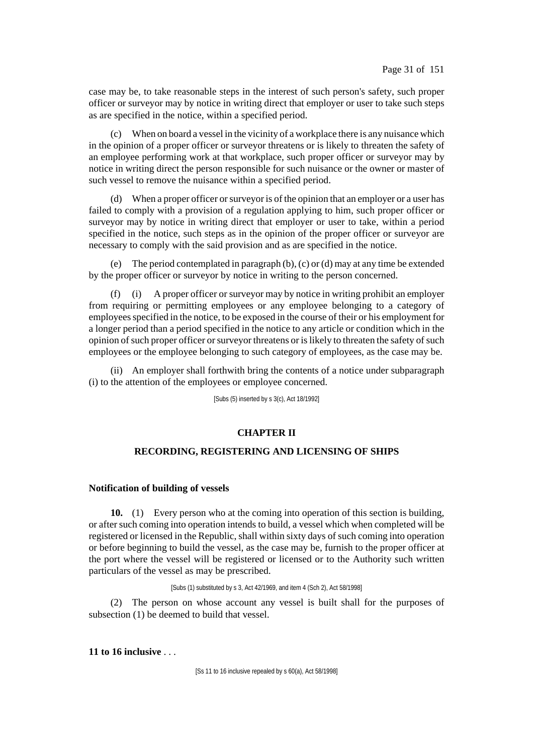case may be, to take reasonable steps in the interest of such person's safety, such proper officer or surveyor may by notice in writing direct that employer or user to take such steps as are specified in the notice, within a specified period.

(c) When on board a vessel in the vicinity of a workplace there is any nuisance which in the opinion of a proper officer or surveyor threatens or is likely to threaten the safety of an employee performing work at that workplace, such proper officer or surveyor may by notice in writing direct the person responsible for such nuisance or the owner or master of such vessel to remove the nuisance within a specified period.

(d) When a proper officer orsurveyor is of the opinion that an employer or a user has failed to comply with a provision of a regulation applying to him, such proper officer or surveyor may by notice in writing direct that employer or user to take, within a period specified in the notice, such steps as in the opinion of the proper officer or surveyor are necessary to comply with the said provision and as are specified in the notice.

(e) The period contemplated in paragraph (b), (c) or (d) may at any time be extended by the proper officer or surveyor by notice in writing to the person concerned.

(f) (i) A proper officer or surveyor may by notice in writing prohibit an employer from requiring or permitting employees or any employee belonging to a category of employeesspecified in the notice, to be exposed in the course of their or his employment for a longer period than a period specified in the notice to any article or condition which in the opinion of such proper officer or survey threatens or is likely to threaten the safety of such employees or the employee belonging to such category of employees, as the case may be.

(ii) An employer shall forthwith bring the contents of a notice under subparagraph (i) to the attention of the employees or employee concerned.

[Subs (5) inserted by s 3(c), Act 18/1992]

## **CHAPTER II**

### **RECORDING, REGISTERING AND LICENSING OF SHIPS**

### **Notification of building of vessels**

**10.** (1) Every person who at the coming into operation of this section is building, or after such coming into operation intends to build, a vessel which when completed will be registered or licensed in the Republic, shall within sixty days of such coming into operation or before beginning to build the vessel, as the case may be, furnish to the proper officer at the port where the vessel will be registered or licensed or to the Authority such written particulars of the vessel as may be prescribed.

[Subs (1) substituted by s 3, Act 42/1969, and item 4 (Sch 2), Act 58/1998]

(2) The person on whose account any vessel is built shall for the purposes of subsection (1) be deemed to build that vessel.

**11 to 16 inclusive** . . .

[Ss 11 to 16 inclusive repealed by s 60(a), Act 58/1998]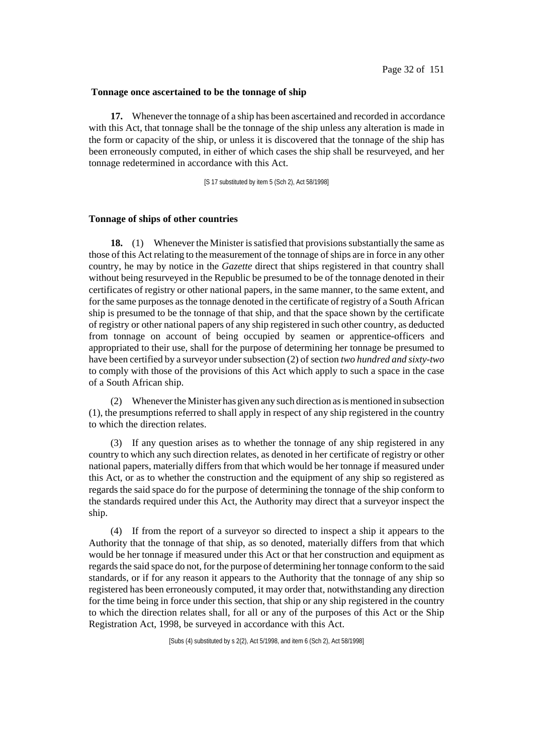#### **Tonnage once ascertained to be the tonnage of ship**

**17.** Whenever the tonnage of a ship has been ascertained and recorded in accordance with this Act, that tonnage shall be the tonnage of the ship unless any alteration is made in the form or capacity of the ship, or unless it is discovered that the tonnage of the ship has been erroneously computed, in either of which cases the ship shall be resurveyed, and her tonnage redetermined in accordance with this Act.

[S 17 substituted by item 5 (Sch 2), Act 58/1998]

#### **Tonnage of ships of other countries**

**18.** (1) Whenever the Minister is satisfied that provisions substantially the same as those of this Act relating to the measurement of the tonnage of ships are in force in any other country, he may by notice in the *Gazette* direct that ships registered in that country shall without being resurveyed in the Republic be presumed to be of the tonnage denoted in their certificates of registry or other national papers, in the same manner, to the same extent, and for the same purposes asthe tonnage denoted in the certificate of registry of a South African ship is presumed to be the tonnage of that ship, and that the space shown by the certificate of registry or other national papers of any ship registered in such other country, as deducted from tonnage on account of being occupied by seamen or apprentice-officers and appropriated to their use, shall for the purpose of determining her tonnage be presumed to have been certified by a surveyor undersubsection (2) of section *two hundred and sixty-two* to comply with those of the provisions of this Act which apply to such a space in the case of a South African ship.

(2) WhenevertheMinister has given any such direction as is mentioned in subsection (1), the presumptions referred to shall apply in respect of any ship registered in the country to which the direction relates.

(3) If any question arises as to whether the tonnage of any ship registered in any country to which any such direction relates, as denoted in her certificate of registry or other national papers, materially differs from that which would be her tonnage if measured under this Act, or as to whether the construction and the equipment of any ship so registered as regards the said space do for the purpose of determining the tonnage of the ship conform to the standards required under this Act, the Authority may direct that a surveyor inspect the ship.

(4) If from the report of a surveyor so directed to inspect a ship it appears to the Authority that the tonnage of that ship, as so denoted, materially differs from that which would be her tonnage if measured under this Act or that her construction and equipment as regards the said space do not, for the purpose of determining her tonnage conform to the said standards, or if for any reason it appears to the Authority that the tonnage of any ship so registered has been erroneously computed, it may order that, notwithstanding any direction for the time being in force under this section, that ship or any ship registered in the country to which the direction relates shall, for all or any of the purposes of this Act or the Ship Registration Act, 1998, be surveyed in accordance with this Act.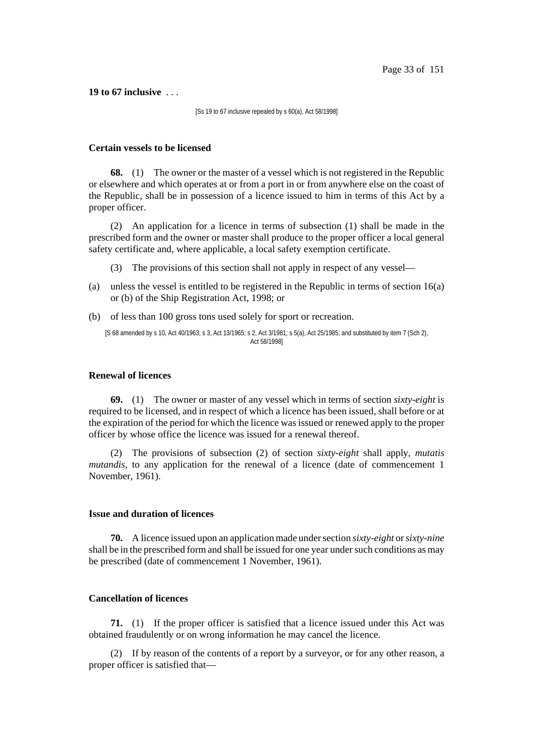**19 to 67 inclusive** . . .

[Ss 19 to 67 inclusive repealed by s 60(a), Act 58/1998]

#### **Certain vessels to be licensed**

**68.** (1) The owner or the master of a vessel which is not registered in the Republic or elsewhere and which operates at or from a port in or from anywhere else on the coast of the Republic, shall be in possession of a licence issued to him in terms of this Act by a proper officer.

(2) An application for a licence in terms of subsection (1) shall be made in the prescribed form and the owner or master shall produce to the proper officer a local general safety certificate and, where applicable, a local safety exemption certificate.

(3) The provisions of this section shall not apply in respect of any vessel—

- (a) unless the vessel is entitled to be registered in the Republic in terms of section 16(a) or (b) of the Ship Registration Act, 1998; or
- (b) of less than 100 gross tons used solely for sport or recreation.

[S 68 amended by s 10, Act 40/1963; s 3, Act 13/1965; s 2, Act 3/1981; s 5(a), Act 25/1985; and substituted by item 7 (Sch 2), Act 58/1998]

#### **Renewal of licences**

**69.** (1) The owner or master of any vessel which in terms of section *sixty-eight* is required to be licensed, and in respect of which a licence has been issued, shall before or at the expiration of the period for which the licence was issued or renewed apply to the proper officer by whose office the licence was issued for a renewal thereof.

(2) The provisions of subsection (2) of section *sixty-eight* shall apply, *mutatis mutandis*, to any application for the renewal of a licence (date of commencement 1 November, 1961).

#### **Issue and duration of licences**

**70.** A licence issued upon an application made undersection *sixty-eight* or*sixty-nine* shall be in the prescribed form and shall be issued for one year under such conditions as may be prescribed (date of commencement 1 November, 1961).

## **Cancellation of licences**

**71.** (1) If the proper officer is satisfied that a licence issued under this Act was obtained fraudulently or on wrong information he may cancel the licence.

(2) If by reason of the contents of a report by a surveyor, or for any other reason, a proper officer is satisfied that—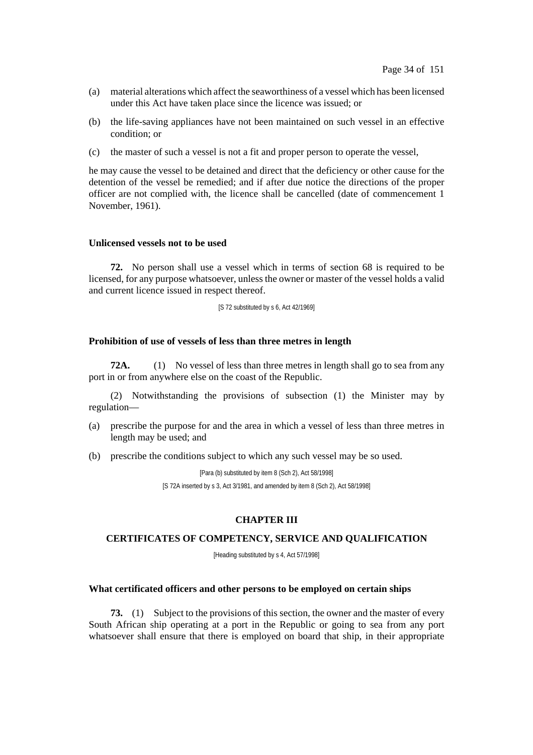- (a) material alterations which affect the seaworthiness of a vessel which has been licensed under this Act have taken place since the licence was issued; or
- (b) the life-saving appliances have not been maintained on such vessel in an effective condition; or
- (c) the master of such a vessel is not a fit and proper person to operate the vessel,

he may cause the vessel to be detained and direct that the deficiency or other cause for the detention of the vessel be remedied; and if after due notice the directions of the proper officer are not complied with, the licence shall be cancelled (date of commencement 1 November, 1961).

### **Unlicensed vessels not to be used**

**72.** No person shall use a vessel which in terms of section 68 is required to be licensed, for any purpose whatsoever, unless the owner or master of the vessel holds a valid and current licence issued in respect thereof.

[S 72 substituted by s 6, Act 42/1969]

#### **Prohibition of use of vessels of less than three metres in length**

**72A.** (1) No vessel of less than three metres in length shall go to sea from any port in or from anywhere else on the coast of the Republic.

(2) Notwithstanding the provisions of subsection (1) the Minister may by regulation—

(a) prescribe the purpose for and the area in which a vessel of less than three metres in length may be used; and

(b) prescribe the conditions subject to which any such vessel may be so used.

[Para (b) substituted by item 8 (Sch 2), Act 58/1998] [S 72A inserted by s 3, Act 3/1981, and amended by item 8 (Sch 2), Act 58/1998]

## **CHAPTER III**

#### **CERTIFICATES OF COMPETENCY, SERVICE AND QUALIFICATION**

[Heading substituted by s 4, Act 57/1998]

#### **What certificated officers and other persons to be employed on certain ships**

**73.** (1) Subject to the provisions of this section, the owner and the master of every South African ship operating at a port in the Republic or going to sea from any port whatsoever shall ensure that there is employed on board that ship, in their appropriate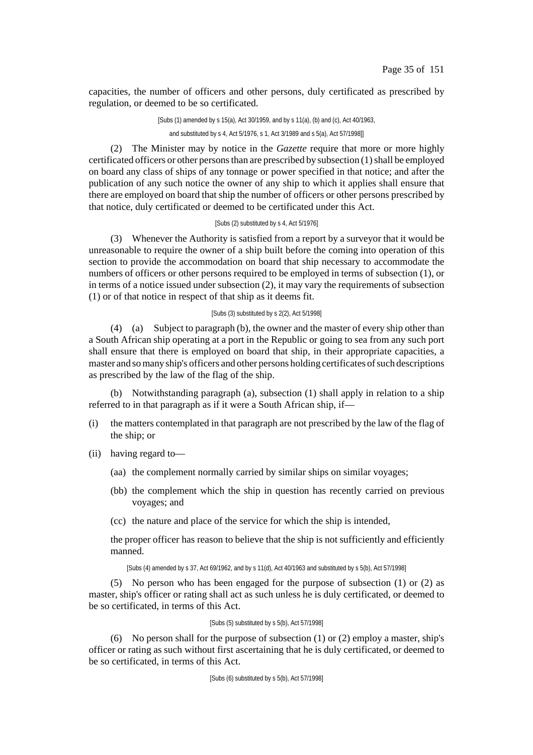capacities, the number of officers and other persons, duly certificated as prescribed by regulation, or deemed to be so certificated.

> [Subs (1) amended by s 15(a), Act 30/1959, and by s 11(a), (b) and (c), Act 40/1963, and substituted by s 4, Act 5/1976, s 1, Act 3/1989 and s 5(a), Act 57/1998]]

(2) The Minister may by notice in the *Gazette* require that more or more highly certificated officers or other persons than are prescribed by subsection  $(1)$  shall be employed on board any class of ships of any tonnage or power specified in that notice; and after the publication of any such notice the owner of any ship to which it applies shall ensure that there are employed on board that ship the number of officers or other persons prescribed by that notice, duly certificated or deemed to be certificated under this Act.

### [Subs (2) substituted by s 4, Act 5/1976]

(3) Whenever the Authority is satisfied from a report by a surveyor that it would be unreasonable to require the owner of a ship built before the coming into operation of this section to provide the accommodation on board that ship necessary to accommodate the numbers of officers or other persons required to be employed in terms of subsection (1), or in terms of a notice issued under subsection (2), it may vary the requirements of subsection (1) or of that notice in respect of that ship as it deems fit.

### [Subs (3) substituted by s 2(2), Act 5/1998]

(4) (a) Subject to paragraph (b), the owner and the master of every ship other than a South African ship operating at a port in the Republic or going to sea from any such port shall ensure that there is employed on board that ship, in their appropriate capacities, a master and so many ship's officers and other persons holding certificates of such descriptions as prescribed by the law of the flag of the ship.

(b) Notwithstanding paragraph (a), subsection (1) shall apply in relation to a ship referred to in that paragraph as if it were a South African ship, if—

- (i) the matters contemplated in that paragraph are not prescribed by the law of the flag of the ship; or
- (ii) having regard to—
	- (aa) the complement normally carried by similar ships on similar voyages;
	- (bb) the complement which the ship in question has recently carried on previous voyages; and
	- (cc) the nature and place of the service for which the ship is intended,

the proper officer has reason to believe that the ship is not sufficiently and efficiently manned.

[Subs (4) amended by s 37, Act 69/1962, and by s 11(d), Act 40/1963 and substituted by s 5(b), Act 57/1998]

(5) No person who has been engaged for the purpose of subsection (1) or (2) as master, ship's officer or rating shall act as such unless he is duly certificated, or deemed to be so certificated, in terms of this Act.

### [Subs (5) substituted by s 5(b), Act 57/1998]

(6) No person shall for the purpose of subsection (1) or (2) employ a master, ship's officer or rating as such without first ascertaining that he is duly certificated, or deemed to be so certificated, in terms of this Act.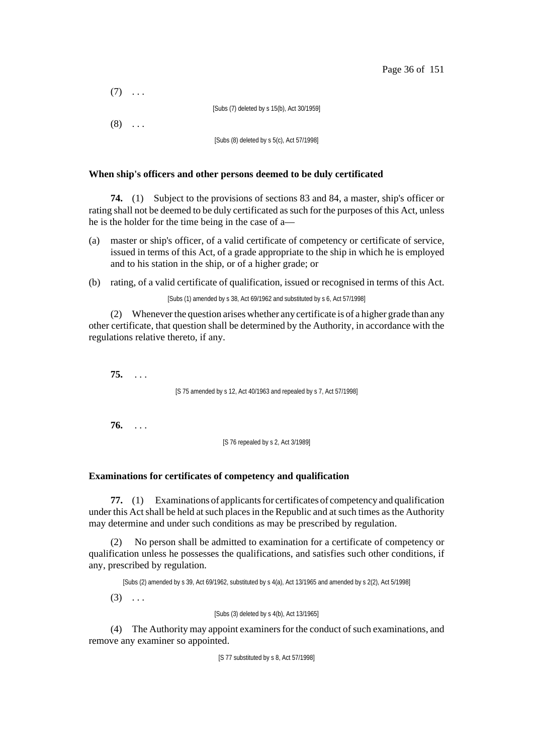| $(7)$        |                                            |
|--------------|--------------------------------------------|
|              | [Subs (7) deleted by s 15(b), Act 30/1959] |
| $(8) \ldots$ |                                            |
|              | [Subs (8) deleted by s 5(c), Act 57/1998]  |

### **When ship's officers and other persons deemed to be duly certificated**

**74.** (1) Subject to the provisions of sections 83 and 84, a master, ship's officer or rating shall not be deemed to be duly certificated assuch for the purposes of this Act, unless he is the holder for the time being in the case of a—

- (a) master or ship's officer, of a valid certificate of competency or certificate of service, issued in terms of this Act, of a grade appropriate to the ship in which he is employed and to his station in the ship, or of a higher grade; or
- (b) rating, of a valid certificate of qualification, issued or recognised in terms of this Act.

[Subs (1) amended by s 38, Act 69/1962 and substituted by s 6, Act 57/1998]

(2) Wheneverthe question arises whether any certificate is of a higher grade than any other certificate, that question shall be determined by the Authority, in accordance with the regulations relative thereto, if any.

**75.** . . .

[S 75 amended by s 12, Act 40/1963 and repealed by s 7, Act 57/1998]

**76.** . . .

[S 76 repealed by s 2, Act 3/1989]

## **Examinations for certificates of competency and qualification**

**77.** (1) Examinations of applicants for certificates of competency and qualification under this Act shall be held at such places in the Republic and at such times as the Authority may determine and under such conditions as may be prescribed by regulation.

(2) No person shall be admitted to examination for a certificate of competency or qualification unless he possesses the qualifications, and satisfies such other conditions, if any, prescribed by regulation.

[Subs (2) amended by s 39, Act 69/1962, substituted by s 4(a), Act 13/1965 and amended by s 2(2), Act 5/1998]

 $(3) \ldots$ 

[Subs (3) deleted by s 4(b), Act 13/1965]

(4) The Authority may appoint examiners for the conduct of such examinations, and remove any examiner so appointed.

[S 77 substituted by s 8, Act 57/1998]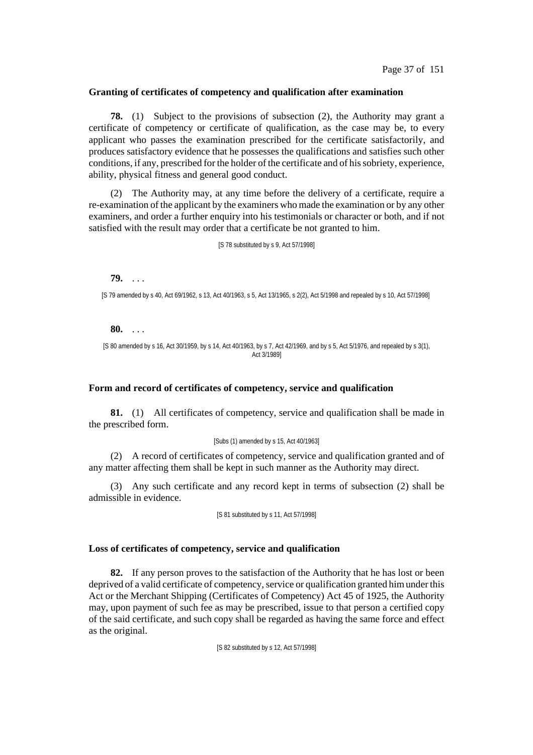#### **Granting of certificates of competency and qualification after examination**

**78.** (1) Subject to the provisions of subsection (2), the Authority may grant a certificate of competency or certificate of qualification, as the case may be, to every applicant who passes the examination prescribed for the certificate satisfactorily, and produces satisfactory evidence that he possesses the qualifications and satisfies such other conditions, if any, prescribed for the holder of the certificate and of hissobriety, experience, ability, physical fitness and general good conduct.

(2) The Authority may, at any time before the delivery of a certificate, require a re-examination of the applicant by the examiners who made the examination or by any other examiners, and order a further enquiry into his testimonials or character or both, and if not satisfied with the result may order that a certificate be not granted to him.

[S 78 substituted by s 9, Act 57/1998]

**79.** . . .

[S 79 amended by s 40, Act 69/1962, s 13, Act 40/1963, s 5, Act 13/1965, s 2(2), Act 5/1998 and repealed by s 10, Act 57/1998]

#### **80.** . . .

[S 80 amended by s 16, Act 30/1959, by s 14, Act 40/1963, by s 7, Act 42/1969, and by s 5, Act 5/1976, and repealed by s 3(1), Act 3/1989]

# **Form and record of certificates of competency, service and qualification**

**81.** (1) All certificates of competency, service and qualification shall be made in the prescribed form.

#### [Subs (1) amended by s 15, Act 40/1963]

(2) A record of certificates of competency, service and qualification granted and of any matter affecting them shall be kept in such manner as the Authority may direct.

(3) Any such certificate and any record kept in terms of subsection (2) shall be admissible in evidence.

[S 81 substituted by s 11, Act 57/1998]

#### **Loss of certificates of competency, service and qualification**

**82.** If any person proves to the satisfaction of the Authority that he has lost or been deprived of a valid certificate of competency, service or qualification granted himunder this Act or the Merchant Shipping (Certificates of Competency) Act 45 of 1925, the Authority may, upon payment of such fee as may be prescribed, issue to that person a certified copy of the said certificate, and such copy shall be regarded as having the same force and effect as the original.

[S 82 substituted by s 12, Act 57/1998]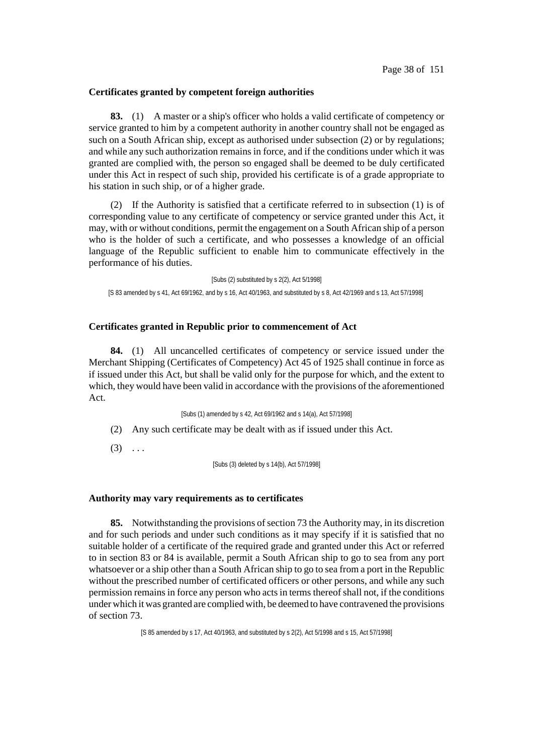#### **Certificates granted by competent foreign authorities**

**83.** (1) A master or a ship's officer who holds a valid certificate of competency or service granted to him by a competent authority in another country shall not be engaged as such on a South African ship, except as authorised under subsection (2) or by regulations; and while any such authorization remains in force, and if the conditions under which it was granted are complied with, the person so engaged shall be deemed to be duly certificated under this Act in respect of such ship, provided his certificate is of a grade appropriate to his station in such ship, or of a higher grade.

(2) If the Authority is satisfied that a certificate referred to in subsection (1) is of corresponding value to any certificate of competency or service granted under this Act, it may, with or without conditions, permit the engagement on a South African ship of a person who is the holder of such a certificate, and who possesses a knowledge of an official language of the Republic sufficient to enable him to communicate effectively in the performance of his duties.

[Subs (2) substituted by s 2(2), Act 5/1998] [S 83 amended by s 41, Act 69/1962, and by s 16, Act 40/1963, and substituted by s 8, Act 42/1969 and s 13, Act 57/1998]

#### **Certificates granted in Republic prior to commencement of Act**

**84.** (1) All uncancelled certificates of competency or service issued under the Merchant Shipping (Certificates of Competency) Act 45 of 1925 shall continue in force as if issued under this Act, but shall be valid only for the purpose for which, and the extent to which, they would have been valid in accordance with the provisions of the aforementioned Act.

[Subs (1) amended by s 42, Act 69/1962 and s 14(a), Act 57/1998]

- (2) Any such certificate may be dealt with as if issued under this Act.
- $(3)$  ...

[Subs (3) deleted by s 14(b), Act 57/1998]

#### **Authority may vary requirements as to certificates**

**85.** Notwithstanding the provisions of section 73 the Authority may, in its discretion and for such periods and under such conditions as it may specify if it is satisfied that no suitable holder of a certificate of the required grade and granted under this Act or referred to in section 83 or 84 is available, permit a South African ship to go to sea from any port whatsoever or a ship other than a South African ship to go to sea from a port in the Republic without the prescribed number of certificated officers or other persons, and while any such permission remains in force any person who actsin terms thereofshall not, if the conditions under which it was granted are complied with, be deemed to have contravened the provisions of section 73.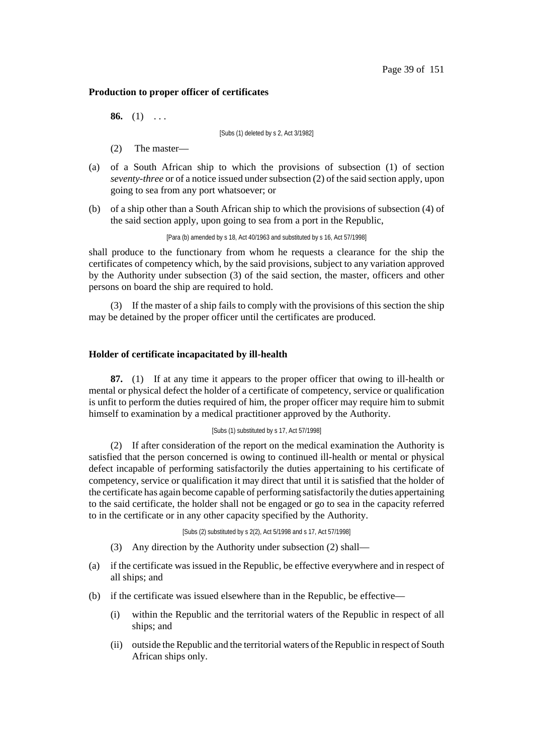#### **Production to proper officer of certificates**

**86.** (1) . . .

[Subs (1) deleted by s 2, Act 3/1982]

- (2) The master—
- (a) of a South African ship to which the provisions of subsection (1) of section *seventy-three* or of a notice issued under subsection (2) of the said section apply, upon going to sea from any port whatsoever; or
- (b) of a ship other than a South African ship to which the provisions of subsection (4) of the said section apply, upon going to sea from a port in the Republic,

[Para (b) amended by s 18, Act 40/1963 and substituted by s 16, Act 57/1998]

shall produce to the functionary from whom he requests a clearance for the ship the certificates of competency which, by the said provisions, subject to any variation approved by the Authority under subsection (3) of the said section, the master, officers and other persons on board the ship are required to hold.

(3) If the master of a ship fails to comply with the provisions of this section the ship may be detained by the proper officer until the certificates are produced.

### **Holder of certificate incapacitated by ill-health**

**87.** (1) If at any time it appears to the proper officer that owing to ill-health or mental or physical defect the holder of a certificate of competency, service or qualification is unfit to perform the duties required of him, the proper officer may require him to submit himself to examination by a medical practitioner approved by the Authority.

#### [Subs (1) substituted by s 17, Act 57/1998]

(2) If after consideration of the report on the medical examination the Authority is satisfied that the person concerned is owing to continued ill-health or mental or physical defect incapable of performing satisfactorily the duties appertaining to his certificate of competency, service or qualification it may direct that until it is satisfied that the holder of the certificate has again become capable of performing satisfactorily the duties appertaining to the said certificate, the holder shall not be engaged or go to sea in the capacity referred to in the certificate or in any other capacity specified by the Authority.

[Subs (2) substituted by s 2(2), Act 5/1998 and s 17, Act 57/1998]

- (3) Any direction by the Authority under subsection (2) shall—
- (a) if the certificate was issued in the Republic, be effective everywhere and in respect of all ships; and
- (b) if the certificate was issued elsewhere than in the Republic, be effective—
	- (i) within the Republic and the territorial waters of the Republic in respect of all ships; and
	- (ii) outside the Republic and the territorial waters of the Republic in respect of South African ships only.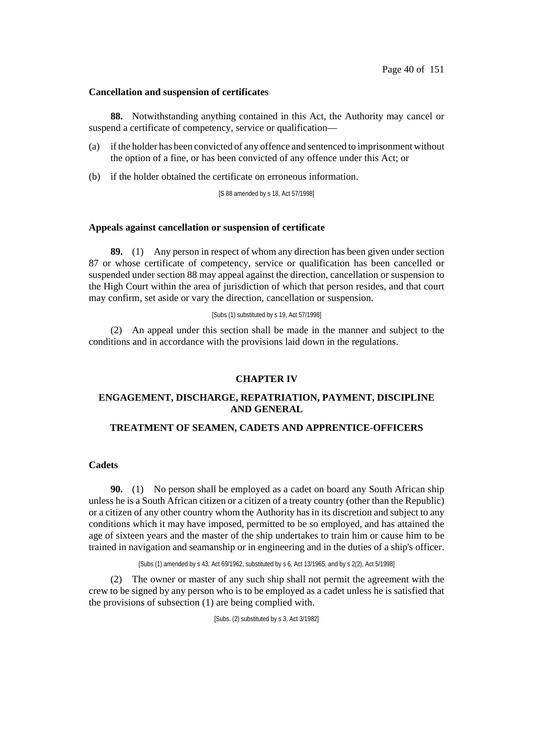#### **Cancellation and suspension of certificates**

**88.** Notwithstanding anything contained in this Act, the Authority may cancel or suspend a certificate of competency, service or qualification—

- (a) if the holder has been convicted of any offence and sentenced to imprisonment without the option of a fine, or has been convicted of any offence under this Act; or
- (b) if the holder obtained the certificate on erroneous information.

[S 88 amended by s 18, Act 57/1998]

#### **Appeals against cancellation or suspension of certificate**

**89.** (1) Any person in respect of whom any direction has been given under section 87 or whose certificate of competency, service or qualification has been cancelled or suspended under section 88 may appeal against the direction, cancellation or suspension to the High Court within the area of jurisdiction of which that person resides, and that court may confirm, set aside or vary the direction, cancellation or suspension.

#### [Subs (1) substituted by s 19, Act 57/1998]

(2) An appeal under this section shall be made in the manner and subject to the conditions and in accordance with the provisions laid down in the regulations.

### **CHAPTER IV**

# **ENGAGEMENT, DISCHARGE, REPATRIATION, PAYMENT, DISCIPLINE AND GENERAL**

## **TREATMENT OF SEAMEN, CADETS AND APPRENTICE-OFFICERS**

## **Cadets**

**90.** (1) No person shall be employed as a cadet on board any South African ship unless he is a South African citizen or a citizen of a treaty country (other than the Republic) or a citizen of any other country whom the Authority has in its discretion and subject to any conditions which it may have imposed, permitted to be so employed, and has attained the age of sixteen years and the master of the ship undertakes to train him or cause him to be trained in navigation and seamanship or in engineering and in the duties of a ship's officer.

[Subs (1) amended by s 43, Act 69/1962, substituted by s 6, Act 13/1965, and by s 2(2), Act 5/1998]

(2) The owner or master of any such ship shall not permit the agreement with the crew to be signed by any person who is to be employed as a cadet unless he is satisfied that the provisions of subsection (1) are being complied with.

[Subs. (2) substituted by s 3, Act 3/1982]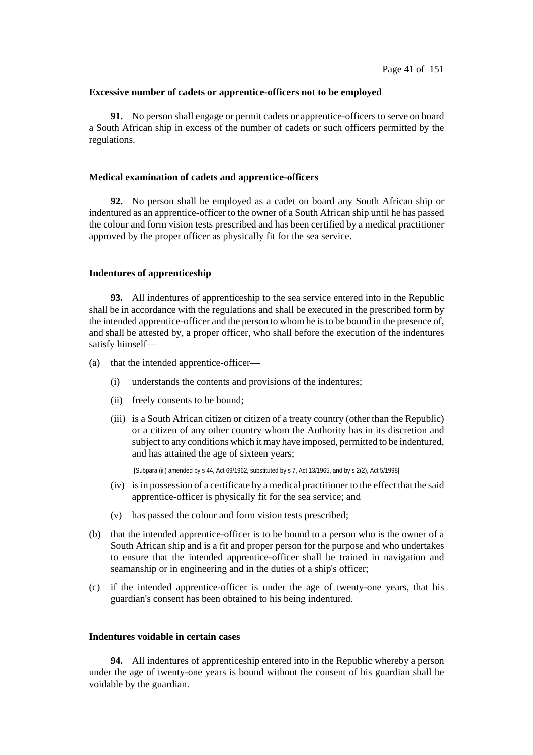#### **Excessive number of cadets or apprentice-officers not to be employed**

**91.** No person shall engage or permit cadets or apprentice-officers to serve on board a South African ship in excess of the number of cadets or such officers permitted by the regulations.

### **Medical examination of cadets and apprentice-officers**

**92.** No person shall be employed as a cadet on board any South African ship or indentured as an apprentice-officer to the owner of a South African ship until he has passed the colour and form vision tests prescribed and has been certified by a medical practitioner approved by the proper officer as physically fit for the sea service.

#### **Indentures of apprenticeship**

**93.** All indentures of apprenticeship to the sea service entered into in the Republic shall be in accordance with the regulations and shall be executed in the prescribed form by the intended apprentice-officer and the person to whom he isto be bound in the presence of, and shall be attested by, a proper officer, who shall before the execution of the indentures satisfy himself—

- (a) that the intended apprentice-officer—
	- (i) understands the contents and provisions of the indentures;
	- (ii) freely consents to be bound;
	- (iii) is a South African citizen or citizen of a treaty country (other than the Republic) or a citizen of any other country whom the Authority has in its discretion and subject to any conditions which it may have imposed, permitted to be indentured, and has attained the age of sixteen years;

[Subpara (iii) amended by s 44, Act 69/1962, substituted by s 7, Act 13/1965, and by s 2(2), Act 5/1998]

- (iv) isin possession of a certificate by a medical practitioner to the effect that the said apprentice-officer is physically fit for the sea service; and
- (v) has passed the colour and form vision tests prescribed;
- (b) that the intended apprentice-officer is to be bound to a person who is the owner of a South African ship and is a fit and proper person for the purpose and who undertakes to ensure that the intended apprentice-officer shall be trained in navigation and seamanship or in engineering and in the duties of a ship's officer;
- (c) if the intended apprentice-officer is under the age of twenty-one years, that his guardian's consent has been obtained to his being indentured.

### **Indentures voidable in certain cases**

**94.** All indentures of apprenticeship entered into in the Republic whereby a person under the age of twenty-one years is bound without the consent of his guardian shall be voidable by the guardian.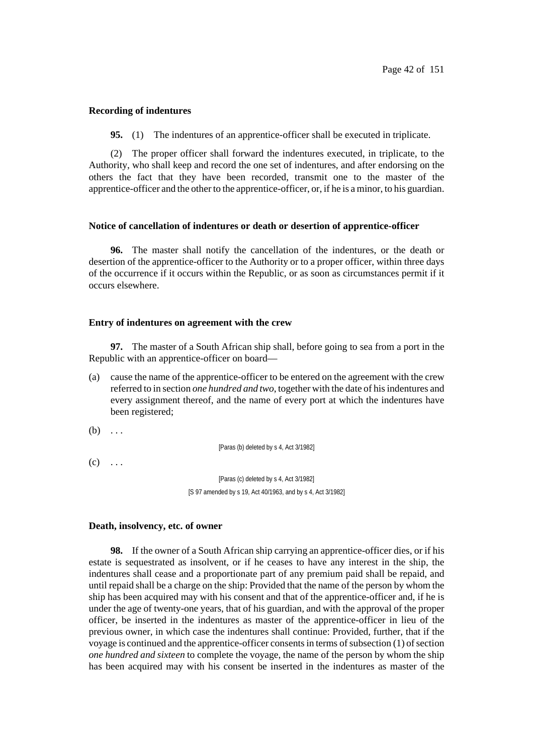### **Recording of indentures**

**95.** (1) The indentures of an apprentice-officer shall be executed in triplicate.

(2) The proper officer shall forward the indentures executed, in triplicate, to the Authority, who shall keep and record the one set of indentures, and after endorsing on the others the fact that they have been recorded, transmit one to the master of the apprentice-officer and the other to the apprentice-officer, or, if he is a minor, to his guardian.

### **Notice of cancellation of indentures or death or desertion of apprentice-officer**

**96.** The master shall notify the cancellation of the indentures, or the death or desertion of the apprentice-officer to the Authority or to a proper officer, within three days of the occurrence if it occurs within the Republic, or as soon as circumstances permit if it occurs elsewhere.

#### **Entry of indentures on agreement with the crew**

**97.** The master of a South African ship shall, before going to sea from a port in the Republic with an apprentice-officer on board—

(a) cause the name of the apprentice-officer to be entered on the agreement with the crew referred to in section *one hundred and two*, together with the date of hisindentures and every assignment thereof, and the name of every port at which the indentures have been registered;

 $(b) \ldots$ 

[Paras (b) deleted by s 4, Act 3/1982]

 $(c)$  ...

[Paras (c) deleted by s 4, Act 3/1982] [S 97 amended by s 19, Act 40/1963, and by s 4, Act 3/1982]

#### **Death, insolvency, etc. of owner**

**98.** If the owner of a South African ship carrying an apprentice-officer dies, or if his estate is sequestrated as insolvent, or if he ceases to have any interest in the ship, the indentures shall cease and a proportionate part of any premium paid shall be repaid, and until repaid shall be a charge on the ship: Provided that the name of the person by whom the ship has been acquired may with his consent and that of the apprentice-officer and, if he is under the age of twenty-one years, that of his guardian, and with the approval of the proper officer, be inserted in the indentures as master of the apprentice-officer in lieu of the previous owner, in which case the indentures shall continue: Provided, further, that if the voyage is continued and the apprentice-officer consents in terms of subsection  $(1)$  of section *one hundred and sixteen* to complete the voyage, the name of the person by whom the ship has been acquired may with his consent be inserted in the indentures as master of the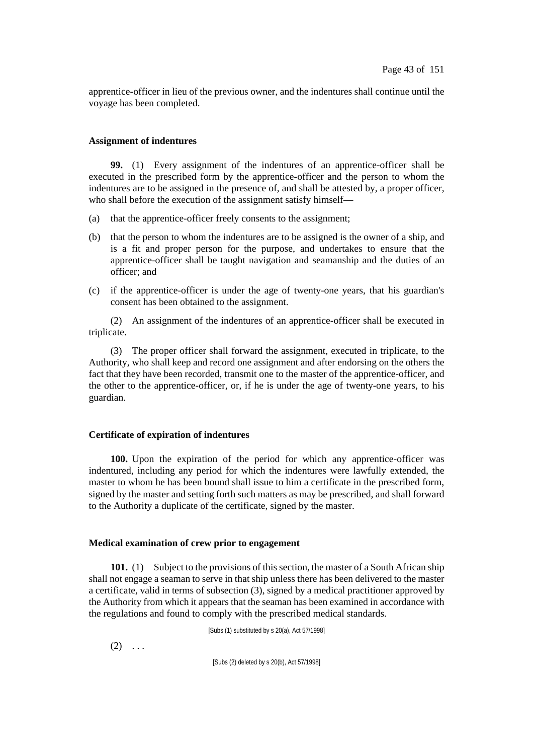apprentice-officer in lieu of the previous owner, and the indentures shall continue until the voyage has been completed.

# **Assignment of indentures**

**99.** (1) Every assignment of the indentures of an apprentice-officer shall be executed in the prescribed form by the apprentice-officer and the person to whom the indentures are to be assigned in the presence of, and shall be attested by, a proper officer, who shall before the execution of the assignment satisfy himself—

- (a) that the apprentice-officer freely consents to the assignment;
- (b) that the person to whom the indentures are to be assigned is the owner of a ship, and is a fit and proper person for the purpose, and undertakes to ensure that the apprentice-officer shall be taught navigation and seamanship and the duties of an officer; and
- (c) if the apprentice-officer is under the age of twenty-one years, that his guardian's consent has been obtained to the assignment.

(2) An assignment of the indentures of an apprentice-officer shall be executed in triplicate.

(3) The proper officer shall forward the assignment, executed in triplicate, to the Authority, who shall keep and record one assignment and after endorsing on the others the fact that they have been recorded, transmit one to the master of the apprentice-officer, and the other to the apprentice-officer, or, if he is under the age of twenty-one years, to his guardian.

# **Certificate of expiration of indentures**

**100.** Upon the expiration of the period for which any apprentice-officer was indentured, including any period for which the indentures were lawfully extended, the master to whom he has been bound shall issue to him a certificate in the prescribed form, signed by the master and setting forth such matters as may be prescribed, and shall forward to the Authority a duplicate of the certificate, signed by the master.

### **Medical examination of crew prior to engagement**

**101.** (1) Subject to the provisions of this section, the master of a South African ship shall not engage a seaman to serve in that ship unless there has been delivered to the master a certificate, valid in terms of subsection (3), signed by a medical practitioner approved by the Authority from which it appears that the seaman has been examined in accordance with the regulations and found to comply with the prescribed medical standards.

[Subs (1) substituted by s 20(a), Act 57/1998]

 $(2) \ldots$ 

[Subs (2) deleted by s 20(b), Act 57/1998]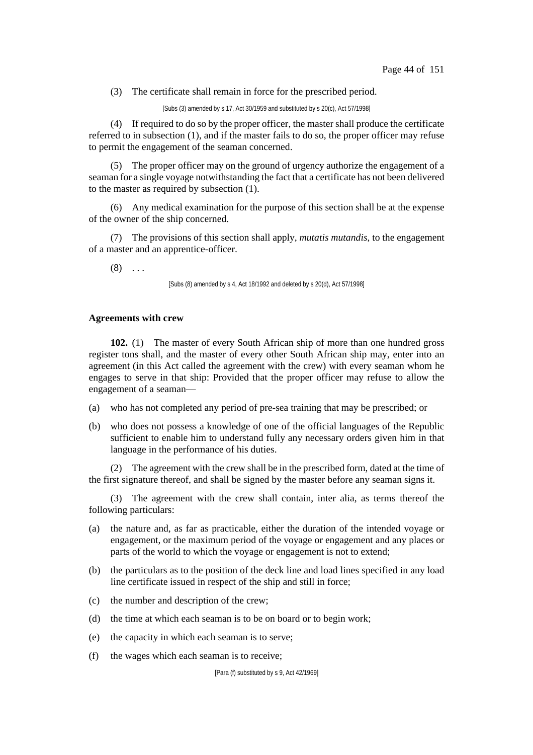(3) The certificate shall remain in force for the prescribed period.

[Subs (3) amended by s 17, Act 30/1959 and substituted by s 20(c), Act 57/1998]

(4) If required to do so by the proper officer, the master shall produce the certificate referred to in subsection (1), and if the master fails to do so, the proper officer may refuse to permit the engagement of the seaman concerned.

(5) The proper officer may on the ground of urgency authorize the engagement of a seaman for a single voyage notwithstanding the fact that a certificate has not been delivered to the master as required by subsection (1).

(6) Any medical examination for the purpose of this section shall be at the expense of the owner of the ship concerned.

(7) The provisions of this section shall apply, *mutatis mutandis*, to the engagement of a master and an apprentice-officer.

 $(8)$  ...

[Subs (8) amended by s 4, Act 18/1992 and deleted by s 20(d), Act 57/1998]

## **Agreements with crew**

**102.** (1) The master of every South African ship of more than one hundred gross register tons shall, and the master of every other South African ship may, enter into an agreement (in this Act called the agreement with the crew) with every seaman whom he engages to serve in that ship: Provided that the proper officer may refuse to allow the engagement of a seaman—

- (a) who has not completed any period of pre-sea training that may be prescribed; or
- (b) who does not possess a knowledge of one of the official languages of the Republic sufficient to enable him to understand fully any necessary orders given him in that language in the performance of his duties.

(2) The agreement with the crew shall be in the prescribed form, dated at the time of the first signature thereof, and shall be signed by the master before any seaman signs it.

(3) The agreement with the crew shall contain, inter alia, as terms thereof the following particulars:

- (a) the nature and, as far as practicable, either the duration of the intended voyage or engagement, or the maximum period of the voyage or engagement and any places or parts of the world to which the voyage or engagement is not to extend;
- (b) the particulars as to the position of the deck line and load lines specified in any load line certificate issued in respect of the ship and still in force;
- (c) the number and description of the crew;
- (d) the time at which each seaman is to be on board or to begin work;
- (e) the capacity in which each seaman is to serve;
- (f) the wages which each seaman is to receive;

[Para (f) substituted by s 9, Act 42/1969]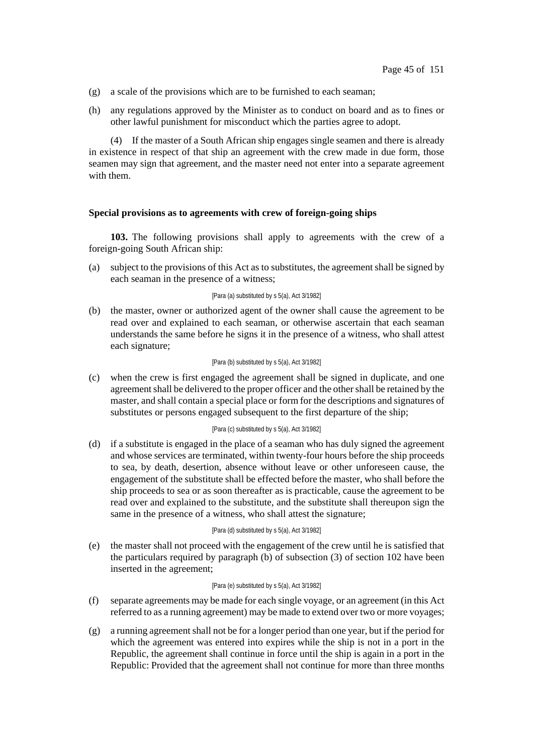- (g) a scale of the provisions which are to be furnished to each seaman;
- (h) any regulations approved by the Minister as to conduct on board and as to fines or other lawful punishment for misconduct which the parties agree to adopt.

(4) If the master of a South African ship engages single seamen and there is already in existence in respect of that ship an agreement with the crew made in due form, those seamen may sign that agreement, and the master need not enter into a separate agreement with them.

## **Special provisions as to agreements with crew of foreign-going ships**

**103.** The following provisions shall apply to agreements with the crew of a foreign-going South African ship:

(a) subject to the provisions of this Act as to substitutes, the agreement shall be signed by each seaman in the presence of a witness;

### [Para (a) substituted by s 5(a), Act 3/1982]

(b) the master, owner or authorized agent of the owner shall cause the agreement to be read over and explained to each seaman, or otherwise ascertain that each seaman understands the same before he signs it in the presence of a witness, who shall attest each signature;

#### [Para (b) substituted by s 5(a), Act 3/1982]

(c) when the crew is first engaged the agreement shall be signed in duplicate, and one agreementshall be delivered to the proper officer and the othershall be retained by the master, and shall contain a special place or form for the descriptions and signatures of substitutes or persons engaged subsequent to the first departure of the ship;

## [Para (c) substituted by s 5(a), Act 3/1982]

(d) if a substitute is engaged in the place of a seaman who has duly signed the agreement and whose services are terminated, within twenty-four hours before the ship proceeds to sea, by death, desertion, absence without leave or other unforeseen cause, the engagement of the substitute shall be effected before the master, who shall before the ship proceeds to sea or as soon thereafter as is practicable, cause the agreement to be read over and explained to the substitute, and the substitute shall thereupon sign the same in the presence of a witness, who shall attest the signature;

#### [Para (d) substituted by s 5(a), Act 3/1982]

(e) the master shall not proceed with the engagement of the crew until he is satisfied that the particulars required by paragraph (b) of subsection (3) of section 102 have been inserted in the agreement;

#### [Para (e) substituted by s 5(a), Act 3/1982]

- (f) separate agreements may be made for each single voyage, or an agreement (in this Act referred to as a running agreement) may be made to extend over two or more voyages;
- $(g)$  a running agreement shall not be for a longer period than one year, but if the period for which the agreement was entered into expires while the ship is not in a port in the Republic, the agreement shall continue in force until the ship is again in a port in the Republic: Provided that the agreement shall not continue for more than three months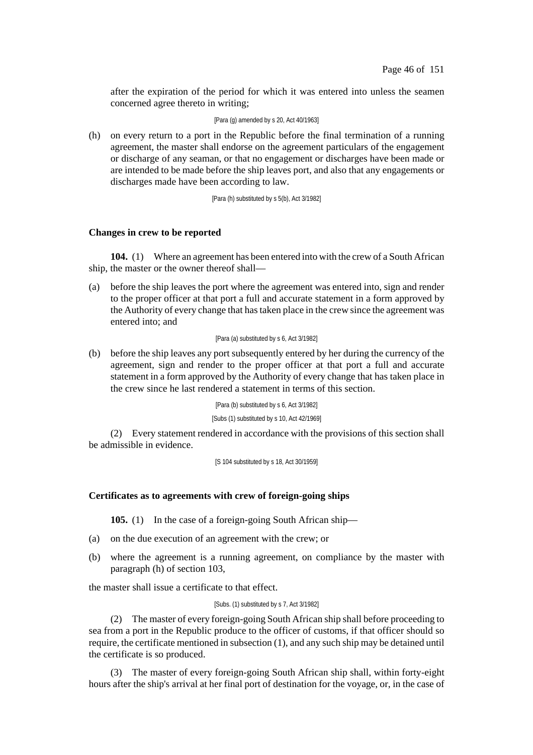after the expiration of the period for which it was entered into unless the seamen concerned agree thereto in writing;

[Para (g) amended by s 20, Act 40/1963]

(h) on every return to a port in the Republic before the final termination of a running agreement, the master shall endorse on the agreement particulars of the engagement or discharge of any seaman, or that no engagement or discharges have been made or are intended to be made before the ship leaves port, and also that any engagements or discharges made have been according to law.

[Para (h) substituted by s 5(b), Act 3/1982]

### **Changes in crew to be reported**

**104.** (1) Where an agreement has been entered into with the crew of a South African ship, the master or the owner thereof shall—

(a) before the ship leaves the port where the agreement was entered into, sign and render to the proper officer at that port a full and accurate statement in a form approved by the Authority of every change that hastaken place in the crew since the agreement was entered into; and

#### [Para (a) substituted by s 6, Act 3/1982]

(b) before the ship leaves any port subsequently entered by her during the currency of the agreement, sign and render to the proper officer at that port a full and accurate statement in a form approved by the Authority of every change that has taken place in the crew since he last rendered a statement in terms of this section.

> [Para (b) substituted by s 6, Act 3/1982] [Subs (1) substituted by s 10, Act 42/1969]

(2) Every statement rendered in accordance with the provisions of this section shall be admissible in evidence.

[S 104 substituted by s 18, Act 30/1959]

### **Certificates as to agreements with crew of foreign-going ships**

**105.** (1) In the case of a foreign-going South African ship—

- (a) on the due execution of an agreement with the crew; or
- (b) where the agreement is a running agreement, on compliance by the master with paragraph (h) of section 103,

the master shall issue a certificate to that effect.

## [Subs. (1) substituted by s 7, Act 3/1982]

(2) The master of every foreign-going South African ship shall before proceeding to sea from a port in the Republic produce to the officer of customs, if that officer should so require, the certificate mentioned in subsection (1), and any such ship may be detained until the certificate is so produced.

(3) The master of every foreign-going South African ship shall, within forty-eight hours after the ship's arrival at her final port of destination for the voyage, or, in the case of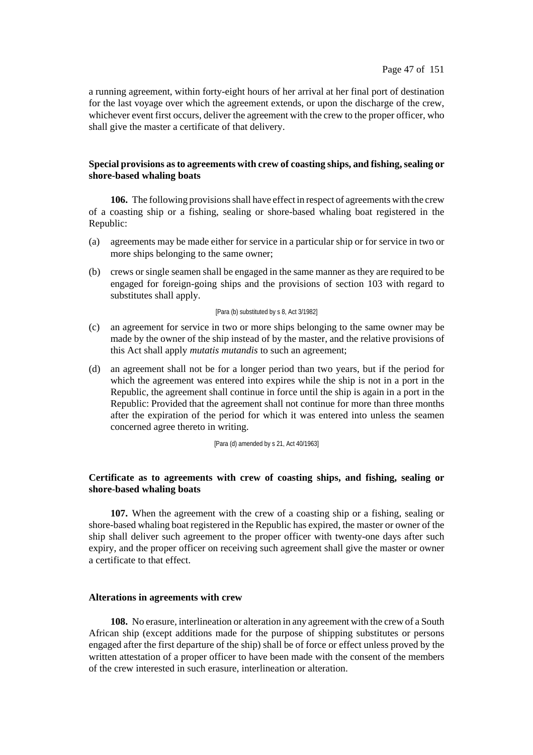a running agreement, within forty-eight hours of her arrival at her final port of destination for the last voyage over which the agreement extends, or upon the discharge of the crew, whichever event first occurs, deliver the agreement with the crew to the proper officer, who shall give the master a certificate of that delivery.

# **Special provisions asto agreements with crew of coasting ships, and fishing,sealing or shore-based whaling boats**

**106.** The following provisionsshall have effect in respect of agreements with the crew of a coasting ship or a fishing, sealing or shore-based whaling boat registered in the Republic:

- (a) agreements may be made either for service in a particular ship or for service in two or more ships belonging to the same owner;
- (b) crews or single seamen shall be engaged in the same manner as they are required to be engaged for foreign-going ships and the provisions of section 103 with regard to substitutes shall apply.

#### [Para (b) substituted by s 8, Act 3/1982]

- (c) an agreement for service in two or more ships belonging to the same owner may be made by the owner of the ship instead of by the master, and the relative provisions of this Act shall apply *mutatis mutandis* to such an agreement;
- (d) an agreement shall not be for a longer period than two years, but if the period for which the agreement was entered into expires while the ship is not in a port in the Republic, the agreement shall continue in force until the ship is again in a port in the Republic: Provided that the agreement shall not continue for more than three months after the expiration of the period for which it was entered into unless the seamen concerned agree thereto in writing.

[Para (d) amended by s 21, Act 40/1963]

# **Certificate as to agreements with crew of coasting ships, and fishing, sealing or shore-based whaling boats**

**107.** When the agreement with the crew of a coasting ship or a fishing, sealing or shore-based whaling boat registered in the Republic has expired, the master or owner of the ship shall deliver such agreement to the proper officer with twenty-one days after such expiry, and the proper officer on receiving such agreement shall give the master or owner a certificate to that effect.

## **Alterations in agreements with crew**

**108.** No erasure, interlineation or alteration in any agreement with the crew of a South African ship (except additions made for the purpose of shipping substitutes or persons engaged after the first departure of the ship) shall be of force or effect unless proved by the written attestation of a proper officer to have been made with the consent of the members of the crew interested in such erasure, interlineation or alteration.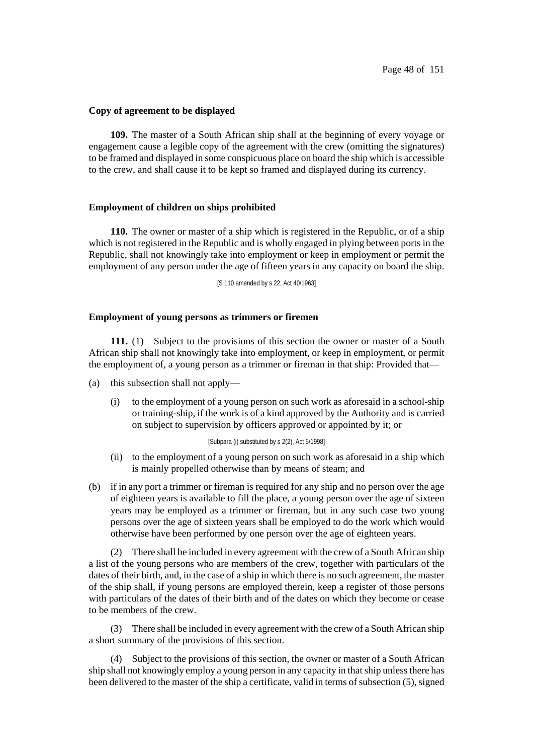#### **Copy of agreement to be displayed**

**109.** The master of a South African ship shall at the beginning of every voyage or engagement cause a legible copy of the agreement with the crew (omitting the signatures) to be framed and displayed in some conspicuous place on board the ship which is accessible to the crew, and shall cause it to be kept so framed and displayed during its currency.

#### **Employment of children on ships prohibited**

**110.** The owner or master of a ship which is registered in the Republic, or of a ship which is not registered in the Republic and is wholly engaged in plying between ports in the Republic, shall not knowingly take into employment or keep in employment or permit the employment of any person under the age of fifteen years in any capacity on board the ship.

[S 110 amended by s 22, Act 40/1963]

## **Employment of young persons as trimmers or firemen**

**111.** (1) Subject to the provisions of this section the owner or master of a South African ship shall not knowingly take into employment, or keep in employment, or permit the employment of, a young person as a trimmer or fireman in that ship: Provided that—

- (a) this subsection shall not apply—
	- (i) to the employment of a young person on such work as aforesaid in a school-ship or training-ship, if the work is of a kind approved by the Authority and is carried on subject to supervision by officers approved or appointed by it; or

#### [Subpara (i) substituted by s 2(2), Act 5/1998]

- (ii) to the employment of a young person on such work as aforesaid in a ship which is mainly propelled otherwise than by means of steam; and
- (b) if in any port a trimmer or fireman is required for any ship and no person over the age of eighteen years is available to fill the place, a young person over the age of sixteen years may be employed as a trimmer or fireman, but in any such case two young persons over the age of sixteen years shall be employed to do the work which would otherwise have been performed by one person over the age of eighteen years.

(2) There shall be included in every agreement with the crew of a South African ship a list of the young persons who are members of the crew, together with particulars of the dates of their birth, and, in the case of a ship in which there is no such agreement, the master of the ship shall, if young persons are employed therein, keep a register of those persons with particulars of the dates of their birth and of the dates on which they become or cease to be members of the crew.

(3) There shall be included in every agreement with the crew of a South African ship a short summary of the provisions of this section.

(4) Subject to the provisions of this section, the owner or master of a South African ship shall not knowingly employ a young person in any capacity in that ship unless there has been delivered to the master of the ship a certificate, valid in terms of subsection (5), signed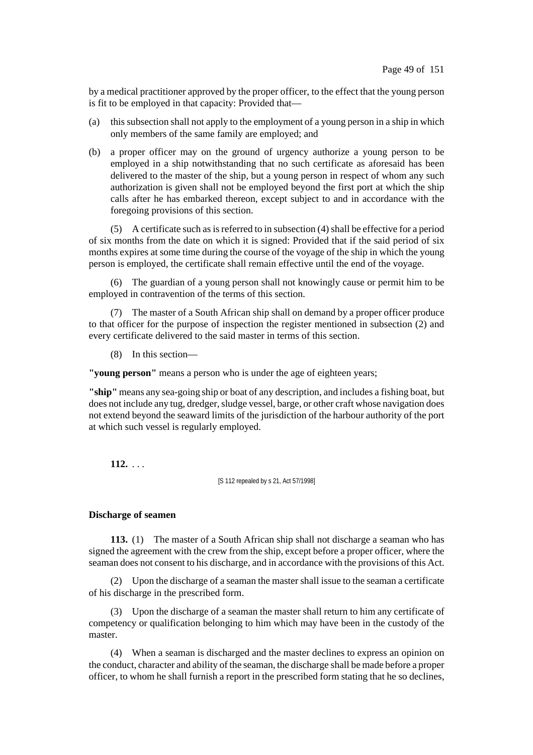by a medical practitioner approved by the proper officer, to the effect that the young person is fit to be employed in that capacity: Provided that—

- (a) this subsection shall not apply to the employment of a young person in a ship in which only members of the same family are employed; and
- (b) a proper officer may on the ground of urgency authorize a young person to be employed in a ship notwithstanding that no such certificate as aforesaid has been delivered to the master of the ship, but a young person in respect of whom any such authorization is given shall not be employed beyond the first port at which the ship calls after he has embarked thereon, except subject to and in accordance with the foregoing provisions of this section.

 $(5)$  A certificate such as is referred to in subsection  $(4)$  shall be effective for a period of six months from the date on which it is signed: Provided that if the said period of six months expires at some time during the course of the voyage of the ship in which the young person is employed, the certificate shall remain effective until the end of the voyage.

(6) The guardian of a young person shall not knowingly cause or permit him to be employed in contravention of the terms of this section.

(7) The master of a South African ship shall on demand by a proper officer produce to that officer for the purpose of inspection the register mentioned in subsection (2) and every certificate delivered to the said master in terms of this section.

(8) In this section—

**"young person"** means a person who is under the age of eighteen years;

**"ship"** means any sea-going ship or boat of any description, and includes a fishing boat, but does not include any tug, dredger, sludge vessel, barge, or other craft whose navigation does not extend beyond the seaward limits of the jurisdiction of the harbour authority of the port at which such vessel is regularly employed.

**112.** . . .

[S 112 repealed by s 21, Act 57/1998]

# **Discharge of seamen**

**113.** (1) The master of a South African ship shall not discharge a seaman who has signed the agreement with the crew from the ship, except before a proper officer, where the seaman does not consent to his discharge, and in accordance with the provisions of this Act.

(2) Upon the discharge of a seaman the master shall issue to the seaman a certificate of his discharge in the prescribed form.

(3) Upon the discharge of a seaman the master shall return to him any certificate of competency or qualification belonging to him which may have been in the custody of the master.

(4) When a seaman is discharged and the master declines to express an opinion on the conduct, character and ability of the seaman, the discharge shall be made before a proper officer, to whom he shall furnish a report in the prescribed form stating that he so declines,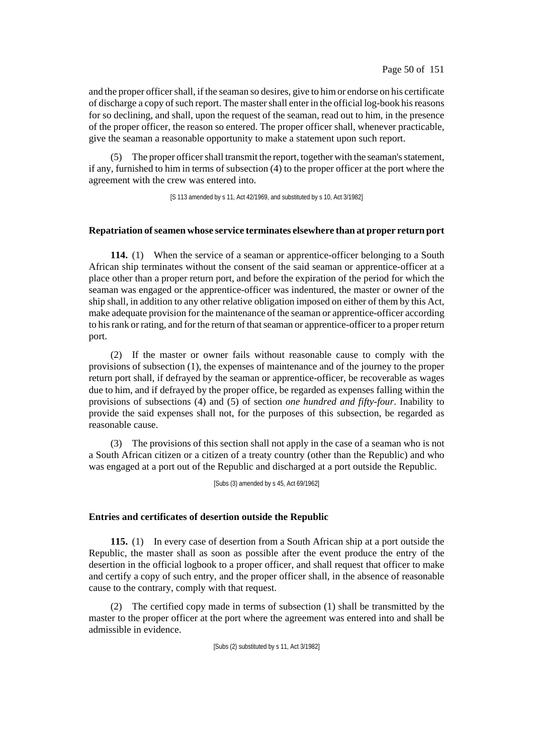and the proper officer shall, if the seaman so desires, give to him or endorse on his certificate of discharge a copy of such report. The master shall enter in the official log-book his reasons for so declining, and shall, upon the request of the seaman, read out to him, in the presence of the proper officer, the reason so entered. The proper officer shall, whenever practicable, give the seaman a reasonable opportunity to make a statement upon such report.

The proper officer shall transmit the report, together with the seaman's statement, if any, furnished to him in terms of subsection (4) to the proper officer at the port where the agreement with the crew was entered into.

[S 113 amended by s 11, Act 42/1969, and substituted by s 10, Act 3/1982]

### **Repatriation ofseamen whose service terminates elsewhere than at proper return port**

**114.** (1) When the service of a seaman or apprentice-officer belonging to a South African ship terminates without the consent of the said seaman or apprentice-officer at a place other than a proper return port, and before the expiration of the period for which the seaman was engaged or the apprentice-officer was indentured, the master or owner of the ship shall, in addition to any other relative obligation imposed on either of them by this Act, make adequate provision for the maintenance of the seaman or apprentice-officer according to his rank or rating, and for the return of that seaman or apprentice-officer to a proper return port.

(2) If the master or owner fails without reasonable cause to comply with the provisions of subsection (1), the expenses of maintenance and of the journey to the proper return port shall, if defrayed by the seaman or apprentice-officer, be recoverable as wages due to him, and if defrayed by the proper office, be regarded as expenses falling within the provisions of subsections (4) and (5) of section *one hundred and fifty-four*. Inability to provide the said expenses shall not, for the purposes of this subsection, be regarded as reasonable cause.

(3) The provisions of this section shall not apply in the case of a seaman who is not a South African citizen or a citizen of a treaty country (other than the Republic) and who was engaged at a port out of the Republic and discharged at a port outside the Republic.

[Subs (3) amended by s 45, Act 69/1962]

### **Entries and certificates of desertion outside the Republic**

**115.** (1) In every case of desertion from a South African ship at a port outside the Republic, the master shall as soon as possible after the event produce the entry of the desertion in the official logbook to a proper officer, and shall request that officer to make and certify a copy of such entry, and the proper officer shall, in the absence of reasonable cause to the contrary, comply with that request.

(2) The certified copy made in terms of subsection (1) shall be transmitted by the master to the proper officer at the port where the agreement was entered into and shall be admissible in evidence.

[Subs (2) substituted by s 11, Act 3/1982]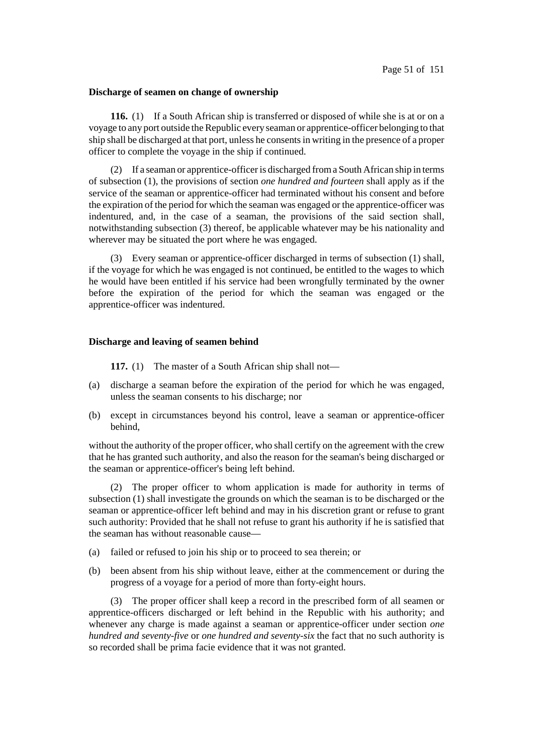#### **Discharge of seamen on change of ownership**

**116.** (1) If a South African ship is transferred or disposed of while she is at or on a voyage to any port outside theRepublic every seaman or apprentice-officer belonging to that ship shall be discharged at that port, unless he consentsin writing in the presence of a proper officer to complete the voyage in the ship if continued.

(2) If a seaman or apprentice-officeris discharged froma South African ship in terms of subsection (1), the provisions of section *one hundred and fourteen* shall apply as if the service of the seaman or apprentice-officer had terminated without his consent and before the expiration of the period for which the seaman was engaged or the apprentice-officer was indentured, and, in the case of a seaman, the provisions of the said section shall, notwithstanding subsection (3) thereof, be applicable whatever may be his nationality and wherever may be situated the port where he was engaged.

(3) Every seaman or apprentice-officer discharged in terms of subsection (1) shall, if the voyage for which he was engaged is not continued, be entitled to the wages to which he would have been entitled if his service had been wrongfully terminated by the owner before the expiration of the period for which the seaman was engaged or the apprentice-officer was indentured.

#### **Discharge and leaving of seamen behind**

**117.** (1) The master of a South African ship shall not—

- (a) discharge a seaman before the expiration of the period for which he was engaged, unless the seaman consents to his discharge; nor
- (b) except in circumstances beyond his control, leave a seaman or apprentice-officer behind,

without the authority of the proper officer, who shall certify on the agreement with the crew that he has granted such authority, and also the reason for the seaman's being discharged or the seaman or apprentice-officer's being left behind.

(2) The proper officer to whom application is made for authority in terms of subsection (1) shall investigate the grounds on which the seaman is to be discharged or the seaman or apprentice-officer left behind and may in his discretion grant or refuse to grant such authority: Provided that he shall not refuse to grant his authority if he is satisfied that the seaman has without reasonable cause—

- (a) failed or refused to join his ship or to proceed to sea therein; or
- (b) been absent from his ship without leave, either at the commencement or during the progress of a voyage for a period of more than forty-eight hours.

(3) The proper officer shall keep a record in the prescribed form of all seamen or apprentice-officers discharged or left behind in the Republic with his authority; and whenever any charge is made against a seaman or apprentice-officer under section *one hundred and seventy-five* or *one hundred and seventy-six* the fact that no such authority is so recorded shall be prima facie evidence that it was not granted.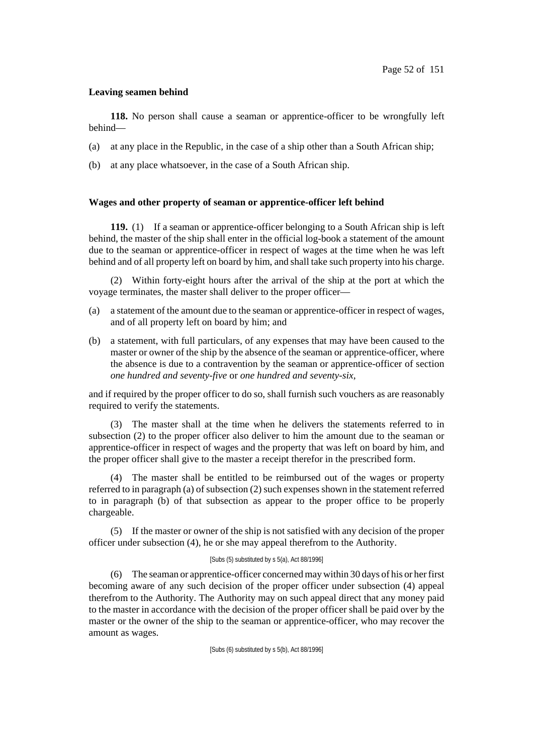# **Leaving seamen behind**

**118.** No person shall cause a seaman or apprentice-officer to be wrongfully left behind—

- (a) at any place in the Republic, in the case of a ship other than a South African ship;
- (b) at any place whatsoever, in the case of a South African ship.

## **Wages and other property of seaman or apprentice-officer left behind**

**119.** (1) If a seaman or apprentice-officer belonging to a South African ship is left behind, the master of the ship shall enter in the official log-book a statement of the amount due to the seaman or apprentice-officer in respect of wages at the time when he was left behind and of all property left on board by him, and shall take such property into his charge.

(2) Within forty-eight hours after the arrival of the ship at the port at which the voyage terminates, the master shall deliver to the proper officer—

- (a) a statement of the amount due to the seaman or apprentice-officer in respect of wages, and of all property left on board by him; and
- (b) a statement, with full particulars, of any expenses that may have been caused to the master or owner of the ship by the absence of the seaman or apprentice-officer, where the absence is due to a contravention by the seaman or apprentice-officer of section *one hundred and seventy-five* or *one hundred and seventy-six*,

and if required by the proper officer to do so, shall furnish such vouchers as are reasonably required to verify the statements.

(3) The master shall at the time when he delivers the statements referred to in subsection (2) to the proper officer also deliver to him the amount due to the seaman or apprentice-officer in respect of wages and the property that was left on board by him, and the proper officer shall give to the master a receipt therefor in the prescribed form.

(4) The master shall be entitled to be reimbursed out of the wages or property referred to in paragraph (a) of subsection (2) such expenses shown in the statement referred to in paragraph (b) of that subsection as appear to the proper office to be properly chargeable.

(5) If the master or owner of the ship is not satisfied with any decision of the proper officer under subsection (4), he or she may appeal therefrom to the Authority.

### [Subs (5) substituted by s 5(a), Act 88/1996]

(6) The seaman or apprentice-officer concerned may within 30 days of his or herfirst becoming aware of any such decision of the proper officer under subsection (4) appeal therefrom to the Authority. The Authority may on such appeal direct that any money paid to the master in accordance with the decision of the proper officer shall be paid over by the master or the owner of the ship to the seaman or apprentice-officer, who may recover the amount as wages.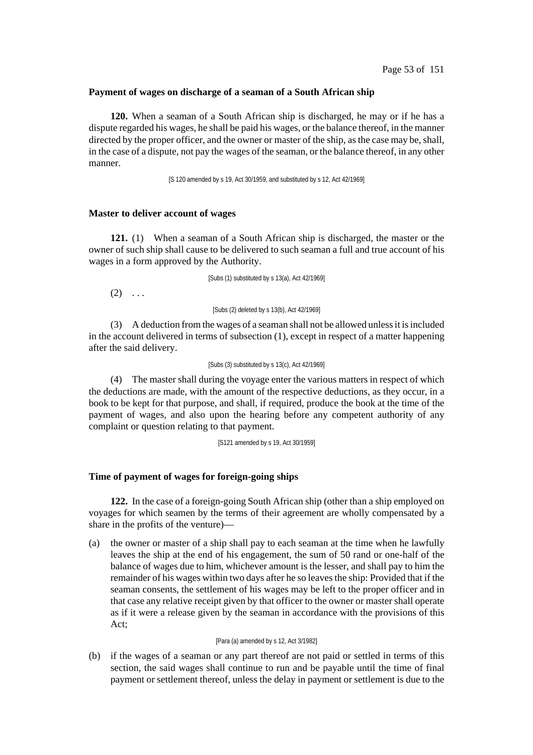#### **Payment of wages on discharge of a seaman of a South African ship**

**120.** When a seaman of a South African ship is discharged, he may or if he has a dispute regarded his wages, he shall be paid his wages, or the balance thereof, in the manner directed by the proper officer, and the owner or master of the ship, as the case may be, shall, in the case of a dispute, not pay the wages of the seaman, or the balance thereof, in any other manner.

[S 120 amended by s 19, Act 30/1959, and substituted by s 12, Act 42/1969]

#### **Master to deliver account of wages**

**121.** (1) When a seaman of a South African ship is discharged, the master or the owner of such ship shall cause to be delivered to such seaman a full and true account of his wages in a form approved by the Authority.

[Subs (1) substituted by s 13(a), Act 42/1969]

 $(2) \ldots$ 

[Subs (2) deleted by s 13(b), Act 42/1969]

(3) A deduction fromthe wages of a seaman shall not be allowed unlessit isincluded in the account delivered in terms of subsection (1), except in respect of a matter happening after the said delivery.

#### [Subs (3) substituted by s 13(c), Act 42/1969]

(4) The master shall during the voyage enter the various matters in respect of which the deductions are made, with the amount of the respective deductions, as they occur, in a book to be kept for that purpose, and shall, if required, produce the book at the time of the payment of wages, and also upon the hearing before any competent authority of any complaint or question relating to that payment.

[S121 amended by s 19, Act 30/1959]

#### **Time of payment of wages for foreign-going ships**

**122.** In the case of a foreign-going South African ship (other than a ship employed on voyages for which seamen by the terms of their agreement are wholly compensated by a share in the profits of the venture)—

(a) the owner or master of a ship shall pay to each seaman at the time when he lawfully leaves the ship at the end of his engagement, the sum of 50 rand or one-half of the balance of wages due to him, whichever amount is the lesser, and shall pay to him the remainder of his wages within two days after he so leavesthe ship: Provided that if the seaman consents, the settlement of his wages may be left to the proper officer and in that case any relative receipt given by that officer to the owner or master shall operate as if it were a release given by the seaman in accordance with the provisions of this Act;

#### [Para (a) amended by s 12, Act 3/1982]

(b) if the wages of a seaman or any part thereof are not paid or settled in terms of this section, the said wages shall continue to run and be payable until the time of final payment or settlement thereof, unless the delay in payment or settlement is due to the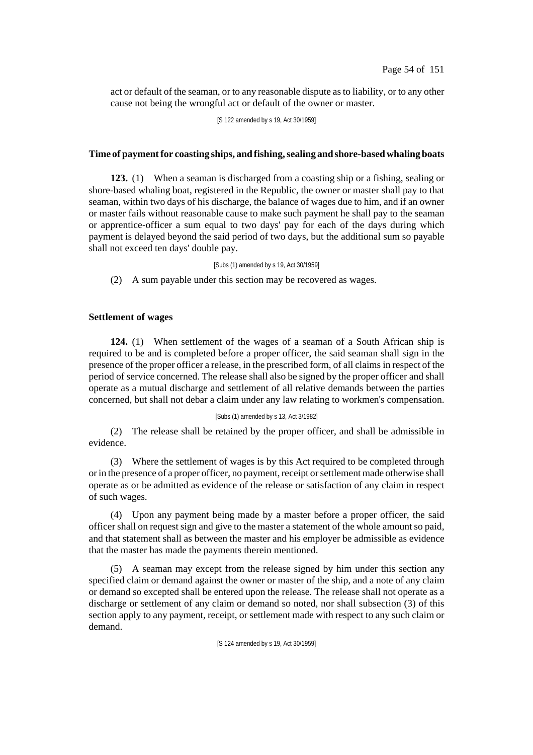act or default of the seaman, or to any reasonable dispute asto liability, or to any other cause not being the wrongful act or default of the owner or master.

[S 122 amended by s 19, Act 30/1959]

## **Time of paymentfor coasting ships, and fishing,sealing and shore-basedwhaling boats**

**123.** (1) When a seaman is discharged from a coasting ship or a fishing, sealing or shore-based whaling boat, registered in the Republic, the owner or master shall pay to that seaman, within two days of his discharge, the balance of wages due to him, and if an owner or master fails without reasonable cause to make such payment he shall pay to the seaman or apprentice-officer a sum equal to two days' pay for each of the days during which payment is delayed beyond the said period of two days, but the additional sum so payable shall not exceed ten days' double pay.

[Subs (1) amended by s 19, Act 30/1959]

(2) A sum payable under this section may be recovered as wages.

## **Settlement of wages**

**124.** (1) When settlement of the wages of a seaman of a South African ship is required to be and is completed before a proper officer, the said seaman shall sign in the presence of the proper officer a release, in the prescribed form, of all claims in respect of the period of service concerned. The release shall also be signed by the proper officer and shall operate as a mutual discharge and settlement of all relative demands between the parties concerned, but shall not debar a claim under any law relating to workmen's compensation.

### [Subs (1) amended by s 13, Act 3/1982]

(2) The release shall be retained by the proper officer, and shall be admissible in evidence.

(3) Where the settlement of wages is by this Act required to be completed through or in the presence of a proper officer, no payment, receipt or settlement made otherwise shall operate as or be admitted as evidence of the release or satisfaction of any claim in respect of such wages.

(4) Upon any payment being made by a master before a proper officer, the said officer shall on request sign and give to the master a statement of the whole amountso paid, and that statement shall as between the master and his employer be admissible as evidence that the master has made the payments therein mentioned.

(5) A seaman may except from the release signed by him under this section any specified claim or demand against the owner or master of the ship, and a note of any claim or demand so excepted shall be entered upon the release. The release shall not operate as a discharge or settlement of any claim or demand so noted, nor shall subsection (3) of this section apply to any payment, receipt, or settlement made with respect to any such claim or demand.

[S 124 amended by s 19, Act 30/1959]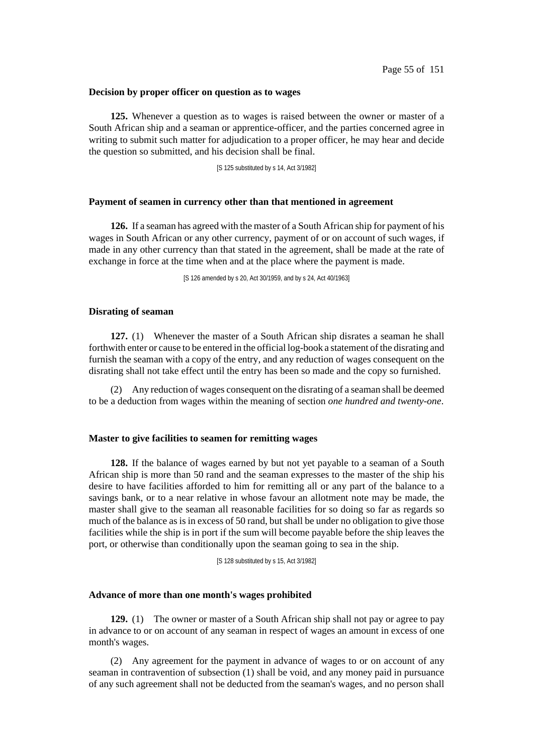#### **Decision by proper officer on question as to wages**

**125.** Whenever a question as to wages is raised between the owner or master of a South African ship and a seaman or apprentice-officer, and the parties concerned agree in writing to submit such matter for adjudication to a proper officer, he may hear and decide the question so submitted, and his decision shall be final.

[S 125 substituted by s 14, Act 3/1982]

## **Payment of seamen in currency other than that mentioned in agreement**

**126.** If a seaman has agreed with the master of a South African ship for payment of his wages in South African or any other currency, payment of or on account of such wages, if made in any other currency than that stated in the agreement, shall be made at the rate of exchange in force at the time when and at the place where the payment is made.

[S 126 amended by s 20, Act 30/1959, and by s 24, Act 40/1963]

#### **Disrating of seaman**

**127.** (1) Whenever the master of a South African ship disrates a seaman he shall forthwith enter or cause to be entered in the official log-book a statement of the disrating and furnish the seaman with a copy of the entry, and any reduction of wages consequent on the disrating shall not take effect until the entry has been so made and the copy so furnished.

(2) Any reduction of wages consequent on the disrating of a seaman shall be deemed to be a deduction from wages within the meaning of section *one hundred and twenty-one*.

# **Master to give facilities to seamen for remitting wages**

**128.** If the balance of wages earned by but not yet payable to a seaman of a South African ship is more than 50 rand and the seaman expresses to the master of the ship his desire to have facilities afforded to him for remitting all or any part of the balance to a savings bank, or to a near relative in whose favour an allotment note may be made, the master shall give to the seaman all reasonable facilities for so doing so far as regards so much of the balance as is in excess of 50 rand, but shall be under no obligation to give those facilities while the ship is in port if the sum will become payable before the ship leaves the port, or otherwise than conditionally upon the seaman going to sea in the ship.

[S 128 substituted by s 15, Act 3/1982]

#### **Advance of more than one month's wages prohibited**

**129.** (1) The owner or master of a South African ship shall not pay or agree to pay in advance to or on account of any seaman in respect of wages an amount in excess of one month's wages.

(2) Any agreement for the payment in advance of wages to or on account of any seaman in contravention of subsection (1) shall be void, and any money paid in pursuance of any such agreement shall not be deducted from the seaman's wages, and no person shall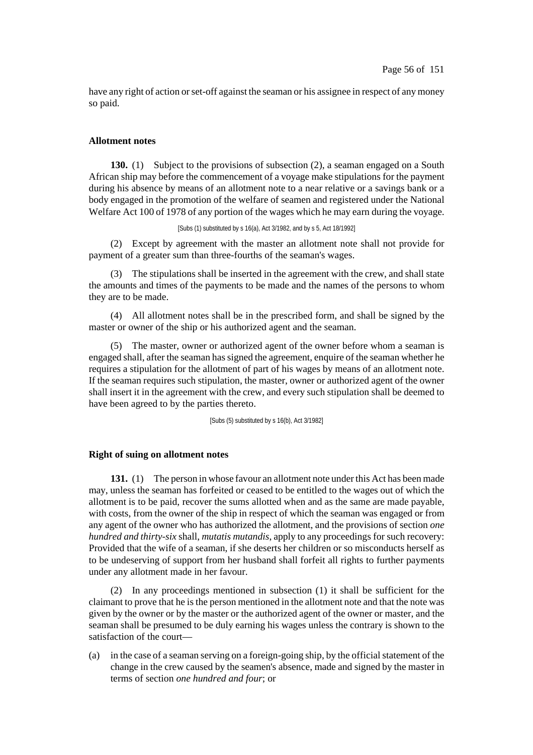have any right of action or set-off against the seaman or his assignee in respect of any money so paid.

## **Allotment notes**

**130.** (1) Subject to the provisions of subsection (2), a seaman engaged on a South African ship may before the commencement of a voyage make stipulations for the payment during his absence by means of an allotment note to a near relative or a savings bank or a body engaged in the promotion of the welfare of seamen and registered under the National Welfare Act 100 of 1978 of any portion of the wages which he may earn during the voyage.

[Subs (1) substituted by s 16(a), Act 3/1982, and by s 5, Act 18/1992]

(2) Except by agreement with the master an allotment note shall not provide for payment of a greater sum than three-fourths of the seaman's wages.

(3) The stipulations shall be inserted in the agreement with the crew, and shall state the amounts and times of the payments to be made and the names of the persons to whom they are to be made.

(4) All allotment notes shall be in the prescribed form, and shall be signed by the master or owner of the ship or his authorized agent and the seaman.

(5) The master, owner or authorized agent of the owner before whom a seaman is engaged shall, after the seaman hassigned the agreement, enquire of the seaman whether he requires a stipulation for the allotment of part of his wages by means of an allotment note. If the seaman requires such stipulation, the master, owner or authorized agent of the owner shall insert it in the agreement with the crew, and every such stipulation shall be deemed to have been agreed to by the parties thereto.

[Subs (5) substituted by s 16(b), Act 3/1982]

## **Right of suing on allotment notes**

**131.** (1) The person in whose favour an allotment note under this Act has been made may, unless the seaman has forfeited or ceased to be entitled to the wages out of which the allotment is to be paid, recover the sums allotted when and as the same are made payable, with costs, from the owner of the ship in respect of which the seaman was engaged or from any agent of the owner who has authorized the allotment, and the provisions of section *one hundred and thirty-six* shall, *mutatis mutandis*, apply to any proceedings for such recovery: Provided that the wife of a seaman, if she deserts her children or so misconducts herself as to be undeserving of support from her husband shall forfeit all rights to further payments under any allotment made in her favour.

(2) In any proceedings mentioned in subsection (1) it shall be sufficient for the claimant to prove that he is the person mentioned in the allotment note and that the note was given by the owner or by the master or the authorized agent of the owner or master, and the seaman shall be presumed to be duly earning his wages unless the contrary is shown to the satisfaction of the court—

(a) in the case of a seaman serving on a foreign-going ship, by the official statement of the change in the crew caused by the seamen's absence, made and signed by the master in terms of section *one hundred and four*; or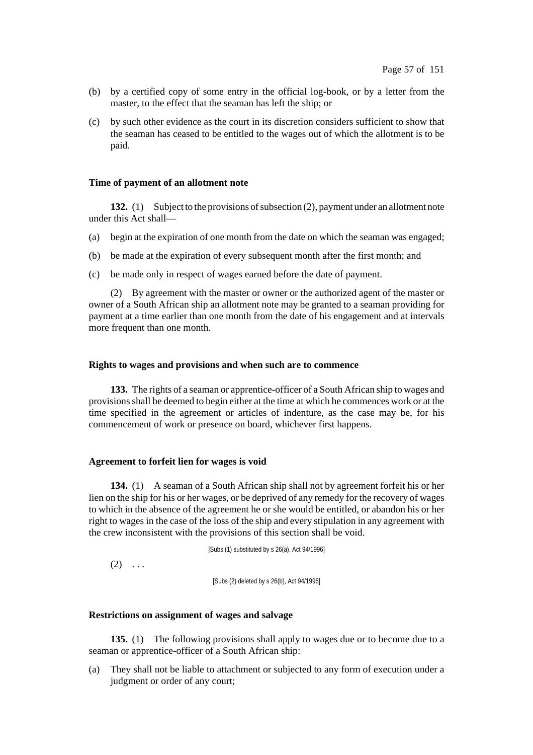- (b) by a certified copy of some entry in the official log-book, or by a letter from the master, to the effect that the seaman has left the ship; or
- (c) by such other evidence as the court in its discretion considers sufficient to show that the seaman has ceased to be entitled to the wages out of which the allotment is to be paid.

### **Time of payment of an allotment note**

**132.** (1) Subject to the provisions of subsection (2), payment under an allotment note under this Act shall—

- (a) begin at the expiration of one month from the date on which the seaman was engaged;
- (b) be made at the expiration of every subsequent month after the first month; and
- (c) be made only in respect of wages earned before the date of payment.

(2) By agreement with the master or owner or the authorized agent of the master or owner of a South African ship an allotment note may be granted to a seaman providing for payment at a time earlier than one month from the date of his engagement and at intervals more frequent than one month.

### **Rights to wages and provisions and when such are to commence**

**133.** The rights of a seaman or apprentice-officer of a South African ship to wages and provisionsshall be deemed to begin either at the time at which he commences work or at the time specified in the agreement or articles of indenture, as the case may be, for his commencement of work or presence on board, whichever first happens.

### **Agreement to forfeit lien for wages is void**

**134.** (1) A seaman of a South African ship shall not by agreement forfeit his or her lien on the ship for his or her wages, or be deprived of any remedy for the recovery of wages to which in the absence of the agreement he or she would be entitled, or abandon his or her right to wages in the case of the loss of the ship and every stipulation in any agreement with the crew inconsistent with the provisions of this section shall be void.

[Subs (1) substituted by s 26(a), Act 94/1996]

 $(2) \ldots$ 

[Subs (2) deleted by s 26(b), Act 94/1996]

## **Restrictions on assignment of wages and salvage**

**135.** (1) The following provisions shall apply to wages due or to become due to a seaman or apprentice-officer of a South African ship:

(a) They shall not be liable to attachment or subjected to any form of execution under a judgment or order of any court;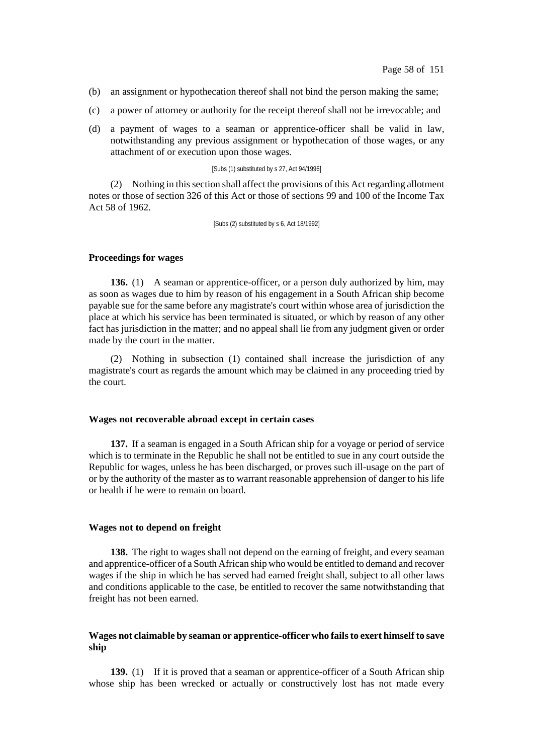- (b) an assignment or hypothecation thereof shall not bind the person making the same;
- (c) a power of attorney or authority for the receipt thereof shall not be irrevocable; and
- (d) a payment of wages to a seaman or apprentice-officer shall be valid in law, notwithstanding any previous assignment or hypothecation of those wages, or any attachment of or execution upon those wages.

#### [Subs (1) substituted by s 27, Act 94/1996]

(2) Nothing in thissection shall affect the provisions of this Act regarding allotment notes or those of section 326 of this Act or those of sections 99 and 100 of the Income Tax Act 58 of 1962.

[Subs (2) substituted by s 6, Act 18/1992]

#### **Proceedings for wages**

**136.** (1) A seaman or apprentice-officer, or a person duly authorized by him, may as soon as wages due to him by reason of his engagement in a South African ship become payable sue for the same before any magistrate's court within whose area of jurisdiction the place at which his service has been terminated is situated, or which by reason of any other fact has jurisdiction in the matter; and no appeal shall lie from any judgment given or order made by the court in the matter.

(2) Nothing in subsection (1) contained shall increase the jurisdiction of any magistrate's court as regards the amount which may be claimed in any proceeding tried by the court.

#### **Wages not recoverable abroad except in certain cases**

**137.** If a seaman is engaged in a South African ship for a voyage or period of service which is to terminate in the Republic he shall not be entitled to sue in any court outside the Republic for wages, unless he has been discharged, or proves such ill-usage on the part of or by the authority of the master as to warrant reasonable apprehension of danger to his life or health if he were to remain on board.

#### **Wages not to depend on freight**

**138.** The right to wages shall not depend on the earning of freight, and every seaman and apprentice-officer of a South African ship who would be entitled to demand and recover wages if the ship in which he has served had earned freight shall, subject to all other laws and conditions applicable to the case, be entitled to recover the same notwithstanding that freight has not been earned.

## **Wages not claimable by seaman or apprentice-officer who failsto exert himself to save ship**

**139.** (1) If it is proved that a seaman or apprentice-officer of a South African ship whose ship has been wrecked or actually or constructively lost has not made every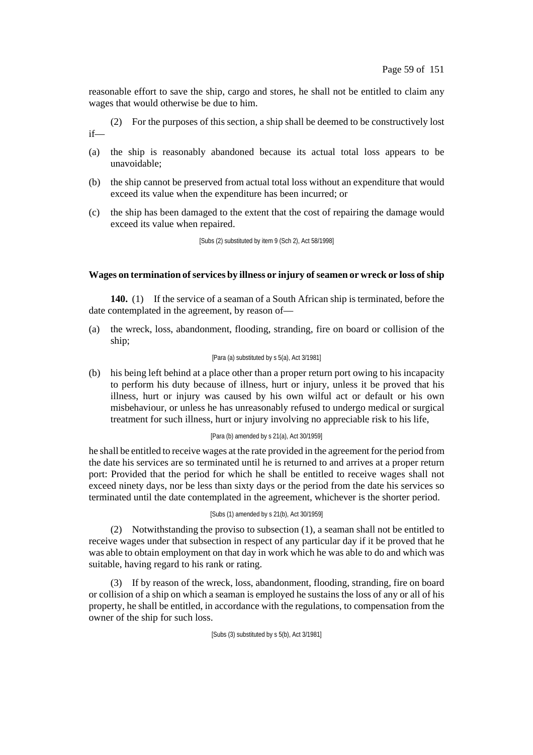reasonable effort to save the ship, cargo and stores, he shall not be entitled to claim any wages that would otherwise be due to him.

(2) For the purposes of this section, a ship shall be deemed to be constructively lost if—

- (a) the ship is reasonably abandoned because its actual total loss appears to be unavoidable;
- (b) the ship cannot be preserved from actual total loss without an expenditure that would exceed its value when the expenditure has been incurred; or
- (c) the ship has been damaged to the extent that the cost of repairing the damage would exceed its value when repaired.

[Subs (2) substituted by item 9 (Sch 2), Act 58/1998]

## **Wages on termination ofservices by illness or injury ofseamen or wreck or loss ofship**

**140.** (1) If the service of a seaman of a South African ship is terminated, before the date contemplated in the agreement, by reason of—

(a) the wreck, loss, abandonment, flooding, stranding, fire on board or collision of the ship;

### [Para (a) substituted by s 5(a), Act 3/1981]

(b) his being left behind at a place other than a proper return port owing to his incapacity to perform his duty because of illness, hurt or injury, unless it be proved that his illness, hurt or injury was caused by his own wilful act or default or his own misbehaviour, or unless he has unreasonably refused to undergo medical or surgical treatment for such illness, hurt or injury involving no appreciable risk to his life,

### [Para (b) amended by s 21(a), Act 30/1959]

he shall be entitled to receive wages at the rate provided in the agreement for the period from the date his services are so terminated until he is returned to and arrives at a proper return port: Provided that the period for which he shall be entitled to receive wages shall not exceed ninety days, nor be less than sixty days or the period from the date his services so terminated until the date contemplated in the agreement, whichever is the shorter period.

#### [Subs (1) amended by s 21(b), Act 30/1959]

(2) Notwithstanding the proviso to subsection (1), a seaman shall not be entitled to receive wages under that subsection in respect of any particular day if it be proved that he was able to obtain employment on that day in work which he was able to do and which was suitable, having regard to his rank or rating.

(3) If by reason of the wreck, loss, abandonment, flooding, stranding, fire on board or collision of a ship on which a seaman is employed he sustains the loss of any or all of his property, he shall be entitled, in accordance with the regulations, to compensation from the owner of the ship for such loss.

[Subs (3) substituted by s 5(b), Act 3/1981]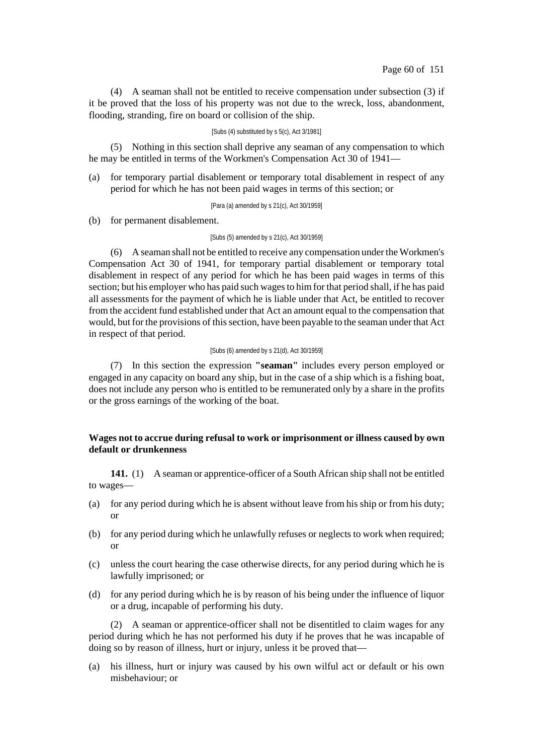(4) A seaman shall not be entitled to receive compensation under subsection (3) if it be proved that the loss of his property was not due to the wreck, loss, abandonment, flooding, stranding, fire on board or collision of the ship.

### [Subs (4) substituted by s 5(c), Act 3/1981]

(5) Nothing in this section shall deprive any seaman of any compensation to which he may be entitled in terms of the Workmen's Compensation Act 30 of 1941—

(a) for temporary partial disablement or temporary total disablement in respect of any period for which he has not been paid wages in terms of this section; or

[Para (a) amended by s 21(c), Act 30/1959]

(b) for permanent disablement.

#### [Subs (5) amended by s 21(c), Act 30/1959]

(6) A seaman shall not be entitled to receive any compensation underthe Workmen's Compensation Act 30 of 1941, for temporary partial disablement or temporary total disablement in respect of any period for which he has been paid wages in terms of this section; but his employer who has paid such wages to him for that period shall, if he has paid all assessments for the payment of which he is liable under that Act, be entitled to recover from the accident fund established under that Act an amount equal to the compensation that would, but for the provisions of this section, have been payable to the seaman under that Act in respect of that period.

### [Subs (6) amended by s 21(d), Act 30/1959]

(7) In this section the expression **"seaman"** includes every person employed or engaged in any capacity on board any ship, but in the case of a ship which is a fishing boat, does not include any person who is entitled to be remunerated only by a share in the profits or the gross earnings of the working of the boat.

# **Wages not to accrue during refusal to work or imprisonment or illness caused by own default or drunkenness**

**141.** (1) A seaman or apprentice-officer of a South African ship shall not be entitled to wages—

- (a) for any period during which he is absent without leave from his ship or from his duty; or
- (b) for any period during which he unlawfully refuses or neglects to work when required; or
- (c) unless the court hearing the case otherwise directs, for any period during which he is lawfully imprisoned; or
- (d) for any period during which he is by reason of his being under the influence of liquor or a drug, incapable of performing his duty.

(2) A seaman or apprentice-officer shall not be disentitled to claim wages for any period during which he has not performed his duty if he proves that he was incapable of doing so by reason of illness, hurt or injury, unless it be proved that—

(a) his illness, hurt or injury was caused by his own wilful act or default or his own misbehaviour; or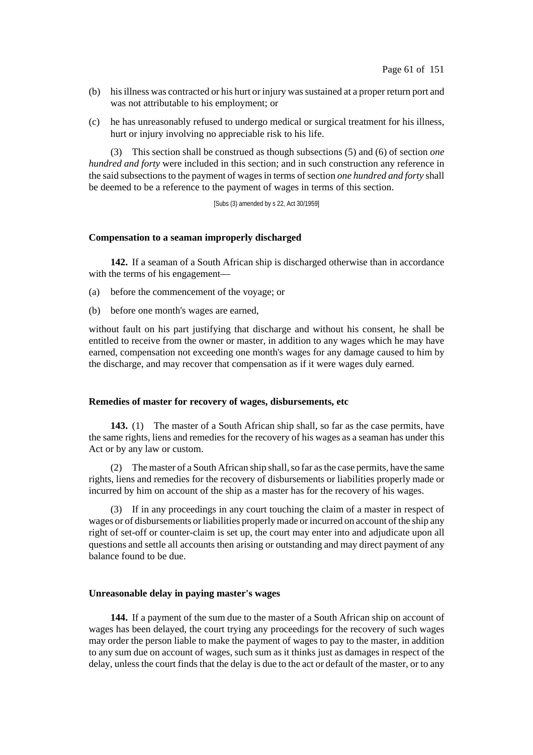- (b) his illness was contracted or his hurt or injury was sustained at a proper return port and was not attributable to his employment; or
- (c) he has unreasonably refused to undergo medical or surgical treatment for his illness, hurt or injury involving no appreciable risk to his life.

(3) This section shall be construed as though subsections (5) and (6) of section *one hundred and forty* were included in this section; and in such construction any reference in the said subsections to the payment of wages in terms of section *one hundred* and *forty* shall be deemed to be a reference to the payment of wages in terms of this section.

[Subs (3) amended by s 22, Act 30/1959]

### **Compensation to a seaman improperly discharged**

**142.** If a seaman of a South African ship is discharged otherwise than in accordance with the terms of his engagement—

- (a) before the commencement of the voyage; or
- (b) before one month's wages are earned,

without fault on his part justifying that discharge and without his consent, he shall be entitled to receive from the owner or master, in addition to any wages which he may have earned, compensation not exceeding one month's wages for any damage caused to him by the discharge, and may recover that compensation as if it were wages duly earned.

## **Remedies of master for recovery of wages, disbursements, etc**

**143.** (1) The master of a South African ship shall, so far as the case permits, have the same rights, liens and remedies for the recovery of his wages as a seaman has under this Act or by any law or custom.

(2) The master of a South African ship shall, so far as the case permits, have the same rights, liens and remedies for the recovery of disbursements or liabilities properly made or incurred by him on account of the ship as a master has for the recovery of his wages.

(3) If in any proceedings in any court touching the claim of a master in respect of wages or of disbursements or liabilities properly made or incurred on account of the ship any right of set-off or counter-claim is set up, the court may enter into and adjudicate upon all questions and settle all accounts then arising or outstanding and may direct payment of any balance found to be due.

#### **Unreasonable delay in paying master's wages**

**144.** If a payment of the sum due to the master of a South African ship on account of wages has been delayed, the court trying any proceedings for the recovery of such wages may order the person liable to make the payment of wages to pay to the master, in addition to any sum due on account of wages, such sum as it thinks just as damages in respect of the delay, unless the court finds that the delay is due to the act or default of the master, or to any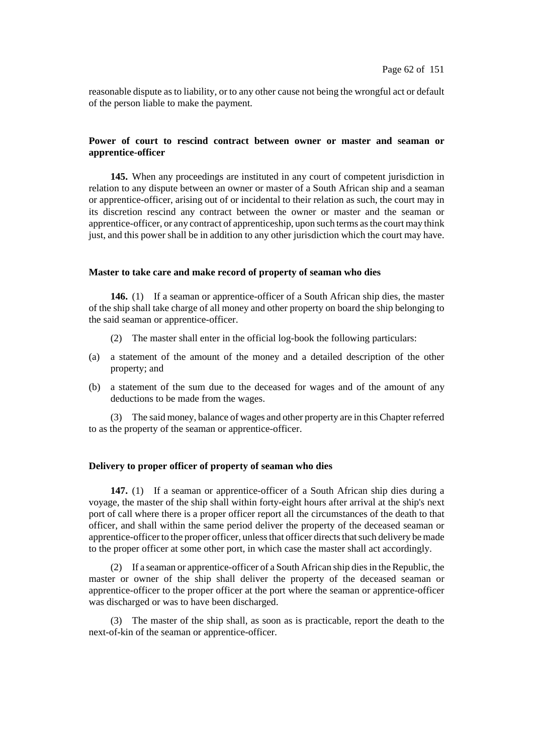reasonable dispute as to liability, or to any other cause not being the wrongful act or default of the person liable to make the payment.

# **Power of court to rescind contract between owner or master and seaman or apprentice-officer**

**145.** When any proceedings are instituted in any court of competent jurisdiction in relation to any dispute between an owner or master of a South African ship and a seaman or apprentice-officer, arising out of or incidental to their relation as such, the court may in its discretion rescind any contract between the owner or master and the seaman or apprentice-officer, or any contract of apprenticeship, upon such terms asthe court may think just, and this power shall be in addition to any other jurisdiction which the court may have.

## **Master to take care and make record of property of seaman who dies**

**146.** (1) If a seaman or apprentice-officer of a South African ship dies, the master of the ship shall take charge of all money and other property on board the ship belonging to the said seaman or apprentice-officer.

- (2) The master shall enter in the official log-book the following particulars:
- (a) a statement of the amount of the money and a detailed description of the other property; and
- (b) a statement of the sum due to the deceased for wages and of the amount of any deductions to be made from the wages.

(3) The said money, balance of wages and other property are in this Chapter referred to as the property of the seaman or apprentice-officer.

# **Delivery to proper officer of property of seaman who dies**

**147.** (1) If a seaman or apprentice-officer of a South African ship dies during a voyage, the master of the ship shall within forty-eight hours after arrival at the ship's next port of call where there is a proper officer report all the circumstances of the death to that officer, and shall within the same period deliver the property of the deceased seaman or apprentice-officer to the proper officer, unless that officer directs that such delivery be made to the proper officer at some other port, in which case the master shall act accordingly.

(2) If a seaman or apprentice-officer of a South African ship diesin theRepublic, the master or owner of the ship shall deliver the property of the deceased seaman or apprentice-officer to the proper officer at the port where the seaman or apprentice-officer was discharged or was to have been discharged.

(3) The master of the ship shall, as soon as is practicable, report the death to the next-of-kin of the seaman or apprentice-officer.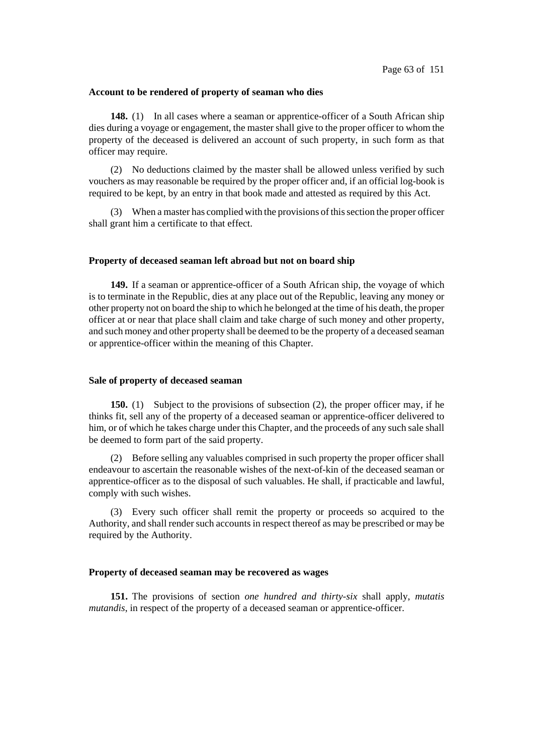#### **Account to be rendered of property of seaman who dies**

**148.** (1) In all cases where a seaman or apprentice-officer of a South African ship dies during a voyage or engagement, the master shall give to the proper officer to whom the property of the deceased is delivered an account of such property, in such form as that officer may require.

(2) No deductions claimed by the master shall be allowed unless verified by such vouchers as may reasonable be required by the proper officer and, if an official log-book is required to be kept, by an entry in that book made and attested as required by this Act.

(3) When a master has complied with the provisions ofthissection the proper officer shall grant him a certificate to that effect.

#### **Property of deceased seaman left abroad but not on board ship**

**149.** If a seaman or apprentice-officer of a South African ship, the voyage of which is to terminate in the Republic, dies at any place out of the Republic, leaving any money or other property not on board the ship to which he belonged at the time of his death, the proper officer at or near that place shall claim and take charge of such money and other property, and such money and other property shall be deemed to be the property of a deceased seaman or apprentice-officer within the meaning of this Chapter.

## **Sale of property of deceased seaman**

**150.** (1) Subject to the provisions of subsection (2), the proper officer may, if he thinks fit, sell any of the property of a deceased seaman or apprentice-officer delivered to him, or of which he takes charge under this Chapter, and the proceeds of any such sale shall be deemed to form part of the said property.

(2) Before selling any valuables comprised in such property the proper officer shall endeavour to ascertain the reasonable wishes of the next-of-kin of the deceased seaman or apprentice-officer as to the disposal of such valuables. He shall, if practicable and lawful, comply with such wishes.

(3) Every such officer shall remit the property or proceeds so acquired to the Authority, and shall render such accounts in respect thereof as may be prescribed or may be required by the Authority.

### **Property of deceased seaman may be recovered as wages**

**151.** The provisions of section *one hundred and thirty-six* shall apply, *mutatis mutandis*, in respect of the property of a deceased seaman or apprentice-officer.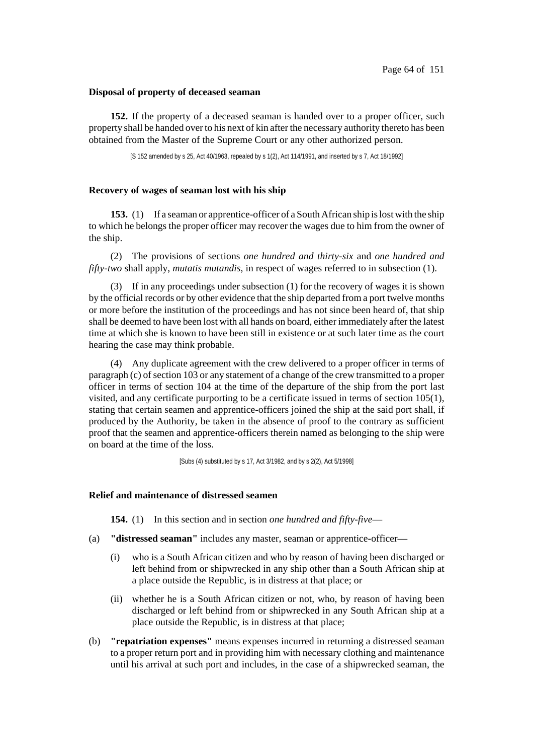### **Disposal of property of deceased seaman**

**152.** If the property of a deceased seaman is handed over to a proper officer, such property shall be handed over to his next of kin after the necessary authority thereto has been obtained from the Master of the Supreme Court or any other authorized person.

[S 152 amended by s 25, Act 40/1963, repealed by s 1(2), Act 114/1991, and inserted by s 7, Act 18/1992]

### **Recovery of wages of seaman lost with his ship**

**153.** (1) If a seaman or apprentice-officer of a South African ship is lost with the ship to which he belongs the proper officer may recover the wages due to him from the owner of the ship.

(2) The provisions of sections *one hundred and thirty-six* and *one hundred and fifty-two* shall apply, *mutatis mutandis*, in respect of wages referred to in subsection (1).

(3) If in any proceedings under subsection (1) for the recovery of wages it is shown by the official records or by other evidence that the ship departed from a port twelve months or more before the institution of the proceedings and has not since been heard of, that ship shall be deemed to have been lost with all hands on board, either immediately after the latest time at which she is known to have been still in existence or at such later time as the court hearing the case may think probable.

(4) Any duplicate agreement with the crew delivered to a proper officer in terms of paragraph (c) of section 103 or any statement of a change of the crew transmitted to a proper officer in terms of section 104 at the time of the departure of the ship from the port last visited, and any certificate purporting to be a certificate issued in terms of section 105(1), stating that certain seamen and apprentice-officers joined the ship at the said port shall, if produced by the Authority, be taken in the absence of proof to the contrary as sufficient proof that the seamen and apprentice-officers therein named as belonging to the ship were on board at the time of the loss.

[Subs (4) substituted by s 17, Act 3/1982, and by s 2(2), Act 5/1998]

## **Relief and maintenance of distressed seamen**

**154.** (1) In this section and in section *one hundred and fifty-five*—

- (a) **"distressed seaman"** includes any master, seaman or apprentice-officer—
	- (i) who is a South African citizen and who by reason of having been discharged or left behind from or shipwrecked in any ship other than a South African ship at a place outside the Republic, is in distress at that place; or
	- (ii) whether he is a South African citizen or not, who, by reason of having been discharged or left behind from or shipwrecked in any South African ship at a place outside the Republic, is in distress at that place;
- (b) **"repatriation expenses"** means expenses incurred in returning a distressed seaman to a proper return port and in providing him with necessary clothing and maintenance until his arrival at such port and includes, in the case of a shipwrecked seaman, the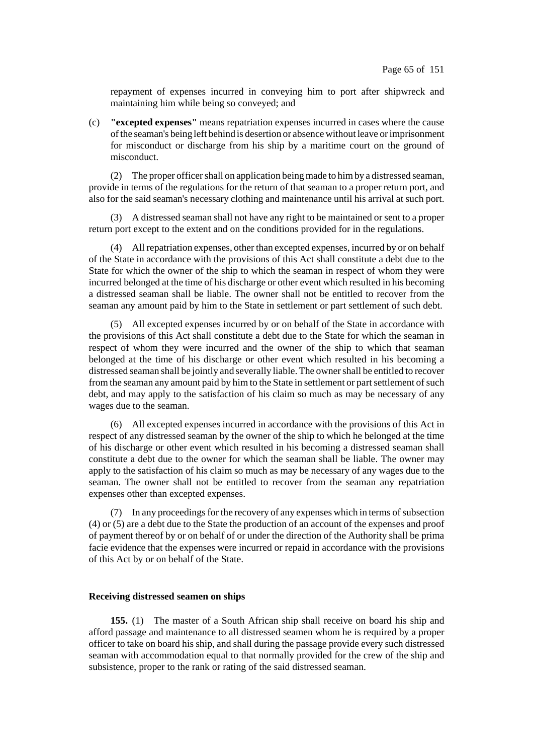repayment of expenses incurred in conveying him to port after shipwreck and maintaining him while being so conveyed; and

(c) **"excepted expenses"** means repatriation expenses incurred in cases where the cause ofthe seaman's being left behind is desertion or absence without leave orimprisonment for misconduct or discharge from his ship by a maritime court on the ground of misconduct.

(2) The proper officershall on application beingmade to himby a distressed seaman, provide in terms of the regulations for the return of that seaman to a proper return port, and also for the said seaman's necessary clothing and maintenance until his arrival at such port.

(3) A distressed seaman shall not have any right to be maintained or sent to a proper return port except to the extent and on the conditions provided for in the regulations.

(4) All repatriation expenses, otherthan excepted expenses, incurred by or on behalf of the State in accordance with the provisions of this Act shall constitute a debt due to the State for which the owner of the ship to which the seaman in respect of whom they were incurred belonged at the time of his discharge or other event which resulted in his becoming a distressed seaman shall be liable. The owner shall not be entitled to recover from the seaman any amount paid by him to the State in settlement or part settlement of such debt.

(5) All excepted expenses incurred by or on behalf of the State in accordance with the provisions of this Act shall constitute a debt due to the State for which the seaman in respect of whom they were incurred and the owner of the ship to which that seaman belonged at the time of his discharge or other event which resulted in his becoming a distressed seaman shall be jointly and severally liable. The ownershall be entitled to recover from the seaman any amount paid by him to the State in settlement or part settlement of such debt, and may apply to the satisfaction of his claim so much as may be necessary of any wages due to the seaman.

(6) All excepted expenses incurred in accordance with the provisions of this Act in respect of any distressed seaman by the owner of the ship to which he belonged at the time of his discharge or other event which resulted in his becoming a distressed seaman shall constitute a debt due to the owner for which the seaman shall be liable. The owner may apply to the satisfaction of his claim so much as may be necessary of any wages due to the seaman. The owner shall not be entitled to recover from the seaman any repatriation expenses other than excepted expenses.

(7) In any proceedings for the recovery of any expenses which in terms of subsection (4) or (5) are a debt due to the State the production of an account of the expenses and proof of payment thereof by or on behalf of or under the direction of the Authority shall be prima facie evidence that the expenses were incurred or repaid in accordance with the provisions of this Act by or on behalf of the State.

### **Receiving distressed seamen on ships**

**155.** (1) The master of a South African ship shall receive on board his ship and afford passage and maintenance to all distressed seamen whom he is required by a proper officer to take on board his ship, and shall during the passage provide every such distressed seaman with accommodation equal to that normally provided for the crew of the ship and subsistence, proper to the rank or rating of the said distressed seaman.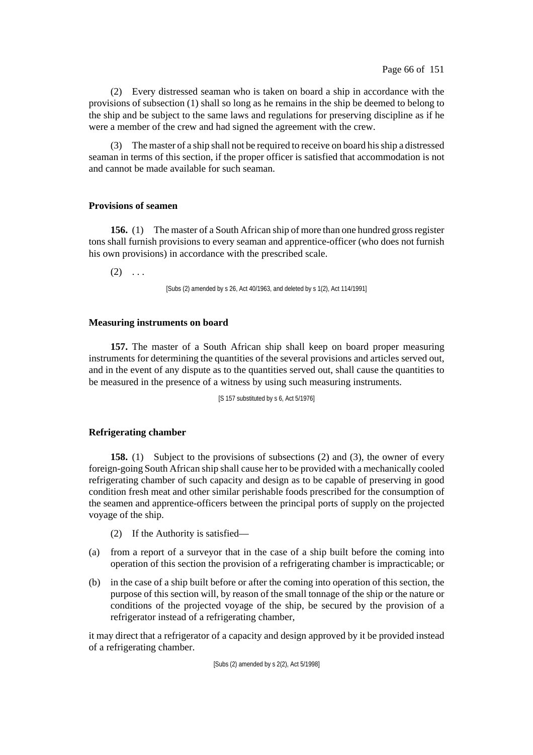(2) Every distressed seaman who is taken on board a ship in accordance with the provisions of subsection (1) shall so long as he remains in the ship be deemed to belong to the ship and be subject to the same laws and regulations for preserving discipline as if he were a member of the crew and had signed the agreement with the crew.

(3) The master of a ship shall not be required to receive on board hisship a distressed seaman in terms of this section, if the proper officer is satisfied that accommodation is not and cannot be made available for such seaman.

# **Provisions of seamen**

**156.** (1) The master of a South African ship of more than one hundred gross register tons shall furnish provisions to every seaman and apprentice-officer (who does not furnish his own provisions) in accordance with the prescribed scale.

 $(2) \ldots$ 

[Subs (2) amended by s 26, Act 40/1963, and deleted by s 1(2), Act 114/1991]

# **Measuring instruments on board**

**157.** The master of a South African ship shall keep on board proper measuring instruments for determining the quantities of the several provisions and articles served out, and in the event of any dispute as to the quantities served out, shall cause the quantities to be measured in the presence of a witness by using such measuring instruments.

[S 157 substituted by s 6, Act 5/1976]

# **Refrigerating chamber**

**158.** (1) Subject to the provisions of subsections (2) and (3), the owner of every foreign-going South African ship shall cause her to be provided with a mechanically cooled refrigerating chamber of such capacity and design as to be capable of preserving in good condition fresh meat and other similar perishable foods prescribed for the consumption of the seamen and apprentice-officers between the principal ports of supply on the projected voyage of the ship.

- (2) If the Authority is satisfied—
- (a) from a report of a surveyor that in the case of a ship built before the coming into operation of this section the provision of a refrigerating chamber is impracticable; or
- (b) in the case of a ship built before or after the coming into operation of this section, the purpose of this section will, by reason of the small tonnage of the ship or the nature or conditions of the projected voyage of the ship, be secured by the provision of a refrigerator instead of a refrigerating chamber,

it may direct that a refrigerator of a capacity and design approved by it be provided instead of a refrigerating chamber.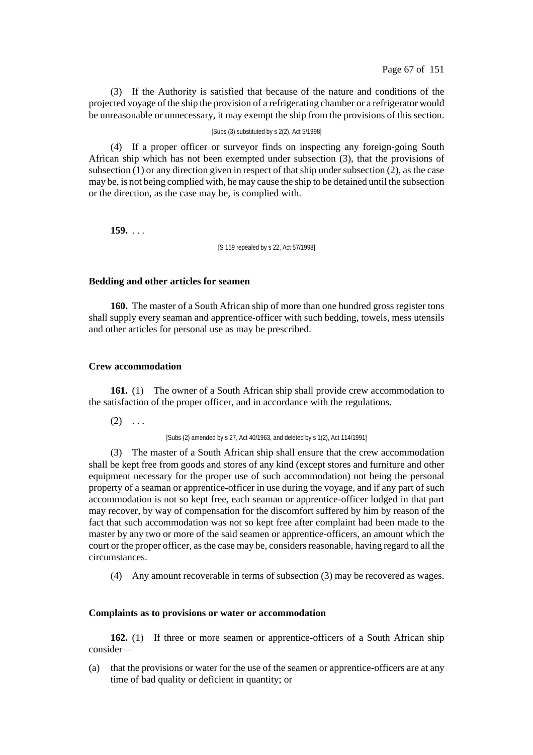(3) If the Authority is satisfied that because of the nature and conditions of the projected voyage of the ship the provision of a refrigerating chamber or a refrigerator would be unreasonable or unnecessary, it may exempt the ship from the provisions of this section.

### [Subs (3) substituted by s 2(2), Act 5/1998]

(4) If a proper officer or surveyor finds on inspecting any foreign-going South African ship which has not been exempted under subsection (3), that the provisions of subsection (1) or any direction given in respect of that ship under subsection (2), as the case may be, is not being complied with, he may cause the ship to be detained until the subsection or the direction, as the case may be, is complied with.

**159.** . . .

[S 159 repealed by s 22, Act 57/1998]

#### **Bedding and other articles for seamen**

**160.** The master of a South African ship of more than one hundred gross register tons shall supply every seaman and apprentice-officer with such bedding, towels, mess utensils and other articles for personal use as may be prescribed.

### **Crew accommodation**

**161.** (1) The owner of a South African ship shall provide crew accommodation to the satisfaction of the proper officer, and in accordance with the regulations.

 $(2) \ldots$ 

[Subs (2) amended by s 27, Act 40/1963, and deleted by s 1(2), Act 114/1991]

(3) The master of a South African ship shall ensure that the crew accommodation shall be kept free from goods and stores of any kind (except stores and furniture and other equipment necessary for the proper use of such accommodation) not being the personal property of a seaman or apprentice-officer in use during the voyage, and if any part of such accommodation is not so kept free, each seaman or apprentice-officer lodged in that part may recover, by way of compensation for the discomfort suffered by him by reason of the fact that such accommodation was not so kept free after complaint had been made to the master by any two or more of the said seamen or apprentice-officers, an amount which the court or the proper officer, as the case may be, considers reasonable, having regard to all the circumstances.

(4) Any amount recoverable in terms of subsection (3) may be recovered as wages.

### **Complaints as to provisions or water or accommodation**

**162.** (1) If three or more seamen or apprentice-officers of a South African ship consider—

(a) that the provisions or water for the use of the seamen or apprentice-officers are at any time of bad quality or deficient in quantity; or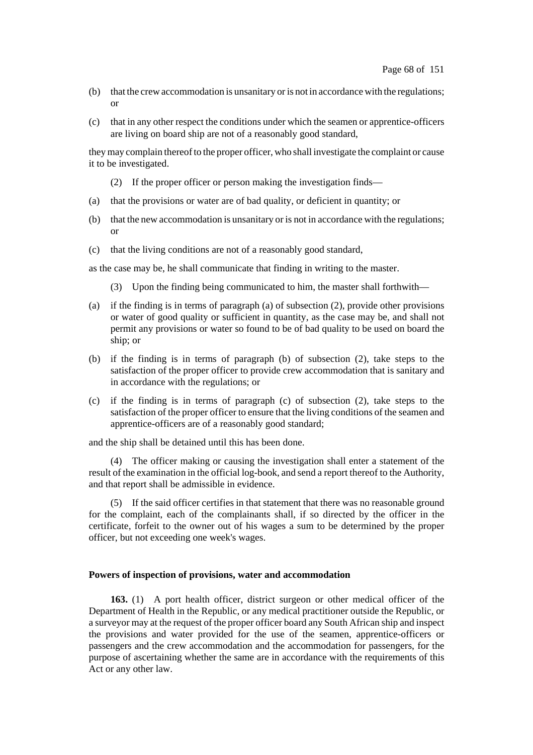- (b) that the crew accommodation is unsanitary or is not in accordance with the regulations; or
- (c) that in any other respect the conditions under which the seamen or apprentice-officers are living on board ship are not of a reasonably good standard,

they may complain thereof to the proper officer, who shall investigate the complaint or cause it to be investigated.

- (2) If the proper officer or person making the investigation finds—
- (a) that the provisions or water are of bad quality, or deficient in quantity; or
- (b) that the new accommodation is unsanitary or is not in accordance with the regulations; or
- (c) that the living conditions are not of a reasonably good standard,

as the case may be, he shall communicate that finding in writing to the master.

- (3) Upon the finding being communicated to him, the master shall forthwith—
- (a) if the finding is in terms of paragraph (a) of subsection (2), provide other provisions or water of good quality or sufficient in quantity, as the case may be, and shall not permit any provisions or water so found to be of bad quality to be used on board the ship; or
- (b) if the finding is in terms of paragraph (b) of subsection (2), take steps to the satisfaction of the proper officer to provide crew accommodation that is sanitary and in accordance with the regulations; or
- (c) if the finding is in terms of paragraph (c) of subsection (2), take steps to the satisfaction of the proper officer to ensure that the living conditions of the seamen and apprentice-officers are of a reasonably good standard;

and the ship shall be detained until this has been done.

(4) The officer making or causing the investigation shall enter a statement of the result of the examination in the official log-book, and send a report thereof to the Authority, and that report shall be admissible in evidence.

(5) If the said officer certifies in that statement that there was no reasonable ground for the complaint, each of the complainants shall, if so directed by the officer in the certificate, forfeit to the owner out of his wages a sum to be determined by the proper officer, but not exceeding one week's wages.

#### **Powers of inspection of provisions, water and accommodation**

**163.** (1) A port health officer, district surgeon or other medical officer of the Department of Health in the Republic, or any medical practitioner outside the Republic, or a surveyor may at the request of the proper officer board any South African ship and inspect the provisions and water provided for the use of the seamen, apprentice-officers or passengers and the crew accommodation and the accommodation for passengers, for the purpose of ascertaining whether the same are in accordance with the requirements of this Act or any other law.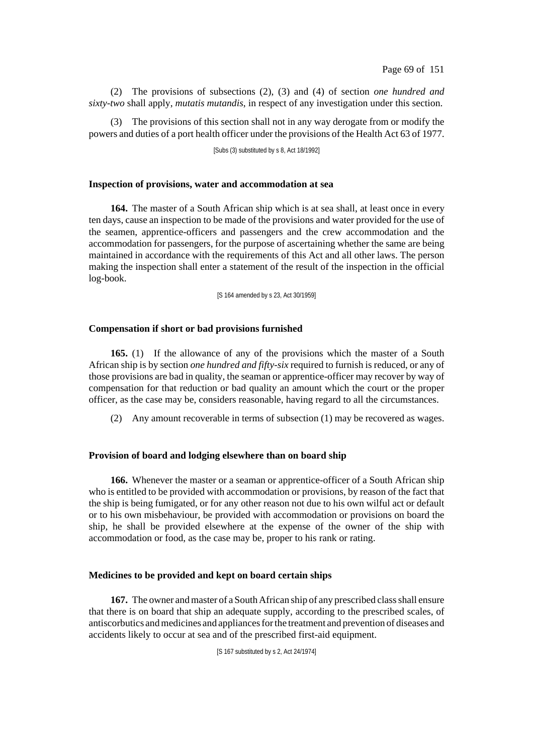(2) The provisions of subsections (2), (3) and (4) of section *one hundred and sixty-two* shall apply, *mutatis mutandis*, in respect of any investigation under this section.

(3) The provisions of this section shall not in any way derogate from or modify the powers and duties of a port health officer under the provisions of the Health Act 63 of 1977.

[Subs (3) substituted by s 8, Act 18/1992]

## **Inspection of provisions, water and accommodation at sea**

**164.** The master of a South African ship which is at sea shall, at least once in every ten days, cause an inspection to be made of the provisions and water provided for the use of the seamen, apprentice-officers and passengers and the crew accommodation and the accommodation for passengers, for the purpose of ascertaining whether the same are being maintained in accordance with the requirements of this Act and all other laws. The person making the inspection shall enter a statement of the result of the inspection in the official log-book.

[S 164 amended by s 23, Act 30/1959]

# **Compensation if short or bad provisions furnished**

**165.** (1) If the allowance of any of the provisions which the master of a South African ship is by section *one hundred and fifty-six* required to furnish is reduced, or any of those provisions are bad in quality, the seaman or apprentice-officer may recover by way of compensation for that reduction or bad quality an amount which the court or the proper officer, as the case may be, considers reasonable, having regard to all the circumstances.

(2) Any amount recoverable in terms of subsection (1) may be recovered as wages.

# **Provision of board and lodging elsewhere than on board ship**

**166.** Whenever the master or a seaman or apprentice-officer of a South African ship who is entitled to be provided with accommodation or provisions, by reason of the fact that the ship is being fumigated, or for any other reason not due to his own wilful act or default or to his own misbehaviour, be provided with accommodation or provisions on board the ship, he shall be provided elsewhere at the expense of the owner of the ship with accommodation or food, as the case may be, proper to his rank or rating.

# **Medicines to be provided and kept on board certain ships**

**167.** The owner and master of a South African ship of any prescribed class shall ensure that there is on board that ship an adequate supply, according to the prescribed scales, of antiscorbutics and medicines and appliances for the treatment and prevention of diseases and accidents likely to occur at sea and of the prescribed first-aid equipment.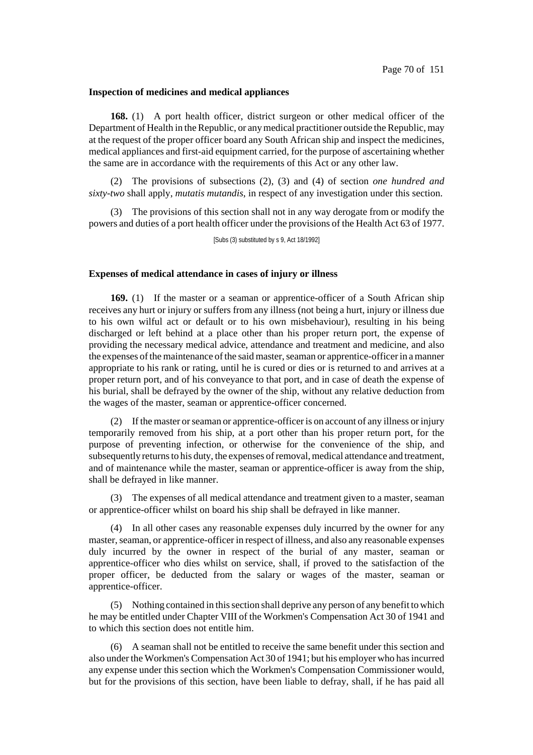#### **Inspection of medicines and medical appliances**

**168.** (1) A port health officer, district surgeon or other medical officer of the Department of Health in the Republic, or any medical practitioner outside the Republic, may at the request of the proper officer board any South African ship and inspect the medicines, medical appliances and first-aid equipment carried, for the purpose of ascertaining whether the same are in accordance with the requirements of this Act or any other law.

(2) The provisions of subsections (2), (3) and (4) of section *one hundred and sixty-two* shall apply, *mutatis mutandis*, in respect of any investigation under this section.

(3) The provisions of this section shall not in any way derogate from or modify the powers and duties of a port health officer under the provisions of the Health Act 63 of 1977.

[Subs (3) substituted by s 9, Act 18/1992]

#### **Expenses of medical attendance in cases of injury or illness**

**169.** (1) If the master or a seaman or apprentice-officer of a South African ship receives any hurt or injury or suffers from any illness (not being a hurt, injury or illness due to his own wilful act or default or to his own misbehaviour), resulting in his being discharged or left behind at a place other than his proper return port, the expense of providing the necessary medical advice, attendance and treatment and medicine, and also the expenses of the maintenance of the said master, seaman or apprentice-officer in a manner appropriate to his rank or rating, until he is cured or dies or is returned to and arrives at a proper return port, and of his conveyance to that port, and in case of death the expense of his burial, shall be defrayed by the owner of the ship, without any relative deduction from the wages of the master, seaman or apprentice-officer concerned.

(2) If the master orseaman or apprentice-officeris on account of any illness orinjury temporarily removed from his ship, at a port other than his proper return port, for the purpose of preventing infection, or otherwise for the convenience of the ship, and subsequently returns to his duty, the expenses of removal, medical attendance and treatment, and of maintenance while the master, seaman or apprentice-officer is away from the ship, shall be defrayed in like manner.

(3) The expenses of all medical attendance and treatment given to a master, seaman or apprentice-officer whilst on board his ship shall be defrayed in like manner.

(4) In all other cases any reasonable expenses duly incurred by the owner for any master, seaman, or apprentice-officer in respect of illness, and also any reasonable expenses duly incurred by the owner in respect of the burial of any master, seaman or apprentice-officer who dies whilst on service, shall, if proved to the satisfaction of the proper officer, be deducted from the salary or wages of the master, seaman or apprentice-officer.

(5) Nothing contained in thissection shall deprive any person of any benefit to which he may be entitled under Chapter VIII of the Workmen's Compensation Act 30 of 1941 and to which this section does not entitle him.

(6) A seaman shall not be entitled to receive the same benefit under this section and also under the Workmen's Compensation Act 30 of 1941; but his employer who hasincurred any expense under this section which the Workmen's Compensation Commissioner would, but for the provisions of this section, have been liable to defray, shall, if he has paid all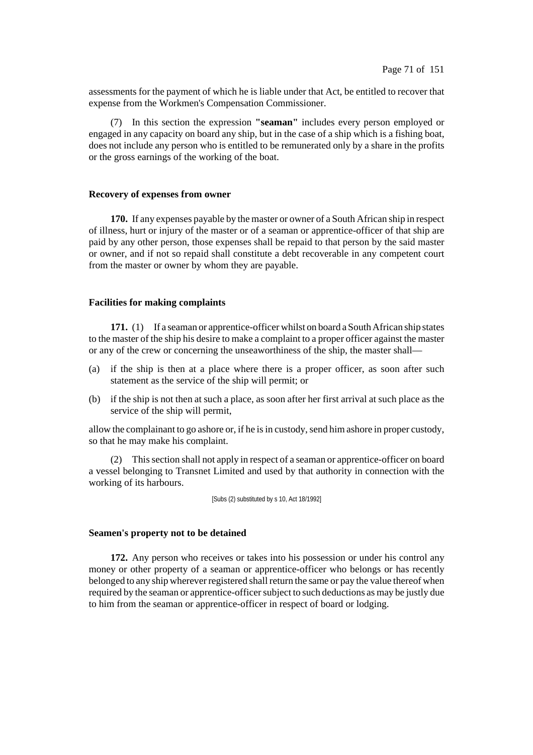assessments for the payment of which he is liable under that Act, be entitled to recover that expense from the Workmen's Compensation Commissioner.

(7) In this section the expression **"seaman"** includes every person employed or engaged in any capacity on board any ship, but in the case of a ship which is a fishing boat, does not include any person who is entitled to be remunerated only by a share in the profits or the gross earnings of the working of the boat.

#### **Recovery of expenses from owner**

**170.** If any expenses payable by the master or owner of a South African ship in respect of illness, hurt or injury of the master or of a seaman or apprentice-officer of that ship are paid by any other person, those expenses shall be repaid to that person by the said master or owner, and if not so repaid shall constitute a debt recoverable in any competent court from the master or owner by whom they are payable.

## **Facilities for making complaints**

**171.** (1) If a seaman or apprentice-officer whilst on board a South African ship states to the master of the ship his desire to make a complaint to a proper officer against the master or any of the crew or concerning the unseaworthiness of the ship, the master shall—

- (a) if the ship is then at a place where there is a proper officer, as soon after such statement as the service of the ship will permit; or
- (b) if the ship is not then at such a place, as soon after her first arrival at such place as the service of the ship will permit,

allow the complainant to go ashore or, if he is in custody, send him ashore in proper custody, so that he may make his complaint.

(2) Thissection shall not apply in respect of a seaman or apprentice-officer on board a vessel belonging to Transnet Limited and used by that authority in connection with the working of its harbours.

[Subs (2) substituted by s 10, Act 18/1992]

#### **Seamen's property not to be detained**

**172.** Any person who receives or takes into his possession or under his control any money or other property of a seaman or apprentice-officer who belongs or has recently belonged to any ship wherever registered shall return the same or pay the value thereof when required by the seaman or apprentice-officer subject to such deductions as may be justly due to him from the seaman or apprentice-officer in respect of board or lodging.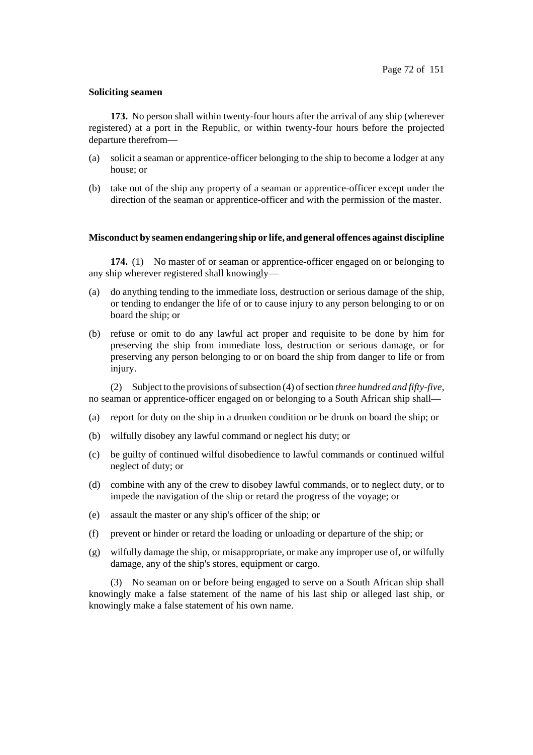### **Soliciting seamen**

**173.** No person shall within twenty-four hours after the arrival of any ship (wherever registered) at a port in the Republic, or within twenty-four hours before the projected departure therefrom—

- (a) solicit a seaman or apprentice-officer belonging to the ship to become a lodger at any house; or
- (b) take out of the ship any property of a seaman or apprentice-officer except under the direction of the seaman or apprentice-officer and with the permission of the master.

## **Misconduct by seamen endangering ship or life, and general offences against discipline**

**174.** (1) No master of or seaman or apprentice-officer engaged on or belonging to any ship wherever registered shall knowingly—

- (a) do anything tending to the immediate loss, destruction or serious damage of the ship, or tending to endanger the life of or to cause injury to any person belonging to or on board the ship; or
- (b) refuse or omit to do any lawful act proper and requisite to be done by him for preserving the ship from immediate loss, destruction or serious damage, or for preserving any person belonging to or on board the ship from danger to life or from injury.

(2) Subject to the provisions of subsection (4) of section *three hundred and fifty-five*, no seaman or apprentice-officer engaged on or belonging to a South African ship shall—

- (a) report for duty on the ship in a drunken condition or be drunk on board the ship; or
- (b) wilfully disobey any lawful command or neglect his duty; or
- (c) be guilty of continued wilful disobedience to lawful commands or continued wilful neglect of duty; or
- (d) combine with any of the crew to disobey lawful commands, or to neglect duty, or to impede the navigation of the ship or retard the progress of the voyage; or
- (e) assault the master or any ship's officer of the ship; or
- (f) prevent or hinder or retard the loading or unloading or departure of the ship; or
- (g) wilfully damage the ship, or misappropriate, or make any improper use of, or wilfully damage, any of the ship's stores, equipment or cargo.

(3) No seaman on or before being engaged to serve on a South African ship shall knowingly make a false statement of the name of his last ship or alleged last ship, or knowingly make a false statement of his own name.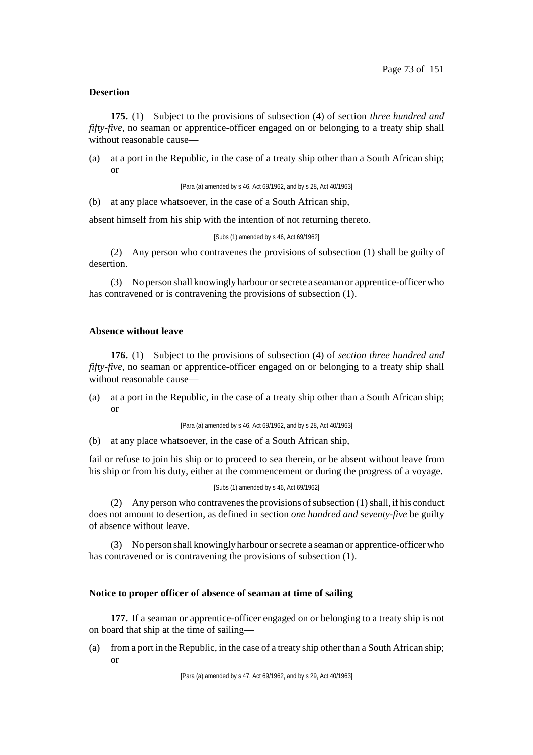### **Desertion**

**175.** (1) Subject to the provisions of subsection (4) of section *three hundred and fifty-five*, no seaman or apprentice-officer engaged on or belonging to a treaty ship shall without reasonable cause—

(a) at a port in the Republic, in the case of a treaty ship other than a South African ship; or

[Para (a) amended by s 46, Act 69/1962, and by s 28, Act 40/1963]

(b) at any place whatsoever, in the case of a South African ship,

absent himself from his ship with the intention of not returning thereto.

```
[Subs (1) amended by s 46, Act 69/1962]
```
(2) Any person who contravenes the provisions of subsection (1) shall be guilty of desertion.

(3) No person shall knowingly harbour orsecrete a seaman or apprentice-officer who has contravened or is contravening the provisions of subsection (1).

# **Absence without leave**

**176.** (1) Subject to the provisions of subsection (4) of *section three hundred and fifty-five*, no seaman or apprentice-officer engaged on or belonging to a treaty ship shall without reasonable cause—

(a) at a port in the Republic, in the case of a treaty ship other than a South African ship; or

[Para (a) amended by s 46, Act 69/1962, and by s 28, Act 40/1963]

(b) at any place whatsoever, in the case of a South African ship,

fail or refuse to join his ship or to proceed to sea therein, or be absent without leave from his ship or from his duty, either at the commencement or during the progress of a voyage.

#### [Subs (1) amended by s 46, Act 69/1962]

(2) Any person who contravenes the provisions of subsection  $(1)$  shall, if his conduct does not amount to desertion, as defined in section *one hundred and seventy-five* be guilty of absence without leave.

(3) No person shall knowingly harbour orsecrete a seaman or apprentice-officerwho has contravened or is contravening the provisions of subsection (1).

#### **Notice to proper officer of absence of seaman at time of sailing**

**177.** If a seaman or apprentice-officer engaged on or belonging to a treaty ship is not on board that ship at the time of sailing—

(a) from a port in the Republic, in the case of a treaty ship other than a South African ship; or

[Para (a) amended by s 47, Act 69/1962, and by s 29, Act 40/1963]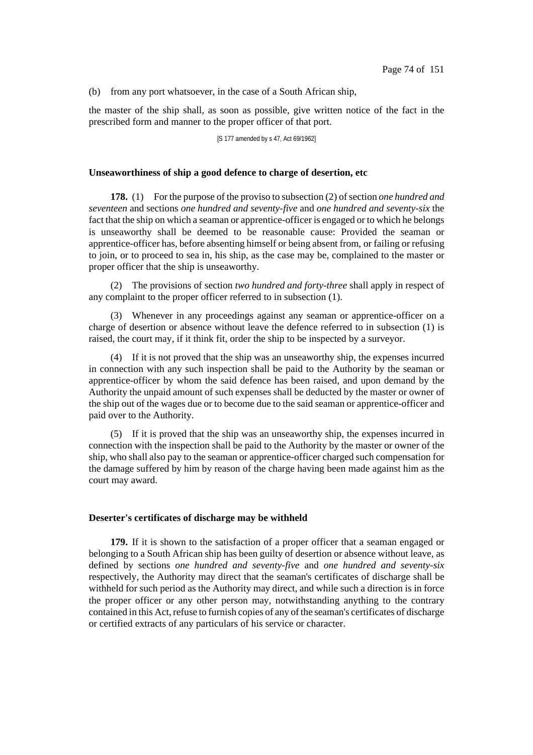(b) from any port whatsoever, in the case of a South African ship,

the master of the ship shall, as soon as possible, give written notice of the fact in the prescribed form and manner to the proper officer of that port.

[S 177 amended by s 47, Act 69/1962]

#### **Unseaworthiness of ship a good defence to charge of desertion, etc**

**178.** (1) For the purpose of the proviso to subsection (2) of section *one hundred* and *seventeen* and sections *one hundred and seventy-five* and *one hundred and seventy-six* the fact that the ship on which a seaman or apprentice-officer is engaged or to which he belongs is unseaworthy shall be deemed to be reasonable cause: Provided the seaman or apprentice-officer has, before absenting himself or being absent from, or failing or refusing to join, or to proceed to sea in, his ship, as the case may be, complained to the master or proper officer that the ship is unseaworthy.

(2) The provisions of section *two hundred and forty-three* shall apply in respect of any complaint to the proper officer referred to in subsection (1).

(3) Whenever in any proceedings against any seaman or apprentice-officer on a charge of desertion or absence without leave the defence referred to in subsection (1) is raised, the court may, if it think fit, order the ship to be inspected by a surveyor.

(4) If it is not proved that the ship was an unseaworthy ship, the expenses incurred in connection with any such inspection shall be paid to the Authority by the seaman or apprentice-officer by whom the said defence has been raised, and upon demand by the Authority the unpaid amount of such expenses shall be deducted by the master or owner of the ship out of the wages due or to become due to the said seaman or apprentice-officer and paid over to the Authority.

(5) If it is proved that the ship was an unseaworthy ship, the expenses incurred in connection with the inspection shall be paid to the Authority by the master or owner of the ship, who shall also pay to the seaman or apprentice-officer charged such compensation for the damage suffered by him by reason of the charge having been made against him as the court may award.

#### **Deserter's certificates of discharge may be withheld**

**179.** If it is shown to the satisfaction of a proper officer that a seaman engaged or belonging to a South African ship has been guilty of desertion or absence without leave, as defined by sections *one hundred and seventy-five* and *one hundred and seventy-six* respectively, the Authority may direct that the seaman's certificates of discharge shall be withheld for such period as the Authority may direct, and while such a direction is in force the proper officer or any other person may, notwithstanding anything to the contrary contained in this Act, refuse to furnish copies of any of the seaman's certificates of discharge or certified extracts of any particulars of his service or character.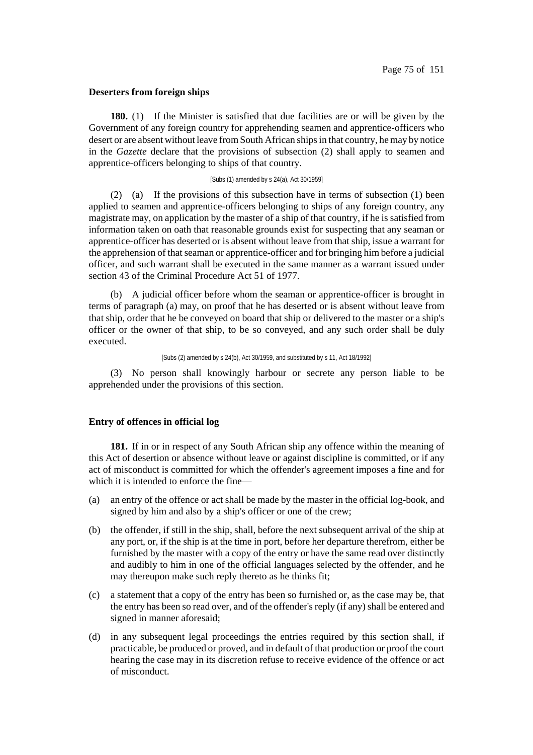## **Deserters from foreign ships**

**180.** (1) If the Minister is satisfied that due facilities are or will be given by the Government of any foreign country for apprehending seamen and apprentice-officers who desert or are absent without leave from South African ships in that country, he may by notice in the *Gazette* declare that the provisions of subsection (2) shall apply to seamen and apprentice-officers belonging to ships of that country.

#### [Subs (1) amended by s 24(a), Act 30/1959]

(2) (a) If the provisions of this subsection have in terms of subsection (1) been applied to seamen and apprentice-officers belonging to ships of any foreign country, any magistrate may, on application by the master of a ship of that country, if he is satisfied from information taken on oath that reasonable grounds exist for suspecting that any seaman or apprentice-officer has deserted or is absent without leave from that ship, issue a warrant for the apprehension of that seaman or apprentice-officer and for bringing him before a judicial officer, and such warrant shall be executed in the same manner as a warrant issued under section 43 of the Criminal Procedure Act 51 of 1977.

(b) A judicial officer before whom the seaman or apprentice-officer is brought in terms of paragraph (a) may, on proof that he has deserted or is absent without leave from that ship, order that he be conveyed on board that ship or delivered to the master or a ship's officer or the owner of that ship, to be so conveyed, and any such order shall be duly executed.

[Subs (2) amended by s 24(b), Act 30/1959, and substituted by s 11, Act 18/1992]

(3) No person shall knowingly harbour or secrete any person liable to be apprehended under the provisions of this section.

## **Entry of offences in official log**

**181.** If in or in respect of any South African ship any offence within the meaning of this Act of desertion or absence without leave or against discipline is committed, or if any act of misconduct is committed for which the offender's agreement imposes a fine and for which it is intended to enforce the fine—

- (a) an entry of the offence or act shall be made by the master in the official log-book, and signed by him and also by a ship's officer or one of the crew;
- (b) the offender, if still in the ship, shall, before the next subsequent arrival of the ship at any port, or, if the ship is at the time in port, before her departure therefrom, either be furnished by the master with a copy of the entry or have the same read over distinctly and audibly to him in one of the official languages selected by the offender, and he may thereupon make such reply thereto as he thinks fit;
- (c) a statement that a copy of the entry has been so furnished or, as the case may be, that the entry has been so read over, and of the offender's reply (if any) shall be entered and signed in manner aforesaid;
- (d) in any subsequent legal proceedings the entries required by this section shall, if practicable, be produced or proved, and in default of that production or proof the court hearing the case may in its discretion refuse to receive evidence of the offence or act of misconduct.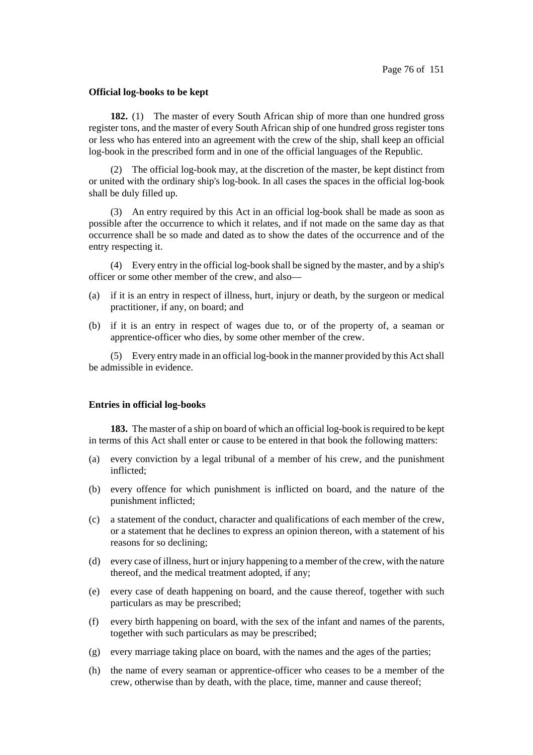### **Official log-books to be kept**

**182.** (1) The master of every South African ship of more than one hundred gross register tons, and the master of every South African ship of one hundred gross register tons or less who has entered into an agreement with the crew of the ship, shall keep an official log-book in the prescribed form and in one of the official languages of the Republic.

(2) The official log-book may, at the discretion of the master, be kept distinct from or united with the ordinary ship's log-book. In all cases the spaces in the official log-book shall be duly filled up.

(3) An entry required by this Act in an official log-book shall be made as soon as possible after the occurrence to which it relates, and if not made on the same day as that occurrence shall be so made and dated as to show the dates of the occurrence and of the entry respecting it.

(4) Every entry in the official log-book shall be signed by the master, and by a ship's officer or some other member of the crew, and also—

- (a) if it is an entry in respect of illness, hurt, injury or death, by the surgeon or medical practitioner, if any, on board; and
- (b) if it is an entry in respect of wages due to, or of the property of, a seaman or apprentice-officer who dies, by some other member of the crew.

(5) Every entry made in an official log-book in the manner provided by this Actshall be admissible in evidence.

#### **Entries in official log-books**

**183.** The master of a ship on board of which an official log-book is required to be kept in terms of this Act shall enter or cause to be entered in that book the following matters:

- (a) every conviction by a legal tribunal of a member of his crew, and the punishment inflicted;
- (b) every offence for which punishment is inflicted on board, and the nature of the punishment inflicted;
- (c) a statement of the conduct, character and qualifications of each member of the crew, or a statement that he declines to express an opinion thereon, with a statement of his reasons for so declining;
- (d) every case of illness, hurt or injury happening to a member of the crew, with the nature thereof, and the medical treatment adopted, if any;
- (e) every case of death happening on board, and the cause thereof, together with such particulars as may be prescribed;
- (f) every birth happening on board, with the sex of the infant and names of the parents, together with such particulars as may be prescribed;
- (g) every marriage taking place on board, with the names and the ages of the parties;
- (h) the name of every seaman or apprentice-officer who ceases to be a member of the crew, otherwise than by death, with the place, time, manner and cause thereof;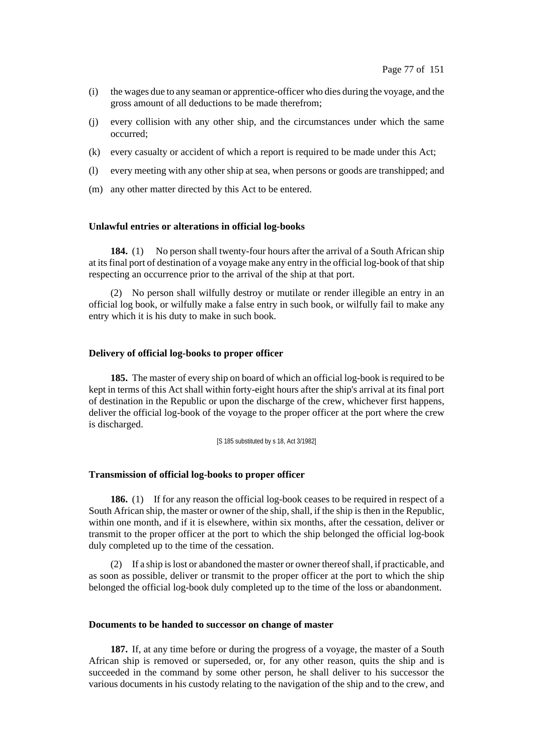- (i) the wages due to any seaman or apprentice-officer who dies during the voyage, and the gross amount of all deductions to be made therefrom;
- (j) every collision with any other ship, and the circumstances under which the same occurred;
- (k) every casualty or accident of which a report is required to be made under this Act;
- (l) every meeting with any other ship at sea, when persons or goods are transhipped; and
- (m) any other matter directed by this Act to be entered.

### **Unlawful entries or alterations in official log-books**

**184.** (1) No person shall twenty-four hours after the arrival of a South African ship at itsfinal port of destination of a voyage make any entry in the official log-book of thatship respecting an occurrence prior to the arrival of the ship at that port.

(2) No person shall wilfully destroy or mutilate or render illegible an entry in an official log book, or wilfully make a false entry in such book, or wilfully fail to make any entry which it is his duty to make in such book.

### **Delivery of official log-books to proper officer**

**185.** The master of every ship on board of which an official log-book is required to be kept in terms of this Act shall within forty-eight hours after the ship's arrival at its final port of destination in the Republic or upon the discharge of the crew, whichever first happens, deliver the official log-book of the voyage to the proper officer at the port where the crew is discharged.

[S 185 substituted by s 18, Act 3/1982]

### **Transmission of official log-books to proper officer**

**186.** (1) If for any reason the official log-book ceases to be required in respect of a South African ship, the master or owner of the ship, shall, if the ship is then in the Republic, within one month, and if it is elsewhere, within six months, after the cessation, deliver or transmit to the proper officer at the port to which the ship belonged the official log-book duly completed up to the time of the cessation.

(2) If a ship islost or abandoned the master or owner thereofshall, if practicable, and as soon as possible, deliver or transmit to the proper officer at the port to which the ship belonged the official log-book duly completed up to the time of the loss or abandonment.

# **Documents to be handed to successor on change of master**

**187.** If, at any time before or during the progress of a voyage, the master of a South African ship is removed or superseded, or, for any other reason, quits the ship and is succeeded in the command by some other person, he shall deliver to his successor the various documents in his custody relating to the navigation of the ship and to the crew, and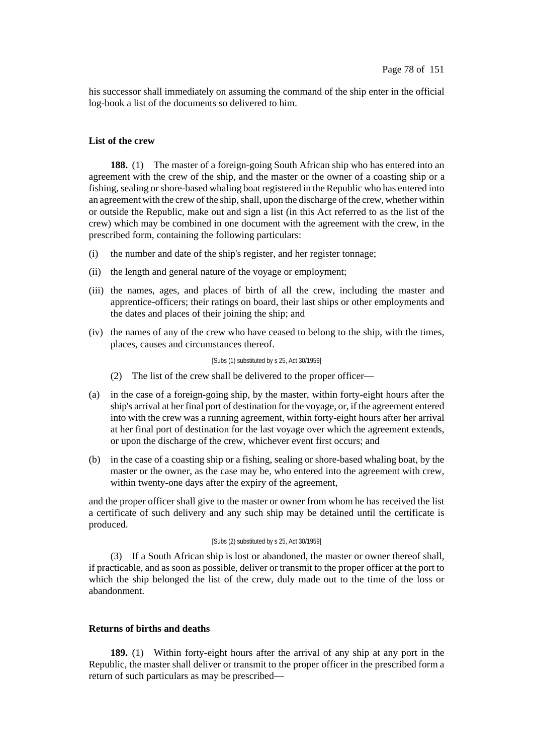his successor shall immediately on assuming the command of the ship enter in the official log-book a list of the documents so delivered to him.

# **List of the crew**

**188.** (1) The master of a foreign-going South African ship who has entered into an agreement with the crew of the ship, and the master or the owner of a coasting ship or a fishing, sealing orshore-based whaling boat registered in the Republic who has entered into an agreement with the crew of the ship, shall, upon the discharge of the crew, whether within or outside the Republic, make out and sign a list (in this Act referred to as the list of the crew) which may be combined in one document with the agreement with the crew, in the prescribed form, containing the following particulars:

- (i) the number and date of the ship's register, and her register tonnage;
- (ii) the length and general nature of the voyage or employment;
- (iii) the names, ages, and places of birth of all the crew, including the master and apprentice-officers; their ratings on board, their last ships or other employments and the dates and places of their joining the ship; and
- (iv) the names of any of the crew who have ceased to belong to the ship, with the times, places, causes and circumstances thereof.

#### [Subs (1) substituted by s 25, Act 30/1959]

- (2) The list of the crew shall be delivered to the proper officer—
- (a) in the case of a foreign-going ship, by the master, within forty-eight hours after the ship's arrival at her final port of destination for the voyage, or, if the agreement entered into with the crew was a running agreement, within forty-eight hours after her arrival at her final port of destination for the last voyage over which the agreement extends, or upon the discharge of the crew, whichever event first occurs; and
- (b) in the case of a coasting ship or a fishing, sealing or shore-based whaling boat, by the master or the owner, as the case may be, who entered into the agreement with crew, within twenty-one days after the expiry of the agreement,

and the proper officer shall give to the master or owner from whom he has received the list a certificate of such delivery and any such ship may be detained until the certificate is produced.

#### [Subs (2) substituted by s 25, Act 30/1959]

(3) If a South African ship is lost or abandoned, the master or owner thereof shall, if practicable, and as soon as possible, deliver or transmit to the proper officer at the port to which the ship belonged the list of the crew, duly made out to the time of the loss or abandonment.

# **Returns of births and deaths**

**189.** (1) Within forty-eight hours after the arrival of any ship at any port in the Republic, the master shall deliver or transmit to the proper officer in the prescribed form a return of such particulars as may be prescribed—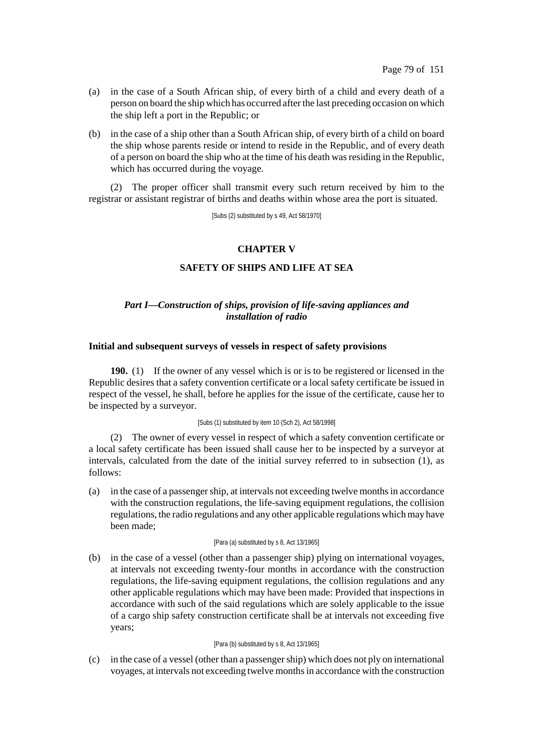- (a) in the case of a South African ship, of every birth of a child and every death of a person on board the ship which has occurred afterthe last preceding occasion on which the ship left a port in the Republic; or
- (b) in the case of a ship other than a South African ship, of every birth of a child on board the ship whose parents reside or intend to reside in the Republic, and of every death of a person on board the ship who at the time of his death wasresiding in the Republic, which has occurred during the voyage.

(2) The proper officer shall transmit every such return received by him to the registrar or assistant registrar of births and deaths within whose area the port is situated.

[Subs (2) substituted by s 49, Act 58/1970]

# **CHAPTER V**

# **SAFETY OF SHIPS AND LIFE AT SEA**

# *Part I—Construction of ships, provision of life-saving appliances and installation of radio*

## **Initial and subsequent surveys of vessels in respect of safety provisions**

**190.** (1) If the owner of any vessel which is or is to be registered or licensed in the Republic desires that a safety convention certificate or a local safety certificate be issued in respect of the vessel, he shall, before he applies for the issue of the certificate, cause her to be inspected by a surveyor.

#### [Subs (1) substituted by item 10 (Sch 2), Act 58/1998]

(2) The owner of every vessel in respect of which a safety convention certificate or a local safety certificate has been issued shall cause her to be inspected by a surveyor at intervals, calculated from the date of the initial survey referred to in subsection (1), as follows:

(a) in the case of a passengership, at intervals not exceeding twelve monthsin accordance with the construction regulations, the life-saving equipment regulations, the collision regulations, the radio regulations and any other applicable regulations whichmay have been made;

### [Para (a) substituted by s 8, Act 13/1965]

(b) in the case of a vessel (other than a passenger ship) plying on international voyages, at intervals not exceeding twenty-four months in accordance with the construction regulations, the life-saving equipment regulations, the collision regulations and any other applicable regulations which may have been made: Provided that inspections in accordance with such of the said regulations which are solely applicable to the issue of a cargo ship safety construction certificate shall be at intervals not exceeding five years;

### [Para (b) substituted by s 8, Act 13/1965]

(c) in the case of a vessel (other than a passengership) which does not ply on international voyages, at intervals not exceeding twelve monthsin accordance with the construction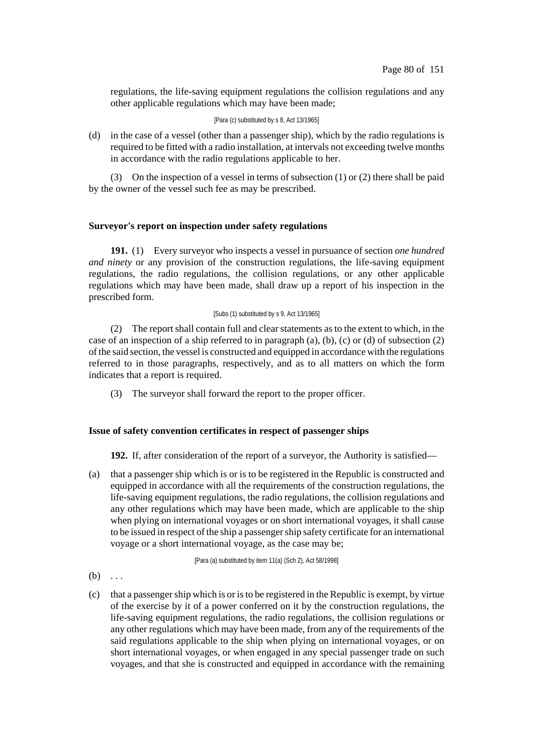regulations, the life-saving equipment regulations the collision regulations and any other applicable regulations which may have been made;

[Para (c) substituted by s 8, Act 13/1965]

(d) in the case of a vessel (other than a passenger ship), which by the radio regulations is required to be fitted with a radio installation, at intervals not exceeding twelve months in accordance with the radio regulations applicable to her.

(3) On the inspection of a vessel in terms of subsection (1) or (2) there shall be paid by the owner of the vessel such fee as may be prescribed.

# **Surveyor's report on inspection under safety regulations**

**191.** (1) Every surveyor who inspects a vessel in pursuance of section *one hundred and ninety* or any provision of the construction regulations, the life-saving equipment regulations, the radio regulations, the collision regulations, or any other applicable regulations which may have been made, shall draw up a report of his inspection in the prescribed form.

### [Subs (1) substituted by s 9, Act 13/1965]

(2) The report shall contain full and clear statements as to the extent to which, in the case of an inspection of a ship referred to in paragraph  $(a)$ ,  $(b)$ ,  $(c)$  or  $(d)$  of subsection  $(2)$ ofthe said section, the vessel is constructed and equipped in accordance with the regulations referred to in those paragraphs, respectively, and as to all matters on which the form indicates that a report is required.

(3) The surveyor shall forward the report to the proper officer.

# **Issue of safety convention certificates in respect of passenger ships**

**192.** If, after consideration of the report of a surveyor, the Authority is satisfied—

(a) that a passenger ship which is or is to be registered in the Republic is constructed and equipped in accordance with all the requirements of the construction regulations, the life-saving equipment regulations, the radio regulations, the collision regulations and any other regulations which may have been made, which are applicable to the ship when plying on international voyages or on short international voyages, it shall cause to be issued in respect of the ship a passenger ship safety certificate for an international voyage or a short international voyage, as the case may be;

[Para (a) substituted by item 11(a) (Sch 2), Act 58/1998]

- $(b)$  ...
- (c) that a passengership which is or isto be registered in the Republic is exempt, by virtue of the exercise by it of a power conferred on it by the construction regulations, the life-saving equipment regulations, the radio regulations, the collision regulations or any other regulations which may have been made, from any of the requirements of the said regulations applicable to the ship when plying on international voyages, or on short international voyages, or when engaged in any special passenger trade on such voyages, and that she is constructed and equipped in accordance with the remaining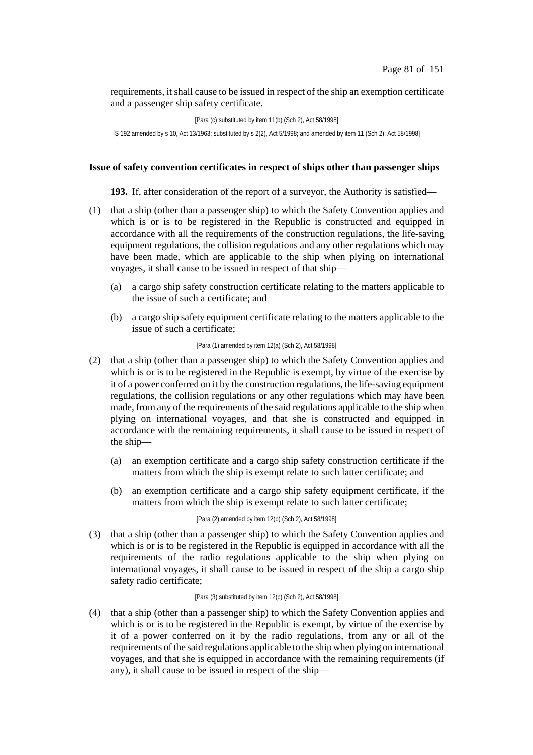requirements, it shall cause to be issued in respect of the ship an exemption certificate and a passenger ship safety certificate.

[Para (c) substituted by item 11(b) (Sch 2), Act 58/1998] [S 192 amended by s 10, Act 13/1963; substituted by s 2(2), Act 5/1998; and amended by item 11 (Sch 2), Act 58/1998]

# **Issue of safety convention certificates in respect of ships other than passenger ships**

**193.** If, after consideration of the report of a surveyor, the Authority is satisfied—

- (1) that a ship (other than a passenger ship) to which the Safety Convention applies and which is or is to be registered in the Republic is constructed and equipped in accordance with all the requirements of the construction regulations, the life-saving equipment regulations, the collision regulations and any other regulations which may have been made, which are applicable to the ship when plying on international voyages, it shall cause to be issued in respect of that ship—
	- (a) a cargo ship safety construction certificate relating to the matters applicable to the issue of such a certificate; and
	- (b) a cargo ship safety equipment certificate relating to the matters applicable to the issue of such a certificate;

### [Para (1) amended by item 12(a) (Sch 2), Act 58/1998]

- (2) that a ship (other than a passenger ship) to which the Safety Convention applies and which is or is to be registered in the Republic is exempt, by virtue of the exercise by it of a power conferred on it by the construction regulations, the life-saving equipment regulations, the collision regulations or any other regulations which may have been made, from any of the requirements of the said regulations applicable to the ship when plying on international voyages, and that she is constructed and equipped in accordance with the remaining requirements, it shall cause to be issued in respect of the ship—
	- (a) an exemption certificate and a cargo ship safety construction certificate if the matters from which the ship is exempt relate to such latter certificate; and
	- (b) an exemption certificate and a cargo ship safety equipment certificate, if the matters from which the ship is exempt relate to such latter certificate;

#### [Para (2) amended by item 12(b) (Sch 2), Act 58/1998]

(3) that a ship (other than a passenger ship) to which the Safety Convention applies and which is or is to be registered in the Republic is equipped in accordance with all the requirements of the radio regulations applicable to the ship when plying on international voyages, it shall cause to be issued in respect of the ship a cargo ship safety radio certificate;

## [Para (3) substituted by item 12(c) (Sch 2), Act 58/1998]

(4) that a ship (other than a passenger ship) to which the Safety Convention applies and which is or is to be registered in the Republic is exempt, by virtue of the exercise by it of a power conferred on it by the radio regulations, from any or all of the requirements of the said regulations applicable to the ship when plying on international voyages, and that she is equipped in accordance with the remaining requirements (if any), it shall cause to be issued in respect of the ship—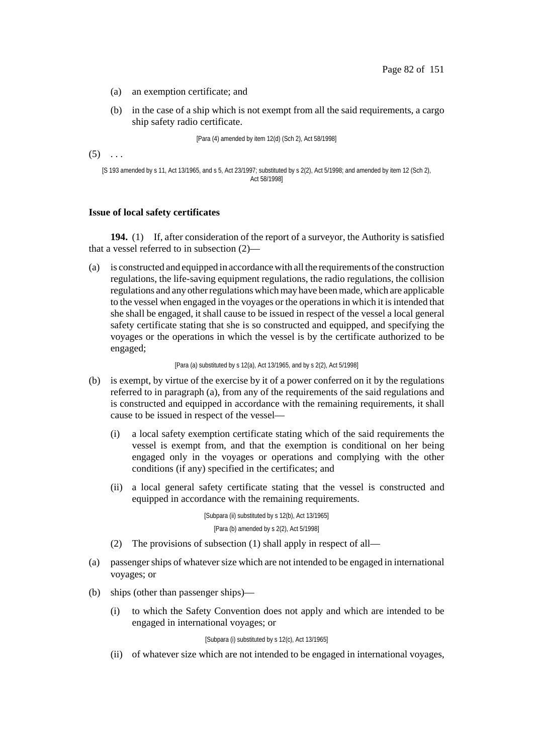- (a) an exemption certificate; and
- (b) in the case of a ship which is not exempt from all the said requirements, a cargo ship safety radio certificate.

[Para (4) amended by item 12(d) (Sch 2), Act 58/1998]

 $(5) \ldots$ 

```
[S 193 amended by s 11, Act 13/1965, and s 5, Act 23/1997; substituted by s 2(2), Act 5/1998; and amended by item 12 (Sch 2),
                                           Act 58/1998]
```
## **Issue of local safety certificates**

**194.** (1) If, after consideration of the report of a surveyor, the Authority is satisfied that a vessel referred to in subsection (2)—

(a) is constructed and equipped in accordancewith all the requirements ofthe construction regulations, the life-saving equipment regulations, the radio regulations, the collision regulations and any otherregulationswhichmay have beenmade, which are applicable to the vessel when engaged in the voyages or the operationsin which it isintended that she shall be engaged, it shall cause to be issued in respect of the vessel a local general safety certificate stating that she is so constructed and equipped, and specifying the voyages or the operations in which the vessel is by the certificate authorized to be engaged;

[Para (a) substituted by s 12(a), Act 13/1965, and by s 2(2), Act 5/1998]

- (b) is exempt, by virtue of the exercise by it of a power conferred on it by the regulations referred to in paragraph (a), from any of the requirements of the said regulations and is constructed and equipped in accordance with the remaining requirements, it shall cause to be issued in respect of the vessel—
	- (i) a local safety exemption certificate stating which of the said requirements the vessel is exempt from, and that the exemption is conditional on her being engaged only in the voyages or operations and complying with the other conditions (if any) specified in the certificates; and
	- (ii) a local general safety certificate stating that the vessel is constructed and equipped in accordance with the remaining requirements.

[Subpara (ii) substituted by s 12(b), Act 13/1965] [Para (b) amended by s 2(2), Act 5/1998]

- (2) The provisions of subsection (1) shall apply in respect of all—
- (a) passengerships of whateversize which are not intended to be engaged in international voyages; or
- (b) ships (other than passenger ships)—
	- (i) to which the Safety Convention does not apply and which are intended to be engaged in international voyages; or

[Subpara (i) substituted by s 12(c), Act 13/1965]

(ii) of whatever size which are not intended to be engaged in international voyages,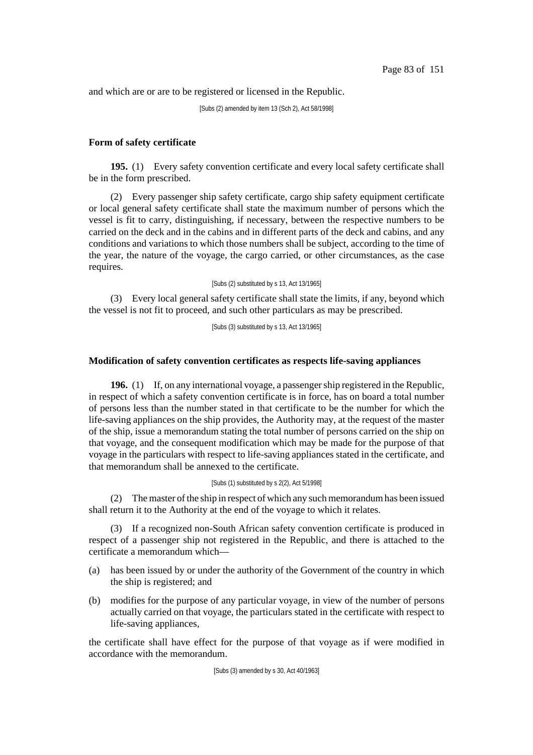and which are or are to be registered or licensed in the Republic.

[Subs (2) amended by item 13 (Sch 2), Act 58/1998]

# **Form of safety certificate**

**195.** (1) Every safety convention certificate and every local safety certificate shall be in the form prescribed.

(2) Every passenger ship safety certificate, cargo ship safety equipment certificate or local general safety certificate shall state the maximum number of persons which the vessel is fit to carry, distinguishing, if necessary, between the respective numbers to be carried on the deck and in the cabins and in different parts of the deck and cabins, and any conditions and variations to which those numbers shall be subject, according to the time of the year, the nature of the voyage, the cargo carried, or other circumstances, as the case requires.

[Subs (2) substituted by s 13, Act 13/1965]

(3) Every local general safety certificate shall state the limits, if any, beyond which the vessel is not fit to proceed, and such other particulars as may be prescribed.

[Subs (3) substituted by s 13, Act 13/1965]

# **Modification of safety convention certificates as respects life-saving appliances**

**196.** (1) If, on any international voyage, a passenger ship registered in the Republic, in respect of which a safety convention certificate is in force, has on board a total number of persons less than the number stated in that certificate to be the number for which the life-saving appliances on the ship provides, the Authority may, at the request of the master of the ship, issue a memorandum stating the total number of persons carried on the ship on that voyage, and the consequent modification which may be made for the purpose of that voyage in the particulars with respect to life-saving appliances stated in the certificate, and that memorandum shall be annexed to the certificate.

## [Subs (1) substituted by s 2(2), Act 5/1998]

(2) Themaster ofthe ship in respect of which any such memorandumhas been issued shall return it to the Authority at the end of the voyage to which it relates.

(3) If a recognized non-South African safety convention certificate is produced in respect of a passenger ship not registered in the Republic, and there is attached to the certificate a memorandum which—

- (a) has been issued by or under the authority of the Government of the country in which the ship is registered; and
- (b) modifies for the purpose of any particular voyage, in view of the number of persons actually carried on that voyage, the particulars stated in the certificate with respect to life-saving appliances,

the certificate shall have effect for the purpose of that voyage as if were modified in accordance with the memorandum.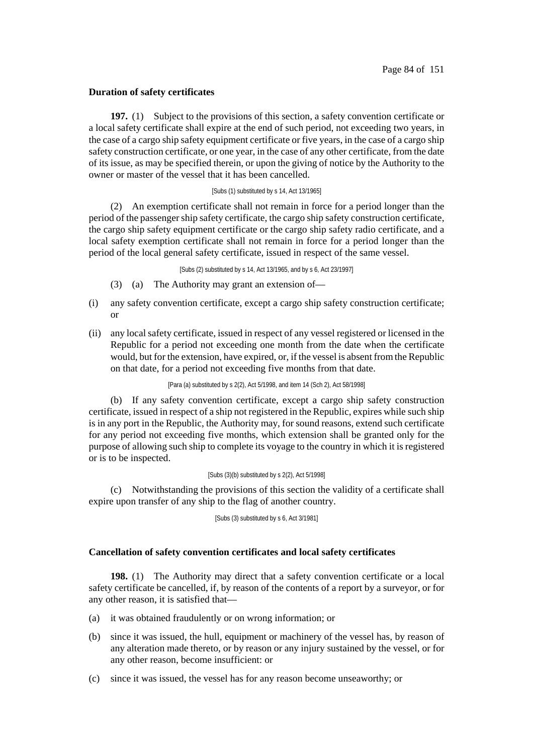# **Duration of safety certificates**

**197.** (1) Subject to the provisions of this section, a safety convention certificate or a local safety certificate shall expire at the end of such period, not exceeding two years, in the case of a cargo ship safety equipment certificate or five years, in the case of a cargo ship safety construction certificate, or one year, in the case of any other certificate, from the date of its issue, as may be specified therein, or upon the giving of notice by the Authority to the owner or master of the vessel that it has been cancelled.

## [Subs (1) substituted by s 14, Act 13/1965]

(2) An exemption certificate shall not remain in force for a period longer than the period of the passenger ship safety certificate, the cargo ship safety construction certificate, the cargo ship safety equipment certificate or the cargo ship safety radio certificate, and a local safety exemption certificate shall not remain in force for a period longer than the period of the local general safety certificate, issued in respect of the same vessel.

[Subs (2) substituted by s 14, Act 13/1965, and by s 6, Act 23/1997]

- (3) (a) The Authority may grant an extension of—
- (i) any safety convention certificate, except a cargo ship safety construction certificate; or
- (ii) any local safety certificate, issued in respect of any vessel registered or licensed in the Republic for a period not exceeding one month from the date when the certificate would, but for the extension, have expired, or, if the vessel is absent fromthe Republic on that date, for a period not exceeding five months from that date.

#### [Para (a) substituted by s 2(2), Act 5/1998, and item 14 (Sch 2), Act 58/1998]

(b) If any safety convention certificate, except a cargo ship safety construction certificate, issued in respect of a ship not registered in the Republic, expires while such ship is in any port in the Republic, the Authority may, for sound reasons, extend such certificate for any period not exceeding five months, which extension shall be granted only for the purpose of allowing such ship to complete its voyage to the country in which it is registered or is to be inspected.

#### [Subs (3)(b) substituted by s 2(2), Act 5/1998]

(c) Notwithstanding the provisions of this section the validity of a certificate shall expire upon transfer of any ship to the flag of another country.

[Subs (3) substituted by s 6, Act 3/1981]

# **Cancellation of safety convention certificates and local safety certificates**

**198.** (1) The Authority may direct that a safety convention certificate or a local safety certificate be cancelled, if, by reason of the contents of a report by a surveyor, or for any other reason, it is satisfied that—

- (a) it was obtained fraudulently or on wrong information; or
- (b) since it was issued, the hull, equipment or machinery of the vessel has, by reason of any alteration made thereto, or by reason or any injury sustained by the vessel, or for any other reason, become insufficient: or
- (c) since it was issued, the vessel has for any reason become unseaworthy; or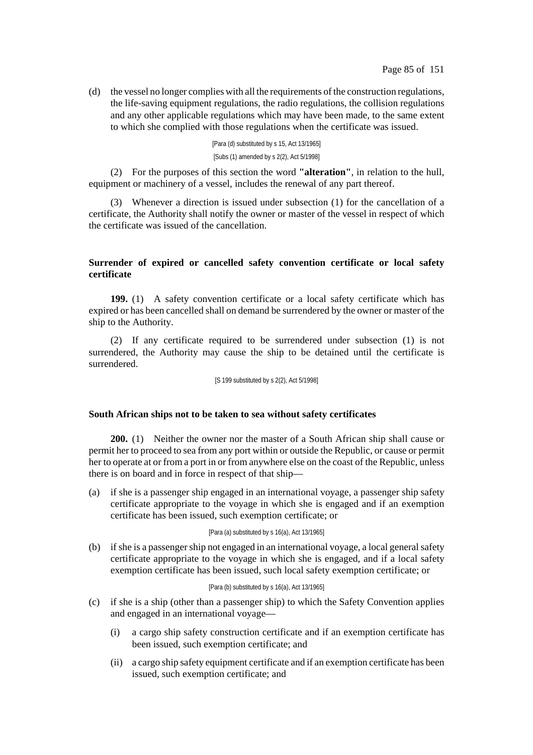(d) the vessel no longer complies with all the requirements of the construction regulations, the life-saving equipment regulations, the radio regulations, the collision regulations and any other applicable regulations which may have been made, to the same extent to which she complied with those regulations when the certificate was issued.

> [Para (d) substituted by s 15, Act 13/1965] [Subs (1) amended by s 2(2), Act 5/1998]

(2) For the purposes of this section the word **"alteration"**, in relation to the hull, equipment or machinery of a vessel, includes the renewal of any part thereof.

(3) Whenever a direction is issued under subsection (1) for the cancellation of a certificate, the Authority shall notify the owner or master of the vessel in respect of which the certificate was issued of the cancellation.

# **Surrender of expired or cancelled safety convention certificate or local safety certificate**

**199.** (1) A safety convention certificate or a local safety certificate which has expired or has been cancelled shall on demand be surrendered by the owner or master of the ship to the Authority.

(2) If any certificate required to be surrendered under subsection (1) is not surrendered, the Authority may cause the ship to be detained until the certificate is surrendered.

[S 199 substituted by s 2(2), Act 5/1998]

## **South African ships not to be taken to sea without safety certificates**

**200.** (1) Neither the owner nor the master of a South African ship shall cause or permit her to proceed to sea from any port within or outside the Republic, or cause or permit her to operate at or from a port in or from anywhere else on the coast of the Republic, unless there is on board and in force in respect of that ship—

(a) if she is a passenger ship engaged in an international voyage, a passenger ship safety certificate appropriate to the voyage in which she is engaged and if an exemption certificate has been issued, such exemption certificate; or

### [Para (a) substituted by s 16(a), Act 13/1965]

(b) if she is a passenger ship not engaged in an international voyage, a local general safety certificate appropriate to the voyage in which she is engaged, and if a local safety exemption certificate has been issued, such local safety exemption certificate; or

## [Para (b) substituted by s 16(a), Act 13/1965]

- (c) if she is a ship (other than a passenger ship) to which the Safety Convention applies and engaged in an international voyage—
	- (i) a cargo ship safety construction certificate and if an exemption certificate has been issued, such exemption certificate; and
	- (ii) a cargo ship safety equipment certificate and if an exemption certificate has been issued, such exemption certificate; and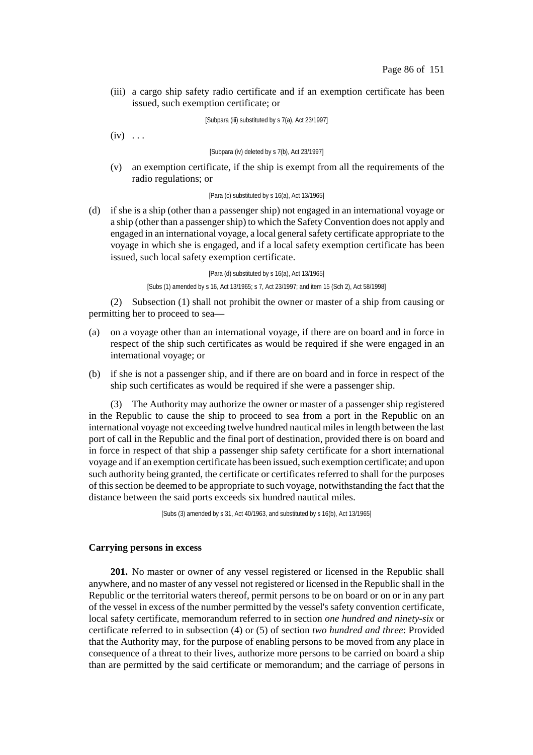(iii) a cargo ship safety radio certificate and if an exemption certificate has been issued, such exemption certificate; or

[Subpara (iii) substituted by s 7(a), Act 23/1997]

 $(iv) \ldots$ 

[Subpara (iv) deleted by s 7(b), Act 23/1997]

(v) an exemption certificate, if the ship is exempt from all the requirements of the radio regulations; or

## [Para (c) substituted by s 16(a), Act 13/1965]

(d) if she is a ship (other than a passenger ship) not engaged in an international voyage or a ship (other than a passengership) to which the SafetyConvention does not apply and engaged in an international voyage, a local generalsafety certificate appropriate to the voyage in which she is engaged, and if a local safety exemption certificate has been issued, such local safety exemption certificate.

> [Para (d) substituted by s 16(a), Act 13/1965] [Subs (1) amended by s 16, Act 13/1965; s 7, Act 23/1997; and item 15 (Sch 2), Act 58/1998]

(2) Subsection (1) shall not prohibit the owner or master of a ship from causing or permitting her to proceed to sea—

- (a) on a voyage other than an international voyage, if there are on board and in force in respect of the ship such certificates as would be required if she were engaged in an international voyage; or
- (b) if she is not a passenger ship, and if there are on board and in force in respect of the ship such certificates as would be required if she were a passenger ship.

(3) The Authority may authorize the owner or master of a passenger ship registered in the Republic to cause the ship to proceed to sea from a port in the Republic on an international voyage not exceeding twelve hundred nautical milesin length between the last port of call in the Republic and the final port of destination, provided there is on board and in force in respect of that ship a passenger ship safety certificate for a short international voyage and if an exemption certificate has been issued, such exemption certificate; and upon such authority being granted, the certificate or certificates referred to shall for the purposes of thissection be deemed to be appropriate to such voyage, notwithstanding the fact that the distance between the said ports exceeds six hundred nautical miles.

[Subs (3) amended by s 31, Act 40/1963, and substituted by s 16(b), Act 13/1965]

## **Carrying persons in excess**

**201.** No master or owner of any vessel registered or licensed in the Republic shall anywhere, and no master of any vessel not registered or licensed in the Republic shall in the Republic or the territorial waters thereof, permit persons to be on board or on or in any part of the vessel in excess of the number permitted by the vessel's safety convention certificate, local safety certificate, memorandum referred to in section *one hundred and ninety-six* or certificate referred to in subsection (4) or (5) of section *two hundred and three*: Provided that the Authority may, for the purpose of enabling persons to be moved from any place in consequence of a threat to their lives, authorize more persons to be carried on board a ship than are permitted by the said certificate or memorandum; and the carriage of persons in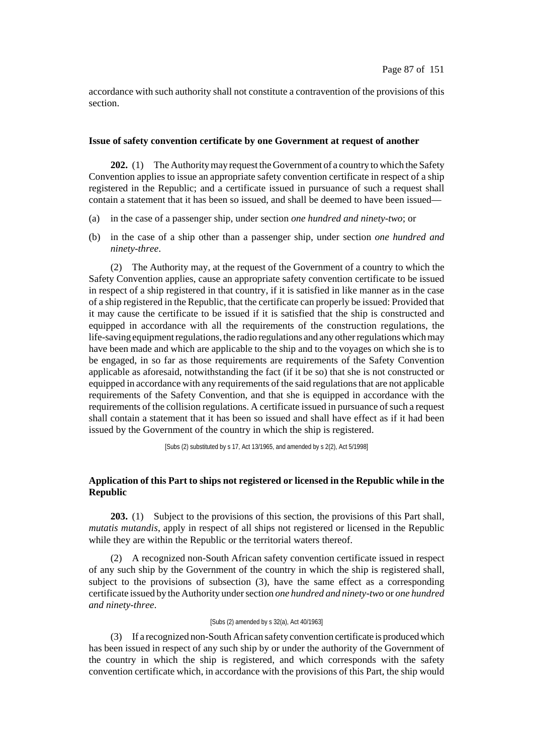accordance with such authority shall not constitute a contravention of the provisions of this section.

### **Issue of safety convention certificate by one Government at request of another**

**202.** (1) The Authority may request the Government of a country to which the Safety Convention applies to issue an appropriate safety convention certificate in respect of a ship registered in the Republic; and a certificate issued in pursuance of such a request shall contain a statement that it has been so issued, and shall be deemed to have been issued—

- (a) in the case of a passenger ship, under section *one hundred and ninety-two*; or
- (b) in the case of a ship other than a passenger ship, under section *one hundred and ninety-three*.

(2) The Authority may, at the request of the Government of a country to which the Safety Convention applies, cause an appropriate safety convention certificate to be issued in respect of a ship registered in that country, if it is satisfied in like manner as in the case of a ship registered in the Republic, that the certificate can properly be issued: Provided that it may cause the certificate to be issued if it is satisfied that the ship is constructed and equipped in accordance with all the requirements of the construction regulations, the life-saving equipment regulations, the radio regulations and any other regulations which may have been made and which are applicable to the ship and to the voyages on which she is to be engaged, in so far as those requirements are requirements of the Safety Convention applicable as aforesaid, notwithstanding the fact (if it be so) that she is not constructed or equipped in accordance with any requirements of the said regulationsthat are not applicable requirements of the Safety Convention, and that she is equipped in accordance with the requirements of the collision regulations. A certificate issued in pursuance of such a request shall contain a statement that it has been so issued and shall have effect as if it had been issued by the Government of the country in which the ship is registered.

[Subs (2) substituted by s 17, Act 13/1965, and amended by s 2(2), Act 5/1998]

# **Application of this Part to ships not registered or licensed in the Republic while in the Republic**

**203.** (1) Subject to the provisions of this section, the provisions of this Part shall, *mutatis mutandis*, apply in respect of all ships not registered or licensed in the Republic while they are within the Republic or the territorial waters thereof.

(2) A recognized non-South African safety convention certificate issued in respect of any such ship by the Government of the country in which the ship is registered shall, subject to the provisions of subsection (3), have the same effect as a corresponding certificate issued by the Authority undersection *one hundred and ninety-two* or *one hundred and ninety-three*.

#### [Subs (2) amended by s 32(a), Act 40/1963]

(3) If a recognized non-SouthAfrican safety convention certificate is produced which has been issued in respect of any such ship by or under the authority of the Government of the country in which the ship is registered, and which corresponds with the safety convention certificate which, in accordance with the provisions of this Part, the ship would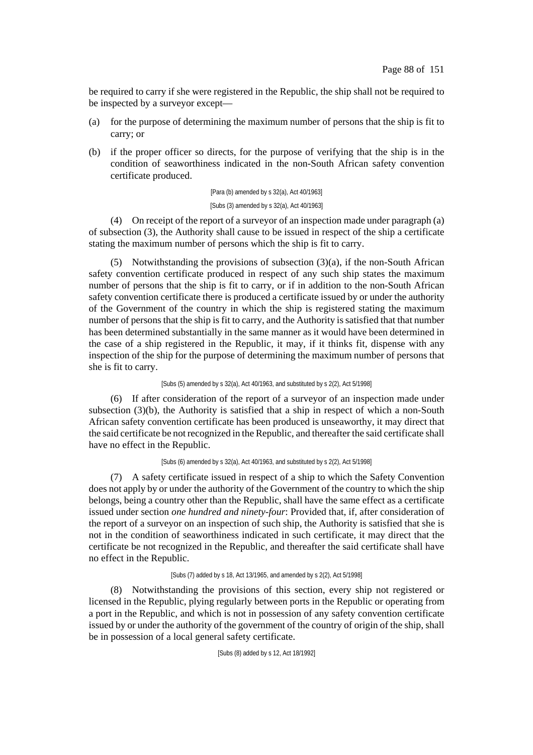be required to carry if she were registered in the Republic, the ship shall not be required to be inspected by a surveyor except—

- (a) for the purpose of determining the maximum number of persons that the ship is fit to carry; or
- (b) if the proper officer so directs, for the purpose of verifying that the ship is in the condition of seaworthiness indicated in the non-South African safety convention certificate produced.

[Para (b) amended by s 32(a), Act 40/1963] [Subs (3) amended by s 32(a), Act 40/1963]

(4) On receipt of the report of a surveyor of an inspection made under paragraph (a) of subsection (3), the Authority shall cause to be issued in respect of the ship a certificate stating the maximum number of persons which the ship is fit to carry.

(5) Notwithstanding the provisions of subsection (3)(a), if the non-South African safety convention certificate produced in respect of any such ship states the maximum number of persons that the ship is fit to carry, or if in addition to the non-South African safety convention certificate there is produced a certificate issued by or under the authority of the Government of the country in which the ship is registered stating the maximum number of persons that the ship is fit to carry, and the Authority is satisfied that that number has been determined substantially in the same manner as it would have been determined in the case of a ship registered in the Republic, it may, if it thinks fit, dispense with any inspection of the ship for the purpose of determining the maximum number of persons that she is fit to carry.

[Subs (5) amended by s 32(a), Act 40/1963, and substituted by s 2(2), Act 5/1998]

(6) If after consideration of the report of a surveyor of an inspection made under subsection (3)(b), the Authority is satisfied that a ship in respect of which a non-South African safety convention certificate has been produced is unseaworthy, it may direct that the said certificate be not recognized in the Republic, and thereafter the said certificate shall have no effect in the Republic.

[Subs (6) amended by s 32(a), Act 40/1963, and substituted by s 2(2), Act 5/1998]

(7) A safety certificate issued in respect of a ship to which the Safety Convention does not apply by or under the authority of the Government of the country to which the ship belongs, being a country other than the Republic, shall have the same effect as a certificate issued under section *one hundred and ninety-four*: Provided that, if, after consideration of the report of a surveyor on an inspection of such ship, the Authority is satisfied that she is not in the condition of seaworthiness indicated in such certificate, it may direct that the certificate be not recognized in the Republic, and thereafter the said certificate shall have no effect in the Republic.

### [Subs (7) added by s 18, Act 13/1965, and amended by s 2(2), Act 5/1998]

(8) Notwithstanding the provisions of this section, every ship not registered or licensed in the Republic, plying regularly between ports in the Republic or operating from a port in the Republic, and which is not in possession of any safety convention certificate issued by or under the authority of the government of the country of origin of the ship, shall be in possession of a local general safety certificate.

[Subs (8) added by s 12, Act 18/1992]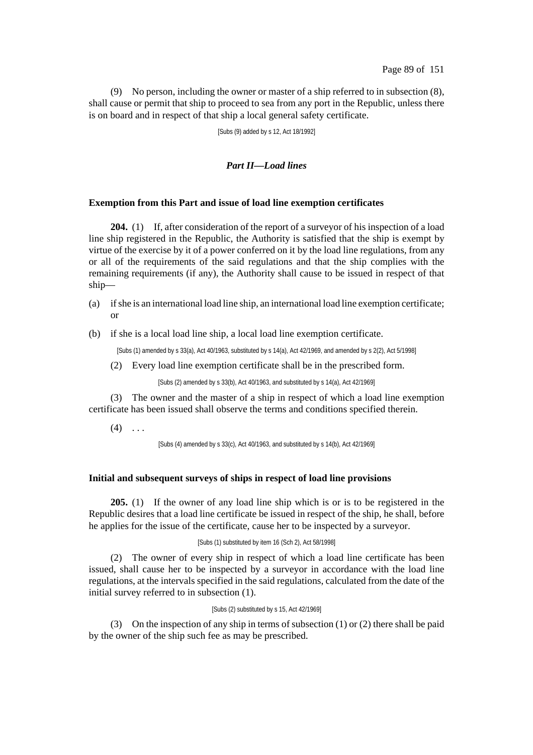(9) No person, including the owner or master of a ship referred to in subsection (8), shall cause or permit that ship to proceed to sea from any port in the Republic, unless there is on board and in respect of that ship a local general safety certificate.

[Subs (9) added by s 12, Act 18/1992]

# *Part II—Load lines*

## **Exemption from this Part and issue of load line exemption certificates**

**204.** (1) If, after consideration of the report of a surveyor of his inspection of a load line ship registered in the Republic, the Authority is satisfied that the ship is exempt by virtue of the exercise by it of a power conferred on it by the load line regulations, from any or all of the requirements of the said regulations and that the ship complies with the remaining requirements (if any), the Authority shall cause to be issued in respect of that ship—

- (a) ifshe is an international load line ship, an international load line exemption certificate; or
- (b) if she is a local load line ship, a local load line exemption certificate.

[Subs (1) amended by s 33(a), Act 40/1963, substituted by s 14(a), Act 42/1969, and amended by s 2(2), Act 5/1998]

(2) Every load line exemption certificate shall be in the prescribed form.

[Subs (2) amended by s 33(b), Act 40/1963, and substituted by s 14(a), Act 42/1969]

(3) The owner and the master of a ship in respect of which a load line exemption certificate has been issued shall observe the terms and conditions specified therein.

 $(4)$  ...

[Subs (4) amended by s 33(c), Act 40/1963, and substituted by s 14(b), Act 42/1969]

## **Initial and subsequent surveys of ships in respect of load line provisions**

**205.** (1) If the owner of any load line ship which is or is to be registered in the Republic desires that a load line certificate be issued in respect of the ship, he shall, before he applies for the issue of the certificate, cause her to be inspected by a surveyor.

### [Subs (1) substituted by item 16 (Sch 2), Act 58/1998]

(2) The owner of every ship in respect of which a load line certificate has been issued, shall cause her to be inspected by a surveyor in accordance with the load line regulations, at the intervals specified in the said regulations, calculated from the date of the initial survey referred to in subsection (1).

#### [Subs (2) substituted by s 15, Act 42/1969]

(3) On the inspection of any ship in terms of subsection (1) or (2) there shall be paid by the owner of the ship such fee as may be prescribed.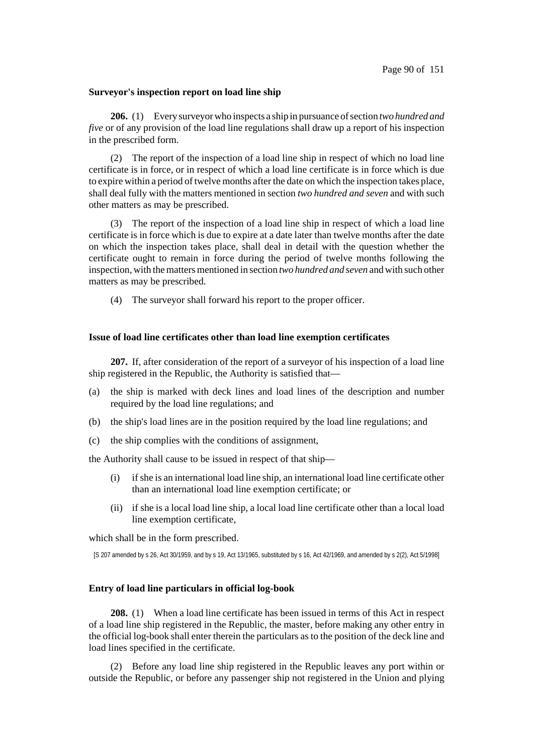#### **Surveyor's inspection report on load line ship**

**206.** (1) Every surveyor who inspects a ship in pursuance of section *two hundred and five* or of any provision of the load line regulations shall draw up a report of his inspection in the prescribed form.

(2) The report of the inspection of a load line ship in respect of which no load line certificate is in force, or in respect of which a load line certificate is in force which is due to expire within a period of twelve months after the date on which the inspection takes place, shall deal fully with the matters mentioned in section *two hundred and seven* and with such other matters as may be prescribed.

(3) The report of the inspection of a load line ship in respect of which a load line certificate is in force which is due to expire at a date later than twelve months after the date on which the inspection takes place, shall deal in detail with the question whether the certificate ought to remain in force during the period of twelve months following the inspection, with the matters mentioned in section *two hundred and seven* and with such other matters as may be prescribed.

(4) The surveyor shall forward his report to the proper officer.

### **Issue of load line certificates other than load line exemption certificates**

**207.** If, after consideration of the report of a surveyor of his inspection of a load line ship registered in the Republic, the Authority is satisfied that—

- (a) the ship is marked with deck lines and load lines of the description and number required by the load line regulations; and
- (b) the ship's load lines are in the position required by the load line regulations; and
- (c) the ship complies with the conditions of assignment,

the Authority shall cause to be issued in respect of that ship—

- (i) ifshe is an international load line ship, an international load line certificate other than an international load line exemption certificate; or
- (ii) if she is a local load line ship, a local load line certificate other than a local load line exemption certificate,

which shall be in the form prescribed.

[S 207 amended by s 26, Act 30/1959, and by s 19, Act 13/1965, substituted by s 16, Act 42/1969, and amended by s 2(2), Act 5/1998]

# **Entry of load line particulars in official log-book**

**208.** (1) When a load line certificate has been issued in terms of this Act in respect of a load line ship registered in the Republic, the master, before making any other entry in the official log-book shall enter therein the particulars as to the position of the deck line and load lines specified in the certificate.

(2) Before any load line ship registered in the Republic leaves any port within or outside the Republic, or before any passenger ship not registered in the Union and plying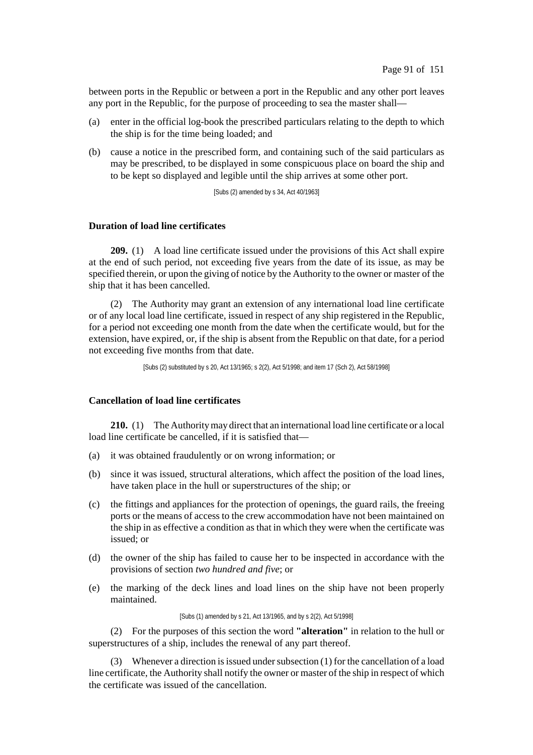between ports in the Republic or between a port in the Republic and any other port leaves any port in the Republic, for the purpose of proceeding to sea the master shall—

- (a) enter in the official log-book the prescribed particulars relating to the depth to which the ship is for the time being loaded; and
- (b) cause a notice in the prescribed form, and containing such of the said particulars as may be prescribed, to be displayed in some conspicuous place on board the ship and to be kept so displayed and legible until the ship arrives at some other port.

[Subs (2) amended by s 34, Act 40/1963]

# **Duration of load line certificates**

**209.** (1) A load line certificate issued under the provisions of this Act shall expire at the end of such period, not exceeding five years from the date of its issue, as may be specified therein, or upon the giving of notice by the Authority to the owner or master of the ship that it has been cancelled.

(2) The Authority may grant an extension of any international load line certificate or of any local load line certificate, issued in respect of any ship registered in the Republic, for a period not exceeding one month from the date when the certificate would, but for the extension, have expired, or, if the ship is absent from the Republic on that date, for a period not exceeding five months from that date.

[Subs (2) substituted by s 20, Act 13/1965; s 2(2), Act 5/1998; and item 17 (Sch 2), Act 58/1998]

# **Cancellation of load line certificates**

**210.** (1) The Authoritymay direct that an international load line certificate or a local load line certificate be cancelled, if it is satisfied that—

- (a) it was obtained fraudulently or on wrong information; or
- (b) since it was issued, structural alterations, which affect the position of the load lines, have taken place in the hull or superstructures of the ship; or
- (c) the fittings and appliances for the protection of openings, the guard rails, the freeing ports or the means of access to the crew accommodation have not been maintained on the ship in as effective a condition as that in which they were when the certificate was issued; or
- (d) the owner of the ship has failed to cause her to be inspected in accordance with the provisions of section *two hundred and five*; or
- (e) the marking of the deck lines and load lines on the ship have not been properly maintained.

[Subs (1) amended by s 21, Act 13/1965, and by s 2(2), Act 5/1998]

(2) For the purposes of this section the word **"alteration"** in relation to the hull or superstructures of a ship, includes the renewal of any part thereof.

(3) Whenever a direction is issued under subsection  $(1)$  for the cancellation of a load line certificate, the Authority shall notify the owner or master of the ship in respect of which the certificate was issued of the cancellation.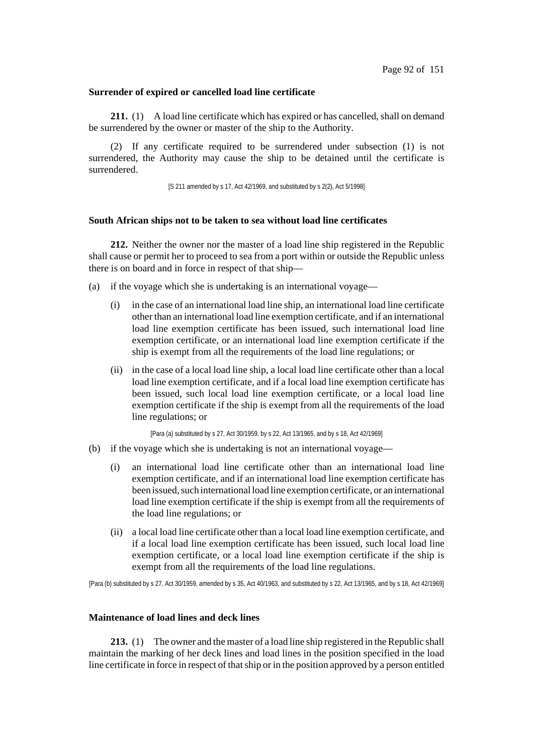### **Surrender of expired or cancelled load line certificate**

**211.** (1) A load line certificate which has expired or has cancelled, shall on demand be surrendered by the owner or master of the ship to the Authority.

(2) If any certificate required to be surrendered under subsection (1) is not surrendered, the Authority may cause the ship to be detained until the certificate is surrendered.

[S 211 amended by s 17, Act 42/1969, and substituted by s 2(2), Act 5/1998]

### **South African ships not to be taken to sea without load line certificates**

**212.** Neither the owner nor the master of a load line ship registered in the Republic shall cause or permit her to proceed to sea from a port within or outside the Republic unless there is on board and in force in respect of that ship—

- (a) if the voyage which she is undertaking is an international voyage—
	- (i) in the case of an international load line ship, an international load line certificate other than an international load line exemption certificate, and if an international load line exemption certificate has been issued, such international load line exemption certificate, or an international load line exemption certificate if the ship is exempt from all the requirements of the load line regulations; or
	- (ii) in the case of a local load line ship, a local load line certificate other than a local load line exemption certificate, and if a local load line exemption certificate has been issued, such local load line exemption certificate, or a local load line exemption certificate if the ship is exempt from all the requirements of the load line regulations; or

[Para (a) substituted by s 27, Act 30/1959, by s 22, Act 13/1965, and by s 18, Act 42/1969]

- (b) if the voyage which she is undertaking is not an international voyage—
	- (i) an international load line certificate other than an international load line exemption certificate, and if an international load line exemption certificate has been issued, such international load line exemption certificate, or an international load line exemption certificate if the ship is exempt from all the requirements of the load line regulations; or
	- (ii) a local load line certificate other than a local load line exemption certificate, and if a local load line exemption certificate has been issued, such local load line exemption certificate, or a local load line exemption certificate if the ship is exempt from all the requirements of the load line regulations.

[Para (b) substituted by s 27, Act 30/1959, amended by s 35, Act 40/1963, and substituted by s 22, Act 13/1965, and by s 18, Act 42/1969]

## **Maintenance of load lines and deck lines**

**213.** (1) The owner and the master of a load line ship registered in the Republic shall maintain the marking of her deck lines and load lines in the position specified in the load line certificate in force in respect of that ship or in the position approved by a person entitled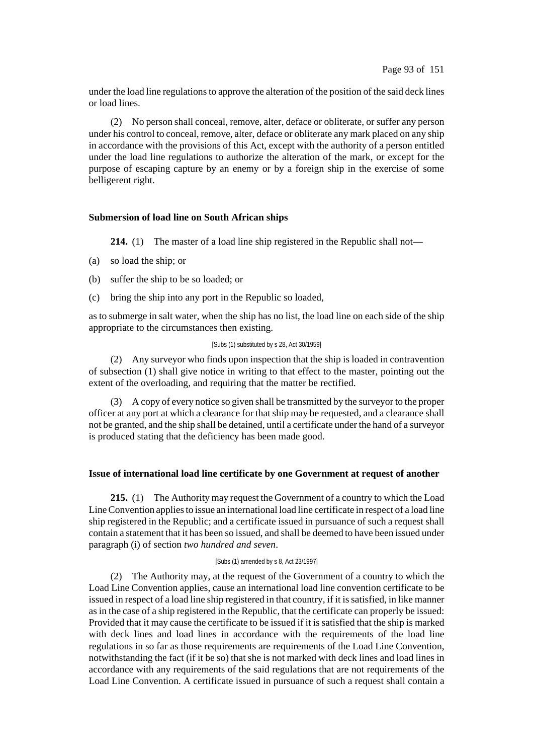under the load line regulations to approve the alteration of the position of the said deck lines or load lines.

(2) No person shall conceal, remove, alter, deface or obliterate, or suffer any person under his control to conceal, remove, alter, deface or obliterate any mark placed on any ship in accordance with the provisions of this Act, except with the authority of a person entitled under the load line regulations to authorize the alteration of the mark, or except for the purpose of escaping capture by an enemy or by a foreign ship in the exercise of some belligerent right.

# **Submersion of load line on South African ships**

**214.** (1) The master of a load line ship registered in the Republic shall not—

- (a) so load the ship; or
- (b) suffer the ship to be so loaded; or
- (c) bring the ship into any port in the Republic so loaded,

as to submerge in salt water, when the ship has no list, the load line on each side of the ship appropriate to the circumstances then existing.

#### [Subs (1) substituted by s 28, Act 30/1959]

(2) Any surveyor who finds upon inspection that the ship is loaded in contravention of subsection (1) shall give notice in writing to that effect to the master, pointing out the extent of the overloading, and requiring that the matter be rectified.

(3) A copy of every notice so given shall be transmitted by the surveyor to the proper officer at any port at which a clearance for that ship may be requested, and a clearance shall not be granted, and the ship shall be detained, until a certificate under the hand of a surveyor is produced stating that the deficiency has been made good.

## **Issue of international load line certificate by one Government at request of another**

**215.** (1) The Authority may request the Government of a country to which the Load LineConvention appliesto issue an international load line certificate in respect of a load line ship registered in the Republic; and a certificate issued in pursuance of such a request shall contain a statement that it has been so issued, and shall be deemed to have been issued under paragraph (i) of section *two hundred and seven*.

#### [Subs (1) amended by s 8, Act 23/1997]

(2) The Authority may, at the request of the Government of a country to which the Load Line Convention applies, cause an international load line convention certificate to be issued in respect of a load line ship registered in that country, if it is satisfied, in like manner as in the case of a ship registered in the Republic, that the certificate can properly be issued: Provided that it may cause the certificate to be issued if it is satisfied that the ship is marked with deck lines and load lines in accordance with the requirements of the load line regulations in so far as those requirements are requirements of the Load Line Convention, notwithstanding the fact (if it be so) that she is not marked with deck lines and load lines in accordance with any requirements of the said regulations that are not requirements of the Load Line Convention. A certificate issued in pursuance of such a request shall contain a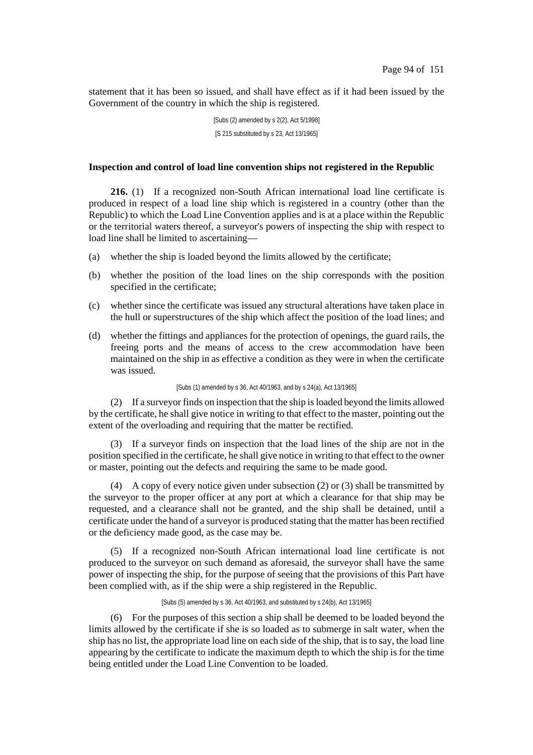statement that it has been so issued, and shall have effect as if it had been issued by the Government of the country in which the ship is registered.

> [Subs (2) amended by s 2(2), Act 5/1998] [S 215 substituted by s 23, Act 13/1965]

# **Inspection and control of load line convention ships not registered in the Republic**

**216.** (1) If a recognized non-South African international load line certificate is produced in respect of a load line ship which is registered in a country (other than the Republic) to which the Load Line Convention applies and is at a place within the Republic or the territorial waters thereof, a surveyor's powers of inspecting the ship with respect to load line shall be limited to ascertaining—

- (a) whether the ship is loaded beyond the limits allowed by the certificate;
- (b) whether the position of the load lines on the ship corresponds with the position specified in the certificate;
- (c) whether since the certificate was issued any structural alterations have taken place in the hull or superstructures of the ship which affect the position of the load lines; and
- (d) whether the fittings and appliances for the protection of openings, the guard rails, the freeing ports and the means of access to the crew accommodation have been maintained on the ship in as effective a condition as they were in when the certificate was issued.

[Subs (1) amended by s 36, Act 40/1963, and by s 24(a), Act 13/1965]

(2) If a surveyor finds on inspection that the ship isloaded beyond the limits allowed by the certificate, he shall give notice in writing to that effect to the master, pointing out the extent of the overloading and requiring that the matter be rectified.

(3) If a surveyor finds on inspection that the load lines of the ship are not in the position specified in the certificate, he shall give notice in writing to that effect to the owner or master, pointing out the defects and requiring the same to be made good.

(4) A copy of every notice given under subsection (2) or (3) shall be transmitted by the surveyor to the proper officer at any port at which a clearance for that ship may be requested, and a clearance shall not be granted, and the ship shall be detained, until a certificate under the hand of a surveyor is produced stating that the matter has been rectified or the deficiency made good, as the case may be.

(5) If a recognized non-South African international load line certificate is not produced to the surveyor on such demand as aforesaid, the surveyor shall have the same power of inspecting the ship, for the purpose of seeing that the provisions of this Part have been complied with, as if the ship were a ship registered in the Republic.

[Subs (5) amended by s 36, Act 40/1963, and substituted by s 24(b), Act 13/1965]

(6) For the purposes of this section a ship shall be deemed to be loaded beyond the limits allowed by the certificate if she is so loaded as to submerge in salt water, when the ship has no list, the appropriate load line on each side of the ship, that is to say, the load line appearing by the certificate to indicate the maximum depth to which the ship is for the time being entitled under the Load Line Convention to be loaded.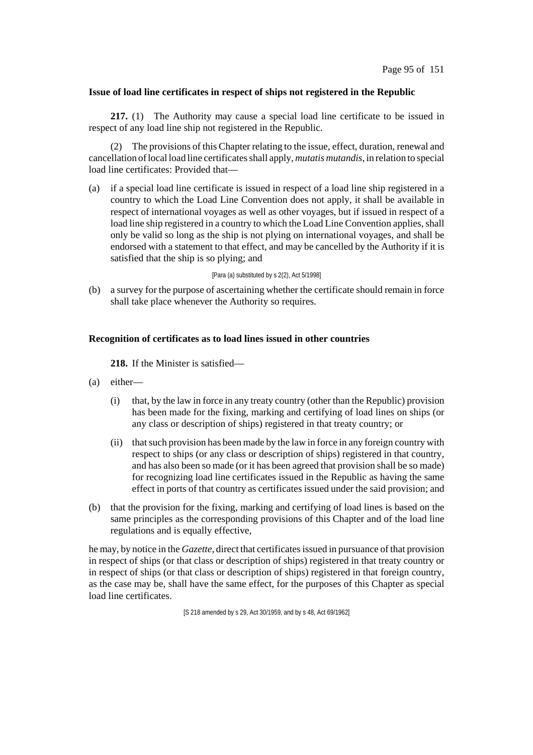# **Issue of load line certificates in respect of ships not registered in the Republic**

**217.** (1) The Authority may cause a special load line certificate to be issued in respect of any load line ship not registered in the Republic.

(2) The provisions of this Chapter relating to the issue, effect, duration, renewal and cancellation oflocal load line certificatesshall apply, *mutatis mutandis*, in relation to special load line certificates: Provided that-

(a) if a special load line certificate is issued in respect of a load line ship registered in a country to which the Load Line Convention does not apply, it shall be available in respect of international voyages as well as other voyages, but if issued in respect of a load line ship registered in a country to which the Load Line Convention applies, shall only be valid so long as the ship is not plying on international voyages, and shall be endorsed with a statement to that effect, and may be cancelled by the Authority if it is satisfied that the ship is so plying; and

### [Para (a) substituted by s 2(2), Act 5/1998]

(b) a survey for the purpose of ascertaining whether the certificate should remain in force shall take place whenever the Authority so requires.

# **Recognition of certificates as to load lines issued in other countries**

**218.** If the Minister is satisfied—

- (a) either—
	- (i) that, by the law in force in any treaty country (other than the Republic) provision has been made for the fixing, marking and certifying of load lines on ships (or any class or description of ships) registered in that treaty country; or
	- (ii) thatsuch provision has been made by the law in force in any foreign country with respect to ships (or any class or description of ships) registered in that country, and has also been so made (or it has been agreed that provision shall be so made) for recognizing load line certificates issued in the Republic as having the same effect in ports of that country as certificates issued under the said provision; and
- (b) that the provision for the fixing, marking and certifying of load lines is based on the same principles as the corresponding provisions of this Chapter and of the load line regulations and is equally effective,

he may, by notice in the *Gazette*, direct that certificatesissued in pursuance of that provision in respect of ships (or that class or description of ships) registered in that treaty country or in respect of ships (or that class or description of ships) registered in that foreign country, as the case may be, shall have the same effect, for the purposes of this Chapter as special load line certificates.

[S 218 amended by s 29, Act 30/1959, and by s 48, Act 69/1962]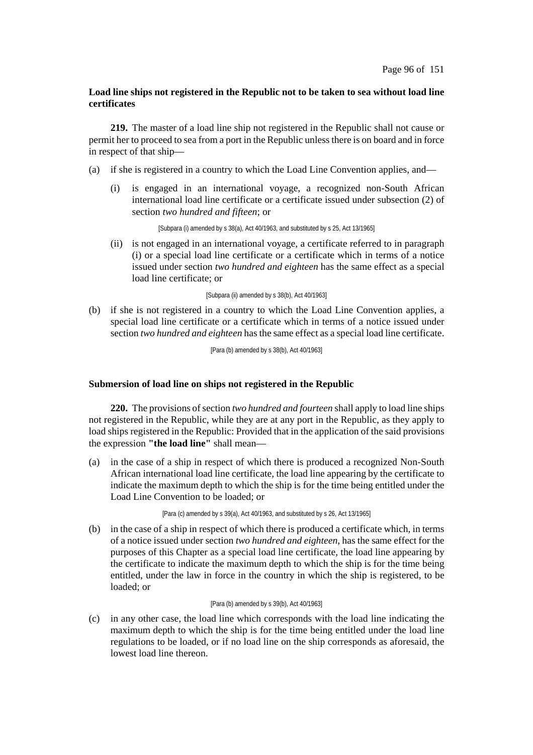# **Load line ships not registered in the Republic not to be taken to sea without load line certificates**

**219.** The master of a load line ship not registered in the Republic shall not cause or permit her to proceed to sea from a port in the Republic unless there is on board and in force in respect of that ship—

- (a) if she is registered in a country to which the Load Line Convention applies, and—
	- (i) is engaged in an international voyage, a recognized non-South African international load line certificate or a certificate issued under subsection (2) of section *two hundred and fifteen*; or

[Subpara (i) amended by s 38(a), Act 40/1963, and substituted by s 25, Act 13/1965]

(ii) is not engaged in an international voyage, a certificate referred to in paragraph (i) or a special load line certificate or a certificate which in terms of a notice issued under section *two hundred and eighteen* has the same effect as a special load line certificate; or

[Subpara (ii) amended by s 38(b), Act 40/1963]

(b) if she is not registered in a country to which the Load Line Convention applies, a special load line certificate or a certificate which in terms of a notice issued under section *two hundred and eighteen* has the same effect as a special load line certificate.

[Para (b) amended by s 38(b), Act 40/1963]

# **Submersion of load line on ships not registered in the Republic**

**220.** The provisions of section *two hundred and fourteen* shall apply to load line ships not registered in the Republic, while they are at any port in the Republic, as they apply to load ships registered in the Republic: Provided that in the application of the said provisions the expression **"the load line"** shall mean—

(a) in the case of a ship in respect of which there is produced a recognized Non-South African international load line certificate, the load line appearing by the certificate to indicate the maximum depth to which the ship is for the time being entitled under the Load Line Convention to be loaded; or

[Para (c) amended by s 39(a), Act 40/1963, and substituted by s 26, Act 13/1965]

(b) in the case of a ship in respect of which there is produced a certificate which, in terms of a notice issued under section *two hundred and eighteen*, has the same effect for the purposes of this Chapter as a special load line certificate, the load line appearing by the certificate to indicate the maximum depth to which the ship is for the time being entitled, under the law in force in the country in which the ship is registered, to be loaded; or

## [Para (b) amended by s 39(b), Act 40/1963]

(c) in any other case, the load line which corresponds with the load line indicating the maximum depth to which the ship is for the time being entitled under the load line regulations to be loaded, or if no load line on the ship corresponds as aforesaid, the lowest load line thereon.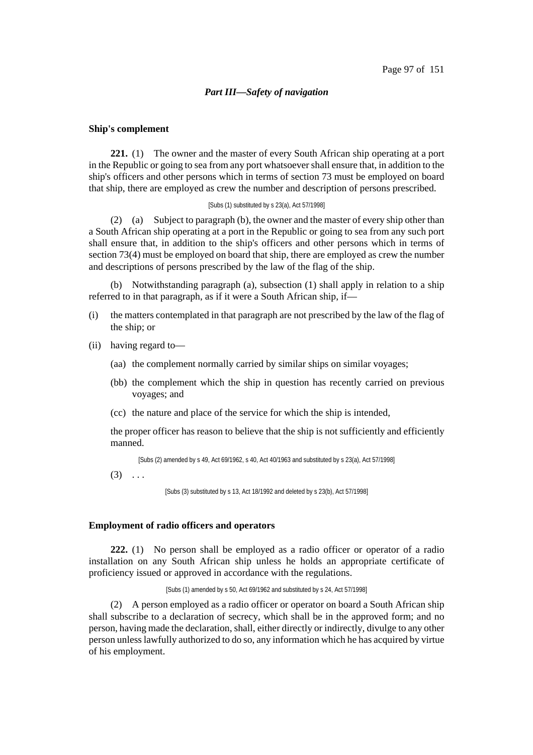### *Part III—Safety of navigation*

## **Ship's complement**

**221.** (1) The owner and the master of every South African ship operating at a port in the Republic or going to sea from any port whatsoevershall ensure that, in addition to the ship's officers and other persons which in terms of section 73 must be employed on board that ship, there are employed as crew the number and description of persons prescribed.

### [Subs (1) substituted by s 23(a), Act 57/1998]

(2) (a) Subject to paragraph (b), the owner and the master of every ship other than a South African ship operating at a port in the Republic or going to sea from any such port shall ensure that, in addition to the ship's officers and other persons which in terms of section 73(4) must be employed on board that ship, there are employed as crew the number and descriptions of persons prescribed by the law of the flag of the ship.

(b) Notwithstanding paragraph (a), subsection (1) shall apply in relation to a ship referred to in that paragraph, as if it were a South African ship, if—

- (i) the matters contemplated in that paragraph are not prescribed by the law of the flag of the ship; or
- (ii) having regard to—
	- (aa) the complement normally carried by similar ships on similar voyages;
	- (bb) the complement which the ship in question has recently carried on previous voyages; and
	- (cc) the nature and place of the service for which the ship is intended,

the proper officer has reason to believe that the ship is not sufficiently and efficiently manned.

[Subs (2) amended by s 49, Act 69/1962, s 40, Act 40/1963 and substituted by s 23(a), Act 57/1998]

 $(3) \ldots$ 

[Subs (3) substituted by s 13, Act 18/1992 and deleted by s 23(b), Act 57/1998]

### **Employment of radio officers and operators**

**222.** (1) No person shall be employed as a radio officer or operator of a radio installation on any South African ship unless he holds an appropriate certificate of proficiency issued or approved in accordance with the regulations.

[Subs (1) amended by s 50, Act 69/1962 and substituted by s 24, Act 57/1998]

(2) A person employed as a radio officer or operator on board a South African ship shall subscribe to a declaration of secrecy, which shall be in the approved form; and no person, having made the declaration, shall, either directly or indirectly, divulge to any other person unlesslawfully authorized to do so, any information which he has acquired by virtue of his employment.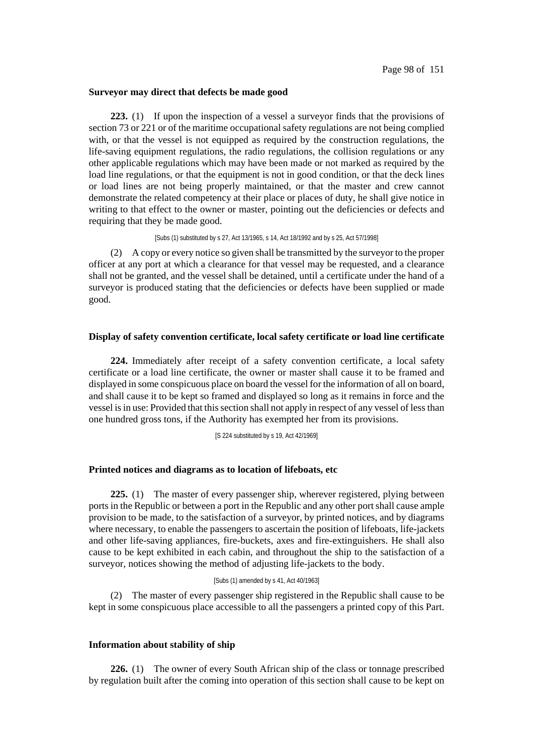### **Surveyor may direct that defects be made good**

**223.** (1) If upon the inspection of a vessel a surveyor finds that the provisions of section 73 or 221 or of the maritime occupational safety regulations are not being complied with, or that the vessel is not equipped as required by the construction regulations, the life-saving equipment regulations, the radio regulations, the collision regulations or any other applicable regulations which may have been made or not marked as required by the load line regulations, or that the equipment is not in good condition, or that the deck lines or load lines are not being properly maintained, or that the master and crew cannot demonstrate the related competency at their place or places of duty, he shall give notice in writing to that effect to the owner or master, pointing out the deficiencies or defects and requiring that they be made good.

[Subs (1) substituted by s 27, Act 13/1965, s 14, Act 18/1992 and by s 25, Act 57/1998]

(2) A copy or every notice so given shall be transmitted by the surveyor to the proper officer at any port at which a clearance for that vessel may be requested, and a clearance shall not be granted, and the vessel shall be detained, until a certificate under the hand of a surveyor is produced stating that the deficiencies or defects have been supplied or made good.

#### **Display of safety convention certificate, local safety certificate or load line certificate**

**224.** Immediately after receipt of a safety convention certificate, a local safety certificate or a load line certificate, the owner or master shall cause it to be framed and displayed in some conspicuous place on board the vessel for the information of all on board, and shall cause it to be kept so framed and displayed so long as it remains in force and the vessel isin use: Provided that thissection shall not apply in respect of any vessel of lessthan one hundred gross tons, if the Authority has exempted her from its provisions.

[S 224 substituted by s 19, Act 42/1969]

### **Printed notices and diagrams as to location of lifeboats, etc**

**225.** (1) The master of every passenger ship, wherever registered, plying between ports in the Republic or between a port in the Republic and any other portshall cause ample provision to be made, to the satisfaction of a surveyor, by printed notices, and by diagrams where necessary, to enable the passengers to ascertain the position of lifeboats, life-jackets and other life-saving appliances, fire-buckets, axes and fire-extinguishers. He shall also cause to be kept exhibited in each cabin, and throughout the ship to the satisfaction of a surveyor, notices showing the method of adjusting life-jackets to the body.

#### [Subs (1) amended by s 41, Act 40/1963]

(2) The master of every passenger ship registered in the Republic shall cause to be kept in some conspicuous place accessible to all the passengers a printed copy of this Part.

## **Information about stability of ship**

**226.** (1) The owner of every South African ship of the class or tonnage prescribed by regulation built after the coming into operation of this section shall cause to be kept on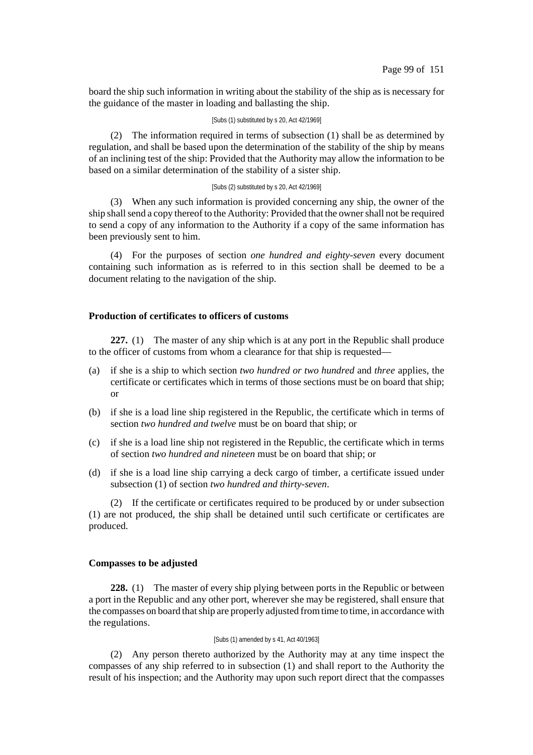board the ship such information in writing about the stability of the ship as is necessary for the guidance of the master in loading and ballasting the ship.

#### [Subs (1) substituted by s 20, Act 42/1969]

(2) The information required in terms of subsection (1) shall be as determined by regulation, and shall be based upon the determination of the stability of the ship by means of an inclining test of the ship: Provided that the Authority may allow the information to be based on a similar determination of the stability of a sister ship.

## [Subs (2) substituted by s 20, Act 42/1969]

(3) When any such information is provided concerning any ship, the owner of the ship shall send a copy thereof to the Authority: Provided that the owner shall not be required to send a copy of any information to the Authority if a copy of the same information has been previously sent to him.

(4) For the purposes of section *one hundred and eighty-seven* every document containing such information as is referred to in this section shall be deemed to be a document relating to the navigation of the ship.

# **Production of certificates to officers of customs**

**227.** (1) The master of any ship which is at any port in the Republic shall produce to the officer of customs from whom a clearance for that ship is requested—

- (a) if she is a ship to which section *two hundred or two hundred* and *three* applies, the certificate or certificates which in terms of those sections must be on board that ship; or
- (b) if she is a load line ship registered in the Republic, the certificate which in terms of section *two hundred and twelve* must be on board that ship; or
- (c) if she is a load line ship not registered in the Republic, the certificate which in terms of section *two hundred and nineteen* must be on board that ship; or
- (d) if she is a load line ship carrying a deck cargo of timber, a certificate issued under subsection (1) of section *two hundred and thirty-seven*.

(2) If the certificate or certificates required to be produced by or under subsection (1) are not produced, the ship shall be detained until such certificate or certificates are produced.

### **Compasses to be adjusted**

**228.** (1) The master of every ship plying between ports in the Republic or between a port in the Republic and any other port, wherever she may be registered, shall ensure that the compasses on board thatship are properly adjusted fromtime to time, in accordance with the regulations.

#### [Subs (1) amended by s 41, Act 40/1963]

(2) Any person thereto authorized by the Authority may at any time inspect the compasses of any ship referred to in subsection (1) and shall report to the Authority the result of his inspection; and the Authority may upon such report direct that the compasses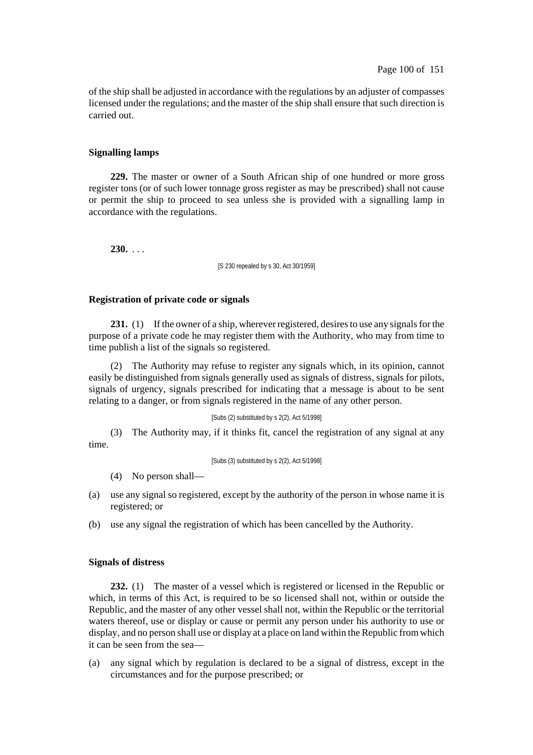of the ship shall be adjusted in accordance with the regulations by an adjuster of compasses licensed under the regulations; and the master of the ship shall ensure that such direction is carried out.

# **Signalling lamps**

**229.** The master or owner of a South African ship of one hundred or more gross register tons (or of such lower tonnage gross register as may be prescribed) shall not cause or permit the ship to proceed to sea unless she is provided with a signalling lamp in accordance with the regulations.

**230.** . . .

[S 230 repealed by s 30, Act 30/1959]

# **Registration of private code or signals**

**231.** (1) If the owner of a ship, wherever registered, desires to use any signals for the purpose of a private code he may register them with the Authority, who may from time to time publish a list of the signals so registered.

(2) The Authority may refuse to register any signals which, in its opinion, cannot easily be distinguished from signals generally used as signals of distress, signals for pilots, signals of urgency, signals prescribed for indicating that a message is about to be sent relating to a danger, or from signals registered in the name of any other person.

## [Subs (2) substituted by s 2(2), Act 5/1998]

(3) The Authority may, if it thinks fit, cancel the registration of any signal at any time.

[Subs (3) substituted by s 2(2), Act 5/1998]

(4) No person shall—

- (a) use any signal so registered, except by the authority of the person in whose name it is registered; or
- (b) use any signal the registration of which has been cancelled by the Authority.

## **Signals of distress**

**232.** (1) The master of a vessel which is registered or licensed in the Republic or which, in terms of this Act, is required to be so licensed shall not, within or outside the Republic, and the master of any other vessel shall not, within the Republic or the territorial waters thereof, use or display or cause or permit any person under his authority to use or display, and no person shall use or display at a place on land within the Republic fromwhich it can be seen from the sea—

(a) any signal which by regulation is declared to be a signal of distress, except in the circumstances and for the purpose prescribed; or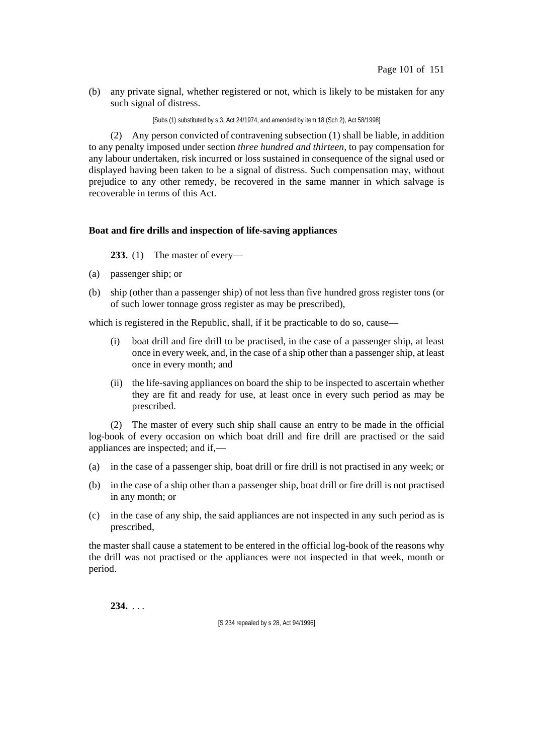(b) any private signal, whether registered or not, which is likely to be mistaken for any such signal of distress.

[Subs (1) substituted by s 3, Act 24/1974, and amended by item 18 (Sch 2), Act 58/1998]

(2) Any person convicted of contravening subsection (1) shall be liable, in addition to any penalty imposed under section *three hundred and thirteen*, to pay compensation for any labour undertaken, risk incurred or loss sustained in consequence of the signal used or displayed having been taken to be a signal of distress. Such compensation may, without prejudice to any other remedy, be recovered in the same manner in which salvage is recoverable in terms of this Act.

# **Boat and fire drills and inspection of life-saving appliances**

# **233.** (1) The master of every—

- (a) passenger ship; or
- (b) ship (other than a passenger ship) of not less than five hundred gross register tons (or of such lower tonnage gross register as may be prescribed),

which is registered in the Republic, shall, if it be practicable to do so, cause—

- (i) boat drill and fire drill to be practised, in the case of a passenger ship, at least once in every week, and, in the case of a ship other than a passenger ship, at least once in every month; and
- (ii) the life-saving appliances on board the ship to be inspected to ascertain whether they are fit and ready for use, at least once in every such period as may be prescribed.

(2) The master of every such ship shall cause an entry to be made in the official log-book of every occasion on which boat drill and fire drill are practised or the said appliances are inspected; and if,—

- (a) in the case of a passenger ship, boat drill or fire drill is not practised in any week; or
- (b) in the case of a ship other than a passenger ship, boat drill or fire drill is not practised in any month; or
- (c) in the case of any ship, the said appliances are not inspected in any such period as is prescribed,

the master shall cause a statement to be entered in the official log-book of the reasons why the drill was not practised or the appliances were not inspected in that week, month or period.

**234.** . . .

[S 234 repealed by s 28, Act 94/1996]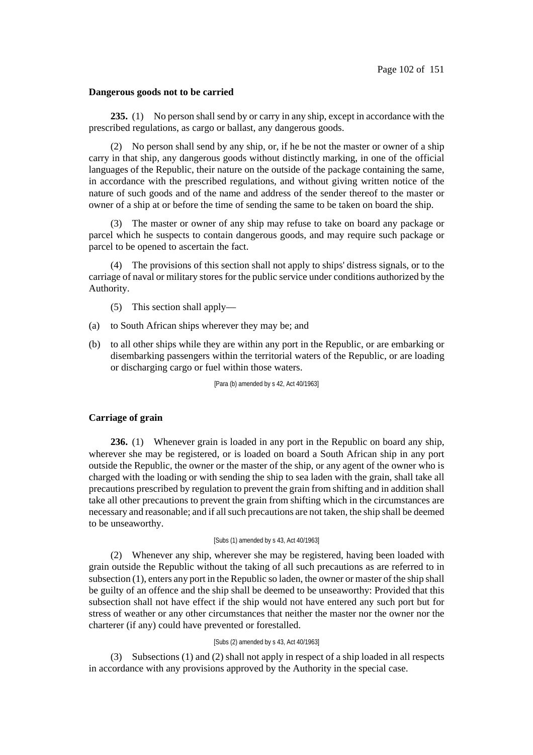#### **Dangerous goods not to be carried**

**235.** (1) No person shall send by or carry in any ship, except in accordance with the prescribed regulations, as cargo or ballast, any dangerous goods.

(2) No person shall send by any ship, or, if he be not the master or owner of a ship carry in that ship, any dangerous goods without distinctly marking, in one of the official languages of the Republic, their nature on the outside of the package containing the same, in accordance with the prescribed regulations, and without giving written notice of the nature of such goods and of the name and address of the sender thereof to the master or owner of a ship at or before the time of sending the same to be taken on board the ship.

(3) The master or owner of any ship may refuse to take on board any package or parcel which he suspects to contain dangerous goods, and may require such package or parcel to be opened to ascertain the fact.

(4) The provisions of this section shall not apply to ships' distress signals, or to the carriage of naval or military stores for the public service under conditions authorized by the Authority.

- (5) This section shall apply—
- (a) to South African ships wherever they may be; and
- (b) to all other ships while they are within any port in the Republic, or are embarking or disembarking passengers within the territorial waters of the Republic, or are loading or discharging cargo or fuel within those waters.

[Para (b) amended by s 42, Act 40/1963]

### **Carriage of grain**

**236.** (1) Whenever grain is loaded in any port in the Republic on board any ship, wherever she may be registered, or is loaded on board a South African ship in any port outside the Republic, the owner or the master of the ship, or any agent of the owner who is charged with the loading or with sending the ship to sea laden with the grain, shall take all precautions prescribed by regulation to prevent the grain from shifting and in addition shall take all other precautions to prevent the grain from shifting which in the circumstances are necessary and reasonable; and if allsuch precautions are not taken, the ship shall be deemed to be unseaworthy.

#### [Subs (1) amended by s 43, Act 40/1963]

(2) Whenever any ship, wherever she may be registered, having been loaded with grain outside the Republic without the taking of all such precautions as are referred to in subsection (1), enters any port in the Republic so laden, the owner or master of the ship shall be guilty of an offence and the ship shall be deemed to be unseaworthy: Provided that this subsection shall not have effect if the ship would not have entered any such port but for stress of weather or any other circumstances that neither the master nor the owner nor the charterer (if any) could have prevented or forestalled.

#### [Subs (2) amended by s 43, Act 40/1963]

(3) Subsections (1) and (2) shall not apply in respect of a ship loaded in all respects in accordance with any provisions approved by the Authority in the special case.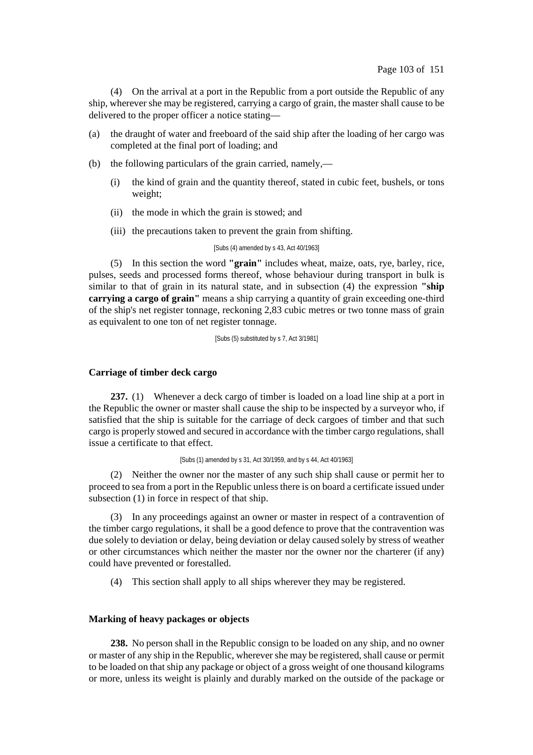(4) On the arrival at a port in the Republic from a port outside the Republic of any ship, wherever she may be registered, carrying a cargo of grain, the master shall cause to be delivered to the proper officer a notice stating—

- (a) the draught of water and freeboard of the said ship after the loading of her cargo was completed at the final port of loading; and
- (b) the following particulars of the grain carried, namely,—
	- (i) the kind of grain and the quantity thereof, stated in cubic feet, bushels, or tons weight;
	- (ii) the mode in which the grain is stowed; and
	- (iii) the precautions taken to prevent the grain from shifting.

[Subs (4) amended by s 43, Act 40/1963]

(5) In this section the word **"grain"** includes wheat, maize, oats, rye, barley, rice, pulses, seeds and processed forms thereof, whose behaviour during transport in bulk is similar to that of grain in its natural state, and in subsection (4) the expression **"ship carrying a cargo of grain"** means a ship carrying a quantity of grain exceeding one-third of the ship's net register tonnage, reckoning 2,83 cubic metres or two tonne mass of grain as equivalent to one ton of net register tonnage.

[Subs (5) substituted by s 7, Act 3/1981]

# **Carriage of timber deck cargo**

**237.** (1) Whenever a deck cargo of timber is loaded on a load line ship at a port in the Republic the owner or master shall cause the ship to be inspected by a surveyor who, if satisfied that the ship is suitable for the carriage of deck cargoes of timber and that such cargo is properly stowed and secured in accordance with the timber cargo regulations, shall issue a certificate to that effect.

#### [Subs (1) amended by s 31, Act 30/1959, and by s 44, Act 40/1963]

(2) Neither the owner nor the master of any such ship shall cause or permit her to proceed to sea from a port in the Republic unless there is on board a certificate issued under subsection (1) in force in respect of that ship.

(3) In any proceedings against an owner or master in respect of a contravention of the timber cargo regulations, it shall be a good defence to prove that the contravention was due solely to deviation or delay, being deviation or delay caused solely by stress of weather or other circumstances which neither the master nor the owner nor the charterer (if any) could have prevented or forestalled.

(4) This section shall apply to all ships wherever they may be registered.

# **Marking of heavy packages or objects**

**238.** No person shall in the Republic consign to be loaded on any ship, and no owner or master of any ship in the Republic, wherever she may be registered, shall cause or permit to be loaded on that ship any package or object of a gross weight of one thousand kilograms or more, unless its weight is plainly and durably marked on the outside of the package or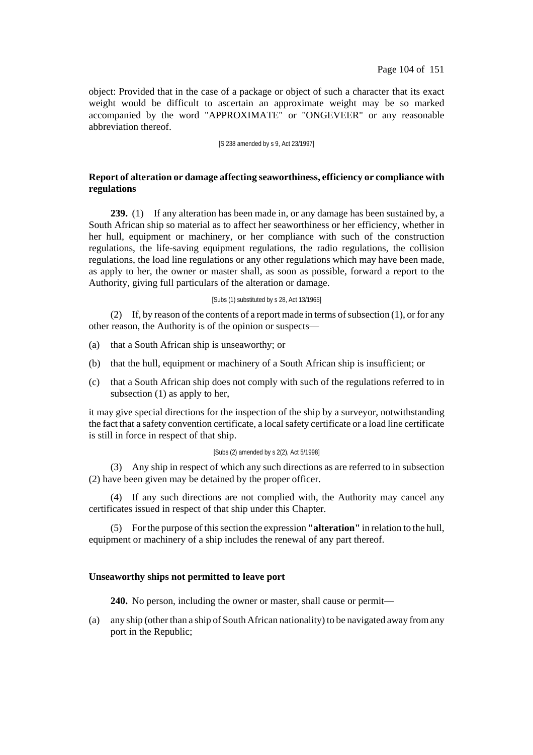object: Provided that in the case of a package or object of such a character that its exact weight would be difficult to ascertain an approximate weight may be so marked accompanied by the word "APPROXIMATE" or "ONGEVEER" or any reasonable abbreviation thereof.

[S 238 amended by s 9, Act 23/1997]

# **Report of alteration or damage affecting seaworthiness, efficiency or compliance with regulations**

**239.** (1) If any alteration has been made in, or any damage has been sustained by, a South African ship so material as to affect her seaworthiness or her efficiency, whether in her hull, equipment or machinery, or her compliance with such of the construction regulations, the life-saving equipment regulations, the radio regulations, the collision regulations, the load line regulations or any other regulations which may have been made, as apply to her, the owner or master shall, as soon as possible, forward a report to the Authority, giving full particulars of the alteration or damage.

### [Subs (1) substituted by s 28, Act 13/1965]

(2) If, by reason of the contents of a report made in terms of subsection  $(1)$ , or for any other reason, the Authority is of the opinion or suspects—

- (a) that a South African ship is unseaworthy; or
- (b) that the hull, equipment or machinery of a South African ship is insufficient; or
- (c) that a South African ship does not comply with such of the regulations referred to in subsection (1) as apply to her,

it may give special directions for the inspection of the ship by a surveyor, notwithstanding the fact that a safety convention certificate, a localsafety certificate or a load line certificate is still in force in respect of that ship.

## [Subs (2) amended by s 2(2), Act 5/1998]

(3) Any ship in respect of which any such directions as are referred to in subsection (2) have been given may be detained by the proper officer.

(4) If any such directions are not complied with, the Authority may cancel any certificates issued in respect of that ship under this Chapter.

(5) Forthe purpose of thissection the expression **"alteration"** in relation to the hull, equipment or machinery of a ship includes the renewal of any part thereof.

# **Unseaworthy ships not permitted to leave port**

**240.** No person, including the owner or master, shall cause or permit—

(a) any ship (other than a ship of South African nationality) to be navigated away fromany port in the Republic;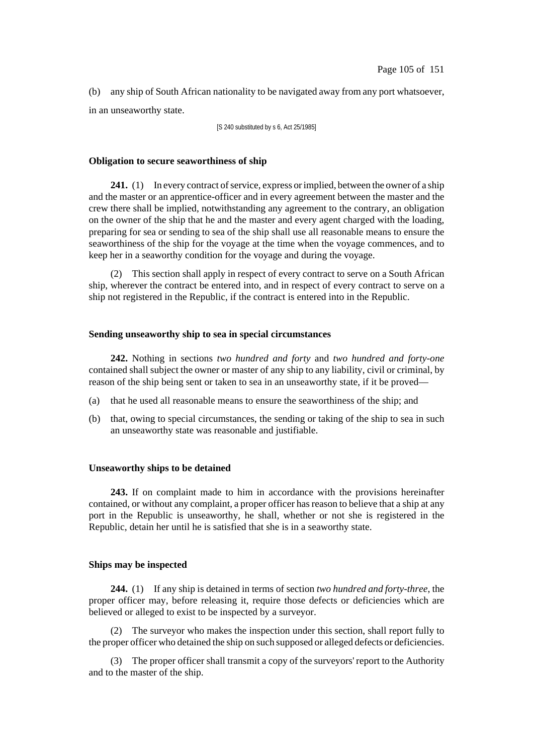(b) any ship of South African nationality to be navigated away from any port whatsoever, in an unseaworthy state.

[S 240 substituted by s 6, Act 25/1985]

### **Obligation to secure seaworthiness of ship**

**241.** (1) In every contract of service, express or implied, between the owner of a ship and the master or an apprentice-officer and in every agreement between the master and the crew there shall be implied, notwithstanding any agreement to the contrary, an obligation on the owner of the ship that he and the master and every agent charged with the loading, preparing for sea or sending to sea of the ship shall use all reasonable means to ensure the seaworthiness of the ship for the voyage at the time when the voyage commences, and to keep her in a seaworthy condition for the voyage and during the voyage.

(2) This section shall apply in respect of every contract to serve on a South African ship, wherever the contract be entered into, and in respect of every contract to serve on a ship not registered in the Republic, if the contract is entered into in the Republic.

### **Sending unseaworthy ship to sea in special circumstances**

**242.** Nothing in sections *two hundred and forty* and *two hundred and forty-one* contained shall subject the owner or master of any ship to any liability, civil or criminal, by reason of the ship being sent or taken to sea in an unseaworthy state, if it be proved—

- (a) that he used all reasonable means to ensure the seaworthiness of the ship; and
- (b) that, owing to special circumstances, the sending or taking of the ship to sea in such an unseaworthy state was reasonable and justifiable.

#### **Unseaworthy ships to be detained**

**243.** If on complaint made to him in accordance with the provisions hereinafter contained, or without any complaint, a proper officer hasreason to believe that a ship at any port in the Republic is unseaworthy, he shall, whether or not she is registered in the Republic, detain her until he is satisfied that she is in a seaworthy state.

# **Ships may be inspected**

**244.** (1) If any ship is detained in terms of section *two hundred and forty-three*, the proper officer may, before releasing it, require those defects or deficiencies which are believed or alleged to exist to be inspected by a surveyor.

(2) The surveyor who makes the inspection under this section, shall report fully to the proper officer who detained the ship on such supposed or alleged defects or deficiencies.

(3) The proper officer shall transmit a copy of the surveyors' report to the Authority and to the master of the ship.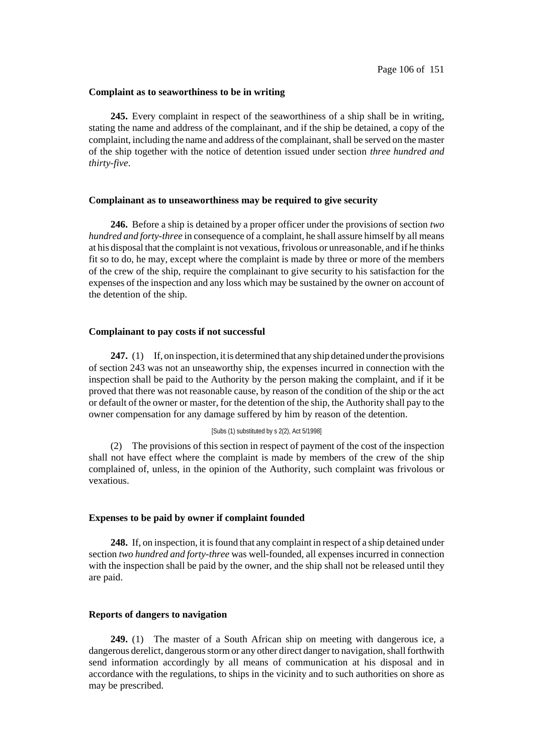### **Complaint as to seaworthiness to be in writing**

**245.** Every complaint in respect of the seaworthiness of a ship shall be in writing, stating the name and address of the complainant, and if the ship be detained, a copy of the complaint, including the name and address of the complainant, shall be served on the master of the ship together with the notice of detention issued under section *three hundred and thirty-five*.

### **Complainant as to unseaworthiness may be required to give security**

**246.** Before a ship is detained by a proper officer under the provisions of section *two hundred and forty-three* in consequence of a complaint, he shall assure himself by all means at his disposal that the complaint is not vexatious, frivolous or unreasonable, and if he thinks fit so to do, he may, except where the complaint is made by three or more of the members of the crew of the ship, require the complainant to give security to his satisfaction for the expenses of the inspection and any loss which may be sustained by the owner on account of the detention of the ship.

## **Complainant to pay costs if not successful**

**247.** (1) If, on inspection, it is determined that any ship detained under the provisions of section 243 was not an unseaworthy ship, the expenses incurred in connection with the inspection shall be paid to the Authority by the person making the complaint, and if it be proved that there was not reasonable cause, by reason of the condition of the ship or the act or default of the owner or master, for the detention of the ship, the Authority shall pay to the owner compensation for any damage suffered by him by reason of the detention.

### [Subs (1) substituted by s 2(2), Act 5/1998]

(2) The provisions of this section in respect of payment of the cost of the inspection shall not have effect where the complaint is made by members of the crew of the ship complained of, unless, in the opinion of the Authority, such complaint was frivolous or vexatious.

### **Expenses to be paid by owner if complaint founded**

**248.** If, on inspection, it is found that any complaint in respect of a ship detained under section *two hundred and forty-three* was well-founded, all expenses incurred in connection with the inspection shall be paid by the owner, and the ship shall not be released until they are paid.

## **Reports of dangers to navigation**

**249.** (1) The master of a South African ship on meeting with dangerous ice, a dangerous derelict, dangerous storm or any other direct danger to navigation, shall forthwith send information accordingly by all means of communication at his disposal and in accordance with the regulations, to ships in the vicinity and to such authorities on shore as may be prescribed.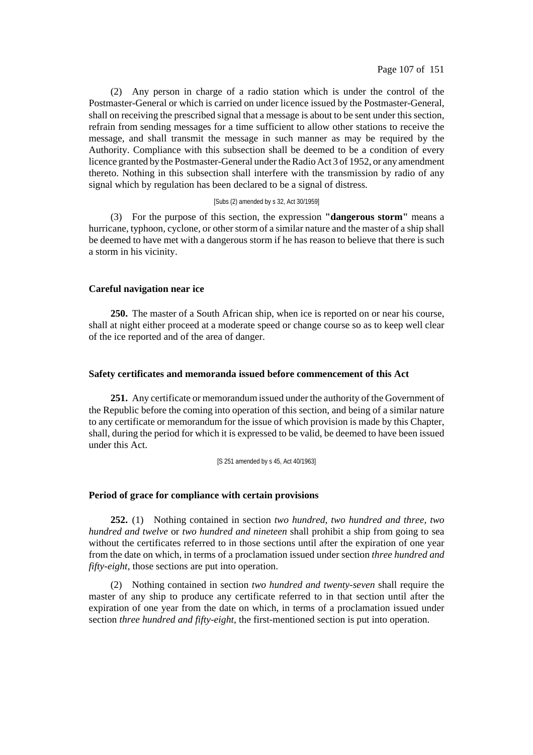(2) Any person in charge of a radio station which is under the control of the Postmaster-General or which is carried on under licence issued by the Postmaster-General, shall on receiving the prescribed signal that a message is about to be sent under this section, refrain from sending messages for a time sufficient to allow other stations to receive the message, and shall transmit the message in such manner as may be required by the Authority. Compliance with this subsection shall be deemed to be a condition of every licence granted by the Postmaster-General under the Radio Act 3 of 1952, or any amendment thereto. Nothing in this subsection shall interfere with the transmission by radio of any signal which by regulation has been declared to be a signal of distress.

#### [Subs (2) amended by s 32, Act 30/1959]

(3) For the purpose of this section, the expression **"dangerous storm"** means a hurricane, typhoon, cyclone, or other storm of a similar nature and the master of a ship shall be deemed to have met with a dangerous storm if he has reason to believe that there is such a storm in his vicinity.

### **Careful navigation near ice**

**250.** The master of a South African ship, when ice is reported on or near his course, shall at night either proceed at a moderate speed or change course so as to keep well clear of the ice reported and of the area of danger.

## **Safety certificates and memoranda issued before commencement of this Act**

**251.** Any certificate or memorandum issued under the authority of the Government of the Republic before the coming into operation of this section, and being of a similar nature to any certificate or memorandum for the issue of which provision is made by this Chapter, shall, during the period for which it is expressed to be valid, be deemed to have been issued under this Act.

[S 251 amended by s 45, Act 40/1963]

### **Period of grace for compliance with certain provisions**

**252.** (1) Nothing contained in section *two hundred*, *two hundred and three*, *two hundred and twelve* or *two hundred and nineteen* shall prohibit a ship from going to sea without the certificates referred to in those sections until after the expiration of one year from the date on which, in terms of a proclamation issued under section *three hundred and fifty-eight*, those sections are put into operation.

(2) Nothing contained in section *two hundred and twenty-seven* shall require the master of any ship to produce any certificate referred to in that section until after the expiration of one year from the date on which, in terms of a proclamation issued under section *three hundred and fifty-eight*, the first-mentioned section is put into operation.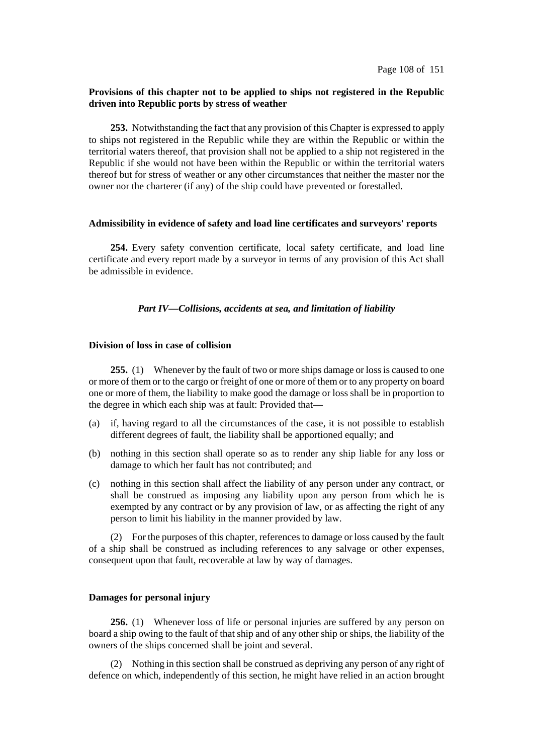# **Provisions of this chapter not to be applied to ships not registered in the Republic driven into Republic ports by stress of weather**

**253.** Notwithstanding the fact that any provision of this Chapter is expressed to apply to ships not registered in the Republic while they are within the Republic or within the territorial waters thereof, that provision shall not be applied to a ship not registered in the Republic if she would not have been within the Republic or within the territorial waters thereof but for stress of weather or any other circumstances that neither the master nor the owner nor the charterer (if any) of the ship could have prevented or forestalled.

## **Admissibility in evidence of safety and load line certificates and surveyors' reports**

**254.** Every safety convention certificate, local safety certificate, and load line certificate and every report made by a surveyor in terms of any provision of this Act shall be admissible in evidence.

## *Part IV—Collisions, accidents at sea, and limitation of liability*

# **Division of loss in case of collision**

**255.** (1) Whenever by the fault of two or more ships damage or lossis caused to one or more of them or to the cargo or freight of one or more of them or to any property on board one or more of them, the liability to make good the damage or loss shall be in proportion to the degree in which each ship was at fault: Provided that—

- (a) if, having regard to all the circumstances of the case, it is not possible to establish different degrees of fault, the liability shall be apportioned equally; and
- (b) nothing in this section shall operate so as to render any ship liable for any loss or damage to which her fault has not contributed; and
- (c) nothing in this section shall affect the liability of any person under any contract, or shall be construed as imposing any liability upon any person from which he is exempted by any contract or by any provision of law, or as affecting the right of any person to limit his liability in the manner provided by law.

(2) For the purposes of this chapter, references to damage or loss caused by the fault of a ship shall be construed as including references to any salvage or other expenses, consequent upon that fault, recoverable at law by way of damages.

# **Damages for personal injury**

**256.** (1) Whenever loss of life or personal injuries are suffered by any person on board a ship owing to the fault of that ship and of any other ship or ships, the liability of the owners of the ships concerned shall be joint and several.

(2) Nothing in this section shall be construed as depriving any person of any right of defence on which, independently of this section, he might have relied in an action brought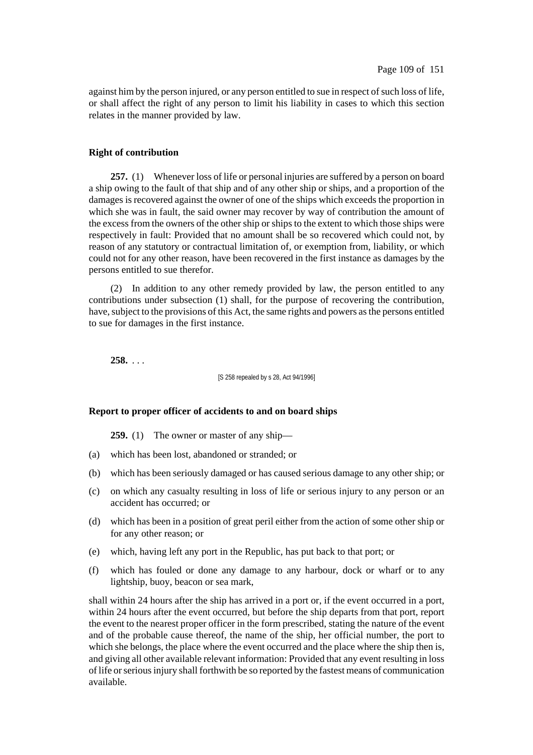against him by the person injured, or any person entitled to sue in respect of such loss of life, or shall affect the right of any person to limit his liability in cases to which this section relates in the manner provided by law.

### **Right of contribution**

**257.** (1) Whenever loss of life or personal injuries are suffered by a person on board a ship owing to the fault of that ship and of any other ship or ships, and a proportion of the damages is recovered against the owner of one of the ships which exceeds the proportion in which she was in fault, the said owner may recover by way of contribution the amount of the excess from the owners of the other ship or ships to the extent to which those ships were respectively in fault: Provided that no amount shall be so recovered which could not, by reason of any statutory or contractual limitation of, or exemption from, liability, or which could not for any other reason, have been recovered in the first instance as damages by the persons entitled to sue therefor.

(2) In addition to any other remedy provided by law, the person entitled to any contributions under subsection (1) shall, for the purpose of recovering the contribution, have, subject to the provisions of this Act, the same rights and powers as the persons entitled to sue for damages in the first instance.

**258.** . . .

[S 258 repealed by s 28, Act 94/1996]

### **Report to proper officer of accidents to and on board ships**

**259.** (1) The owner or master of any ship—

- (a) which has been lost, abandoned or stranded; or
- (b) which has been seriously damaged or has caused serious damage to any other ship; or
- (c) on which any casualty resulting in loss of life or serious injury to any person or an accident has occurred; or
- (d) which has been in a position of great peril either from the action of some other ship or for any other reason; or
- (e) which, having left any port in the Republic, has put back to that port; or
- (f) which has fouled or done any damage to any harbour, dock or wharf or to any lightship, buoy, beacon or sea mark,

shall within 24 hours after the ship has arrived in a port or, if the event occurred in a port, within 24 hours after the event occurred, but before the ship departs from that port, report the event to the nearest proper officer in the form prescribed, stating the nature of the event and of the probable cause thereof, the name of the ship, her official number, the port to which she belongs, the place where the event occurred and the place where the ship then is, and giving all other available relevant information: Provided that any event resulting in loss of life or serious injury shall forthwith be so reported by the fastest means of communication available.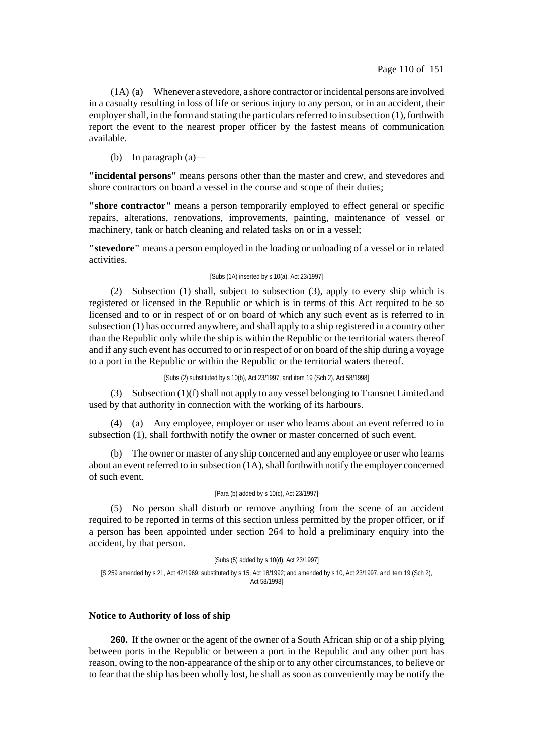(1A) (a) Whenever a stevedore, a shore contractor orincidental persons are involved in a casualty resulting in loss of life or serious injury to any person, or in an accident, their employer shall, in the form and stating the particulars referred to in subsection  $(1)$ , forthwith report the event to the nearest proper officer by the fastest means of communication available.

(b) In paragraph (a)—

**"incidental persons"** means persons other than the master and crew, and stevedores and shore contractors on board a vessel in the course and scope of their duties;

**"shore contractor"** means a person temporarily employed to effect general or specific repairs, alterations, renovations, improvements, painting, maintenance of vessel or machinery, tank or hatch cleaning and related tasks on or in a vessel;

**"stevedore"** means a person employed in the loading or unloading of a vessel or in related activities.

### [Subs (1A) inserted by s 10(a), Act 23/1997]

(2) Subsection (1) shall, subject to subsection (3), apply to every ship which is registered or licensed in the Republic or which is in terms of this Act required to be so licensed and to or in respect of or on board of which any such event as is referred to in subsection (1) has occurred anywhere, and shall apply to a ship registered in a country other than the Republic only while the ship is within the Republic or the territorial waters thereof and if any such event has occurred to or in respect of or on board of the ship during a voyage to a port in the Republic or within the Republic or the territorial waters thereof.

[Subs (2) substituted by s 10(b), Act 23/1997, and item 19 (Sch 2), Act 58/1998]

(3) Subsection (1)(f)shall not apply to any vessel belonging to Transnet Limited and used by that authority in connection with the working of its harbours.

(4) (a) Any employee, employer or user who learns about an event referred to in subsection (1), shall forthwith notify the owner or master concerned of such event.

(b) The owner or master of any ship concerned and any employee or user who learns about an event referred to in subsection  $(1A)$ , shall forthwith notify the employer concerned of such event.

#### [Para (b) added by s 10(c), Act 23/1997]

(5) No person shall disturb or remove anything from the scene of an accident required to be reported in terms of this section unless permitted by the proper officer, or if a person has been appointed under section 264 to hold a preliminary enquiry into the accident, by that person.

[Subs (5) added by s 10(d), Act 23/1997]

[S 259 amended by s 21, Act 42/1969; substituted by s 15, Act 18/1992; and amended by s 10, Act 23/1997, and item 19 (Sch 2), Act 58/1998]

## **Notice to Authority of loss of ship**

**260.** If the owner or the agent of the owner of a South African ship or of a ship plying between ports in the Republic or between a port in the Republic and any other port has reason, owing to the non-appearance of the ship or to any other circumstances, to believe or to fear that the ship has been wholly lost, he shall as soon as conveniently may be notify the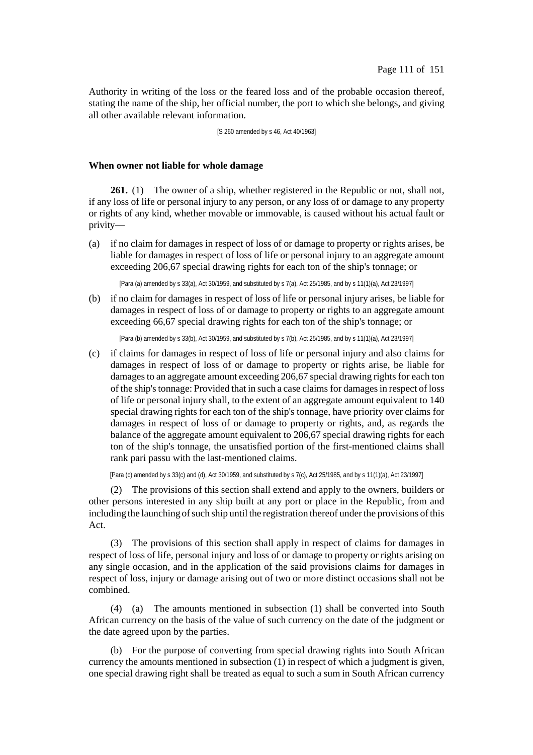Authority in writing of the loss or the feared loss and of the probable occasion thereof, stating the name of the ship, her official number, the port to which she belongs, and giving all other available relevant information.

### [S 260 amended by s 46, Act 40/1963]

### **When owner not liable for whole damage**

**261.** (1) The owner of a ship, whether registered in the Republic or not, shall not, if any loss of life or personal injury to any person, or any loss of or damage to any property or rights of any kind, whether movable or immovable, is caused without his actual fault or privity—

(a) if no claim for damages in respect of loss of or damage to property or rights arises, be liable for damages in respect of loss of life or personal injury to an aggregate amount exceeding 206,67 special drawing rights for each ton of the ship's tonnage; or

[Para (a) amended by s 33(a), Act 30/1959, and substituted by s 7(a), Act 25/1985, and by s 11(1)(a), Act 23/1997]

(b) if no claim for damages in respect of loss of life or personal injury arises, be liable for damages in respect of loss of or damage to property or rights to an aggregate amount exceeding 66,67 special drawing rights for each ton of the ship's tonnage; or

[Para (b) amended by s 33(b), Act 30/1959, and substituted by s 7(b), Act 25/1985, and by s 11(1)(a), Act 23/1997]

(c) if claims for damages in respect of loss of life or personal injury and also claims for damages in respect of loss of or damage to property or rights arise, be liable for damages to an aggregate amount exceeding 206,67 special drawing rights for each ton of the ship's tonnage: Provided that in such a case claims for damages in respect of loss of life or personal injury shall, to the extent of an aggregate amount equivalent to 140 special drawing rights for each ton of the ship's tonnage, have priority over claims for damages in respect of loss of or damage to property or rights, and, as regards the balance of the aggregate amount equivalent to 206,67 special drawing rights for each ton of the ship's tonnage, the unsatisfied portion of the first-mentioned claims shall rank pari passu with the last-mentioned claims.

[Para (c) amended by s 33(c) and (d), Act 30/1959, and substituted by s 7(c), Act 25/1985, and by s 11(1)(a), Act 23/1997]

(2) The provisions of this section shall extend and apply to the owners, builders or other persons interested in any ship built at any port or place in the Republic, from and including the launching of such ship until the registration thereof under the provisions of this Act.

(3) The provisions of this section shall apply in respect of claims for damages in respect of loss of life, personal injury and loss of or damage to property or rights arising on any single occasion, and in the application of the said provisions claims for damages in respect of loss, injury or damage arising out of two or more distinct occasions shall not be combined.

(4) (a) The amounts mentioned in subsection (1) shall be converted into South African currency on the basis of the value of such currency on the date of the judgment or the date agreed upon by the parties.

(b) For the purpose of converting from special drawing rights into South African currency the amounts mentioned in subsection (1) in respect of which a judgment is given, one special drawing right shall be treated as equal to such a sum in South African currency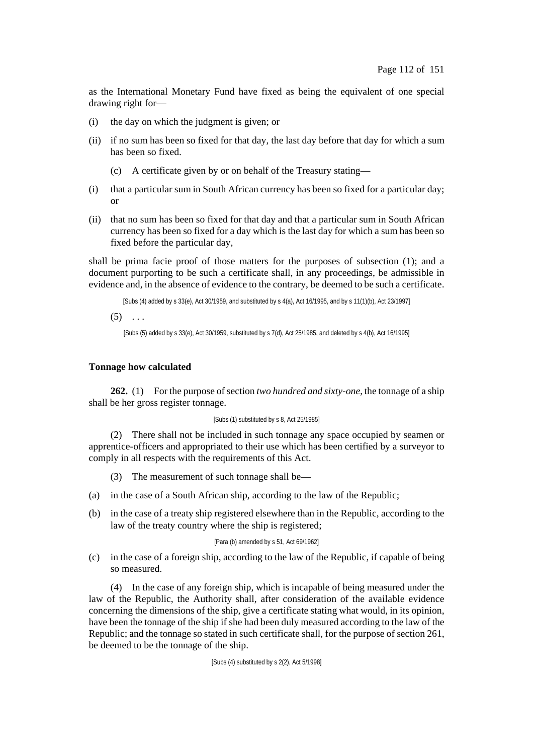as the International Monetary Fund have fixed as being the equivalent of one special drawing right for—

- (i) the day on which the judgment is given; or
- (ii) if no sum has been so fixed for that day, the last day before that day for which a sum has been so fixed.
	- (c) A certificate given by or on behalf of the Treasury stating—
- (i) that a particular sum in South African currency has been so fixed for a particular day; or
- (ii) that no sum has been so fixed for that day and that a particular sum in South African currency has been so fixed for a day which is the last day for which a sum has been so fixed before the particular day,

shall be prima facie proof of those matters for the purposes of subsection (1); and a document purporting to be such a certificate shall, in any proceedings, be admissible in evidence and, in the absence of evidence to the contrary, be deemed to be such a certificate.

[Subs (4) added by s 33(e), Act 30/1959, and substituted by s 4(a), Act 16/1995, and by s 11(1)(b), Act 23/1997]

 $(5)$  ...

[Subs (5) added by s 33(e), Act 30/1959, substituted by s 7(d), Act 25/1985, and deleted by s 4(b), Act 16/1995]

## **Tonnage how calculated**

**262.** (1) For the purpose of section *two hundred and sixty-one*, the tonnage of a ship shall be her gross register tonnage.

### [Subs (1) substituted by s 8, Act 25/1985]

(2) There shall not be included in such tonnage any space occupied by seamen or apprentice-officers and appropriated to their use which has been certified by a surveyor to comply in all respects with the requirements of this Act.

- (3) The measurement of such tonnage shall be—
- (a) in the case of a South African ship, according to the law of the Republic;
- (b) in the case of a treaty ship registered elsewhere than in the Republic, according to the law of the treaty country where the ship is registered;

### [Para (b) amended by s 51, Act 69/1962]

(c) in the case of a foreign ship, according to the law of the Republic, if capable of being so measured.

(4) In the case of any foreign ship, which is incapable of being measured under the law of the Republic, the Authority shall, after consideration of the available evidence concerning the dimensions of the ship, give a certificate stating what would, in its opinion, have been the tonnage of the ship if she had been duly measured according to the law of the Republic; and the tonnage so stated in such certificate shall, for the purpose of section 261, be deemed to be the tonnage of the ship.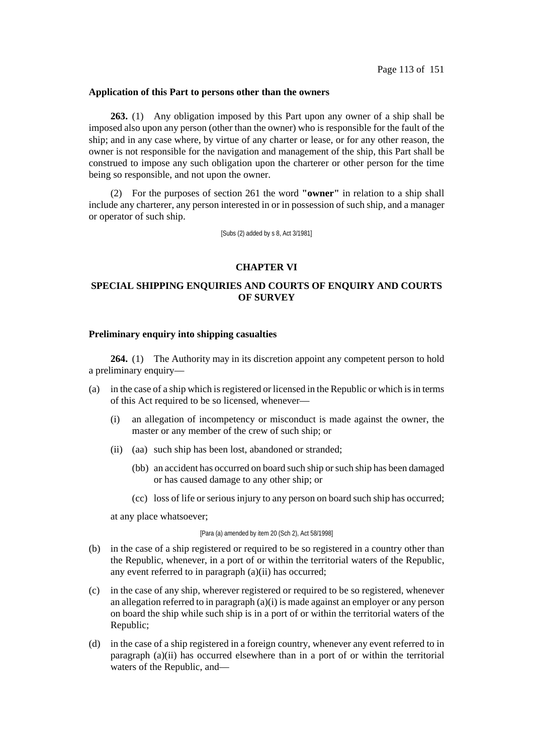### **Application of this Part to persons other than the owners**

**263.** (1) Any obligation imposed by this Part upon any owner of a ship shall be imposed also upon any person (other than the owner) who is responsible for the fault of the ship; and in any case where, by virtue of any charter or lease, or for any other reason, the owner is not responsible for the navigation and management of the ship, this Part shall be construed to impose any such obligation upon the charterer or other person for the time being so responsible, and not upon the owner.

(2) For the purposes of section 261 the word **"owner"** in relation to a ship shall include any charterer, any person interested in or in possession of such ship, and a manager or operator of such ship.

[Subs (2) added by s 8, Act 3/1981]

## **CHAPTER VI**

# **SPECIAL SHIPPING ENQUIRIES AND COURTS OF ENQUIRY AND COURTS OF SURVEY**

### **Preliminary enquiry into shipping casualties**

**264.** (1) The Authority may in its discretion appoint any competent person to hold a preliminary enquiry—

- (a) in the case of a ship which is registered or licensed in the Republic or which is in terms of this Act required to be so licensed, whenever—
	- (i) an allegation of incompetency or misconduct is made against the owner, the master or any member of the crew of such ship; or
	- (ii) (aa) such ship has been lost, abandoned or stranded;
		- (bb) an accident has occurred on board such ship orsuch ship has been damaged or has caused damage to any other ship; or
		- (cc) loss of life or serious injury to any person on board such ship has occurred;

at any place whatsoever;

#### [Para (a) amended by item 20 (Sch 2), Act 58/1998]

- (b) in the case of a ship registered or required to be so registered in a country other than the Republic, whenever, in a port of or within the territorial waters of the Republic, any event referred to in paragraph (a)(ii) has occurred;
- (c) in the case of any ship, wherever registered or required to be so registered, whenever an allegation referred to in paragraph  $(a)(i)$  is made against an employer or any person on board the ship while such ship is in a port of or within the territorial waters of the Republic;
- (d) in the case of a ship registered in a foreign country, whenever any event referred to in paragraph (a)(ii) has occurred elsewhere than in a port of or within the territorial waters of the Republic, and—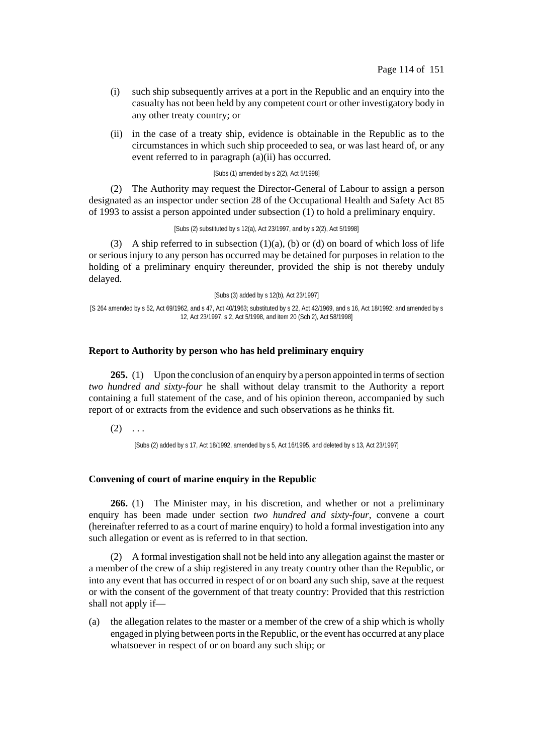- (i) such ship subsequently arrives at a port in the Republic and an enquiry into the casualty has not been held by any competent court or other investigatory body in any other treaty country; or
- (ii) in the case of a treaty ship, evidence is obtainable in the Republic as to the circumstances in which such ship proceeded to sea, or was last heard of, or any event referred to in paragraph (a)(ii) has occurred.

### [Subs (1) amended by s 2(2), Act 5/1998]

(2) The Authority may request the Director-General of Labour to assign a person designated as an inspector under section 28 of the Occupational Health and Safety Act 85 of 1993 to assist a person appointed under subsection (1) to hold a preliminary enquiry.

[Subs (2) substituted by s 12(a), Act 23/1997, and by s 2(2), Act 5/1998]

(3) A ship referred to in subsection  $(1)(a)$ ,  $(b)$  or  $(d)$  on board of which loss of life or serious injury to any person has occurred may be detained for purposes in relation to the holding of a preliminary enquiry thereunder, provided the ship is not thereby unduly delayed.

[Subs (3) added by s 12(b), Act 23/1997]

[S 264 amended by s 52, Act 69/1962, and s 47, Act 40/1963; substituted by s 22, Act 42/1969, and s 16, Act 18/1992; and amended by s 12, Act 23/1997, s 2, Act 5/1998, and item 20 (Sch 2), Act 58/1998]

## **Report to Authority by person who has held preliminary enquiry**

**265.** (1) Upon the conclusion of an enquiry by a person appointed in terms of section *two hundred and sixty-four* he shall without delay transmit to the Authority a report containing a full statement of the case, and of his opinion thereon, accompanied by such report of or extracts from the evidence and such observations as he thinks fit.

 $(2) \ldots$ 

[Subs (2) added by s 17, Act 18/1992, amended by s 5, Act 16/1995, and deleted by s 13, Act 23/1997]

## **Convening of court of marine enquiry in the Republic**

**266.** (1) The Minister may, in his discretion, and whether or not a preliminary enquiry has been made under section *two hundred and sixty-four*, convene a court (hereinafter referred to as a court of marine enquiry) to hold a formal investigation into any such allegation or event as is referred to in that section.

(2) A formal investigation shall not be held into any allegation against the master or a member of the crew of a ship registered in any treaty country other than the Republic, or into any event that has occurred in respect of or on board any such ship, save at the request or with the consent of the government of that treaty country: Provided that this restriction shall not apply if—

(a) the allegation relates to the master or a member of the crew of a ship which is wholly engaged in plying between portsin theRepublic, or the event has occurred at any place whatsoever in respect of or on board any such ship; or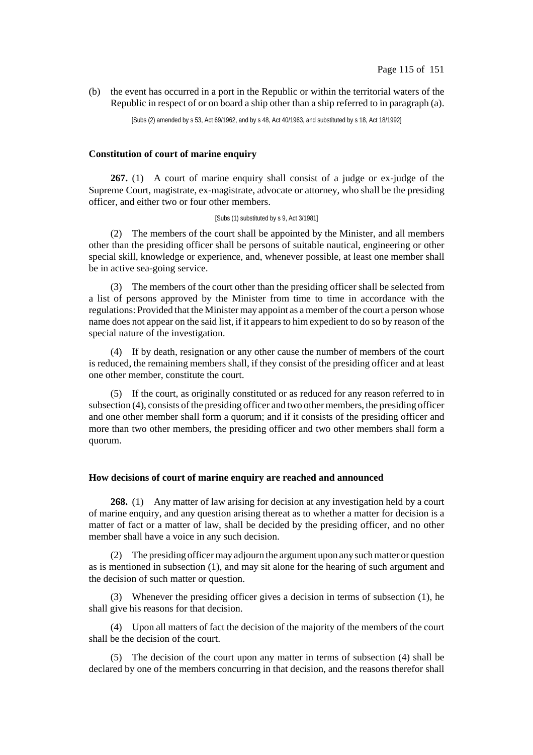(b) the event has occurred in a port in the Republic or within the territorial waters of the Republic in respect of or on board a ship other than a ship referred to in paragraph (a).

[Subs (2) amended by s 53, Act 69/1962, and by s 48, Act 40/1963, and substituted by s 18, Act 18/1992]

## **Constitution of court of marine enquiry**

**267.** (1) A court of marine enquiry shall consist of a judge or ex-judge of the Supreme Court, magistrate, ex-magistrate, advocate or attorney, who shall be the presiding officer, and either two or four other members.

#### [Subs (1) substituted by s 9, Act 3/1981]

(2) The members of the court shall be appointed by the Minister, and all members other than the presiding officer shall be persons of suitable nautical, engineering or other special skill, knowledge or experience, and, whenever possible, at least one member shall be in active sea-going service.

(3) The members of the court other than the presiding officer shall be selected from a list of persons approved by the Minister from time to time in accordance with the regulations: Provided that the Minister may appoint as a member of the court a person whose name does not appear on the said list, if it appearsto him expedient to do so by reason of the special nature of the investigation.

(4) If by death, resignation or any other cause the number of members of the court is reduced, the remaining members shall, if they consist of the presiding officer and at least one other member, constitute the court.

(5) If the court, as originally constituted or as reduced for any reason referred to in subsection (4), consists of the presiding officer and two other members, the presiding officer and one other member shall form a quorum; and if it consists of the presiding officer and more than two other members, the presiding officer and two other members shall form a quorum.

### **How decisions of court of marine enquiry are reached and announced**

**268.** (1) Any matter of law arising for decision at any investigation held by a court of marine enquiry, and any question arising thereat as to whether a matter for decision is a matter of fact or a matter of law, shall be decided by the presiding officer, and no other member shall have a voice in any such decision.

(2) The presiding officermay adjourn the argument upon any suchmatter or question as is mentioned in subsection (1), and may sit alone for the hearing of such argument and the decision of such matter or question.

(3) Whenever the presiding officer gives a decision in terms of subsection (1), he shall give his reasons for that decision.

(4) Upon all matters of fact the decision of the majority of the members of the court shall be the decision of the court.

(5) The decision of the court upon any matter in terms of subsection (4) shall be declared by one of the members concurring in that decision, and the reasons therefor shall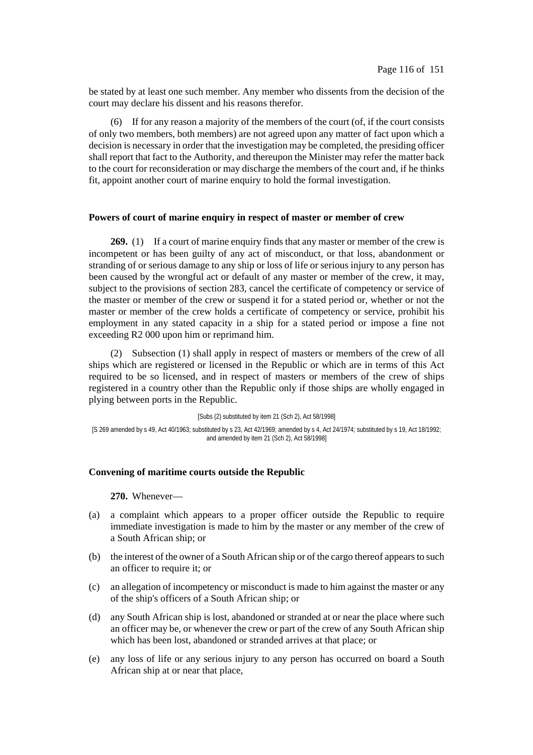be stated by at least one such member. Any member who dissents from the decision of the court may declare his dissent and his reasons therefor.

(6) If for any reason a majority of the members of the court (of, if the court consists of only two members, both members) are not agreed upon any matter of fact upon which a decision is necessary in order that the investigation may be completed, the presiding officer shall report that fact to the Authority, and thereupon the Minister may refer the matter back to the court for reconsideration or may discharge the members of the court and, if he thinks fit, appoint another court of marine enquiry to hold the formal investigation.

## **Powers of court of marine enquiry in respect of master or member of crew**

**269.** (1) If a court of marine enquiry finds that any master or member of the crew is incompetent or has been guilty of any act of misconduct, or that loss, abandonment or stranding of or serious damage to any ship or loss of life or serious injury to any person has been caused by the wrongful act or default of any master or member of the crew, it may, subject to the provisions of section 283, cancel the certificate of competency or service of the master or member of the crew or suspend it for a stated period or, whether or not the master or member of the crew holds a certificate of competency or service, prohibit his employment in any stated capacity in a ship for a stated period or impose a fine not exceeding R2 000 upon him or reprimand him.

(2) Subsection (1) shall apply in respect of masters or members of the crew of all ships which are registered or licensed in the Republic or which are in terms of this Act required to be so licensed, and in respect of masters or members of the crew of ships registered in a country other than the Republic only if those ships are wholly engaged in plying between ports in the Republic.

[Subs (2) substituted by item 21 (Sch 2), Act 58/1998]

[S 269 amended by s 49, Act 40/1963; substituted by s 23, Act 42/1969; amended by s 4, Act 24/1974; substituted by s 19, Act 18/1992; and amended by item 21 (Sch 2), Act 58/1998]

## **Convening of maritime courts outside the Republic**

**270.** Whenever—

- (a) a complaint which appears to a proper officer outside the Republic to require immediate investigation is made to him by the master or any member of the crew of a South African ship; or
- (b) the interest of the owner of a South African ship or of the cargo thereof appears to such an officer to require it; or
- (c) an allegation of incompetency or misconduct is made to him against the master or any of the ship's officers of a South African ship; or
- (d) any South African ship is lost, abandoned or stranded at or near the place where such an officer may be, or whenever the crew or part of the crew of any South African ship which has been lost, abandoned or stranded arrives at that place; or
- (e) any loss of life or any serious injury to any person has occurred on board a South African ship at or near that place,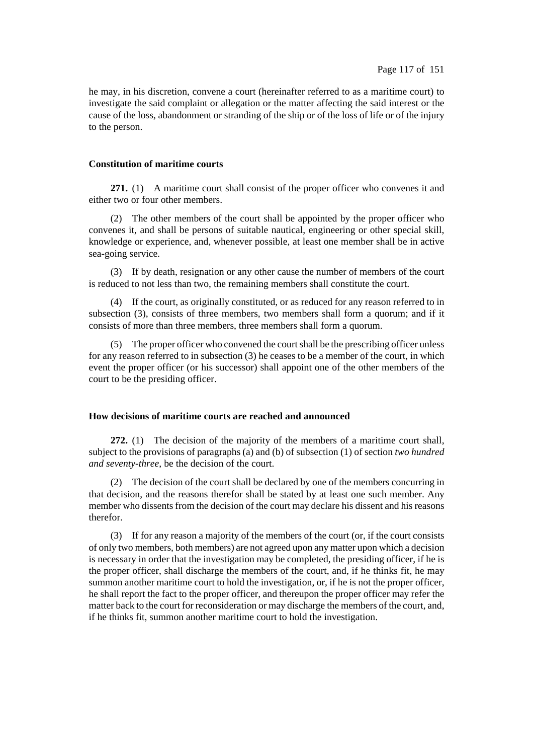he may, in his discretion, convene a court (hereinafter referred to as a maritime court) to investigate the said complaint or allegation or the matter affecting the said interest or the cause of the loss, abandonment or stranding of the ship or of the loss of life or of the injury to the person.

## **Constitution of maritime courts**

**271.** (1) A maritime court shall consist of the proper officer who convenes it and either two or four other members.

(2) The other members of the court shall be appointed by the proper officer who convenes it, and shall be persons of suitable nautical, engineering or other special skill, knowledge or experience, and, whenever possible, at least one member shall be in active sea-going service.

(3) If by death, resignation or any other cause the number of members of the court is reduced to not less than two, the remaining members shall constitute the court.

(4) If the court, as originally constituted, or as reduced for any reason referred to in subsection (3), consists of three members, two members shall form a quorum; and if it consists of more than three members, three members shall form a quorum.

(5) The proper officer who convened the courtshall be the prescribing officer unless for any reason referred to in subsection (3) he ceases to be a member of the court, in which event the proper officer (or his successor) shall appoint one of the other members of the court to be the presiding officer.

## **How decisions of maritime courts are reached and announced**

**272.** (1) The decision of the majority of the members of a maritime court shall, subject to the provisions of paragraphs (a) and (b) of subsection (1) of section *two hundred and seventy-three*, be the decision of the court.

(2) The decision of the court shall be declared by one of the members concurring in that decision, and the reasons therefor shall be stated by at least one such member. Any member who dissents from the decision of the court may declare his dissent and his reasons therefor.

(3) If for any reason a majority of the members of the court (or, if the court consists of only two members, both members) are not agreed upon any matter upon which a decision is necessary in order that the investigation may be completed, the presiding officer, if he is the proper officer, shall discharge the members of the court, and, if he thinks fit, he may summon another maritime court to hold the investigation, or, if he is not the proper officer, he shall report the fact to the proper officer, and thereupon the proper officer may refer the matter back to the court for reconsideration or may discharge the members of the court, and, if he thinks fit, summon another maritime court to hold the investigation.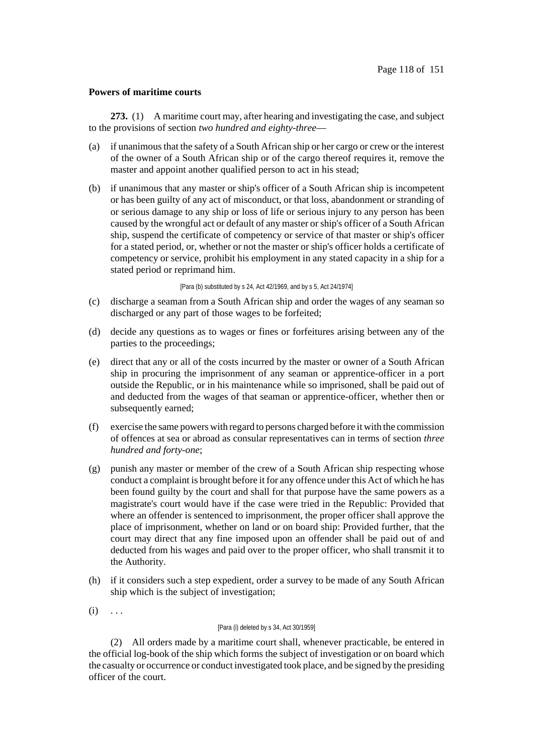## **Powers of maritime courts**

**273.** (1) A maritime court may, after hearing and investigating the case, and subject to the provisions of section *two hundred and eighty-three*—

- (a) if unanimousthat the safety of a South African ship or her cargo or crew or the interest of the owner of a South African ship or of the cargo thereof requires it, remove the master and appoint another qualified person to act in his stead;
- (b) if unanimous that any master or ship's officer of a South African ship is incompetent or has been guilty of any act of misconduct, or that loss, abandonment or stranding of or serious damage to any ship or loss of life or serious injury to any person has been caused by the wrongful act or default of any master orship's officer of a South African ship, suspend the certificate of competency or service of that master or ship's officer for a stated period, or, whether or not the master or ship's officer holds a certificate of competency or service, prohibit his employment in any stated capacity in a ship for a stated period or reprimand him.

[Para (b) substituted by s 24, Act 42/1969, and by s 5, Act 24/1974]

- (c) discharge a seaman from a South African ship and order the wages of any seaman so discharged or any part of those wages to be forfeited;
- (d) decide any questions as to wages or fines or forfeitures arising between any of the parties to the proceedings;
- (e) direct that any or all of the costs incurred by the master or owner of a South African ship in procuring the imprisonment of any seaman or apprentice-officer in a port outside the Republic, or in his maintenance while so imprisoned, shall be paid out of and deducted from the wages of that seaman or apprentice-officer, whether then or subsequently earned:
- (f) exercise the same powers with regard to persons charged before it with the commission of offences at sea or abroad as consular representatives can in terms of section *three hundred and forty-one*;
- (g) punish any master or member of the crew of a South African ship respecting whose conduct a complaint is brought before it for any offence under this Act of which he has been found guilty by the court and shall for that purpose have the same powers as a magistrate's court would have if the case were tried in the Republic: Provided that where an offender is sentenced to imprisonment, the proper officer shall approve the place of imprisonment, whether on land or on board ship: Provided further, that the court may direct that any fine imposed upon an offender shall be paid out of and deducted from his wages and paid over to the proper officer, who shall transmit it to the Authority.
- (h) if it considers such a step expedient, order a survey to be made of any South African ship which is the subject of investigation;
- $(i) \ldots$

### [Para (i) deleted by s 34, Act 30/1959]

(2) All orders made by a maritime court shall, whenever practicable, be entered in the official log-book of the ship which forms the subject of investigation or on board which the casualty or occurrence or conduct investigated took place, and be signed by the presiding officer of the court.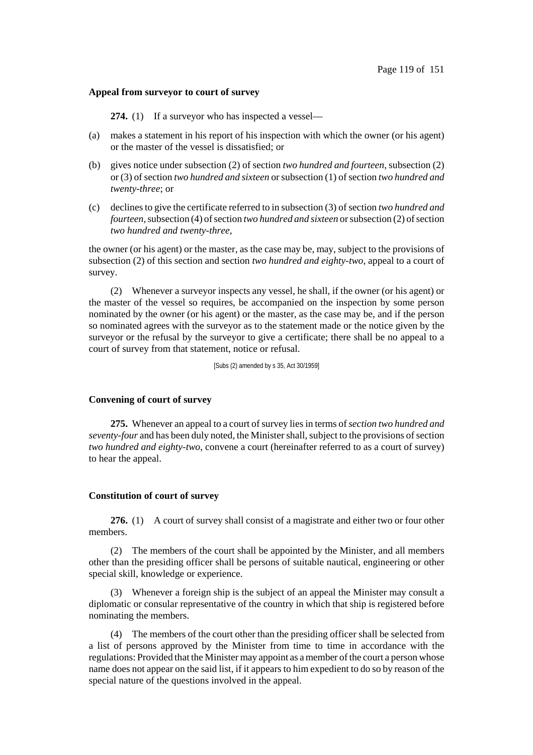#### **Appeal from surveyor to court of survey**

**274.** (1) If a surveyor who has inspected a vessel—

- (a) makes a statement in his report of his inspection with which the owner (or his agent) or the master of the vessel is dissatisfied; or
- (b) gives notice under subsection (2) of section *two hundred and fourteen*, subsection (2) or (3) ofsection *two hundred and sixteen* orsubsection (1) ofsection *two hundred and twenty-three*; or
- (c) declinesto give the certificate referred to in subsection (3) ofsection *two hundred and fourteen*, subsection (4) of section *two hundred and sixteen* or subsection (2) of section *two hundred and twenty-three*,

the owner (or his agent) or the master, as the case may be, may, subject to the provisions of subsection (2) of this section and section *two hundred and eighty-two*, appeal to a court of survey.

(2) Whenever a surveyor inspects any vessel, he shall, if the owner (or his agent) or the master of the vessel so requires, be accompanied on the inspection by some person nominated by the owner (or his agent) or the master, as the case may be, and if the person so nominated agrees with the surveyor as to the statement made or the notice given by the surveyor or the refusal by the surveyor to give a certificate; there shall be no appeal to a court of survey from that statement, notice or refusal.

[Subs (2) amended by s 35, Act 30/1959]

### **Convening of court of survey**

275. Whenever an appeal to a court of survey lies in terms of *section two hundred and seventy-four* and has been duly noted, the Minister shall, subject to the provisions of section *two hundred and eighty-two*, convene a court (hereinafter referred to as a court of survey) to hear the appeal.

### **Constitution of court of survey**

**276.** (1) A court of survey shall consist of a magistrate and either two or four other members.

(2) The members of the court shall be appointed by the Minister, and all members other than the presiding officer shall be persons of suitable nautical, engineering or other special skill, knowledge or experience.

(3) Whenever a foreign ship is the subject of an appeal the Minister may consult a diplomatic or consular representative of the country in which that ship is registered before nominating the members.

(4) The members of the court other than the presiding officer shall be selected from a list of persons approved by the Minister from time to time in accordance with the regulations: Provided that the Minister may appoint as a member of the court a person whose name does not appear on the said list, if it appears to him expedient to do so by reason of the special nature of the questions involved in the appeal.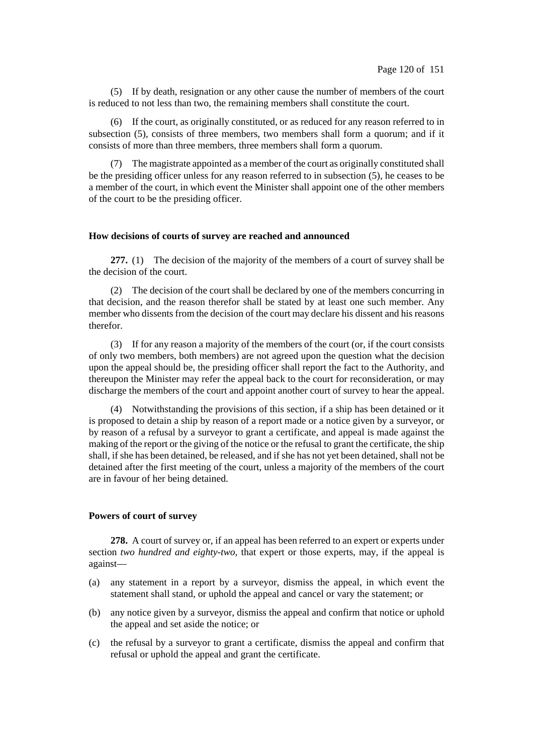(5) If by death, resignation or any other cause the number of members of the court is reduced to not less than two, the remaining members shall constitute the court.

(6) If the court, as originally constituted, or as reduced for any reason referred to in subsection (5), consists of three members, two members shall form a quorum; and if it consists of more than three members, three members shall form a quorum.

(7) The magistrate appointed as a member of the court as originally constituted shall be the presiding officer unless for any reason referred to in subsection (5), he ceases to be a member of the court, in which event the Minister shall appoint one of the other members of the court to be the presiding officer.

### **How decisions of courts of survey are reached and announced**

**277.** (1) The decision of the majority of the members of a court of survey shall be the decision of the court.

(2) The decision of the court shall be declared by one of the members concurring in that decision, and the reason therefor shall be stated by at least one such member. Any member who dissents from the decision of the court may declare his dissent and his reasons therefor.

(3) If for any reason a majority of the members of the court (or, if the court consists of only two members, both members) are not agreed upon the question what the decision upon the appeal should be, the presiding officer shall report the fact to the Authority, and thereupon the Minister may refer the appeal back to the court for reconsideration, or may discharge the members of the court and appoint another court of survey to hear the appeal.

(4) Notwithstanding the provisions of this section, if a ship has been detained or it is proposed to detain a ship by reason of a report made or a notice given by a surveyor, or by reason of a refusal by a surveyor to grant a certificate, and appeal is made against the making of the report or the giving of the notice or the refusal to grant the certificate, the ship shall, if she has been detained, be released, and if she has not yet been detained, shall not be detained after the first meeting of the court, unless a majority of the members of the court are in favour of her being detained.

### **Powers of court of survey**

**278.** A court of survey or, if an appeal has been referred to an expert or experts under section *two hundred and eighty-two*, that expert or those experts, may, if the appeal is against—

- (a) any statement in a report by a surveyor, dismiss the appeal, in which event the statement shall stand, or uphold the appeal and cancel or vary the statement; or
- (b) any notice given by a surveyor, dismiss the appeal and confirm that notice or uphold the appeal and set aside the notice; or
- (c) the refusal by a surveyor to grant a certificate, dismiss the appeal and confirm that refusal or uphold the appeal and grant the certificate.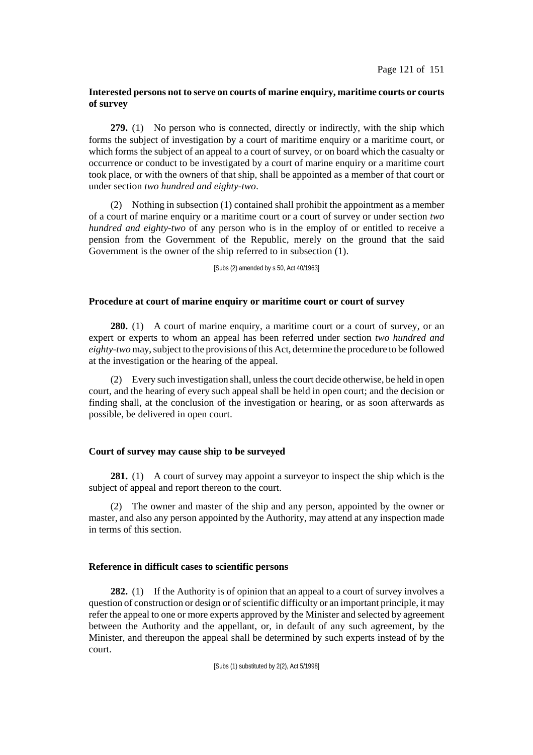## **Interested persons not to serve on courts of marine enquiry, maritime courts or courts of survey**

**279.** (1) No person who is connected, directly or indirectly, with the ship which forms the subject of investigation by a court of maritime enquiry or a maritime court, or which forms the subject of an appeal to a court of survey, or on board which the casualty or occurrence or conduct to be investigated by a court of marine enquiry or a maritime court took place, or with the owners of that ship, shall be appointed as a member of that court or under section *two hundred and eighty-two*.

(2) Nothing in subsection (1) contained shall prohibit the appointment as a member of a court of marine enquiry or a maritime court or a court of survey or under section *two hundred and eighty-two* of any person who is in the employ of or entitled to receive a pension from the Government of the Republic, merely on the ground that the said Government is the owner of the ship referred to in subsection (1).

[Subs (2) amended by s 50, Act 40/1963]

### **Procedure at court of marine enquiry or maritime court or court of survey**

**280.** (1) A court of marine enquiry, a maritime court or a court of survey, or an expert or experts to whom an appeal has been referred under section *two hundred and eighty-two* may, subject to the provisions of this Act, determine the procedure to be followed at the investigation or the hearing of the appeal.

(2) Every such investigation shall, unlessthe court decide otherwise, be held in open court, and the hearing of every such appeal shall be held in open court; and the decision or finding shall, at the conclusion of the investigation or hearing, or as soon afterwards as possible, be delivered in open court.

### **Court of survey may cause ship to be surveyed**

**281.** (1) A court of survey may appoint a surveyor to inspect the ship which is the subject of appeal and report thereon to the court.

(2) The owner and master of the ship and any person, appointed by the owner or master, and also any person appointed by the Authority, may attend at any inspection made in terms of this section.

### **Reference in difficult cases to scientific persons**

**282.** (1) If the Authority is of opinion that an appeal to a court of survey involves a question of construction or design or of scientific difficulty or an important principle, it may refer the appeal to one or more experts approved by the Minister and selected by agreement between the Authority and the appellant, or, in default of any such agreement, by the Minister, and thereupon the appeal shall be determined by such experts instead of by the court.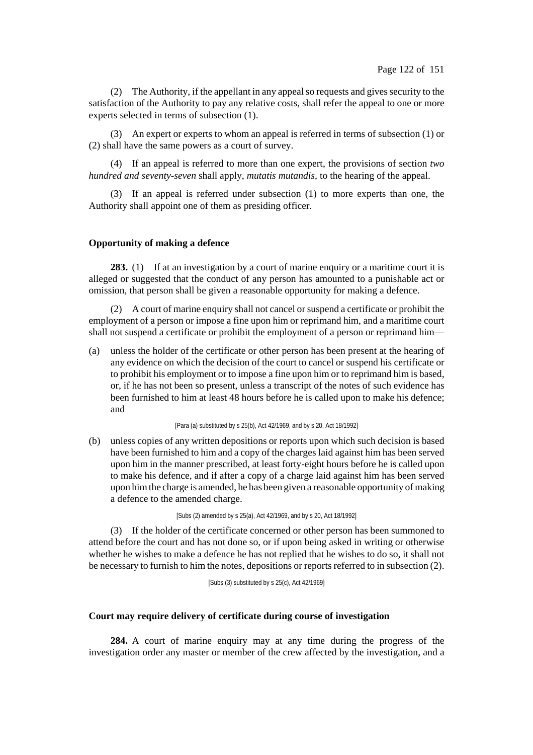(2) The Authority, if the appellant in any appeal so requests and gives security to the satisfaction of the Authority to pay any relative costs, shall refer the appeal to one or more experts selected in terms of subsection (1).

(3) An expert or experts to whom an appeal is referred in terms of subsection (1) or (2) shall have the same powers as a court of survey.

(4) If an appeal is referred to more than one expert, the provisions of section *two hundred and seventy-seven* shall apply, *mutatis mutandis*, to the hearing of the appeal.

(3) If an appeal is referred under subsection (1) to more experts than one, the Authority shall appoint one of them as presiding officer.

## **Opportunity of making a defence**

**283.** (1) If at an investigation by a court of marine enquiry or a maritime court it is alleged or suggested that the conduct of any person has amounted to a punishable act or omission, that person shall be given a reasonable opportunity for making a defence.

(2) A court of marine enquiry shall not cancel or suspend a certificate or prohibit the employment of a person or impose a fine upon him or reprimand him, and a maritime court shall not suspend a certificate or prohibit the employment of a person or reprimand him—

(a) unless the holder of the certificate or other person has been present at the hearing of any evidence on which the decision of the court to cancel or suspend his certificate or to prohibit his employment or to impose a fine upon him or to reprimand him is based, or, if he has not been so present, unless a transcript of the notes of such evidence has been furnished to him at least 48 hours before he is called upon to make his defence; and

[Para (a) substituted by s 25(b), Act 42/1969, and by s 20, Act 18/1992]

(b) unless copies of any written depositions or reports upon which such decision is based have been furnished to him and a copy of the charges laid against him has been served upon him in the manner prescribed, at least forty-eight hours before he is called upon to make his defence, and if after a copy of a charge laid against him has been served upon himthe charge is amended, he has been given a reasonable opportunity of making a defence to the amended charge.

[Subs (2) amended by s 25(a), Act 42/1969, and by s 20, Act 18/1992]

(3) If the holder of the certificate concerned or other person has been summoned to attend before the court and has not done so, or if upon being asked in writing or otherwise whether he wishes to make a defence he has not replied that he wishes to do so, it shall not be necessary to furnish to him the notes, depositions or reports referred to in subsection (2).

[Subs (3) substituted by s 25(c), Act 42/1969]

### **Court may require delivery of certificate during course of investigation**

**284.** A court of marine enquiry may at any time during the progress of the investigation order any master or member of the crew affected by the investigation, and a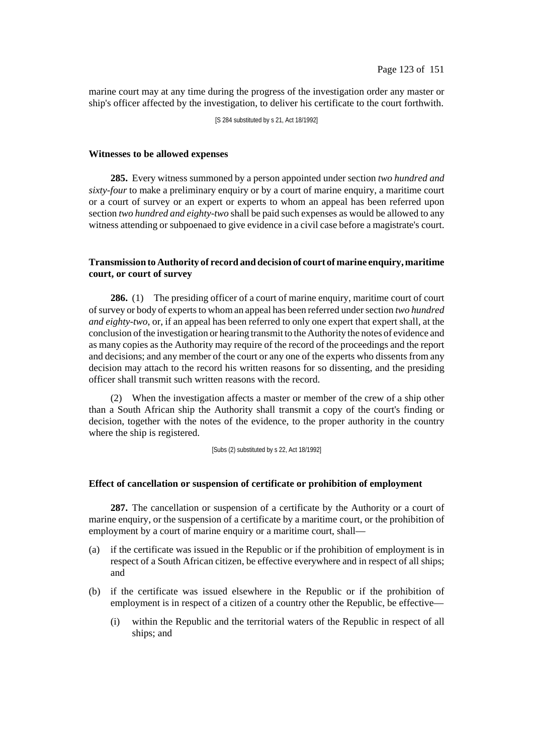marine court may at any time during the progress of the investigation order any master or ship's officer affected by the investigation, to deliver his certificate to the court forthwith.

[S 284 substituted by s 21, Act 18/1992]

#### **Witnesses to be allowed expenses**

**285.** Every witness summoned by a person appointed under section *two hundred and sixty-four* to make a preliminary enquiry or by a court of marine enquiry, a maritime court or a court of survey or an expert or experts to whom an appeal has been referred upon section *two hundred and eighty-two* shall be paid such expenses as would be allowed to any witness attending or subpoenaed to give evidence in a civil case before a magistrate's court.

## **Transmission to Authority of record and decision of court of marine enquiry, maritime court, or court of survey**

**286.** (1) The presiding officer of a court of marine enquiry, maritime court of court of survey or body of experts to whom an appeal has been referred under section *two hundred and eighty-two*, or, if an appeal has been referred to only one expert that expert shall, at the conclusion of the investigation or hearing transmit to the Authority the notes of evidence and as many copies as the Authority may require of the record of the proceedings and the report and decisions; and any member of the court or any one of the experts who dissents from any decision may attach to the record his written reasons for so dissenting, and the presiding officer shall transmit such written reasons with the record.

(2) When the investigation affects a master or member of the crew of a ship other than a South African ship the Authority shall transmit a copy of the court's finding or decision, together with the notes of the evidence, to the proper authority in the country where the ship is registered.

[Subs (2) substituted by s 22, Act 18/1992]

#### **Effect of cancellation or suspension of certificate or prohibition of employment**

**287.** The cancellation or suspension of a certificate by the Authority or a court of marine enquiry, or the suspension of a certificate by a maritime court, or the prohibition of employment by a court of marine enquiry or a maritime court, shall—

- (a) if the certificate was issued in the Republic or if the prohibition of employment is in respect of a South African citizen, be effective everywhere and in respect of all ships; and
- (b) if the certificate was issued elsewhere in the Republic or if the prohibition of employment is in respect of a citizen of a country other the Republic, be effective—
	- (i) within the Republic and the territorial waters of the Republic in respect of all ships; and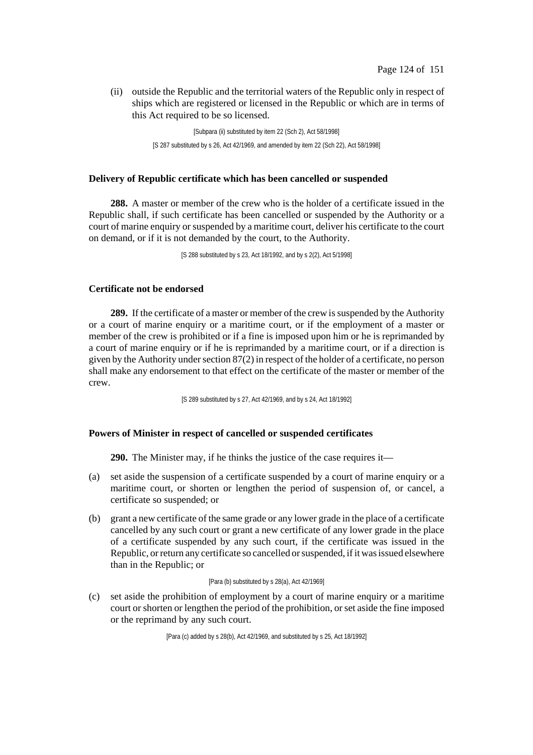(ii) outside the Republic and the territorial waters of the Republic only in respect of ships which are registered or licensed in the Republic or which are in terms of this Act required to be so licensed.

> [Subpara (ii) substituted by item 22 (Sch 2), Act 58/1998] [S 287 substituted by s 26, Act 42/1969, and amended by item 22 (Sch 22), Act 58/1998]

## **Delivery of Republic certificate which has been cancelled or suspended**

**288.** A master or member of the crew who is the holder of a certificate issued in the Republic shall, if such certificate has been cancelled or suspended by the Authority or a court of marine enquiry or suspended by a maritime court, deliver his certificate to the court on demand, or if it is not demanded by the court, to the Authority.

[S 288 substituted by s 23, Act 18/1992, and by s 2(2), Act 5/1998]

## **Certificate not be endorsed**

**289.** If the certificate of a master or member of the crew is suspended by the Authority or a court of marine enquiry or a maritime court, or if the employment of a master or member of the crew is prohibited or if a fine is imposed upon him or he is reprimanded by a court of marine enquiry or if he is reprimanded by a maritime court, or if a direction is given by the Authority under section  $87(2)$  in respect of the holder of a certificate, no person shall make any endorsement to that effect on the certificate of the master or member of the crew.

[S 289 substituted by s 27, Act 42/1969, and by s 24, Act 18/1992]

### **Powers of Minister in respect of cancelled or suspended certificates**

**290.** The Minister may, if he thinks the justice of the case requires it—

- (a) set aside the suspension of a certificate suspended by a court of marine enquiry or a maritime court, or shorten or lengthen the period of suspension of, or cancel, a certificate so suspended; or
- (b) grant a new certificate of the same grade or any lower grade in the place of a certificate cancelled by any such court or grant a new certificate of any lower grade in the place of a certificate suspended by any such court, if the certificate was issued in the Republic, or return any certificate so cancelled or suspended, if it was issued elsewhere than in the Republic; or

#### [Para (b) substituted by s 28(a), Act 42/1969]

(c) set aside the prohibition of employment by a court of marine enquiry or a maritime court or shorten or lengthen the period of the prohibition, or set aside the fine imposed or the reprimand by any such court.

[Para (c) added by s 28(b), Act 42/1969, and substituted by s 25, Act 18/1992]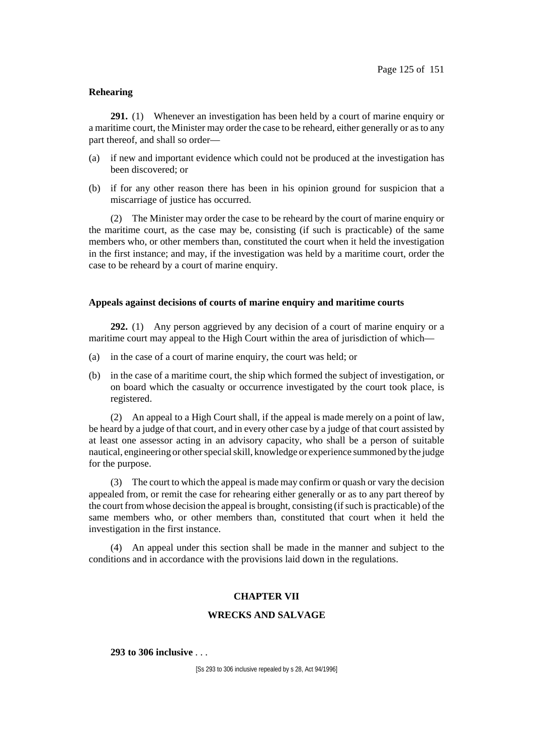### **Rehearing**

**291.** (1) Whenever an investigation has been held by a court of marine enquiry or a maritime court, the Minister may order the case to be reheard, either generally or as to any part thereof, and shall so order—

- (a) if new and important evidence which could not be produced at the investigation has been discovered; or
- (b) if for any other reason there has been in his opinion ground for suspicion that a miscarriage of justice has occurred.

(2) The Minister may order the case to be reheard by the court of marine enquiry or the maritime court, as the case may be, consisting (if such is practicable) of the same members who, or other members than, constituted the court when it held the investigation in the first instance; and may, if the investigation was held by a maritime court, order the case to be reheard by a court of marine enquiry.

## **Appeals against decisions of courts of marine enquiry and maritime courts**

**292.** (1) Any person aggrieved by any decision of a court of marine enquiry or a maritime court may appeal to the High Court within the area of jurisdiction of which—

- (a) in the case of a court of marine enquiry, the court was held; or
- (b) in the case of a maritime court, the ship which formed the subject of investigation, or on board which the casualty or occurrence investigated by the court took place, is registered.

(2) An appeal to a High Court shall, if the appeal is made merely on a point of law, be heard by a judge of that court, and in every other case by a judge of that court assisted by at least one assessor acting in an advisory capacity, who shall be a person of suitable nautical, engineering or other special skill, knowledge or experience summoned by the judge for the purpose.

(3) The court to which the appeal is made may confirm or quash or vary the decision appealed from, or remit the case for rehearing either generally or as to any part thereof by the court from whose decision the appeal is brought, consisting (if such is practicable) of the same members who, or other members than, constituted that court when it held the investigation in the first instance.

(4) An appeal under this section shall be made in the manner and subject to the conditions and in accordance with the provisions laid down in the regulations.

### **CHAPTER VII**

## **WRECKS AND SALVAGE**

**293 to 306 inclusive** . . .

[Ss 293 to 306 inclusive repealed by s 28, Act 94/1996]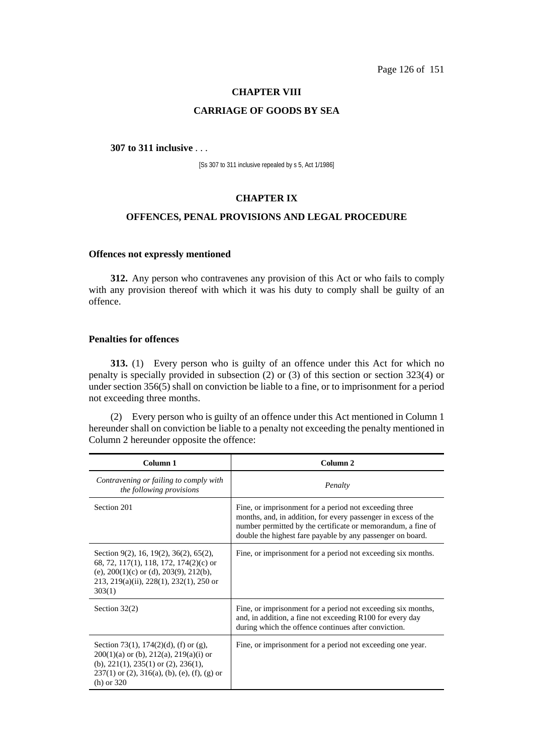Page 126 of 151

### **CHAPTER VIII**

## **CARRIAGE OF GOODS BY SEA**

### **307 to 311 inclusive** . . .

[Ss 307 to 311 inclusive repealed by s 5, Act 1/1986]

#### **CHAPTER IX**

## **OFFENCES, PENAL PROVISIONS AND LEGAL PROCEDURE**

## **Offences not expressly mentioned**

**312.** Any person who contravenes any provision of this Act or who fails to comply with any provision thereof with which it was his duty to comply shall be guilty of an offence.

## **Penalties for offences**

**313.** (1) Every person who is guilty of an offence under this Act for which no penalty is specially provided in subsection (2) or (3) of this section or section 323(4) or under section 356(5) shall on conviction be liable to a fine, or to imprisonment for a period not exceeding three months.

(2) Every person who is guilty of an offence under this Act mentioned in Column 1 hereunder shall on conviction be liable to a penalty not exceeding the penalty mentioned in Column 2 hereunder opposite the offence:

| Column 1                                                                                                                                                                                                      | Column <sub>2</sub>                                                                                                                                                                                                                                    |
|---------------------------------------------------------------------------------------------------------------------------------------------------------------------------------------------------------------|--------------------------------------------------------------------------------------------------------------------------------------------------------------------------------------------------------------------------------------------------------|
| Contravening or failing to comply with<br>the following provisions                                                                                                                                            | Penalty                                                                                                                                                                                                                                                |
| Section 201                                                                                                                                                                                                   | Fine, or imprisonment for a period not exceeding three<br>months, and, in addition, for every passenger in excess of the<br>number permitted by the certificate or memorandum, a fine of<br>double the highest fare payable by any passenger on board. |
| Section 9(2), 16, 19(2), 36(2), 65(2),<br>68, 72, 117(1), 118, 172, 174(2)(c) or<br>(e), $200(1)(c)$ or (d), $203(9)$ , $212(b)$ ,<br>$213, 219(a)(ii), 228(1), 232(1), 250$ or<br>303(1)                     | Fine, or imprisonment for a period not exceeding six months.                                                                                                                                                                                           |
| Section $32(2)$                                                                                                                                                                                               | Fine, or imprisonment for a period not exceeding six months,<br>and, in addition, a fine not exceeding R100 for every day<br>during which the offence continues after conviction.                                                                      |
| Section 73(1), 174(2)(d), (f) or (g),<br>$200(1)(a)$ or (b), $212(a)$ , $219(a)(i)$ or<br>(b), $221(1)$ , $235(1)$ or $(2)$ , $236(1)$ ,<br>$237(1)$ or (2), $316(a)$ , (b), (e), (f), (g) or<br>$(h)$ or 320 | Fine, or imprisonment for a period not exceeding one year.                                                                                                                                                                                             |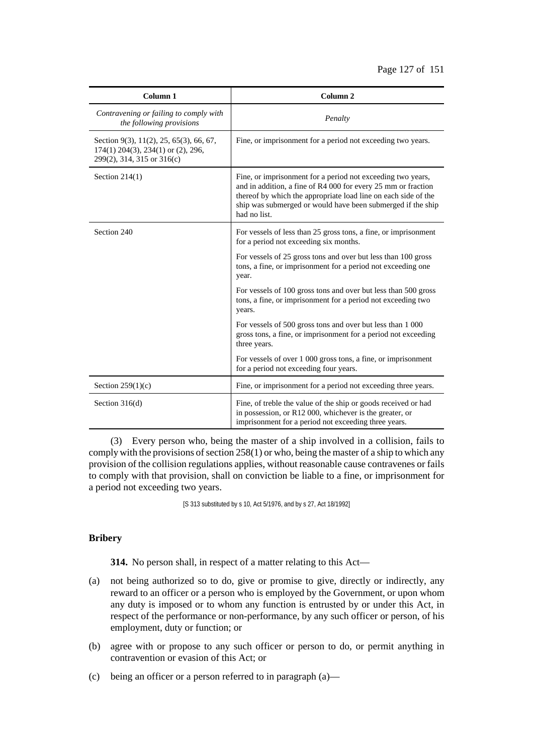| Column 1                                                                                                    | Column <sub>2</sub>                                                                                                                                                                                                                                                           |
|-------------------------------------------------------------------------------------------------------------|-------------------------------------------------------------------------------------------------------------------------------------------------------------------------------------------------------------------------------------------------------------------------------|
| Contravening or failing to comply with<br>the following provisions                                          | Penalty                                                                                                                                                                                                                                                                       |
| Section 9(3), 11(2), 25, 65(3), 66, 67,<br>174(1) 204(3), 234(1) or (2), 296,<br>299(2), 314, 315 or 316(c) | Fine, or imprisonment for a period not exceeding two years.                                                                                                                                                                                                                   |
| Section $214(1)$                                                                                            | Fine, or imprisonment for a period not exceeding two years,<br>and in addition, a fine of R4 000 for every 25 mm or fraction<br>thereof by which the appropriate load line on each side of the<br>ship was submerged or would have been submerged if the ship<br>had no list. |
| Section 240                                                                                                 | For vessels of less than 25 gross tons, a fine, or imprisonment<br>for a period not exceeding six months.                                                                                                                                                                     |
|                                                                                                             | For vessels of 25 gross tons and over but less than 100 gross<br>tons, a fine, or imprisonment for a period not exceeding one<br>year.                                                                                                                                        |
|                                                                                                             | For vessels of 100 gross tons and over but less than 500 gross<br>tons, a fine, or imprisonment for a period not exceeding two<br>years.                                                                                                                                      |
|                                                                                                             | For vessels of 500 gross tons and over but less than 1 000<br>gross tons, a fine, or imprisonment for a period not exceeding<br>three years.                                                                                                                                  |
|                                                                                                             | For vessels of over 1 000 gross tons, a fine, or imprisonment<br>for a period not exceeding four years.                                                                                                                                                                       |
| Section $259(1)(c)$                                                                                         | Fine, or imprisonment for a period not exceeding three years.                                                                                                                                                                                                                 |
| Section $316(d)$                                                                                            | Fine, of treble the value of the ship or goods received or had<br>in possession, or R12 000, whichever is the greater, or<br>imprisonment for a period not exceeding three years.                                                                                             |

(3) Every person who, being the master of a ship involved in a collision, fails to comply with the provisions of section  $258(1)$  or who, being the master of a ship to which any provision of the collision regulations applies, without reasonable cause contravenes or fails to comply with that provision, shall on conviction be liable to a fine, or imprisonment for a period not exceeding two years.

[S 313 substituted by s 10, Act 5/1976, and by s 27, Act 18/1992]

# **Bribery**

**314.** No person shall, in respect of a matter relating to this Act—

- (a) not being authorized so to do, give or promise to give, directly or indirectly, any reward to an officer or a person who is employed by the Government, or upon whom any duty is imposed or to whom any function is entrusted by or under this Act, in respect of the performance or non-performance, by any such officer or person, of his employment, duty or function; or
- (b) agree with or propose to any such officer or person to do, or permit anything in contravention or evasion of this Act; or
- (c) being an officer or a person referred to in paragraph (a)—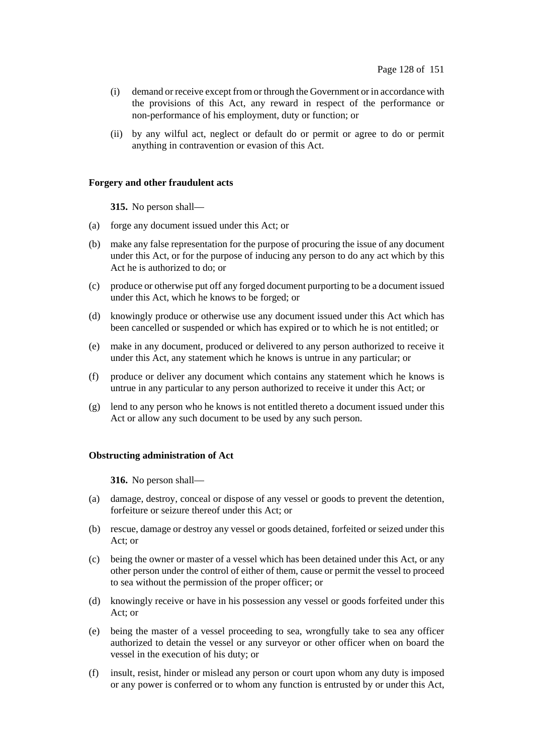- (i) demand or receive except fromor through the Government or in accordance with the provisions of this Act, any reward in respect of the performance or non-performance of his employment, duty or function; or
- (ii) by any wilful act, neglect or default do or permit or agree to do or permit anything in contravention or evasion of this Act.

## **Forgery and other fraudulent acts**

**315.** No person shall—

- (a) forge any document issued under this Act; or
- (b) make any false representation for the purpose of procuring the issue of any document under this Act, or for the purpose of inducing any person to do any act which by this Act he is authorized to do; or
- (c) produce or otherwise put off any forged document purporting to be a document issued under this Act, which he knows to be forged; or
- (d) knowingly produce or otherwise use any document issued under this Act which has been cancelled or suspended or which has expired or to which he is not entitled; or
- (e) make in any document, produced or delivered to any person authorized to receive it under this Act, any statement which he knows is untrue in any particular; or
- (f) produce or deliver any document which contains any statement which he knows is untrue in any particular to any person authorized to receive it under this Act; or
- (g) lend to any person who he knows is not entitled thereto a document issued under this Act or allow any such document to be used by any such person.

## **Obstructing administration of Act**

**316.** No person shall—

- (a) damage, destroy, conceal or dispose of any vessel or goods to prevent the detention, forfeiture or seizure thereof under this Act; or
- (b) rescue, damage or destroy any vessel or goods detained, forfeited or seized under this Act; or
- (c) being the owner or master of a vessel which has been detained under this Act, or any other person under the control of either of them, cause or permit the vessel to proceed to sea without the permission of the proper officer; or
- (d) knowingly receive or have in his possession any vessel or goods forfeited under this Act; or
- (e) being the master of a vessel proceeding to sea, wrongfully take to sea any officer authorized to detain the vessel or any surveyor or other officer when on board the vessel in the execution of his duty; or
- (f) insult, resist, hinder or mislead any person or court upon whom any duty is imposed or any power is conferred or to whom any function is entrusted by or under this Act,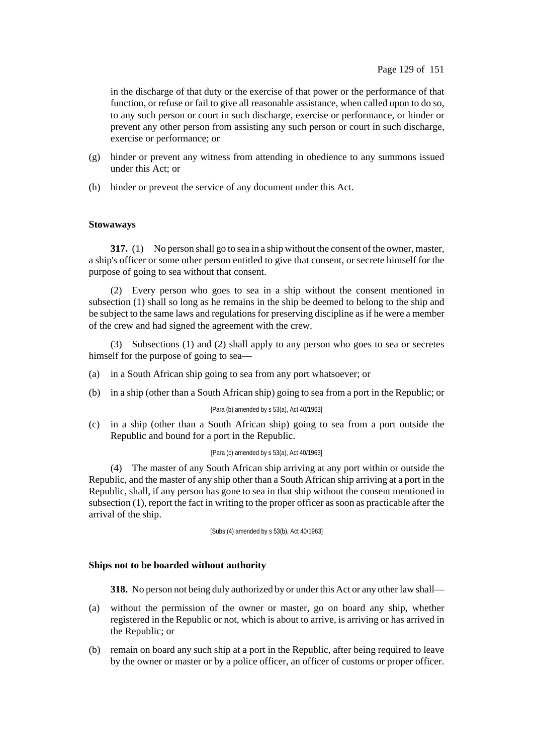in the discharge of that duty or the exercise of that power or the performance of that function, or refuse or fail to give all reasonable assistance, when called upon to do so, to any such person or court in such discharge, exercise or performance, or hinder or prevent any other person from assisting any such person or court in such discharge, exercise or performance; or

- (g) hinder or prevent any witness from attending in obedience to any summons issued under this Act; or
- (h) hinder or prevent the service of any document under this Act.

## **Stowaways**

**317.** (1) No person shall go to sea in a ship without the consent of the owner, master, a ship's officer or some other person entitled to give that consent, or secrete himself for the purpose of going to sea without that consent.

(2) Every person who goes to sea in a ship without the consent mentioned in subsection (1) shall so long as he remains in the ship be deemed to belong to the ship and be subject to the same laws and regulationsfor preserving discipline as if he were a member of the crew and had signed the agreement with the crew.

(3) Subsections (1) and (2) shall apply to any person who goes to sea or secretes himself for the purpose of going to sea—

- (a) in a South African ship going to sea from any port whatsoever; or
- (b) in a ship (other than a South African ship) going to sea from a port in the Republic; or

#### [Para (b) amended by s 53(a), Act 40/1963]

(c) in a ship (other than a South African ship) going to sea from a port outside the Republic and bound for a port in the Republic.

#### [Para (c) amended by s 53(a), Act 40/1963]

(4) The master of any South African ship arriving at any port within or outside the Republic, and the master of any ship other than a South African ship arriving at a port in the Republic, shall, if any person has gone to sea in that ship without the consent mentioned in subsection  $(1)$ , report the fact in writing to the proper officer as soon as practicable after the arrival of the ship.

[Subs (4) amended by s 53(b), Act 40/1963]

## **Ships not to be boarded without authority**

**318.** No person not being duly authorized by or underthis Act or any otherlaw shall—

- (a) without the permission of the owner or master, go on board any ship, whether registered in the Republic or not, which is about to arrive, is arriving or has arrived in the Republic; or
- (b) remain on board any such ship at a port in the Republic, after being required to leave by the owner or master or by a police officer, an officer of customs or proper officer.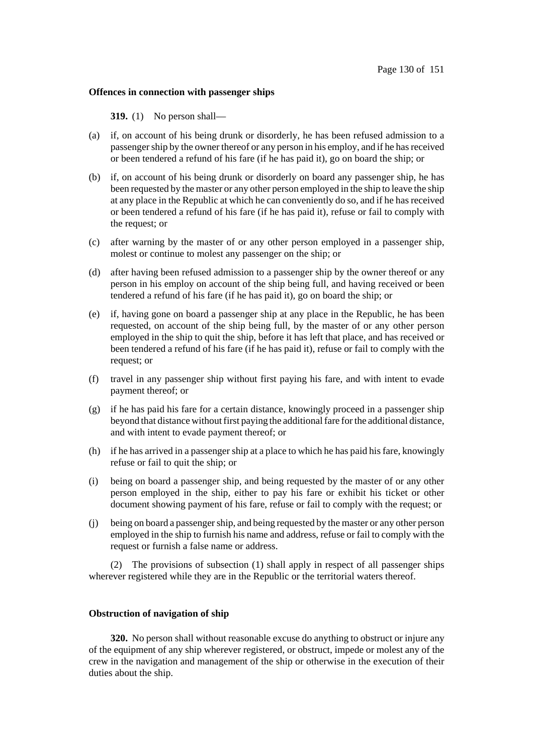### **Offences in connection with passenger ships**

**319.** (1) No person shall—

- (a) if, on account of his being drunk or disorderly, he has been refused admission to a passengership by the owner thereof or any person in his employ, and if he hasreceived or been tendered a refund of his fare (if he has paid it), go on board the ship; or
- (b) if, on account of his being drunk or disorderly on board any passenger ship, he has been requested by the master or any other person employed in the ship to leave the ship at any place in the Republic at which he can conveniently do so, and if he has received or been tendered a refund of his fare (if he has paid it), refuse or fail to comply with the request; or
- (c) after warning by the master of or any other person employed in a passenger ship, molest or continue to molest any passenger on the ship; or
- (d) after having been refused admission to a passenger ship by the owner thereof or any person in his employ on account of the ship being full, and having received or been tendered a refund of his fare (if he has paid it), go on board the ship; or
- (e) if, having gone on board a passenger ship at any place in the Republic, he has been requested, on account of the ship being full, by the master of or any other person employed in the ship to quit the ship, before it has left that place, and has received or been tendered a refund of his fare (if he has paid it), refuse or fail to comply with the request; or
- (f) travel in any passenger ship without first paying his fare, and with intent to evade payment thereof; or
- (g) if he has paid his fare for a certain distance, knowingly proceed in a passenger ship beyond that distance without first paying the additional fare for the additional distance, and with intent to evade payment thereof; or
- (h) if he has arrived in a passenger ship at a place to which he has paid hisfare, knowingly refuse or fail to quit the ship; or
- (i) being on board a passenger ship, and being requested by the master of or any other person employed in the ship, either to pay his fare or exhibit his ticket or other document showing payment of his fare, refuse or fail to comply with the request; or
- (j) being on board a passengership, and being requested by the master or any other person employed in the ship to furnish his name and address, refuse or fail to comply with the request or furnish a false name or address.

(2) The provisions of subsection (1) shall apply in respect of all passenger ships wherever registered while they are in the Republic or the territorial waters thereof.

### **Obstruction of navigation of ship**

**320.** No person shall without reasonable excuse do anything to obstruct or injure any of the equipment of any ship wherever registered, or obstruct, impede or molest any of the crew in the navigation and management of the ship or otherwise in the execution of their duties about the ship.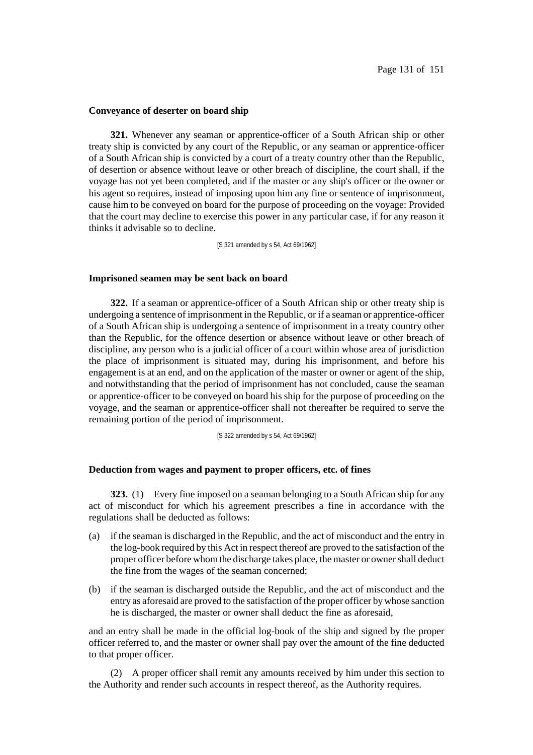#### **Conveyance of deserter on board ship**

**321.** Whenever any seaman or apprentice-officer of a South African ship or other treaty ship is convicted by any court of the Republic, or any seaman or apprentice-officer of a South African ship is convicted by a court of a treaty country other than the Republic, of desertion or absence without leave or other breach of discipline, the court shall, if the voyage has not yet been completed, and if the master or any ship's officer or the owner or his agent so requires, instead of imposing upon him any fine or sentence of imprisonment, cause him to be conveyed on board for the purpose of proceeding on the voyage: Provided that the court may decline to exercise this power in any particular case, if for any reason it thinks it advisable so to decline.

[S 321 amended by s 54, Act 69/1962]

#### **Imprisoned seamen may be sent back on board**

**322.** If a seaman or apprentice-officer of a South African ship or other treaty ship is undergoing a sentence of imprisonment in the Republic, or if a seaman or apprentice-officer of a South African ship is undergoing a sentence of imprisonment in a treaty country other than the Republic, for the offence desertion or absence without leave or other breach of discipline, any person who is a judicial officer of a court within whose area of jurisdiction the place of imprisonment is situated may, during his imprisonment, and before his engagement is at an end, and on the application of the master or owner or agent of the ship, and notwithstanding that the period of imprisonment has not concluded, cause the seaman or apprentice-officer to be conveyed on board his ship for the purpose of proceeding on the voyage, and the seaman or apprentice-officer shall not thereafter be required to serve the remaining portion of the period of imprisonment.

[S 322 amended by s 54, Act 69/1962]

### **Deduction from wages and payment to proper officers, etc. of fines**

**323.** (1) Every fine imposed on a seaman belonging to a South African ship for any act of misconduct for which his agreement prescribes a fine in accordance with the regulations shall be deducted as follows:

- (a) if the seaman is discharged in the Republic, and the act of misconduct and the entry in the log-book required by this Act in respect thereof are proved to the satisfaction of the proper officer before whomthe discharge takes place, the master or ownershall deduct the fine from the wages of the seaman concerned;
- (b) if the seaman is discharged outside the Republic, and the act of misconduct and the entry as aforesaid are proved to the satisfaction of the proper officer by whose sanction he is discharged, the master or owner shall deduct the fine as aforesaid,

and an entry shall be made in the official log-book of the ship and signed by the proper officer referred to, and the master or owner shall pay over the amount of the fine deducted to that proper officer.

(2) A proper officer shall remit any amounts received by him under this section to the Authority and render such accounts in respect thereof, as the Authority requires.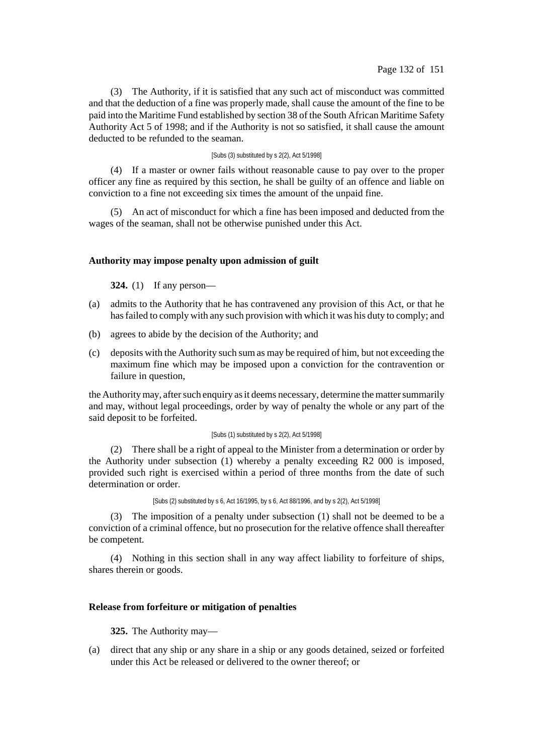(3) The Authority, if it is satisfied that any such act of misconduct was committed and that the deduction of a fine was properly made, shall cause the amount of the fine to be paid into the Maritime Fund established by section 38 of the South African Maritime Safety Authority Act 5 of 1998; and if the Authority is not so satisfied, it shall cause the amount deducted to be refunded to the seaman.

### [Subs (3) substituted by s 2(2), Act 5/1998]

(4) If a master or owner fails without reasonable cause to pay over to the proper officer any fine as required by this section, he shall be guilty of an offence and liable on conviction to a fine not exceeding six times the amount of the unpaid fine.

(5) An act of misconduct for which a fine has been imposed and deducted from the wages of the seaman, shall not be otherwise punished under this Act.

### **Authority may impose penalty upon admission of guilt**

**324.** (1) If any person—

- (a) admits to the Authority that he has contravened any provision of this Act, or that he hasfailed to comply with any such provision with which it was his duty to comply; and
- (b) agrees to abide by the decision of the Authority; and
- (c) deposits with the Authority such sum as may be required of him, but not exceeding the maximum fine which may be imposed upon a conviction for the contravention or failure in question,

the Authority may, after such enquiry as it deems necessary, determine the matter summarily and may, without legal proceedings, order by way of penalty the whole or any part of the said deposit to be forfeited.

#### [Subs (1) substituted by s 2(2), Act 5/1998]

(2) There shall be a right of appeal to the Minister from a determination or order by the Authority under subsection (1) whereby a penalty exceeding R2 000 is imposed, provided such right is exercised within a period of three months from the date of such determination or order.

[Subs (2) substituted by s 6, Act 16/1995, by s 6, Act 88/1996, and by s 2(2), Act 5/1998]

(3) The imposition of a penalty under subsection (1) shall not be deemed to be a conviction of a criminal offence, but no prosecution for the relative offence shall thereafter be competent.

(4) Nothing in this section shall in any way affect liability to forfeiture of ships, shares therein or goods.

### **Release from forfeiture or mitigation of penalties**

**325.** The Authority may—

(a) direct that any ship or any share in a ship or any goods detained, seized or forfeited under this Act be released or delivered to the owner thereof; or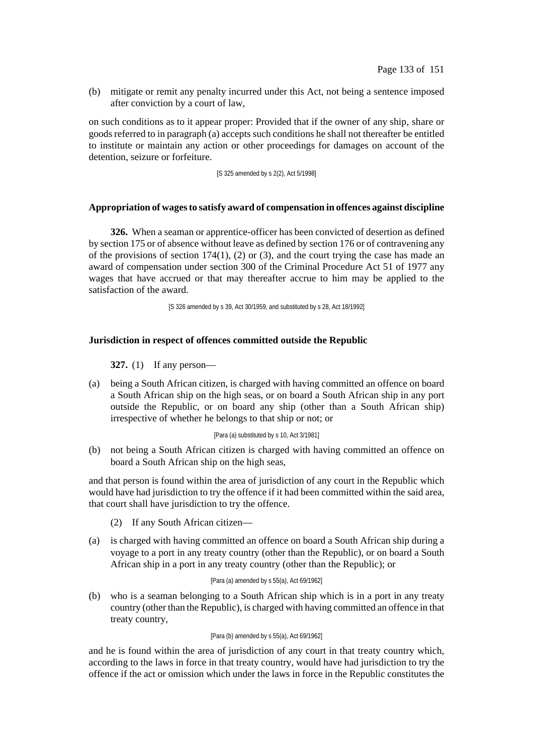(b) mitigate or remit any penalty incurred under this Act, not being a sentence imposed after conviction by a court of law,

on such conditions as to it appear proper: Provided that if the owner of any ship, share or goodsreferred to in paragraph (a) accepts such conditions he shall not thereafter be entitled to institute or maintain any action or other proceedings for damages on account of the detention, seizure or forfeiture.

[S 325 amended by s 2(2), Act 5/1998]

## **Appropriation of wagesto satisfy award of compensation in offences against discipline**

**326.** When a seaman or apprentice-officer has been convicted of desertion as defined by section 175 or of absence without leave as defined by section 176 or of contravening any of the provisions of section 174(1), (2) or (3), and the court trying the case has made an award of compensation under section 300 of the Criminal Procedure Act 51 of 1977 any wages that have accrued or that may thereafter accrue to him may be applied to the satisfaction of the award.

[S 326 amended by s 39, Act 30/1959, and substituted by s 28, Act 18/1992]

## **Jurisdiction in respect of offences committed outside the Republic**

**327.** (1) If any person—

(a) being a South African citizen, is charged with having committed an offence on board a South African ship on the high seas, or on board a South African ship in any port outside the Republic, or on board any ship (other than a South African ship) irrespective of whether he belongs to that ship or not; or

[Para (a) substituted by s 10, Act 3/1981]

(b) not being a South African citizen is charged with having committed an offence on board a South African ship on the high seas,

and that person is found within the area of jurisdiction of any court in the Republic which would have had jurisdiction to try the offence if it had been committed within the said area, that court shall have jurisdiction to try the offence.

- (2) If any South African citizen—
- (a) is charged with having committed an offence on board a South African ship during a voyage to a port in any treaty country (other than the Republic), or on board a South African ship in a port in any treaty country (other than the Republic); or

#### [Para (a) amended by s 55(a), Act 69/1962]

(b) who is a seaman belonging to a South African ship which is in a port in any treaty country (other than the Republic), is charged with having committed an offence in that treaty country,

#### [Para (b) amended by s 55(a), Act 69/1962]

and he is found within the area of jurisdiction of any court in that treaty country which, according to the laws in force in that treaty country, would have had jurisdiction to try the offence if the act or omission which under the laws in force in the Republic constitutes the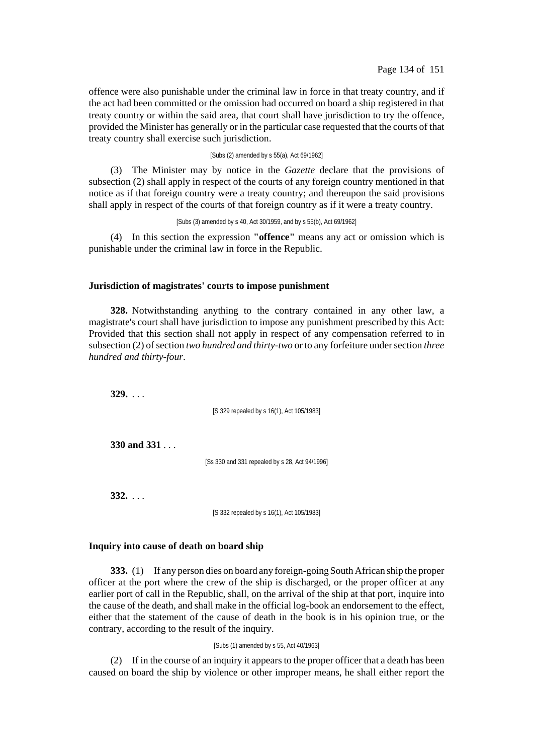offence were also punishable under the criminal law in force in that treaty country, and if the act had been committed or the omission had occurred on board a ship registered in that treaty country or within the said area, that court shall have jurisdiction to try the offence, provided the Minister has generally or in the particular case requested that the courts of that treaty country shall exercise such jurisdiction.

### [Subs (2) amended by s 55(a), Act 69/1962]

(3) The Minister may by notice in the *Gazette* declare that the provisions of subsection (2) shall apply in respect of the courts of any foreign country mentioned in that notice as if that foreign country were a treaty country; and thereupon the said provisions shall apply in respect of the courts of that foreign country as if it were a treaty country.

[Subs (3) amended by s 40, Act 30/1959, and by s 55(b), Act 69/1962]

(4) In this section the expression **"offence"** means any act or omission which is punishable under the criminal law in force in the Republic.

#### **Jurisdiction of magistrates' courts to impose punishment**

**328.** Notwithstanding anything to the contrary contained in any other law, a magistrate's court shall have jurisdiction to impose any punishment prescribed by this Act: Provided that this section shall not apply in respect of any compensation referred to in subsection (2) of section *two hundred and thirty-two* or to any forfeiture under section *three hundred and thirty-four*.

**329.** . . .

[S 329 repealed by s 16(1), Act 105/1983]

**330 and 331** . . .

[Ss 330 and 331 repealed by s 28, Act 94/1996]

**332.** . . .

[S 332 repealed by s 16(1), Act 105/1983]

## **Inquiry into cause of death on board ship**

**333.** (1) If any person dies on board any foreign-going South African ship the proper officer at the port where the crew of the ship is discharged, or the proper officer at any earlier port of call in the Republic, shall, on the arrival of the ship at that port, inquire into the cause of the death, and shall make in the official log-book an endorsement to the effect, either that the statement of the cause of death in the book is in his opinion true, or the contrary, according to the result of the inquiry.

#### [Subs (1) amended by s 55, Act 40/1963]

(2) If in the course of an inquiry it appears to the proper officer that a death has been caused on board the ship by violence or other improper means, he shall either report the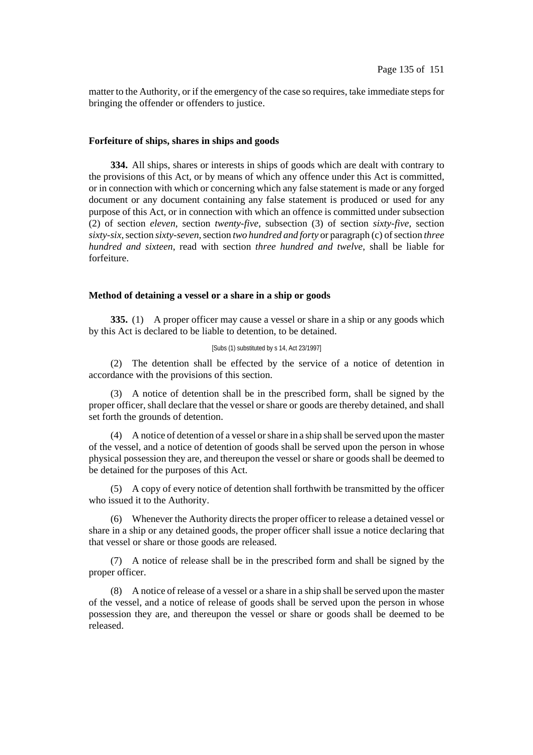matter to the Authority, or if the emergency of the case so requires, take immediate steps for bringing the offender or offenders to justice.

### **Forfeiture of ships, shares in ships and goods**

**334.** All ships, shares or interests in ships of goods which are dealt with contrary to the provisions of this Act, or by means of which any offence under this Act is committed, or in connection with which or concerning which any false statement is made or any forged document or any document containing any false statement is produced or used for any purpose of this Act, or in connection with which an offence is committed under subsection (2) of section *eleven*, section *twenty-five*, subsection (3) of section *sixty-five*, section *sixty-six*,section *sixty-seven*,section *two hundred and forty* or paragraph (c) ofsection *three hundred and sixteen*, read with section *three hundred and twelve*, shall be liable for forfeiture.

### **Method of detaining a vessel or a share in a ship or goods**

**335.** (1) A proper officer may cause a vessel or share in a ship or any goods which by this Act is declared to be liable to detention, to be detained.

### [Subs (1) substituted by s 14, Act 23/1997]

(2) The detention shall be effected by the service of a notice of detention in accordance with the provisions of this section.

(3) A notice of detention shall be in the prescribed form, shall be signed by the proper officer, shall declare that the vessel or share or goods are thereby detained, and shall set forth the grounds of detention.

(4) A notice of detention of a vessel orshare in a ship shall be served upon the master of the vessel, and a notice of detention of goods shall be served upon the person in whose physical possession they are, and thereupon the vessel or share or goods shall be deemed to be detained for the purposes of this Act.

(5) A copy of every notice of detention shall forthwith be transmitted by the officer who issued it to the Authority.

(6) Whenever the Authority directs the proper officer to release a detained vessel or share in a ship or any detained goods, the proper officer shall issue a notice declaring that that vessel or share or those goods are released.

(7) A notice of release shall be in the prescribed form and shall be signed by the proper officer.

(8) A notice of release of a vessel or a share in a ship shall be served upon the master of the vessel, and a notice of release of goods shall be served upon the person in whose possession they are, and thereupon the vessel or share or goods shall be deemed to be released.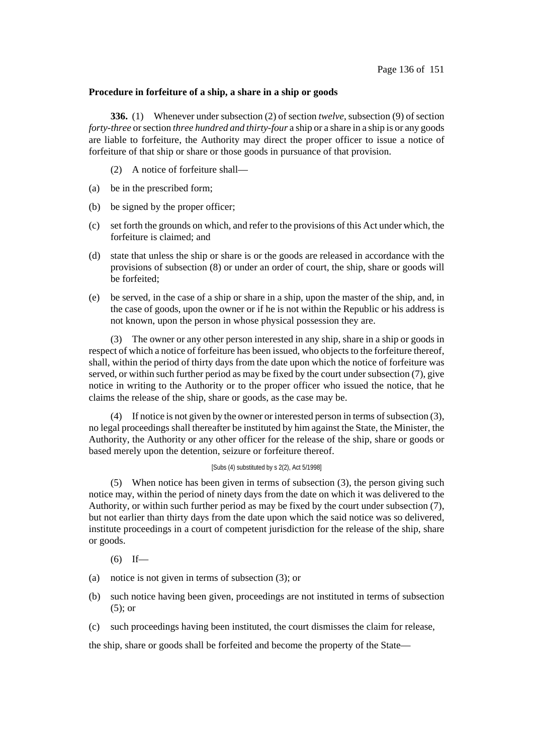## **Procedure in forfeiture of a ship, a share in a ship or goods**

**336.** (1) Whenever under subsection (2) of section *twelve*, subsection (9) of section *forty-three* orsection *three hundred and thirty-four* a ship or a share in a ship is or any goods are liable to forfeiture, the Authority may direct the proper officer to issue a notice of forfeiture of that ship or share or those goods in pursuance of that provision.

(2) A notice of forfeiture shall—

- (a) be in the prescribed form;
- (b) be signed by the proper officer;
- (c) set forth the grounds on which, and refer to the provisions of this Act under which, the forfeiture is claimed; and
- (d) state that unless the ship or share is or the goods are released in accordance with the provisions of subsection (8) or under an order of court, the ship, share or goods will be forfeited;
- (e) be served, in the case of a ship or share in a ship, upon the master of the ship, and, in the case of goods, upon the owner or if he is not within the Republic or his address is not known, upon the person in whose physical possession they are.

(3) The owner or any other person interested in any ship, share in a ship or goods in respect of which a notice of forfeiture has been issued, who objects to the forfeiture thereof, shall, within the period of thirty days from the date upon which the notice of forfeiture was served, or within such further period as may be fixed by the court under subsection (7), give notice in writing to the Authority or to the proper officer who issued the notice, that he claims the release of the ship, share or goods, as the case may be.

(4) If notice is not given by the owner or interested person in terms of subsection  $(3)$ , no legal proceedings shall thereafter be instituted by him against the State, the Minister, the Authority, the Authority or any other officer for the release of the ship, share or goods or based merely upon the detention, seizure or forfeiture thereof.

## [Subs (4) substituted by s 2(2), Act 5/1998]

(5) When notice has been given in terms of subsection (3), the person giving such notice may, within the period of ninety days from the date on which it was delivered to the Authority, or within such further period as may be fixed by the court under subsection (7), but not earlier than thirty days from the date upon which the said notice was so delivered, institute proceedings in a court of competent jurisdiction for the release of the ship, share or goods.

- $(6)$  If—
- (a) notice is not given in terms of subsection (3); or
- (b) such notice having been given, proceedings are not instituted in terms of subsection (5); or
- (c) such proceedings having been instituted, the court dismisses the claim for release,

the ship, share or goods shall be forfeited and become the property of the State—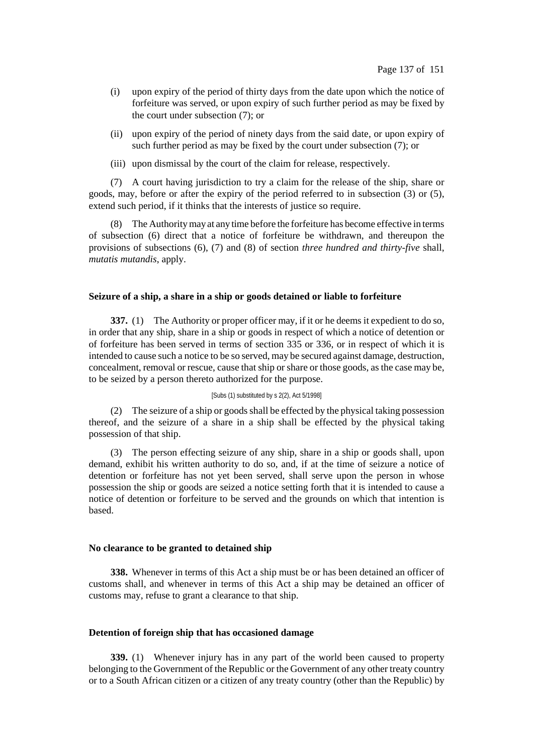- (i) upon expiry of the period of thirty days from the date upon which the notice of forfeiture was served, or upon expiry of such further period as may be fixed by the court under subsection (7); or
- (ii) upon expiry of the period of ninety days from the said date, or upon expiry of such further period as may be fixed by the court under subsection (7); or
- (iii) upon dismissal by the court of the claim for release, respectively.

(7) A court having jurisdiction to try a claim for the release of the ship, share or goods, may, before or after the expiry of the period referred to in subsection (3) or (5), extend such period, if it thinks that the interests of justice so require.

(8) The Authoritymay at any time before the forfeiture has become effective in terms of subsection (6) direct that a notice of forfeiture be withdrawn, and thereupon the provisions of subsections (6), (7) and (8) of section *three hundred and thirty-five* shall, *mutatis mutandis*, apply.

### **Seizure of a ship, a share in a ship or goods detained or liable to forfeiture**

**337.** (1) The Authority or proper officer may, if it or he deems it expedient to do so, in order that any ship, share in a ship or goods in respect of which a notice of detention or of forfeiture has been served in terms of section 335 or 336, or in respect of which it is intended to cause such a notice to be so served, may be secured against damage, destruction, concealment, removal or rescue, cause that ship or share or those goods, as the case may be, to be seized by a person thereto authorized for the purpose.

#### [Subs (1) substituted by s 2(2), Act 5/1998]

(2) The seizure of a ship or goods shall be effected by the physical taking possession thereof, and the seizure of a share in a ship shall be effected by the physical taking possession of that ship.

(3) The person effecting seizure of any ship, share in a ship or goods shall, upon demand, exhibit his written authority to do so, and, if at the time of seizure a notice of detention or forfeiture has not yet been served, shall serve upon the person in whose possession the ship or goods are seized a notice setting forth that it is intended to cause a notice of detention or forfeiture to be served and the grounds on which that intention is based.

## **No clearance to be granted to detained ship**

**338.** Whenever in terms of this Act a ship must be or has been detained an officer of customs shall, and whenever in terms of this Act a ship may be detained an officer of customs may, refuse to grant a clearance to that ship.

## **Detention of foreign ship that has occasioned damage**

**339.** (1) Whenever injury has in any part of the world been caused to property belonging to the Government of the Republic or the Government of any other treaty country or to a South African citizen or a citizen of any treaty country (other than the Republic) by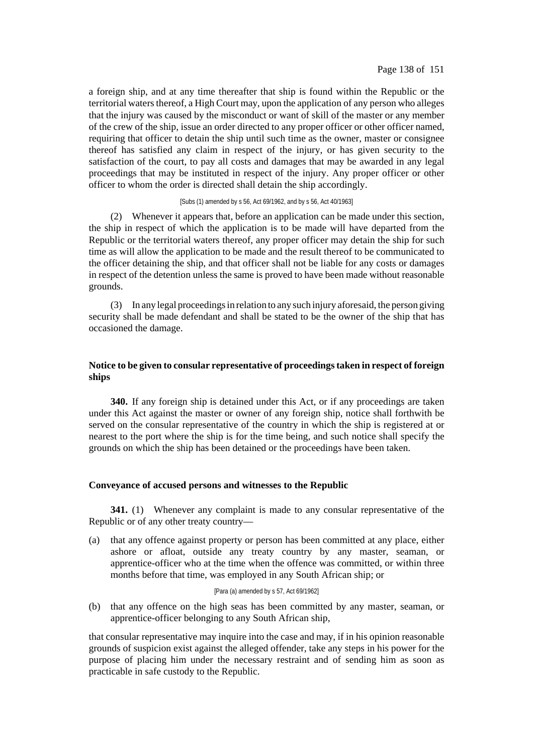a foreign ship, and at any time thereafter that ship is found within the Republic or the territorial waters thereof, a High Court may, upon the application of any person who alleges that the injury was caused by the misconduct or want of skill of the master or any member of the crew of the ship, issue an order directed to any proper officer or other officer named, requiring that officer to detain the ship until such time as the owner, master or consignee thereof has satisfied any claim in respect of the injury, or has given security to the satisfaction of the court, to pay all costs and damages that may be awarded in any legal proceedings that may be instituted in respect of the injury. Any proper officer or other officer to whom the order is directed shall detain the ship accordingly.

#### [Subs (1) amended by s 56, Act 69/1962, and by s 56, Act 40/1963]

(2) Whenever it appears that, before an application can be made under this section, the ship in respect of which the application is to be made will have departed from the Republic or the territorial waters thereof, any proper officer may detain the ship for such time as will allow the application to be made and the result thereof to be communicated to the officer detaining the ship, and that officer shall not be liable for any costs or damages in respect of the detention unless the same is proved to have been made without reasonable grounds.

(3) In any legal proceedingsin relation to any such injury aforesaid, the person giving security shall be made defendant and shall be stated to be the owner of the ship that has occasioned the damage.

## **Notice to be given to consular representative of proceedingstaken in respect of foreign ships**

**340.** If any foreign ship is detained under this Act, or if any proceedings are taken under this Act against the master or owner of any foreign ship, notice shall forthwith be served on the consular representative of the country in which the ship is registered at or nearest to the port where the ship is for the time being, and such notice shall specify the grounds on which the ship has been detained or the proceedings have been taken.

### **Conveyance of accused persons and witnesses to the Republic**

**341.** (1) Whenever any complaint is made to any consular representative of the Republic or of any other treaty country—

(a) that any offence against property or person has been committed at any place, either ashore or afloat, outside any treaty country by any master, seaman, or apprentice-officer who at the time when the offence was committed, or within three months before that time, was employed in any South African ship; or

#### [Para (a) amended by s 57, Act 69/1962]

(b) that any offence on the high seas has been committed by any master, seaman, or apprentice-officer belonging to any South African ship,

that consular representative may inquire into the case and may, if in his opinion reasonable grounds of suspicion exist against the alleged offender, take any steps in his power for the purpose of placing him under the necessary restraint and of sending him as soon as practicable in safe custody to the Republic.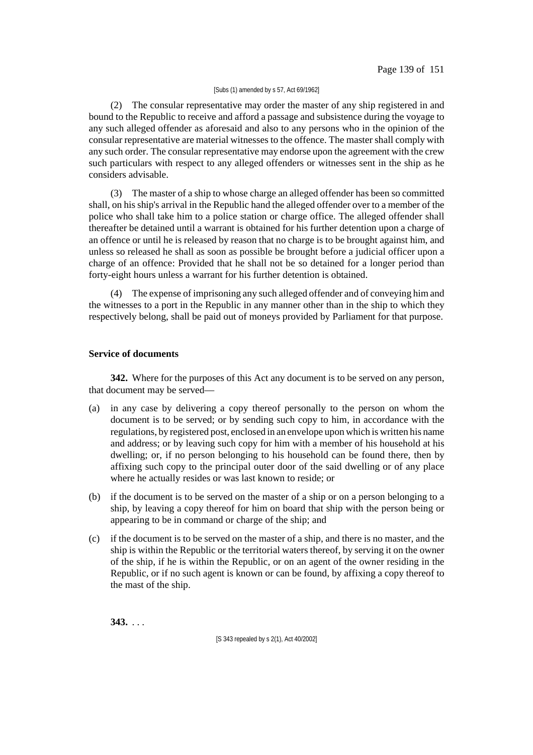### [Subs (1) amended by s 57, Act 69/1962]

(2) The consular representative may order the master of any ship registered in and bound to the Republic to receive and afford a passage and subsistence during the voyage to any such alleged offender as aforesaid and also to any persons who in the opinion of the consular representative are material witnesses to the offence. The master shall comply with any such order. The consular representative may endorse upon the agreement with the crew such particulars with respect to any alleged offenders or witnesses sent in the ship as he considers advisable.

(3) The master of a ship to whose charge an alleged offender has been so committed shall, on his ship's arrival in the Republic hand the alleged offender over to a member of the police who shall take him to a police station or charge office. The alleged offender shall thereafter be detained until a warrant is obtained for his further detention upon a charge of an offence or until he is released by reason that no charge is to be brought against him, and unless so released he shall as soon as possible be brought before a judicial officer upon a charge of an offence: Provided that he shall not be so detained for a longer period than forty-eight hours unless a warrant for his further detention is obtained.

(4) The expense of imprisoning any such alleged offender and of conveying himand the witnesses to a port in the Republic in any manner other than in the ship to which they respectively belong, shall be paid out of moneys provided by Parliament for that purpose.

## **Service of documents**

**342.** Where for the purposes of this Act any document is to be served on any person, that document may be served—

- (a) in any case by delivering a copy thereof personally to the person on whom the document is to be served; or by sending such copy to him, in accordance with the regulations, by registered post, enclosed in an envelope upon which is written his name and address; or by leaving such copy for him with a member of his household at his dwelling; or, if no person belonging to his household can be found there, then by affixing such copy to the principal outer door of the said dwelling or of any place where he actually resides or was last known to reside; or
- (b) if the document is to be served on the master of a ship or on a person belonging to a ship, by leaving a copy thereof for him on board that ship with the person being or appearing to be in command or charge of the ship; and
- (c) if the document is to be served on the master of a ship, and there is no master, and the ship is within the Republic or the territorial waters thereof, by serving it on the owner of the ship, if he is within the Republic, or on an agent of the owner residing in the Republic, or if no such agent is known or can be found, by affixing a copy thereof to the mast of the ship.

**343.** . . .

[S 343 repealed by s 2(1), Act 40/2002]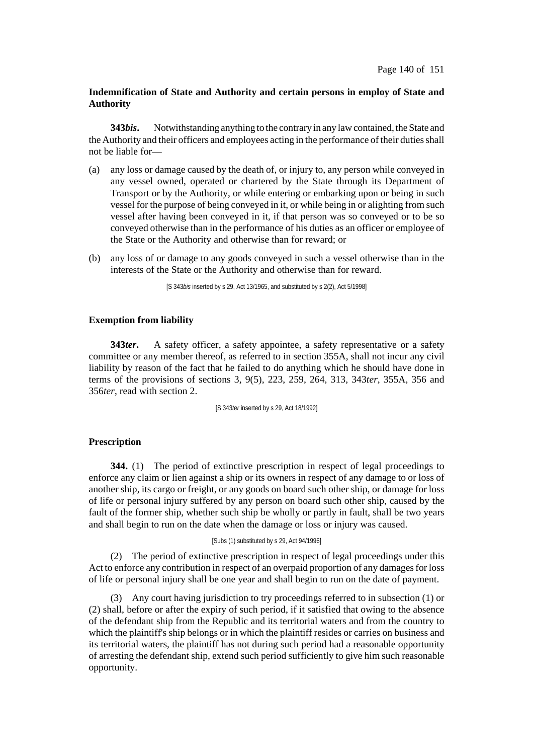## **Indemnification of State and Authority and certain persons in employ of State and Authority**

**343***bis***.** Notwithstanding anything to the contrary in any law contained, the State and the Authority and their officers and employees acting in the performance of their duties shall not be liable for—

- (a) any loss or damage caused by the death of, or injury to, any person while conveyed in any vessel owned, operated or chartered by the State through its Department of Transport or by the Authority, or while entering or embarking upon or being in such vessel for the purpose of being conveyed in it, or while being in or alighting from such vessel after having been conveyed in it, if that person was so conveyed or to be so conveyed otherwise than in the performance of his duties as an officer or employee of the State or the Authority and otherwise than for reward; or
- (b) any loss of or damage to any goods conveyed in such a vessel otherwise than in the interests of the State or the Authority and otherwise than for reward.

[S 343*bis* inserted by s 29, Act 13/1965, and substituted by s 2(2), Act 5/1998]

### **Exemption from liability**

**343ter.** A safety officer, a safety appointee, a safety representative or a safety committee or any member thereof, as referred to in section 355A, shall not incur any civil liability by reason of the fact that he failed to do anything which he should have done in terms of the provisions of sections 3, 9(5), 223, 259, 264, 313, 343*ter*, 355A, 356 and 356*ter*, read with section 2.

[S 343*ter* inserted by s 29, Act 18/1992]

## **Prescription**

**344.** (1) The period of extinctive prescription in respect of legal proceedings to enforce any claim or lien against a ship or its owners in respect of any damage to or loss of another ship, its cargo or freight, or any goods on board such other ship, or damage for loss of life or personal injury suffered by any person on board such other ship, caused by the fault of the former ship, whether such ship be wholly or partly in fault, shall be two years and shall begin to run on the date when the damage or loss or injury was caused.

#### [Subs (1) substituted by s 29, Act 94/1996]

(2) The period of extinctive prescription in respect of legal proceedings under this Act to enforce any contribution in respect of an overpaid proportion of any damages for loss of life or personal injury shall be one year and shall begin to run on the date of payment.

(3) Any court having jurisdiction to try proceedings referred to in subsection (1) or (2) shall, before or after the expiry of such period, if it satisfied that owing to the absence of the defendant ship from the Republic and its territorial waters and from the country to which the plaintiff's ship belongs or in which the plaintiff resides or carries on business and its territorial waters, the plaintiff has not during such period had a reasonable opportunity of arresting the defendant ship, extend such period sufficiently to give him such reasonable opportunity.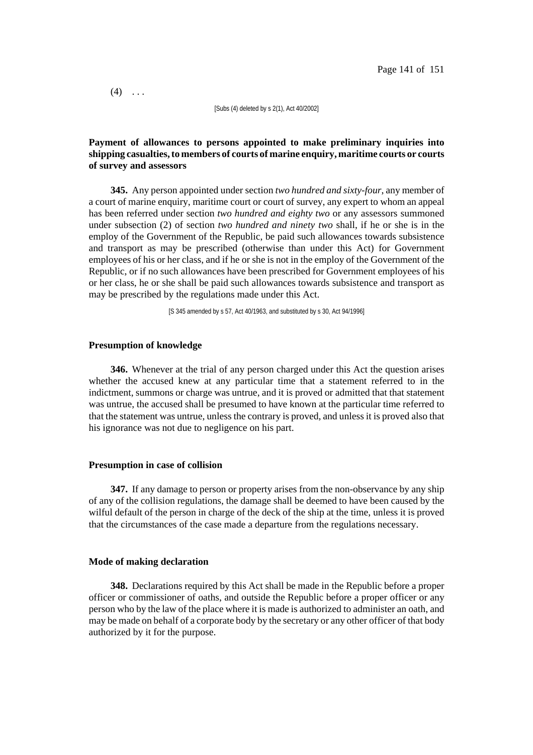$(4)$  ...

[Subs (4) deleted by s 2(1), Act 40/2002]

## **Payment of allowances to persons appointed to make preliminary inquiries into shipping casualties,to members of courts of marine enquiry, maritime courts or courts of survey and assessors**

**345.** Any person appointed under section *two hundred and sixty-four*, any member of a court of marine enquiry, maritime court or court of survey, any expert to whom an appeal has been referred under section *two hundred and eighty two* or any assessors summoned under subsection (2) of section *two hundred and ninety two* shall, if he or she is in the employ of the Government of the Republic, be paid such allowances towards subsistence and transport as may be prescribed (otherwise than under this Act) for Government employees of his or her class, and if he or she is not in the employ of the Government of the Republic, or if no such allowances have been prescribed for Government employees of his or her class, he or she shall be paid such allowances towards subsistence and transport as may be prescribed by the regulations made under this Act.

[S 345 amended by s 57, Act 40/1963, and substituted by s 30, Act 94/1996]

### **Presumption of knowledge**

**346.** Whenever at the trial of any person charged under this Act the question arises whether the accused knew at any particular time that a statement referred to in the indictment, summons or charge was untrue, and it is proved or admitted that that statement was untrue, the accused shall be presumed to have known at the particular time referred to that the statement was untrue, unless the contrary is proved, and unless it is proved also that his ignorance was not due to negligence on his part.

#### **Presumption in case of collision**

**347.** If any damage to person or property arises from the non-observance by any ship of any of the collision regulations, the damage shall be deemed to have been caused by the wilful default of the person in charge of the deck of the ship at the time, unless it is proved that the circumstances of the case made a departure from the regulations necessary.

### **Mode of making declaration**

**348.** Declarations required by this Act shall be made in the Republic before a proper officer or commissioner of oaths, and outside the Republic before a proper officer or any person who by the law of the place where it is made is authorized to administer an oath, and may be made on behalf of a corporate body by the secretary or any other officer of that body authorized by it for the purpose.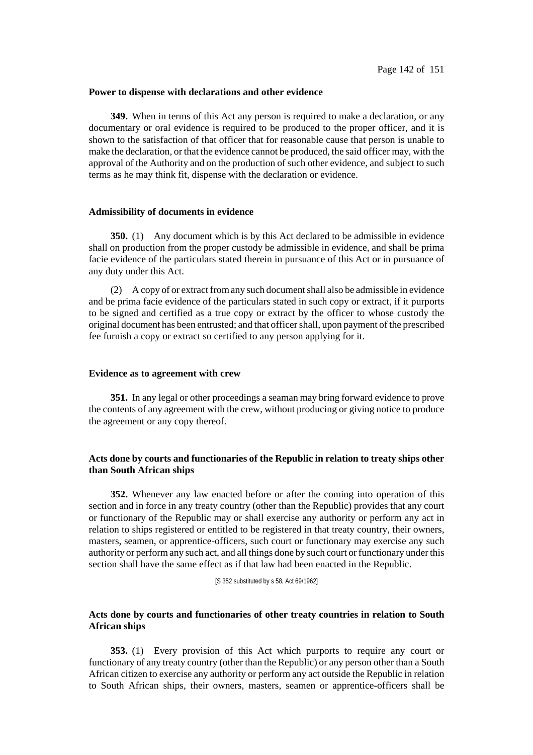### **Power to dispense with declarations and other evidence**

**349.** When in terms of this Act any person is required to make a declaration, or any documentary or oral evidence is required to be produced to the proper officer, and it is shown to the satisfaction of that officer that for reasonable cause that person is unable to make the declaration, or that the evidence cannot be produced, the said officer may, with the approval of the Authority and on the production of such other evidence, and subject to such terms as he may think fit, dispense with the declaration or evidence.

## **Admissibility of documents in evidence**

**350.** (1) Any document which is by this Act declared to be admissible in evidence shall on production from the proper custody be admissible in evidence, and shall be prima facie evidence of the particulars stated therein in pursuance of this Act or in pursuance of any duty under this Act.

(2) A copy of or extract from any such document shall also be admissible in evidence and be prima facie evidence of the particulars stated in such copy or extract, if it purports to be signed and certified as a true copy or extract by the officer to whose custody the original document has been entrusted; and that officershall, upon payment of the prescribed fee furnish a copy or extract so certified to any person applying for it.

#### **Evidence as to agreement with crew**

**351.** In any legal or other proceedings a seaman may bring forward evidence to prove the contents of any agreement with the crew, without producing or giving notice to produce the agreement or any copy thereof.

## **Acts done by courts and functionaries of the Republic in relation to treaty ships other than South African ships**

**352.** Whenever any law enacted before or after the coming into operation of this section and in force in any treaty country (other than the Republic) provides that any court or functionary of the Republic may or shall exercise any authority or perform any act in relation to ships registered or entitled to be registered in that treaty country, their owners, masters, seamen, or apprentice-officers, such court or functionary may exercise any such authority or perform any such act, and all things done by such court or functionary under this section shall have the same effect as if that law had been enacted in the Republic.

[S 352 substituted by s 58, Act 69/1962]

# **Acts done by courts and functionaries of other treaty countries in relation to South African ships**

**353.** (1) Every provision of this Act which purports to require any court or functionary of any treaty country (other than the Republic) or any person other than a South African citizen to exercise any authority or perform any act outside the Republic in relation to South African ships, their owners, masters, seamen or apprentice-officers shall be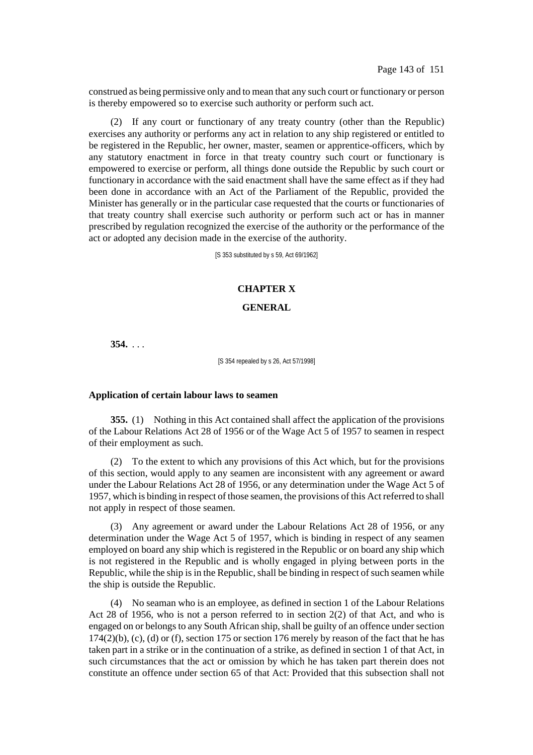construed as being permissive only and to mean that any such court or functionary or person is thereby empowered so to exercise such authority or perform such act.

(2) If any court or functionary of any treaty country (other than the Republic) exercises any authority or performs any act in relation to any ship registered or entitled to be registered in the Republic, her owner, master, seamen or apprentice-officers, which by any statutory enactment in force in that treaty country such court or functionary is empowered to exercise or perform, all things done outside the Republic by such court or functionary in accordance with the said enactment shall have the same effect as if they had been done in accordance with an Act of the Parliament of the Republic, provided the Minister has generally or in the particular case requested that the courts or functionaries of that treaty country shall exercise such authority or perform such act or has in manner prescribed by regulation recognized the exercise of the authority or the performance of the act or adopted any decision made in the exercise of the authority.

[S 353 substituted by s 59, Act 69/1962]

## **CHAPTER X**

#### **GENERAL**

**354.** . . .

[S 354 repealed by s 26, Act 57/1998]

#### **Application of certain labour laws to seamen**

**355.** (1) Nothing in this Act contained shall affect the application of the provisions of the Labour Relations Act 28 of 1956 or of the Wage Act 5 of 1957 to seamen in respect of their employment as such.

(2) To the extent to which any provisions of this Act which, but for the provisions of this section, would apply to any seamen are inconsistent with any agreement or award under the Labour Relations Act 28 of 1956, or any determination under the Wage Act 5 of 1957, which is binding in respect of those seamen, the provisions of this Actreferred to shall not apply in respect of those seamen.

(3) Any agreement or award under the Labour Relations Act 28 of 1956, or any determination under the Wage Act 5 of 1957, which is binding in respect of any seamen employed on board any ship which is registered in the Republic or on board any ship which is not registered in the Republic and is wholly engaged in plying between ports in the Republic, while the ship is in the Republic, shall be binding in respect of such seamen while the ship is outside the Republic.

(4) No seaman who is an employee, as defined in section 1 of the Labour Relations Act 28 of 1956, who is not a person referred to in section 2(2) of that Act, and who is engaged on or belongs to any South African ship, shall be guilty of an offence under section  $174(2)(b)$ , (c), (d) or (f), section 175 or section 176 merely by reason of the fact that he has taken part in a strike or in the continuation of a strike, as defined in section 1 of that Act, in such circumstances that the act or omission by which he has taken part therein does not constitute an offence under section 65 of that Act: Provided that this subsection shall not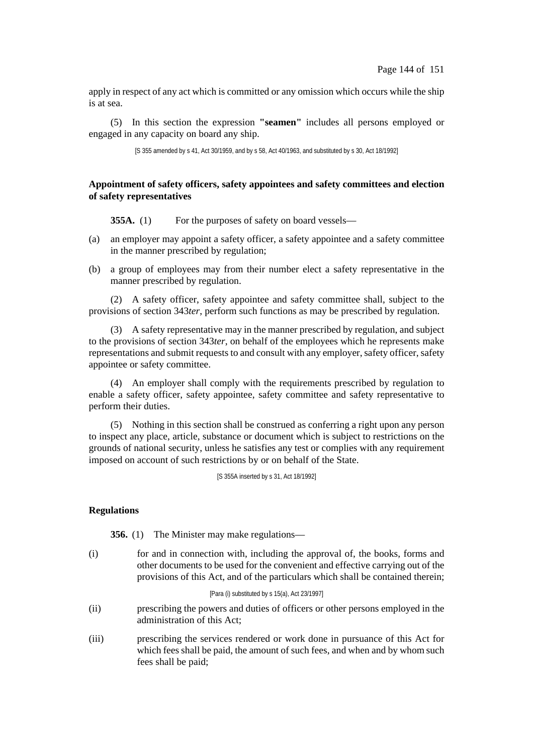apply in respect of any act which is committed or any omission which occurs while the ship is at sea.

(5) In this section the expression **"seamen"** includes all persons employed or engaged in any capacity on board any ship.

[S 355 amended by s 41, Act 30/1959, and by s 58, Act 40/1963, and substituted by s 30, Act 18/1992]

# **Appointment of safety officers, safety appointees and safety committees and election of safety representatives**

**355A.** (1) For the purposes of safety on board vessels—

- (a) an employer may appoint a safety officer, a safety appointee and a safety committee in the manner prescribed by regulation;
- (b) a group of employees may from their number elect a safety representative in the manner prescribed by regulation.

(2) A safety officer, safety appointee and safety committee shall, subject to the provisions of section 343*ter*, perform such functions as may be prescribed by regulation.

(3) A safety representative may in the manner prescribed by regulation, and subject to the provisions of section 343*ter*, on behalf of the employees which he represents make representations and submit requests to and consult with any employer, safety officer, safety appointee or safety committee.

(4) An employer shall comply with the requirements prescribed by regulation to enable a safety officer, safety appointee, safety committee and safety representative to perform their duties.

(5) Nothing in this section shall be construed as conferring a right upon any person to inspect any place, article, substance or document which is subject to restrictions on the grounds of national security, unless he satisfies any test or complies with any requirement imposed on account of such restrictions by or on behalf of the State.

[S 355A inserted by s 31, Act 18/1992]

### **Regulations**

**356.** (1) The Minister may make regulations—

(i) for and in connection with, including the approval of, the books, forms and other documents to be used for the convenient and effective carrying out of the provisions of this Act, and of the particulars which shall be contained therein;

[Para (i) substituted by s 15(a), Act 23/1997]

- (ii) prescribing the powers and duties of officers or other persons employed in the administration of this Act;
- (iii) prescribing the services rendered or work done in pursuance of this Act for which fees shall be paid, the amount of such fees, and when and by whom such fees shall be paid;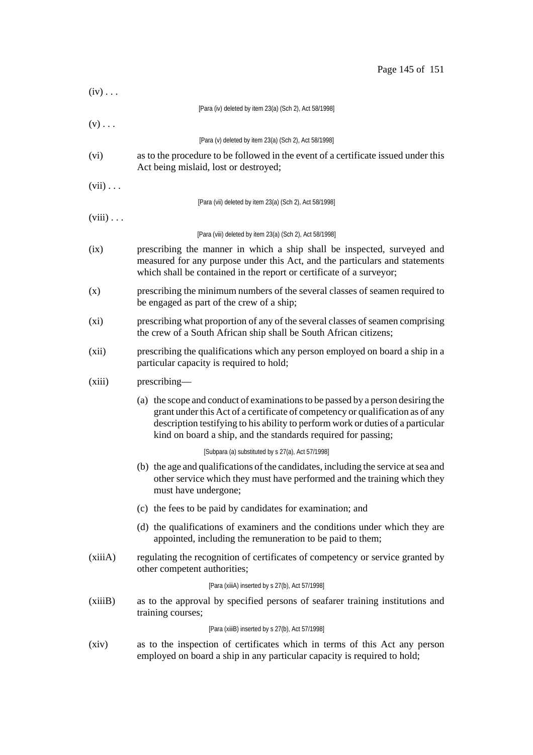| Page 145 of 151 |  |  |  |
|-----------------|--|--|--|
|-----------------|--|--|--|

| $(iv) \ldots$   |                                                                                                                                                                                                                                                                                                                       |  |  |
|-----------------|-----------------------------------------------------------------------------------------------------------------------------------------------------------------------------------------------------------------------------------------------------------------------------------------------------------------------|--|--|
|                 | [Para (iv) deleted by item 23(a) (Sch 2), Act 58/1998]                                                                                                                                                                                                                                                                |  |  |
| $(v)$           |                                                                                                                                                                                                                                                                                                                       |  |  |
|                 | [Para (v) deleted by item 23(a) (Sch 2), Act 58/1998]                                                                                                                                                                                                                                                                 |  |  |
| (vi)            | as to the procedure to be followed in the event of a certificate issued under this<br>Act being mislaid, lost or destroyed;                                                                                                                                                                                           |  |  |
| $(vii) \ldots$  |                                                                                                                                                                                                                                                                                                                       |  |  |
|                 | [Para (vii) deleted by item 23(a) (Sch 2), Act 58/1998]                                                                                                                                                                                                                                                               |  |  |
| $(viii) \ldots$ |                                                                                                                                                                                                                                                                                                                       |  |  |
|                 | [Para (viii) deleted by item 23(a) (Sch 2), Act 58/1998]                                                                                                                                                                                                                                                              |  |  |
| (ix)            | prescribing the manner in which a ship shall be inspected, surveyed and<br>measured for any purpose under this Act, and the particulars and statements<br>which shall be contained in the report or certificate of a surveyor;                                                                                        |  |  |
| (x)             | prescribing the minimum numbers of the several classes of seamen required to<br>be engaged as part of the crew of a ship;                                                                                                                                                                                             |  |  |
| $(x_i)$         | prescribing what proportion of any of the several classes of seamen comprising<br>the crew of a South African ship shall be South African citizens;                                                                                                                                                                   |  |  |
| (xii)           | prescribing the qualifications which any person employed on board a ship in a<br>particular capacity is required to hold;                                                                                                                                                                                             |  |  |
| (xiii)          | prescribing—                                                                                                                                                                                                                                                                                                          |  |  |
|                 | (a) the scope and conduct of examinations to be passed by a person desiring the<br>grant under this Act of a certificate of competency or qualification as of any<br>description testifying to his ability to perform work or duties of a particular<br>kind on board a ship, and the standards required for passing; |  |  |
|                 | [Subpara (a) substituted by s 27(a), Act 57/1998]                                                                                                                                                                                                                                                                     |  |  |
|                 | (b) the age and qualifications of the candidates, including the service at sea and<br>other service which they must have performed and the training which they<br>must have undergone;                                                                                                                                |  |  |
|                 | (c) the fees to be paid by candidates for examination; and                                                                                                                                                                                                                                                            |  |  |
|                 | (d) the qualifications of examiners and the conditions under which they are<br>appointed, including the remuneration to be paid to them;                                                                                                                                                                              |  |  |
| (xiiiA)         | regulating the recognition of certificates of competency or service granted by<br>other competent authorities;                                                                                                                                                                                                        |  |  |
|                 | [Para (xiiiA) inserted by s 27(b), Act 57/1998]                                                                                                                                                                                                                                                                       |  |  |
| (xiiiB)         | as to the approval by specified persons of seafarer training institutions and<br>training courses;                                                                                                                                                                                                                    |  |  |
|                 | [Para (xiiiB) inserted by s 27(b), Act 57/1998]                                                                                                                                                                                                                                                                       |  |  |
| (xiv)           | as to the inspection of certificates which in terms of this Act any person<br>employed on board a ship in any particular capacity is required to hold;                                                                                                                                                                |  |  |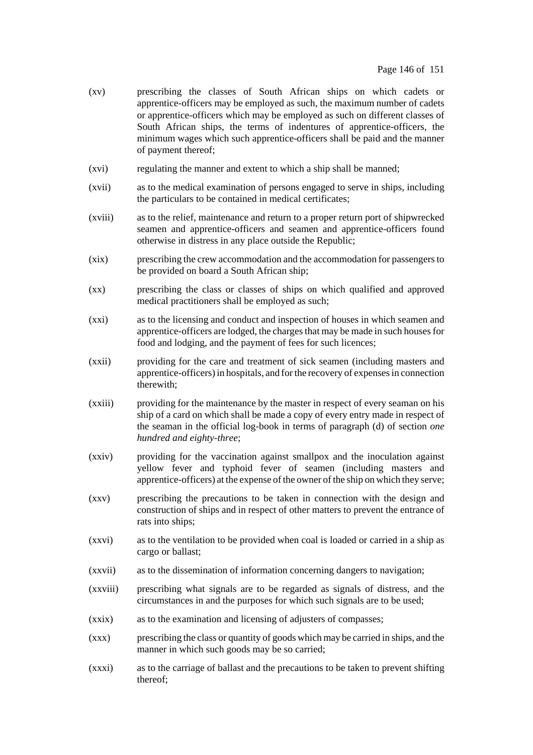- (xv) prescribing the classes of South African ships on which cadets or apprentice-officers may be employed as such, the maximum number of cadets or apprentice-officers which may be employed as such on different classes of South African ships, the terms of indentures of apprentice-officers, the minimum wages which such apprentice-officers shall be paid and the manner of payment thereof;
- (xvi) regulating the manner and extent to which a ship shall be manned;
- (xvii) as to the medical examination of persons engaged to serve in ships, including the particulars to be contained in medical certificates;
- (xviii) as to the relief, maintenance and return to a proper return port of shipwrecked seamen and apprentice-officers and seamen and apprentice-officers found otherwise in distress in any place outside the Republic;
- (xix) prescribing the crew accommodation and the accommodation for passengersto be provided on board a South African ship;
- (xx) prescribing the class or classes of ships on which qualified and approved medical practitioners shall be employed as such;
- (xxi) as to the licensing and conduct and inspection of houses in which seamen and apprentice-officers are lodged, the charges that may be made in such houses for food and lodging, and the payment of fees for such licences;
- (xxii) providing for the care and treatment of sick seamen (including masters and apprentice-officers)in hospitals, and forthe recovery of expensesin connection therewith;
- (xxiii) providing for the maintenance by the master in respect of every seaman on his ship of a card on which shall be made a copy of every entry made in respect of the seaman in the official log-book in terms of paragraph (d) of section *one hundred and eighty-three*;
- (xxiv) providing for the vaccination against smallpox and the inoculation against yellow fever and typhoid fever of seamen (including masters and apprentice-officers) at the expense of the owner of the ship on which they serve;
- (xxv) prescribing the precautions to be taken in connection with the design and construction of ships and in respect of other matters to prevent the entrance of rats into ships;
- (xxvi) as to the ventilation to be provided when coal is loaded or carried in a ship as cargo or ballast;
- (xxvii) as to the dissemination of information concerning dangers to navigation;
- (xxviii) prescribing what signals are to be regarded as signals of distress, and the circumstances in and the purposes for which such signals are to be used;
- (xxix) as to the examination and licensing of adjusters of compasses;
- (xxx) prescribing the class or quantity of goods which may be carried in ships, and the manner in which such goods may be so carried;
- (xxxi) as to the carriage of ballast and the precautions to be taken to prevent shifting thereof;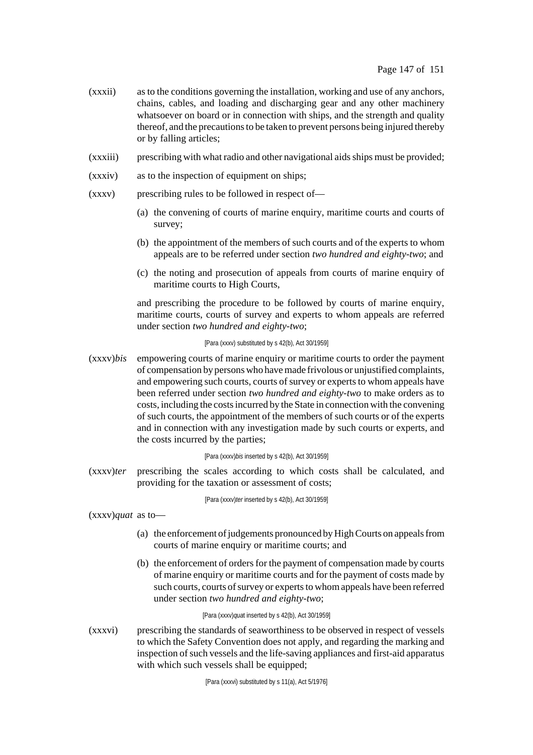- (xxxii) as to the conditions governing the installation, working and use of any anchors, chains, cables, and loading and discharging gear and any other machinery whatsoever on board or in connection with ships, and the strength and quality thereof, and the precautions to be taken to prevent persons being injured thereby or by falling articles;
- (xxxiii) prescribing with what radio and other navigational aidsships must be provided;
- (xxxiv) as to the inspection of equipment on ships;
- $(xxxv)$  prescribing rules to be followed in respect of—
	- (a) the convening of courts of marine enquiry, maritime courts and courts of survey;
	- (b) the appointment of the members of such courts and of the experts to whom appeals are to be referred under section *two hundred and eighty-two*; and
	- (c) the noting and prosecution of appeals from courts of marine enquiry of maritime courts to High Courts,

and prescribing the procedure to be followed by courts of marine enquiry, maritime courts, courts of survey and experts to whom appeals are referred under section *two hundred and eighty-two*;

#### [Para (xxxv) substituted by s 42(b), Act 30/1959]

(xxxv)*bis* empowering courts of marine enquiry or maritime courts to order the payment of compensation by personswho havemade frivolous or unjustified complaints, and empowering such courts, courts of survey or experts to whom appeals have been referred under section *two hundred and eighty-two* to make orders as to costs, including the costsincurred by the State in connection with the convening of such courts, the appointment of the members of such courts or of the experts and in connection with any investigation made by such courts or experts, and the costs incurred by the parties;

#### [Para (xxxv)*bis* inserted by s 42(b), Act 30/1959]

(xxxv)*ter* prescribing the scales according to which costs shall be calculated, and providing for the taxation or assessment of costs;

[Para (xxxv)*ter* inserted by s 42(b), Act 30/1959]

(xxxv)*quat* as to—

- (a) the enforcement of judgements pronounced by High Courts on appeals from courts of marine enquiry or maritime courts; and
- (b) the enforcement of orders for the payment of compensation made by courts of marine enquiry or maritime courts and for the payment of costs made by such courts, courts of survey or experts to whom appeals have been referred under section *two hundred and eighty-two*;

## [Para (xxxv)*qua*t inserted by s 42(b), Act 30/1959]

(xxxvi) prescribing the standards of seaworthiness to be observed in respect of vessels to which the Safety Convention does not apply, and regarding the marking and inspection of such vessels and the life-saving appliances and first-aid apparatus with which such vessels shall be equipped;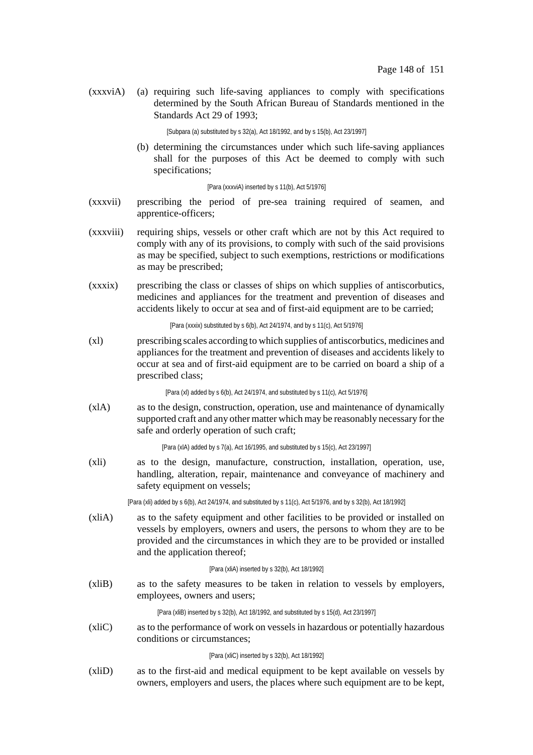(xxxviA) (a) requiring such life-saving appliances to comply with specifications determined by the South African Bureau of Standards mentioned in the Standards Act 29 of 1993;

[Subpara (a) substituted by s 32(a), Act 18/1992, and by s 15(b), Act 23/1997]

(b) determining the circumstances under which such life-saving appliances shall for the purposes of this Act be deemed to comply with such specifications;

#### [Para (xxxviA) inserted by s 11(b), Act 5/1976]

- (xxxvii) prescribing the period of pre-sea training required of seamen, and apprentice-officers;
- (xxxviii) requiring ships, vessels or other craft which are not by this Act required to comply with any of its provisions, to comply with such of the said provisions as may be specified, subject to such exemptions, restrictions or modifications as may be prescribed;
- (xxxix) prescribing the class or classes of ships on which supplies of antiscorbutics, medicines and appliances for the treatment and prevention of diseases and accidents likely to occur at sea and of first-aid equipment are to be carried;

[Para (xxxix) substituted by s 6(b), Act 24/1974, and by s 11(c), Act 5/1976]

(xl) prescribing scales according to which supplies of antiscorbutics, medicines and appliances for the treatment and prevention of diseases and accidents likely to occur at sea and of first-aid equipment are to be carried on board a ship of a prescribed class;

[Para (xl) added by s 6(b), Act 24/1974, and substituted by s 11(c), Act 5/1976]

(xlA) as to the design, construction, operation, use and maintenance of dynamically supported craft and any other matter which may be reasonably necessary for the safe and orderly operation of such craft;

[Para (xlA) added by s 7(a), Act 16/1995, and substituted by s 15(c), Act 23/1997]

(xli) as to the design, manufacture, construction, installation, operation, use, handling, alteration, repair, maintenance and conveyance of machinery and safety equipment on vessels;

[Para (xli) added by s 6(b), Act 24/1974, and substituted by s 11(c), Act 5/1976, and by s 32(b), Act 18/1992]

(xliA) as to the safety equipment and other facilities to be provided or installed on vessels by employers, owners and users, the persons to whom they are to be provided and the circumstances in which they are to be provided or installed and the application thereof;

#### [Para (xliA) inserted by s 32(b), Act 18/1992]

(xliB) as to the safety measures to be taken in relation to vessels by employers, employees, owners and users;

[Para (xliB) inserted by s 32(b), Act 18/1992, and substituted by s 15(d), Act 23/1997]

(xliC) as to the performance of work on vessels in hazardous or potentially hazardous conditions or circumstances;

# [Para (xliC) inserted by s 32(b), Act 18/1992]

(xliD) as to the first-aid and medical equipment to be kept available on vessels by owners, employers and users, the places where such equipment are to be kept,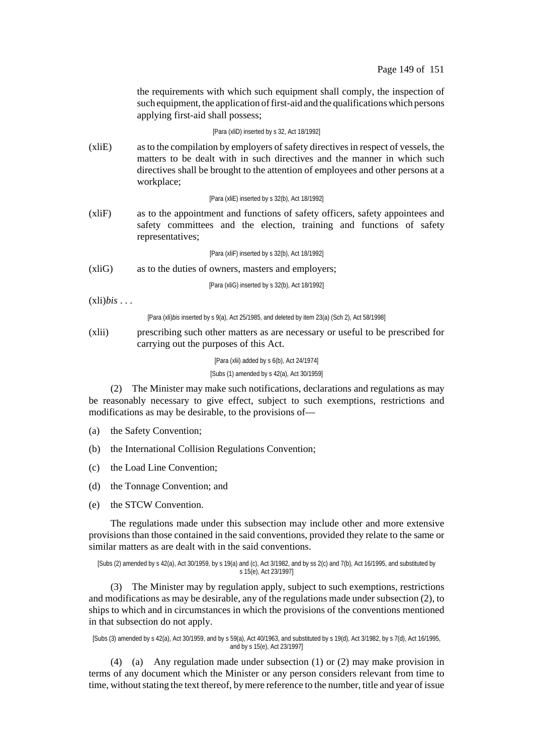the requirements with which such equipment shall comply, the inspection of such equipment, the application of first-aid and the qualifications which persons applying first-aid shall possess;

### [Para (xliD) inserted by s 32, Act 18/1992]

(xliE) asto the compilation by employers ofsafety directivesin respect of vessels, the matters to be dealt with in such directives and the manner in which such directives shall be brought to the attention of employees and other persons at a workplace;

[Para (xliE) inserted by s 32(b), Act 18/1992]

(xliF) as to the appointment and functions of safety officers, safety appointees and safety committees and the election, training and functions of safety representatives;

[Para (xliF) inserted by s 32(b), Act 18/1992]

(xliG) as to the duties of owners, masters and employers;

[Para (xliG) inserted by s 32(b), Act 18/1992]

 $(xli) *bis* \ldots$ 

[Para (xli)*bis* inserted by s 9(a), Act 25/1985, and deleted by item 23(a) (Sch 2), Act 58/1998]

# (xlii) prescribing such other matters as are necessary or useful to be prescribed for carrying out the purposes of this Act.

[Para (xlii) added by s 6(b), Act 24/1974]

[Subs (1) amended by s 42(a), Act 30/1959]

(2) The Minister may make such notifications, declarations and regulations as may be reasonably necessary to give effect, subject to such exemptions, restrictions and modifications as may be desirable, to the provisions of—

- (a) the Safety Convention;
- (b) the International Collision Regulations Convention;
- (c) the Load Line Convention;
- (d) the Tonnage Convention; and
- (e) the STCW Convention.

The regulations made under this subsection may include other and more extensive provisions than those contained in the said conventions, provided they relate to the same or similar matters as are dealt with in the said conventions.

```
[Subs (2) amended by s 42(a), Act 30/1959, by s 19(a) and (c), Act 3/1982, and by ss 2(c) and 7(b), Act 16/1995, and substituted by
                                          s 15(e), Act 23/1997]
```
(3) The Minister may by regulation apply, subject to such exemptions, restrictions and modifications as may be desirable, any of the regulations made under subsection (2), to ships to which and in circumstances in which the provisions of the conventions mentioned in that subsection do not apply.

[Subs (3) amended by s 42(a), Act 30/1959, and by s 59(a), Act 40/1963, and substituted by s 19(d), Act 3/1982, by s 7(d), Act 16/1995, and by s 15(e), Act 23/1997]

(4) (a) Any regulation made under subsection (1) or (2) may make provision in terms of any document which the Minister or any person considers relevant from time to time, without stating the text thereof, by mere reference to the number, title and year of issue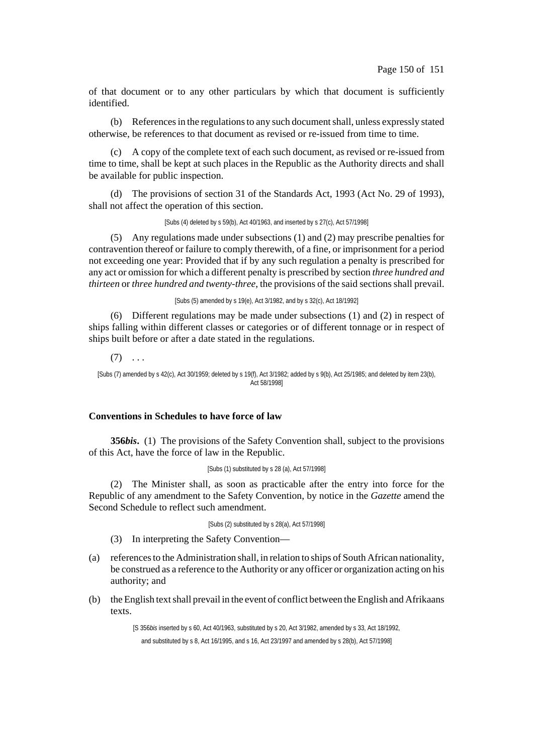of that document or to any other particulars by which that document is sufficiently identified.

(b) Referencesin the regulationsto any such documentshall, unless expressly stated otherwise, be references to that document as revised or re-issued from time to time.

(c) A copy of the complete text of each such document, as revised or re-issued from time to time, shall be kept at such places in the Republic as the Authority directs and shall be available for public inspection.

(d) The provisions of section 31 of the Standards Act, 1993 (Act No. 29 of 1993), shall not affect the operation of this section.

[Subs (4) deleted by s 59(b), Act 40/1963, and inserted by s 27(c), Act 57/1998]

(5) Any regulations made under subsections (1) and (2) may prescribe penalties for contravention thereof or failure to comply therewith, of a fine, or imprisonment for a period not exceeding one year: Provided that if by any such regulation a penalty is prescribed for any act or omission for which a different penalty is prescribed by section *three hundred and thirteen* or *three hundred and twenty-three*, the provisions of the said sections shall prevail.

[Subs (5) amended by s 19(e), Act 3/1982, and by s 32(c), Act 18/1992]

(6) Different regulations may be made under subsections (1) and (2) in respect of ships falling within different classes or categories or of different tonnage or in respect of ships built before or after a date stated in the regulations.

 $(7) \ldots$ [Subs (7) amended by s 42(c), Act 30/1959; deleted by s 19(f), Act 3/1982; added by s 9(b), Act 25/1985; and deleted by item 23(b), Act 58/1998]

# **Conventions in Schedules to have force of law**

**356***bis***.** (1) The provisions of the Safety Convention shall, subject to the provisions of this Act, have the force of law in the Republic.

```
[Subs (1) substituted by s 28 (a), Act 57/1998]
```
(2) The Minister shall, as soon as practicable after the entry into force for the Republic of any amendment to the Safety Convention, by notice in the *Gazette* amend the Second Schedule to reflect such amendment.

[Subs (2) substituted by s 28(a), Act 57/1998]

(3) In interpreting the Safety Convention—

- (a) referencesto the Administration shall, in relation to ships of South African nationality, be construed as a reference to the Authority or any officer or organization acting on his authority; and
- (b) the English text shall prevail in the event of conflict between the English and Afrikaans texts.

[S 356*bis* inserted by s 60, Act 40/1963, substituted by s 20, Act 3/1982, amended by s 33, Act 18/1992, and substituted by s 8, Act 16/1995, and s 16, Act 23/1997 and amended by s 28(b), Act 57/1998]